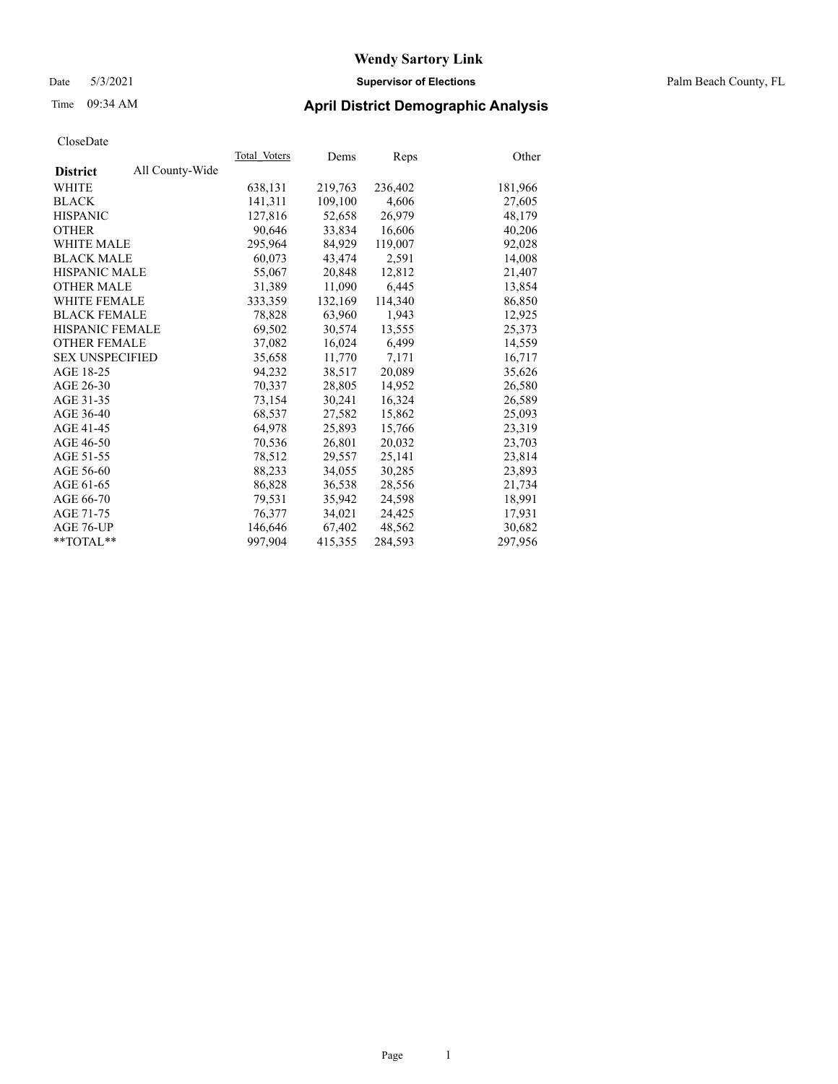#### Date 5/3/2021 **Supervisor of Elections** Palm Beach County, FL

## Time 09:34 AM **April District Demographic Analysis**

| Total Voters | Dems    | Reps    | Other   |
|--------------|---------|---------|---------|
|              |         |         |         |
| 638,131      | 219,763 | 236,402 | 181,966 |
| 141,311      | 109,100 | 4,606   | 27,605  |
| 127,816      | 52,658  | 26,979  | 48,179  |
| 90,646       | 33,834  | 16,606  | 40,206  |
| 295,964      | 84,929  | 119,007 | 92,028  |
| 60,073       | 43,474  | 2,591   | 14,008  |
| 55,067       | 20,848  | 12,812  | 21,407  |
| 31.389       | 11,090  | 6,445   | 13,854  |
| 333,359      | 132,169 | 114,340 | 86,850  |
| 78,828       | 63,960  | 1,943   | 12,925  |
| 69,502       | 30,574  | 13,555  | 25,373  |
| 37,082       | 16,024  | 6,499   | 14,559  |
| 35,658       | 11,770  | 7,171   | 16,717  |
| 94,232       | 38,517  | 20,089  | 35,626  |
| 70,337       | 28,805  | 14,952  | 26,580  |
| 73,154       | 30,241  | 16,324  | 26,589  |
| 68.537       | 27,582  | 15,862  | 25,093  |
| 64,978       | 25,893  | 15,766  | 23,319  |
| 70,536       | 26,801  | 20,032  | 23,703  |
| 78,512       | 29,557  | 25,141  | 23,814  |
| 88,233       | 34,055  | 30,285  | 23,893  |
| 86,828       | 36,538  | 28,556  | 21,734  |
| 79.531       | 35,942  | 24,598  | 18,991  |
| 76,377       | 34,021  | 24,425  | 17,931  |
| 146,646      | 67,402  | 48,562  | 30,682  |
| 997,904      | 415,355 | 284,593 | 297,956 |
|              |         |         |         |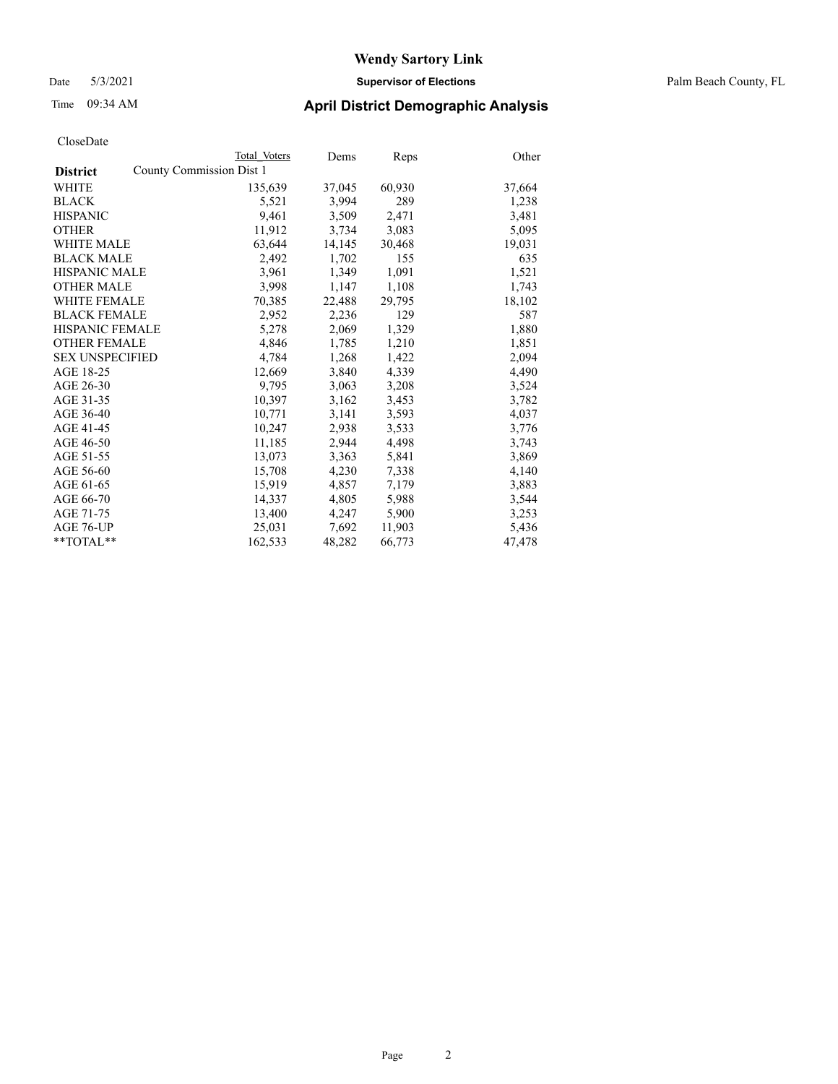#### Date 5/3/2021 **Supervisor of Elections** Palm Beach County, FL

## Time 09:34 AM **April District Demographic Analysis**

|                                             | Total Voters | Dems   | <b>Reps</b> | Other  |
|---------------------------------------------|--------------|--------|-------------|--------|
| County Commission Dist 1<br><b>District</b> |              |        |             |        |
| WHITE                                       | 135,639      | 37,045 | 60,930      | 37,664 |
| <b>BLACK</b>                                | 5,521        | 3.994  | 289         | 1,238  |
| <b>HISPANIC</b>                             | 9,461        | 3,509  | 2,471       | 3,481  |
| <b>OTHER</b>                                | 11,912       | 3,734  | 3,083       | 5,095  |
| <b>WHITE MALE</b>                           | 63,644       | 14,145 | 30,468      | 19,031 |
| <b>BLACK MALE</b>                           | 2,492        | 1,702  | 155         | 635    |
| <b>HISPANIC MALE</b>                        | 3,961        | 1,349  | 1,091       | 1,521  |
| <b>OTHER MALE</b>                           | 3,998        | 1,147  | 1,108       | 1,743  |
| <b>WHITE FEMALE</b>                         | 70,385       | 22,488 | 29,795      | 18,102 |
| <b>BLACK FEMALE</b>                         | 2,952        | 2,236  | 129         | 587    |
| <b>HISPANIC FEMALE</b>                      | 5,278        | 2,069  | 1,329       | 1,880  |
| <b>OTHER FEMALE</b>                         | 4,846        | 1,785  | 1,210       | 1,851  |
| <b>SEX UNSPECIFIED</b>                      | 4,784        | 1,268  | 1,422       | 2,094  |
| AGE 18-25                                   | 12,669       | 3,840  | 4,339       | 4,490  |
| AGE 26-30                                   | 9,795        | 3,063  | 3,208       | 3,524  |
| AGE 31-35                                   | 10,397       | 3,162  | 3,453       | 3,782  |
| AGE 36-40                                   | 10,771       | 3,141  | 3,593       | 4,037  |
| AGE 41-45                                   | 10,247       | 2,938  | 3,533       | 3,776  |
| AGE 46-50                                   | 11,185       | 2,944  | 4,498       | 3,743  |
| AGE 51-55                                   | 13,073       | 3,363  | 5,841       | 3,869  |
| AGE 56-60                                   | 15,708       | 4,230  | 7,338       | 4,140  |
| AGE 61-65                                   | 15,919       | 4,857  | 7,179       | 3,883  |
| AGE 66-70                                   | 14,337       | 4,805  | 5,988       | 3,544  |
| AGE 71-75                                   | 13,400       | 4,247  | 5,900       | 3,253  |
| AGE 76-UP                                   | 25,031       | 7,692  | 11,903      | 5,436  |
| $*$ TOTAL $*$                               | 162,533      | 48,282 | 66,773      | 47,478 |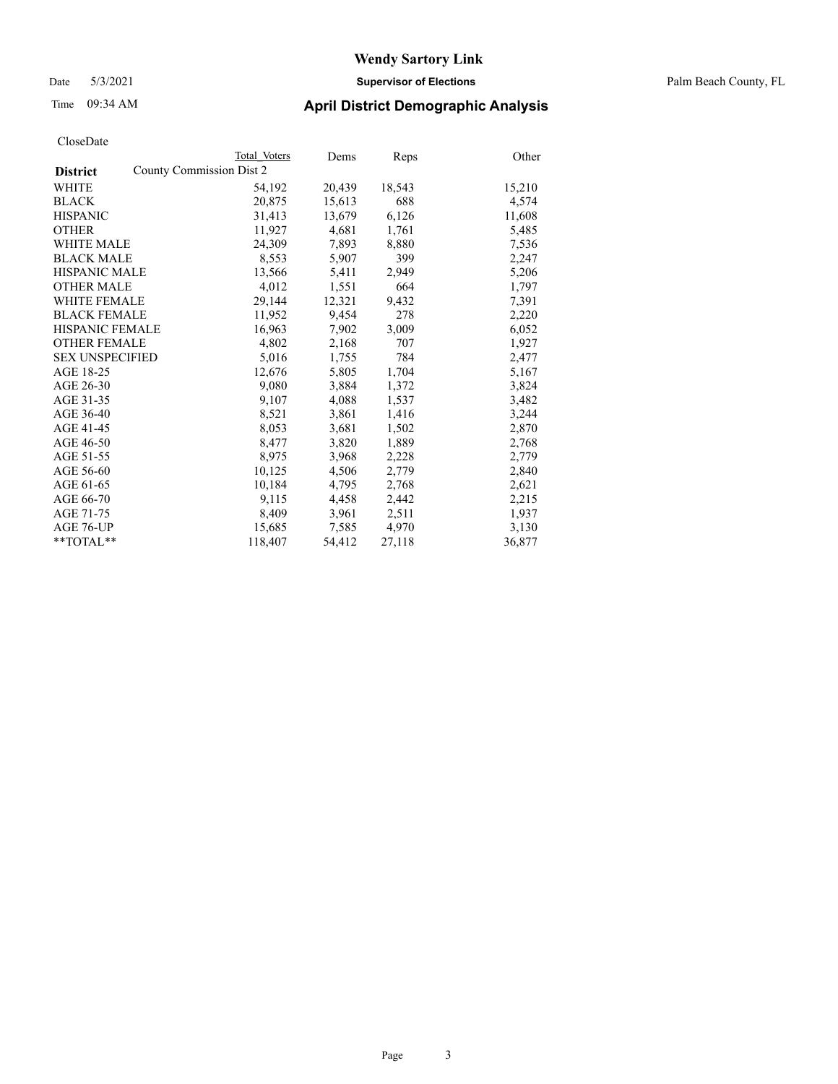#### Date 5/3/2021 **Supervisor of Elections** Palm Beach County, FL

## Time 09:34 AM **April District Demographic Analysis**

|                        |                          | Total Voters | Dems   | Reps   | Other  |
|------------------------|--------------------------|--------------|--------|--------|--------|
| <b>District</b>        | County Commission Dist 2 |              |        |        |        |
| WHITE                  |                          | 54,192       | 20,439 | 18,543 | 15,210 |
| <b>BLACK</b>           |                          | 20,875       | 15,613 | 688    | 4,574  |
| <b>HISPANIC</b>        |                          | 31,413       | 13,679 | 6,126  | 11,608 |
| <b>OTHER</b>           |                          | 11,927       | 4,681  | 1,761  | 5,485  |
| <b>WHITE MALE</b>      |                          | 24,309       | 7,893  | 8,880  | 7,536  |
| <b>BLACK MALE</b>      |                          | 8,553        | 5,907  | 399    | 2,247  |
| <b>HISPANIC MALE</b>   |                          | 13,566       | 5,411  | 2,949  | 5,206  |
| <b>OTHER MALE</b>      |                          | 4,012        | 1,551  | 664    | 1,797  |
| <b>WHITE FEMALE</b>    |                          | 29,144       | 12,321 | 9,432  | 7,391  |
| <b>BLACK FEMALE</b>    |                          | 11.952       | 9,454  | 278    | 2,220  |
| <b>HISPANIC FEMALE</b> |                          | 16,963       | 7,902  | 3,009  | 6,052  |
| <b>OTHER FEMALE</b>    |                          | 4,802        | 2,168  | 707    | 1,927  |
| <b>SEX UNSPECIFIED</b> |                          | 5,016        | 1,755  | 784    | 2,477  |
| AGE 18-25              |                          | 12,676       | 5,805  | 1,704  | 5,167  |
| AGE 26-30              |                          | 9,080        | 3,884  | 1,372  | 3,824  |
| AGE 31-35              |                          | 9,107        | 4,088  | 1,537  | 3,482  |
| AGE 36-40              |                          | 8,521        | 3,861  | 1,416  | 3,244  |
| AGE 41-45              |                          | 8,053        | 3,681  | 1,502  | 2,870  |
| AGE 46-50              |                          | 8,477        | 3,820  | 1,889  | 2,768  |
| AGE 51-55              |                          | 8,975        | 3,968  | 2,228  | 2,779  |
| AGE 56-60              |                          | 10,125       | 4,506  | 2,779  | 2,840  |
| AGE 61-65              |                          | 10,184       | 4,795  | 2,768  | 2,621  |
| AGE 66-70              |                          | 9,115        | 4,458  | 2,442  | 2,215  |
| AGE 71-75              |                          | 8,409        | 3,961  | 2,511  | 1,937  |
| AGE 76-UP              |                          | 15,685       | 7,585  | 4,970  | 3,130  |
| **TOTAL**              |                          | 118,407      | 54,412 | 27,118 | 36,877 |
|                        |                          |              |        |        |        |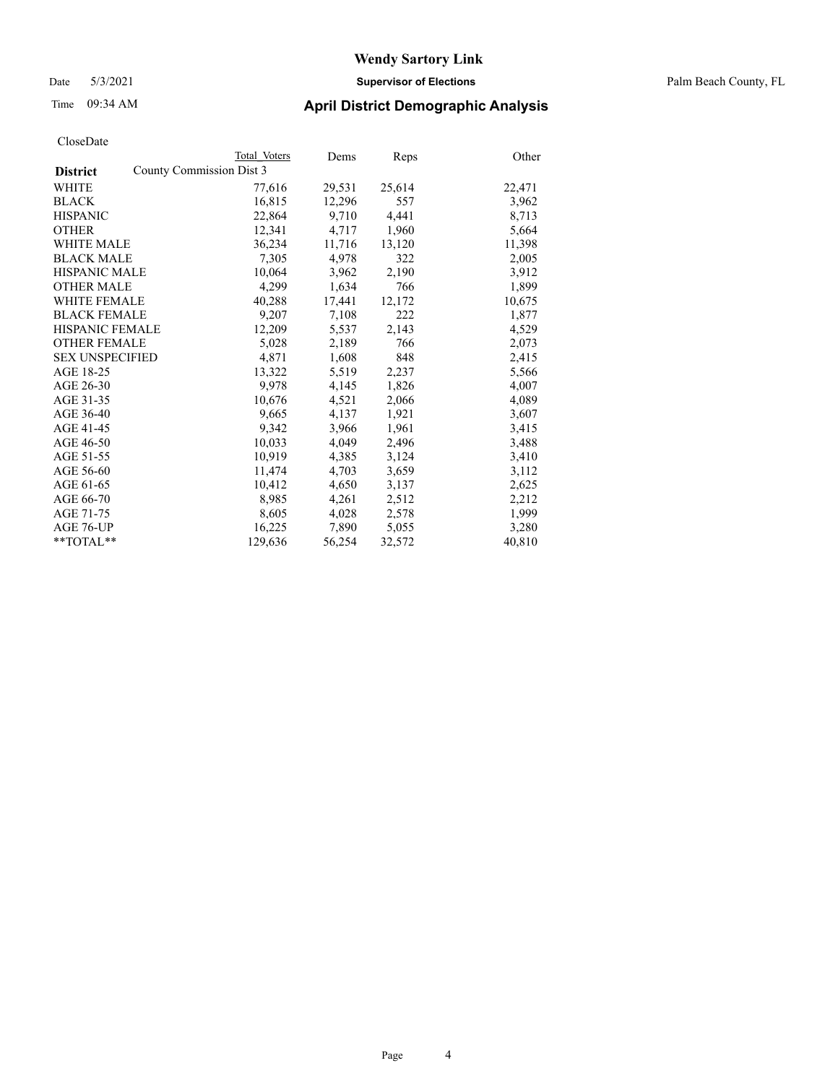Date 5/3/2021 **Supervisor of Elections** Palm Beach County, FL

## Time 09:34 AM **April District Demographic Analysis**

|                                             | Total Voters | Dems   | <b>Reps</b> | Other  |
|---------------------------------------------|--------------|--------|-------------|--------|
| County Commission Dist 3<br><b>District</b> |              |        |             |        |
| WHITE                                       | 77,616       | 29,531 | 25,614      | 22,471 |
| <b>BLACK</b>                                | 16,815       | 12,296 | 557         | 3,962  |
| <b>HISPANIC</b>                             | 22,864       | 9,710  | 4,441       | 8,713  |
| <b>OTHER</b>                                | 12,341       | 4,717  | 1,960       | 5,664  |
| <b>WHITE MALE</b>                           | 36,234       | 11,716 | 13,120      | 11,398 |
| <b>BLACK MALE</b>                           | 7,305        | 4,978  | 322         | 2,005  |
| <b>HISPANIC MALE</b>                        | 10,064       | 3,962  | 2,190       | 3,912  |
| <b>OTHER MALE</b>                           | 4,299        | 1,634  | 766         | 1,899  |
| <b>WHITE FEMALE</b>                         | 40,288       | 17,441 | 12,172      | 10,675 |
| <b>BLACK FEMALE</b>                         | 9,207        | 7,108  | 222         | 1,877  |
| <b>HISPANIC FEMALE</b>                      | 12,209       | 5,537  | 2,143       | 4,529  |
| <b>OTHER FEMALE</b>                         | 5,028        | 2,189  | 766         | 2,073  |
| <b>SEX UNSPECIFIED</b>                      | 4,871        | 1,608  | 848         | 2,415  |
| AGE 18-25                                   | 13,322       | 5,519  | 2,237       | 5,566  |
| AGE 26-30                                   | 9,978        | 4,145  | 1,826       | 4,007  |
| AGE 31-35                                   | 10,676       | 4,521  | 2,066       | 4,089  |
| AGE 36-40                                   | 9,665        | 4,137  | 1,921       | 3,607  |
| AGE 41-45                                   | 9,342        | 3,966  | 1,961       | 3,415  |
| AGE 46-50                                   | 10,033       | 4,049  | 2,496       | 3,488  |
| AGE 51-55                                   | 10.919       | 4,385  | 3,124       | 3,410  |
| AGE 56-60                                   | 11,474       | 4,703  | 3,659       | 3,112  |
| AGE 61-65                                   | 10,412       | 4,650  | 3,137       | 2,625  |
| AGE 66-70                                   | 8,985        | 4,261  | 2,512       | 2,212  |
| AGE 71-75                                   | 8,605        | 4,028  | 2,578       | 1,999  |
| AGE 76-UP                                   | 16,225       | 7,890  | 5,055       | 3,280  |
| $*$ TOTAL $*$                               | 129,636      | 56,254 | 32,572      | 40,810 |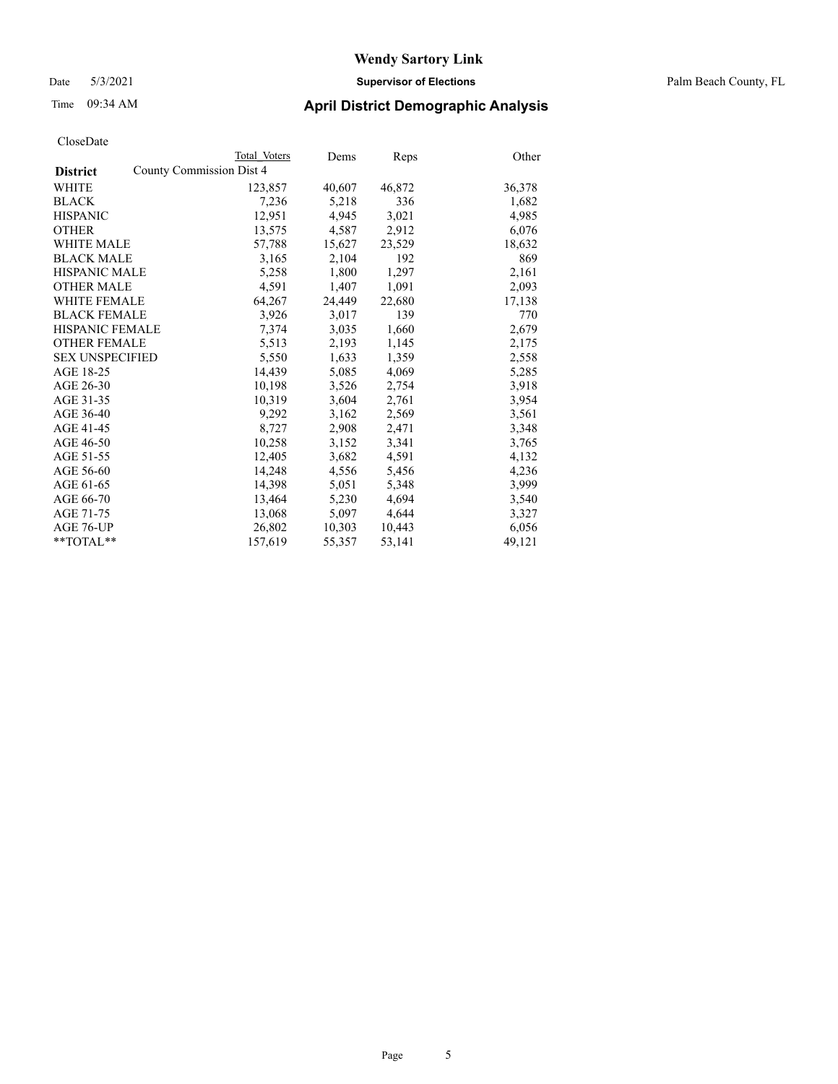Date 5/3/2021 **Supervisor of Elections** Palm Beach County, FL

## Time 09:34 AM **April District Demographic Analysis**

|                                             | Total Voters | Dems   | <b>Reps</b> | Other  |
|---------------------------------------------|--------------|--------|-------------|--------|
| County Commission Dist 4<br><b>District</b> |              |        |             |        |
| WHITE                                       | 123,857      | 40,607 | 46,872      | 36,378 |
| <b>BLACK</b>                                | 7,236        | 5,218  | 336         | 1,682  |
| <b>HISPANIC</b>                             | 12,951       | 4,945  | 3,021       | 4,985  |
| <b>OTHER</b>                                | 13,575       | 4,587  | 2,912       | 6,076  |
| <b>WHITE MALE</b>                           | 57,788       | 15,627 | 23,529      | 18,632 |
| <b>BLACK MALE</b>                           | 3,165        | 2,104  | 192         | 869    |
| <b>HISPANIC MALE</b>                        | 5,258        | 1,800  | 1,297       | 2,161  |
| <b>OTHER MALE</b>                           | 4,591        | 1,407  | 1,091       | 2,093  |
| <b>WHITE FEMALE</b>                         | 64,267       | 24,449 | 22,680      | 17,138 |
| <b>BLACK FEMALE</b>                         | 3,926        | 3,017  | 139         | 770    |
| <b>HISPANIC FEMALE</b>                      | 7,374        | 3,035  | 1,660       | 2,679  |
| <b>OTHER FEMALE</b>                         | 5,513        | 2,193  | 1,145       | 2,175  |
| <b>SEX UNSPECIFIED</b>                      | 5,550        | 1,633  | 1,359       | 2,558  |
| AGE 18-25                                   | 14,439       | 5,085  | 4,069       | 5,285  |
| AGE 26-30                                   | 10,198       | 3,526  | 2,754       | 3,918  |
| AGE 31-35                                   | 10,319       | 3,604  | 2,761       | 3,954  |
| AGE 36-40                                   | 9,292        | 3,162  | 2,569       | 3,561  |
| AGE 41-45                                   | 8,727        | 2,908  | 2,471       | 3,348  |
| AGE 46-50                                   | 10,258       | 3,152  | 3,341       | 3,765  |
| AGE 51-55                                   | 12,405       | 3,682  | 4,591       | 4,132  |
| AGE 56-60                                   | 14,248       | 4,556  | 5,456       | 4,236  |
| AGE 61-65                                   | 14,398       | 5,051  | 5,348       | 3,999  |
| AGE 66-70                                   | 13.464       | 5,230  | 4,694       | 3,540  |
| AGE 71-75                                   | 13,068       | 5,097  | 4,644       | 3,327  |
| AGE 76-UP                                   | 26,802       | 10,303 | 10,443      | 6,056  |
| $*$ TOTAL $*$                               | 157,619      | 55,357 | 53,141      | 49,121 |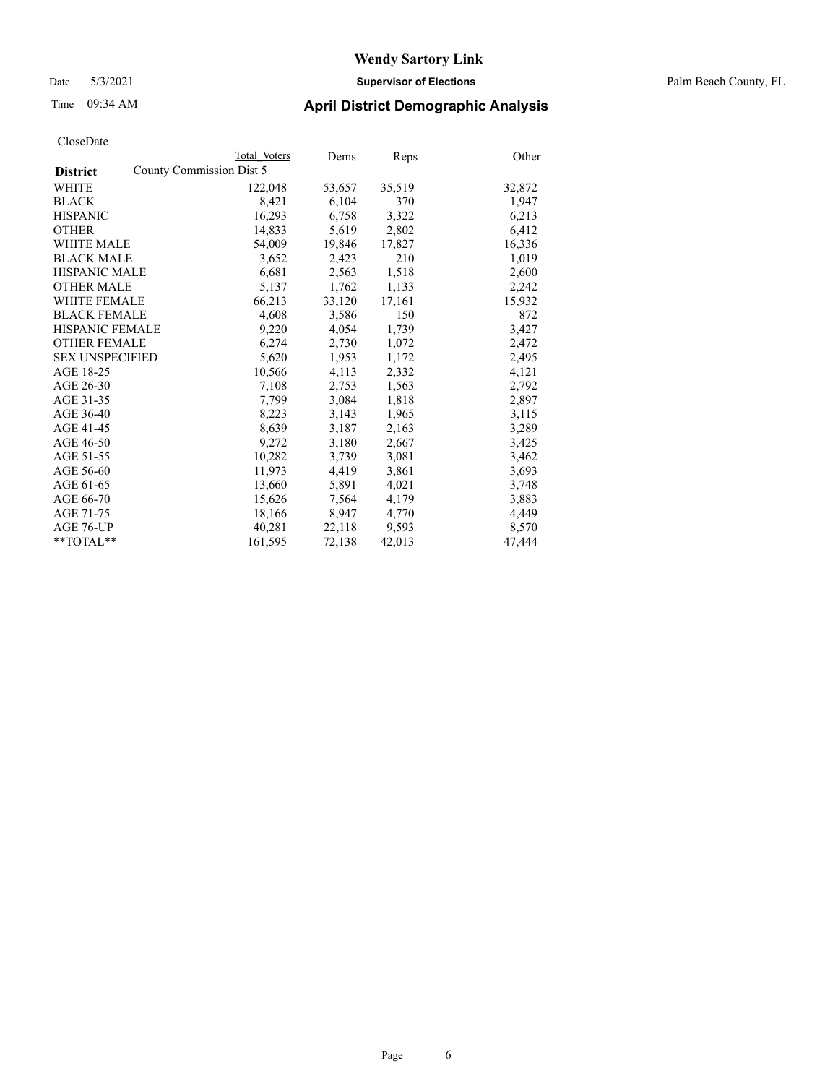#### Date 5/3/2021 **Supervisor of Elections** Palm Beach County, FL

## Time 09:34 AM **April District Demographic Analysis**

|                        | Total Voters             | Dems   | Reps   | Other  |
|------------------------|--------------------------|--------|--------|--------|
| <b>District</b>        | County Commission Dist 5 |        |        |        |
| WHITE                  | 122,048                  | 53,657 | 35,519 | 32,872 |
| <b>BLACK</b>           | 8,421                    | 6,104  | 370    | 1,947  |
| <b>HISPANIC</b>        | 16,293                   | 6,758  | 3,322  | 6,213  |
| <b>OTHER</b>           | 14,833                   | 5,619  | 2,802  | 6,412  |
| <b>WHITE MALE</b>      | 54,009                   | 19,846 | 17,827 | 16,336 |
| <b>BLACK MALE</b>      | 3,652                    | 2,423  | 210    | 1,019  |
| <b>HISPANIC MALE</b>   | 6,681                    | 2,563  | 1,518  | 2,600  |
| <b>OTHER MALE</b>      | 5,137                    | 1,762  | 1,133  | 2,242  |
| <b>WHITE FEMALE</b>    | 66,213                   | 33,120 | 17,161 | 15,932 |
| <b>BLACK FEMALE</b>    | 4,608                    | 3,586  | 150    | 872    |
| <b>HISPANIC FEMALE</b> | 9,220                    | 4,054  | 1,739  | 3,427  |
| <b>OTHER FEMALE</b>    | 6,274                    | 2,730  | 1,072  | 2,472  |
| <b>SEX UNSPECIFIED</b> | 5,620                    | 1,953  | 1,172  | 2,495  |
| AGE 18-25              | 10,566                   | 4,113  | 2,332  | 4,121  |
| AGE 26-30              | 7,108                    | 2,753  | 1,563  | 2,792  |
| AGE 31-35              | 7,799                    | 3,084  | 1,818  | 2,897  |
| AGE 36-40              | 8,223                    | 3,143  | 1,965  | 3,115  |
| AGE 41-45              | 8,639                    | 3,187  | 2,163  | 3,289  |
| AGE 46-50              | 9,272                    | 3,180  | 2,667  | 3,425  |
| AGE 51-55              | 10,282                   | 3,739  | 3,081  | 3,462  |
| AGE 56-60              | 11,973                   | 4,419  | 3,861  | 3,693  |
| AGE 61-65              | 13,660                   | 5,891  | 4,021  | 3,748  |
| AGE 66-70              | 15,626                   | 7,564  | 4,179  | 3,883  |
| AGE 71-75              | 18,166                   | 8,947  | 4,770  | 4,449  |
| AGE 76-UP              | 40,281                   | 22,118 | 9,593  | 8,570  |
| **TOTAL**              | 161,595                  | 72,138 | 42,013 | 47,444 |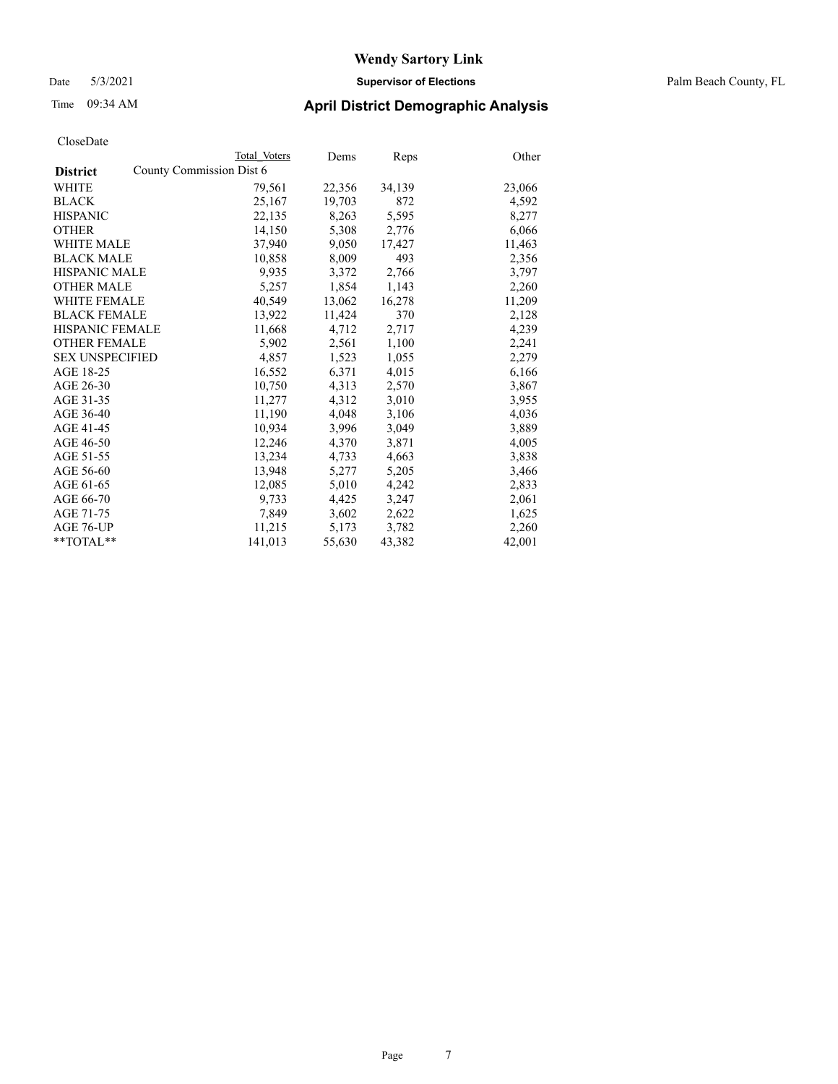Date 5/3/2021 **Supervisor of Elections** Palm Beach County, FL

## Time 09:34 AM **April District Demographic Analysis**

|                                             | Total Voters | Dems   | <b>Reps</b> | Other  |
|---------------------------------------------|--------------|--------|-------------|--------|
| County Commission Dist 6<br><b>District</b> |              |        |             |        |
| WHITE                                       | 79,561       | 22,356 | 34,139      | 23,066 |
| <b>BLACK</b>                                | 25,167       | 19,703 | 872         | 4,592  |
| <b>HISPANIC</b>                             | 22,135       | 8,263  | 5,595       | 8,277  |
| <b>OTHER</b>                                | 14,150       | 5,308  | 2,776       | 6,066  |
| <b>WHITE MALE</b>                           | 37,940       | 9,050  | 17,427      | 11,463 |
| <b>BLACK MALE</b>                           | 10,858       | 8,009  | 493         | 2,356  |
| <b>HISPANIC MALE</b>                        | 9,935        | 3,372  | 2,766       | 3,797  |
| <b>OTHER MALE</b>                           | 5.257        | 1,854  | 1,143       | 2,260  |
| <b>WHITE FEMALE</b>                         | 40,549       | 13,062 | 16,278      | 11,209 |
| <b>BLACK FEMALE</b>                         | 13,922       | 11,424 | 370         | 2,128  |
| <b>HISPANIC FEMALE</b>                      | 11,668       | 4,712  | 2,717       | 4,239  |
| <b>OTHER FEMALE</b>                         | 5,902        | 2,561  | 1,100       | 2,241  |
| <b>SEX UNSPECIFIED</b>                      | 4,857        | 1,523  | 1,055       | 2,279  |
| AGE 18-25                                   | 16,552       | 6,371  | 4,015       | 6,166  |
| AGE 26-30                                   | 10,750       | 4,313  | 2,570       | 3,867  |
| AGE 31-35                                   | 11,277       | 4,312  | 3,010       | 3,955  |
| AGE 36-40                                   | 11,190       | 4,048  | 3,106       | 4,036  |
| AGE 41-45                                   | 10,934       | 3,996  | 3,049       | 3,889  |
| AGE 46-50                                   | 12,246       | 4,370  | 3,871       | 4,005  |
| AGE 51-55                                   | 13,234       | 4,733  | 4,663       | 3,838  |
| AGE 56-60                                   | 13,948       | 5,277  | 5,205       | 3,466  |
| AGE 61-65                                   | 12,085       | 5,010  | 4,242       | 2,833  |
| AGE 66-70                                   | 9,733        | 4,425  | 3,247       | 2,061  |
| AGE 71-75                                   | 7,849        | 3,602  | 2,622       | 1,625  |
| AGE 76-UP                                   | 11,215       | 5,173  | 3,782       | 2,260  |
| $*$ TOTAL $*$                               | 141,013      | 55,630 | 43,382      | 42,001 |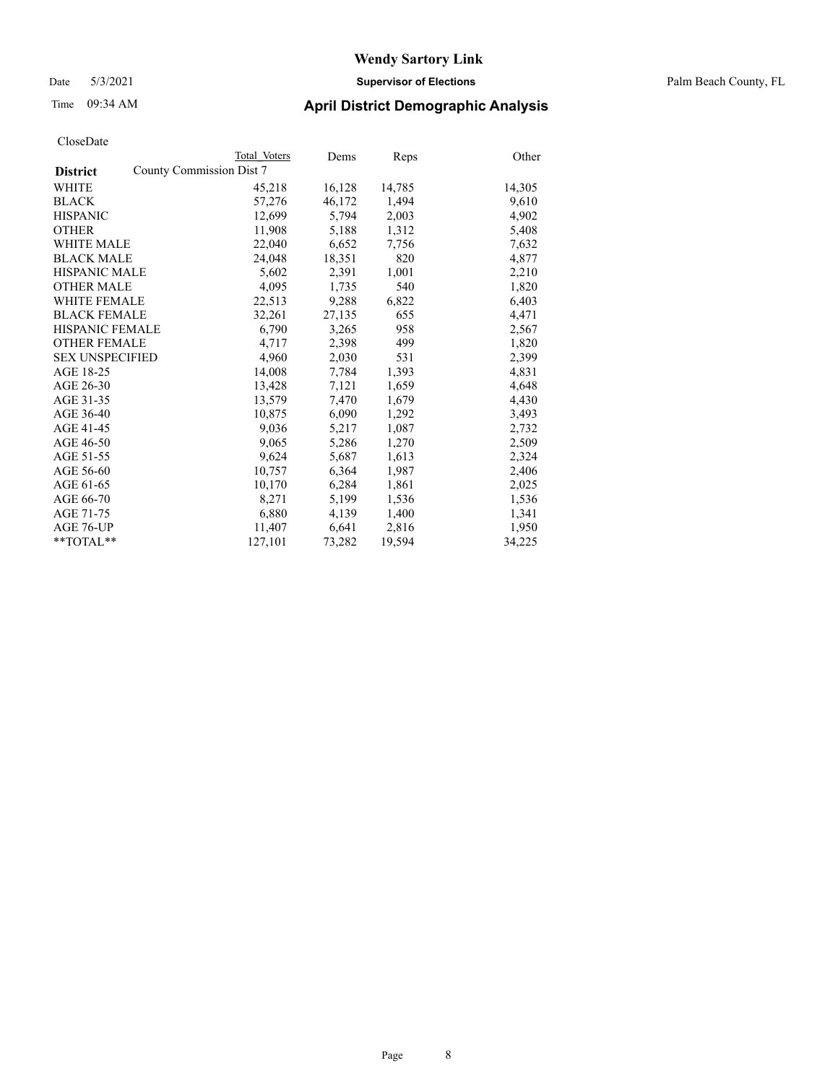#### Date 5/3/2021 **Supervisor of Elections** Palm Beach County, FL

## Time 09:34 AM **April District Demographic Analysis**

|                                             | Total Voters | Dems   | <b>Reps</b> | Other  |
|---------------------------------------------|--------------|--------|-------------|--------|
| County Commission Dist 7<br><b>District</b> |              |        |             |        |
| WHITE                                       | 45,218       | 16,128 | 14,785      | 14,305 |
| <b>BLACK</b>                                | 57,276       | 46,172 | 1,494       | 9,610  |
| <b>HISPANIC</b>                             | 12,699       | 5,794  | 2,003       | 4,902  |
| <b>OTHER</b>                                | 11,908       | 5,188  | 1,312       | 5,408  |
| <b>WHITE MALE</b>                           | 22,040       | 6,652  | 7,756       | 7,632  |
| <b>BLACK MALE</b>                           | 24,048       | 18,351 | 820         | 4,877  |
| <b>HISPANIC MALE</b>                        | 5,602        | 2,391  | 1,001       | 2,210  |
| <b>OTHER MALE</b>                           | 4,095        | 1,735  | 540         | 1,820  |
| <b>WHITE FEMALE</b>                         | 22,513       | 9,288  | 6,822       | 6,403  |
| <b>BLACK FEMALE</b>                         | 32,261       | 27,135 | 655         | 4,471  |
| <b>HISPANIC FEMALE</b>                      | 6,790        | 3,265  | 958         | 2,567  |
| <b>OTHER FEMALE</b>                         | 4,717        | 2,398  | 499         | 1,820  |
| <b>SEX UNSPECIFIED</b>                      | 4,960        | 2,030  | 531         | 2,399  |
| AGE 18-25                                   | 14,008       | 7,784  | 1,393       | 4,831  |
| AGE 26-30                                   | 13,428       | 7,121  | 1,659       | 4,648  |
| AGE 31-35                                   | 13,579       | 7,470  | 1,679       | 4,430  |
| AGE 36-40                                   | 10,875       | 6,090  | 1,292       | 3,493  |
| AGE 41-45                                   | 9,036        | 5,217  | 1,087       | 2,732  |
| AGE 46-50                                   | 9,065        | 5,286  | 1,270       | 2,509  |
| AGE 51-55                                   | 9,624        | 5,687  | 1,613       | 2,324  |
| AGE 56-60                                   | 10,757       | 6,364  | 1,987       | 2,406  |
| AGE 61-65                                   | 10,170       | 6,284  | 1,861       | 2,025  |
| AGE 66-70                                   | 8,271        | 5,199  | 1,536       | 1,536  |
| AGE 71-75                                   | 6,880        | 4,139  | 1,400       | 1,341  |
| AGE 76-UP                                   | 11,407       | 6,641  | 2,816       | 1,950  |
| $*$ TOTAL $*$                               | 127,101      | 73,282 | 19,594      | 34,225 |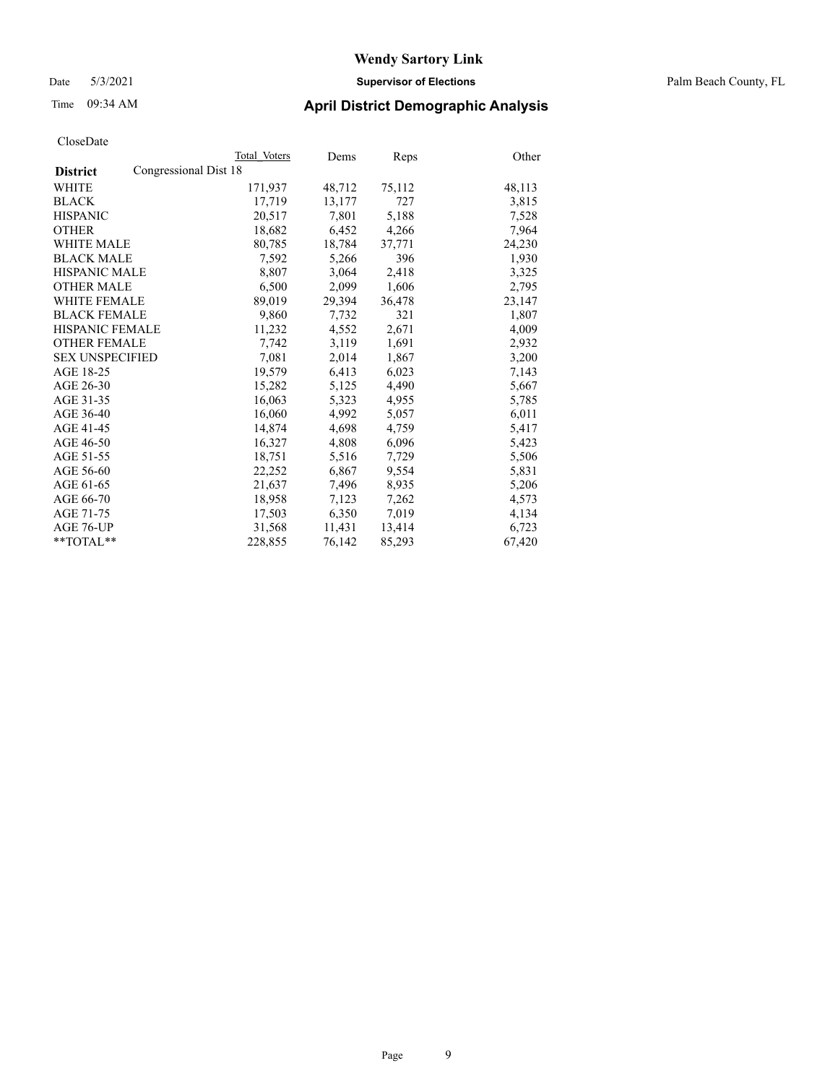#### Date 5/3/2021 **Supervisor of Elections** Palm Beach County, FL

## Time 09:34 AM **April District Demographic Analysis**

|                                          | Total Voters | Dems   | <b>Reps</b> | Other  |
|------------------------------------------|--------------|--------|-------------|--------|
| Congressional Dist 18<br><b>District</b> |              |        |             |        |
| WHITE                                    | 171,937      | 48,712 | 75,112      | 48,113 |
| <b>BLACK</b>                             | 17,719       | 13,177 | 727         | 3,815  |
| <b>HISPANIC</b>                          | 20,517       | 7,801  | 5,188       | 7,528  |
| <b>OTHER</b>                             | 18,682       | 6,452  | 4,266       | 7,964  |
| <b>WHITE MALE</b>                        | 80,785       | 18,784 | 37,771      | 24,230 |
| <b>BLACK MALE</b>                        | 7,592        | 5,266  | 396         | 1,930  |
| <b>HISPANIC MALE</b>                     | 8,807        | 3,064  | 2,418       | 3,325  |
| <b>OTHER MALE</b>                        | 6,500        | 2,099  | 1,606       | 2,795  |
| <b>WHITE FEMALE</b>                      | 89,019       | 29,394 | 36,478      | 23,147 |
| <b>BLACK FEMALE</b>                      | 9,860        | 7,732  | 321         | 1,807  |
| <b>HISPANIC FEMALE</b>                   | 11,232       | 4,552  | 2,671       | 4,009  |
| <b>OTHER FEMALE</b>                      | 7.742        | 3,119  | 1,691       | 2,932  |
| <b>SEX UNSPECIFIED</b>                   | 7,081        | 2,014  | 1,867       | 3,200  |
| AGE 18-25                                | 19,579       | 6,413  | 6,023       | 7,143  |
| AGE 26-30                                | 15,282       | 5,125  | 4,490       | 5,667  |
| AGE 31-35                                | 16,063       | 5,323  | 4,955       | 5,785  |
| AGE 36-40                                | 16,060       | 4,992  | 5,057       | 6,011  |
| AGE 41-45                                | 14,874       | 4,698  | 4,759       | 5,417  |
| AGE 46-50                                | 16,327       | 4,808  | 6,096       | 5,423  |
| AGE 51-55                                | 18,751       | 5,516  | 7,729       | 5,506  |
| AGE 56-60                                | 22,252       | 6,867  | 9,554       | 5,831  |
| AGE 61-65                                | 21,637       | 7,496  | 8,935       | 5,206  |
| AGE 66-70                                | 18,958       | 7,123  | 7,262       | 4,573  |
| AGE 71-75                                | 17,503       | 6,350  | 7,019       | 4,134  |
| AGE 76-UP                                | 31,568       | 11,431 | 13,414      | 6,723  |
| **TOTAL**                                | 228,855      | 76,142 | 85,293      | 67,420 |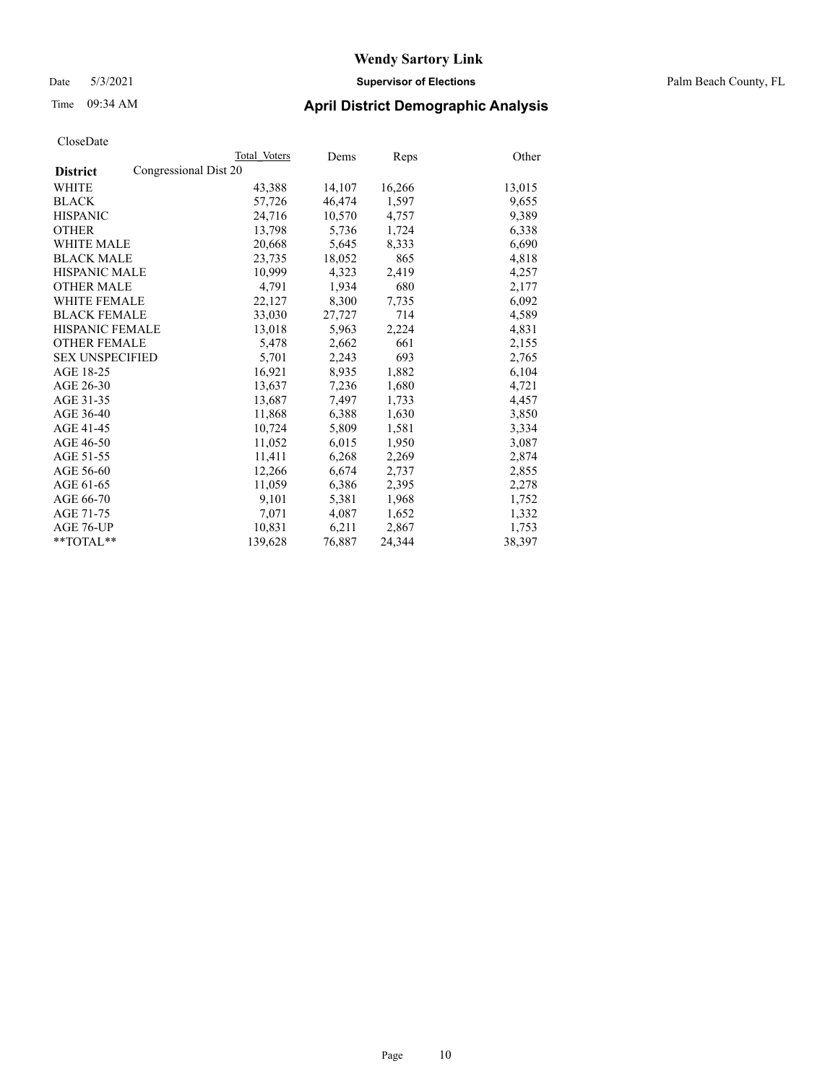#### Date 5/3/2021 **Supervisor of Elections** Palm Beach County, FL

## Time 09:34 AM **April District Demographic Analysis**

|                                          | Total Voters | Dems   | Reps   | Other  |
|------------------------------------------|--------------|--------|--------|--------|
| Congressional Dist 20<br><b>District</b> |              |        |        |        |
| WHITE                                    | 43,388       | 14,107 | 16,266 | 13,015 |
| <b>BLACK</b>                             | 57,726       | 46,474 | 1,597  | 9,655  |
| <b>HISPANIC</b>                          | 24,716       | 10,570 | 4,757  | 9,389  |
| <b>OTHER</b>                             | 13,798       | 5,736  | 1,724  | 6,338  |
| <b>WHITE MALE</b>                        | 20,668       | 5,645  | 8,333  | 6,690  |
| <b>BLACK MALE</b>                        | 23,735       | 18,052 | 865    | 4,818  |
| HISPANIC MALE                            | 10,999       | 4,323  | 2,419  | 4,257  |
| <b>OTHER MALE</b>                        | 4,791        | 1,934  | 680    | 2,177  |
| <b>WHITE FEMALE</b>                      | 22,127       | 8,300  | 7,735  | 6,092  |
| <b>BLACK FEMALE</b>                      | 33,030       | 27,727 | 714    | 4,589  |
| <b>HISPANIC FEMALE</b>                   | 13,018       | 5,963  | 2,224  | 4,831  |
| <b>OTHER FEMALE</b>                      | 5,478        | 2,662  | 661    | 2,155  |
| <b>SEX UNSPECIFIED</b>                   | 5,701        | 2,243  | 693    | 2,765  |
| AGE 18-25                                | 16,921       | 8,935  | 1,882  | 6,104  |
| AGE 26-30                                | 13,637       | 7,236  | 1,680  | 4,721  |
| AGE 31-35                                | 13,687       | 7,497  | 1,733  | 4,457  |
| AGE 36-40                                | 11,868       | 6,388  | 1,630  | 3,850  |
| AGE 41-45                                | 10,724       | 5,809  | 1,581  | 3,334  |
| AGE 46-50                                | 11,052       | 6,015  | 1,950  | 3,087  |
| AGE 51-55                                | 11,411       | 6,268  | 2,269  | 2,874  |
| AGE 56-60                                | 12,266       | 6,674  | 2,737  | 2,855  |
| AGE 61-65                                | 11,059       | 6,386  | 2,395  | 2,278  |
| AGE 66-70                                | 9,101        | 5,381  | 1,968  | 1,752  |
| AGE 71-75                                | 7,071        | 4,087  | 1,652  | 1,332  |
| AGE 76-UP                                | 10,831       | 6,211  | 2,867  | 1,753  |
| **TOTAL**                                | 139,628      | 76,887 | 24,344 | 38,397 |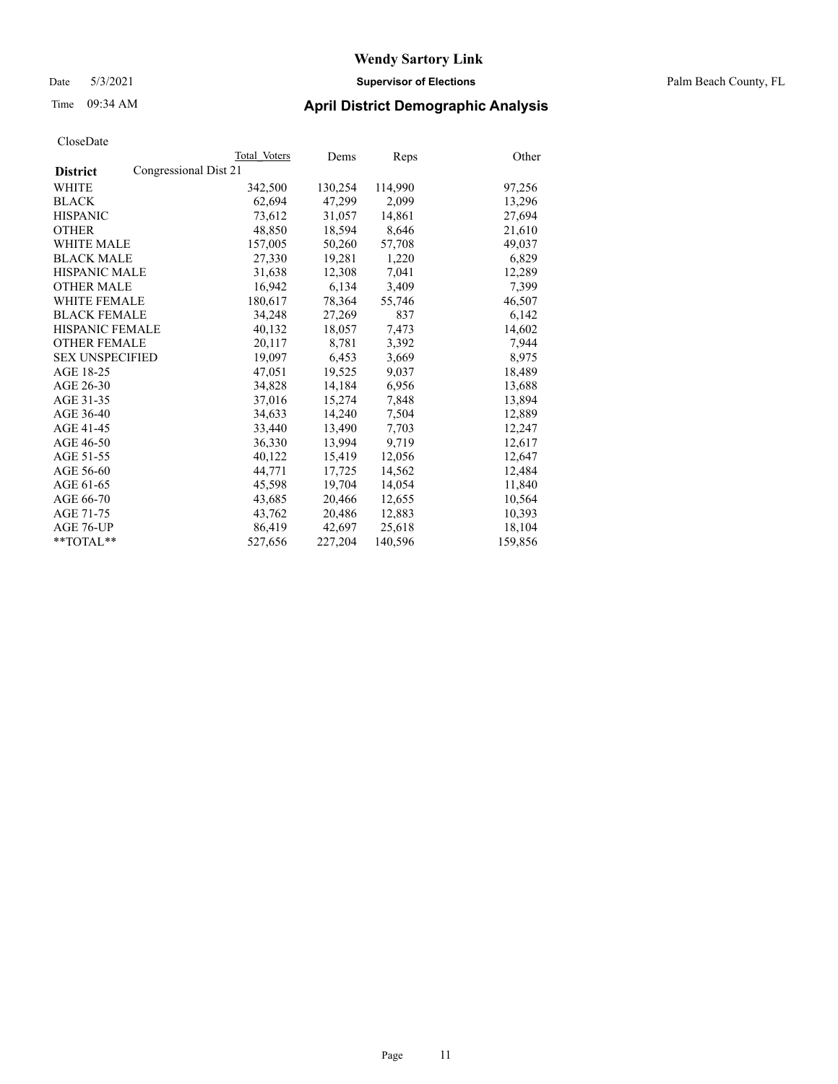#### Date 5/3/2021 **Supervisor of Elections** Palm Beach County, FL

## Time 09:34 AM **April District Demographic Analysis**

|                                          | Total Voters | Dems    | <b>Reps</b> | Other   |
|------------------------------------------|--------------|---------|-------------|---------|
| Congressional Dist 21<br><b>District</b> |              |         |             |         |
| WHITE                                    | 342,500      | 130,254 | 114,990     | 97,256  |
| <b>BLACK</b>                             | 62,694       | 47,299  | 2,099       | 13,296  |
| <b>HISPANIC</b>                          | 73,612       | 31,057  | 14,861      | 27,694  |
| <b>OTHER</b>                             | 48,850       | 18,594  | 8,646       | 21,610  |
| <b>WHITE MALE</b>                        | 157,005      | 50,260  | 57,708      | 49,037  |
| <b>BLACK MALE</b>                        | 27,330       | 19,281  | 1,220       | 6,829   |
| <b>HISPANIC MALE</b>                     | 31,638       | 12,308  | 7,041       | 12,289  |
| <b>OTHER MALE</b>                        | 16,942       | 6,134   | 3,409       | 7,399   |
| <b>WHITE FEMALE</b>                      | 180,617      | 78,364  | 55,746      | 46,507  |
| <b>BLACK FEMALE</b>                      | 34,248       | 27,269  | 837         | 6,142   |
| <b>HISPANIC FEMALE</b>                   | 40,132       | 18,057  | 7,473       | 14,602  |
| <b>OTHER FEMALE</b>                      | 20,117       | 8,781   | 3,392       | 7,944   |
| <b>SEX UNSPECIFIED</b>                   | 19,097       | 6,453   | 3,669       | 8,975   |
| AGE 18-25                                | 47,051       | 19,525  | 9,037       | 18,489  |
| AGE 26-30                                | 34,828       | 14.184  | 6,956       | 13,688  |
| AGE 31-35                                | 37,016       | 15,274  | 7,848       | 13,894  |
| AGE 36-40                                | 34,633       | 14,240  | 7,504       | 12,889  |
| AGE 41-45                                | 33,440       | 13,490  | 7,703       | 12,247  |
| AGE 46-50                                | 36,330       | 13,994  | 9,719       | 12,617  |
| AGE 51-55                                | 40,122       | 15,419  | 12,056      | 12,647  |
| AGE 56-60                                | 44,771       | 17,725  | 14,562      | 12,484  |
| AGE 61-65                                | 45,598       | 19,704  | 14,054      | 11,840  |
| AGE 66-70                                | 43,685       | 20,466  | 12,655      | 10,564  |
| AGE 71-75                                | 43,762       | 20,486  | 12,883      | 10,393  |
| AGE 76-UP                                | 86,419       | 42,697  | 25,618      | 18,104  |
| $*$ TOTAL $*$                            | 527,656      | 227,204 | 140,596     | 159,856 |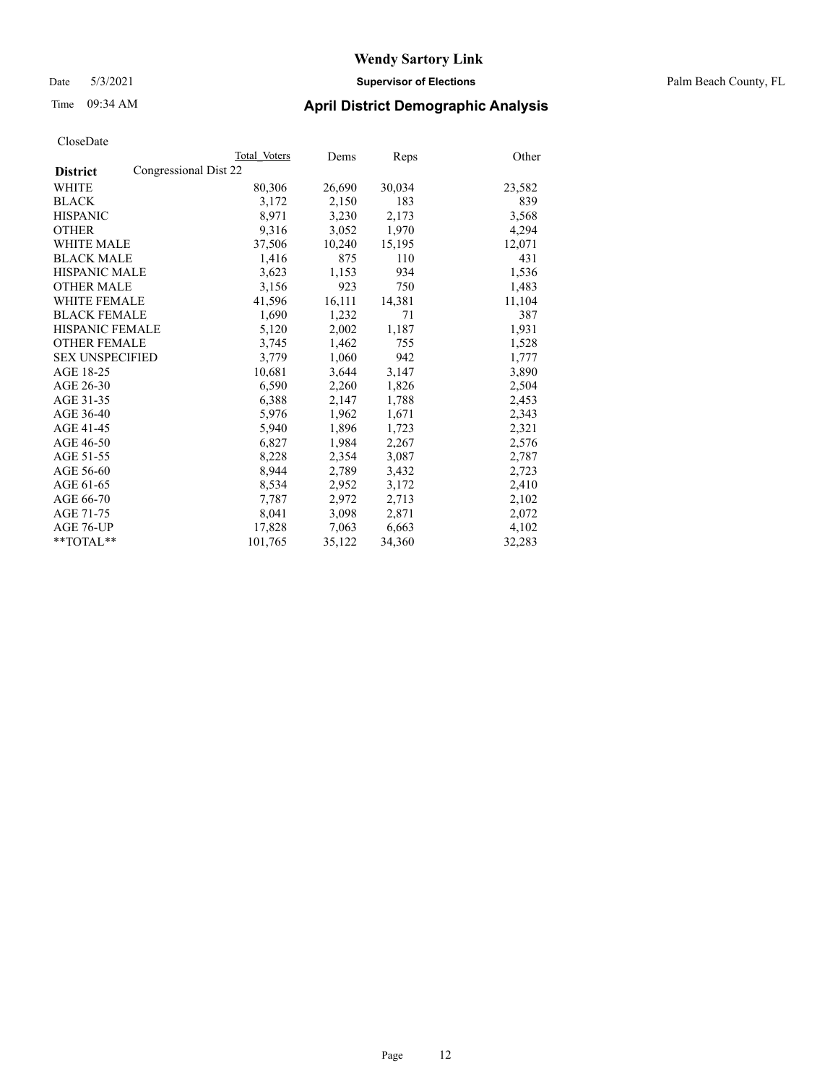Date 5/3/2021 **Supervisor of Elections** Palm Beach County, FL

## Time 09:34 AM **April District Demographic Analysis**

|                                          | Total Voters | Dems   | Reps   | Other  |
|------------------------------------------|--------------|--------|--------|--------|
| Congressional Dist 22<br><b>District</b> |              |        |        |        |
| WHITE                                    | 80,306       | 26,690 | 30,034 | 23,582 |
| <b>BLACK</b>                             | 3,172        | 2,150  | 183    | 839    |
| <b>HISPANIC</b>                          | 8.971        | 3,230  | 2,173  | 3,568  |
| <b>OTHER</b>                             | 9,316        | 3,052  | 1,970  | 4,294  |
| <b>WHITE MALE</b>                        | 37,506       | 10,240 | 15,195 | 12,071 |
| <b>BLACK MALE</b>                        | 1,416        | 875    | 110    | 431    |
| <b>HISPANIC MALE</b>                     | 3,623        | 1,153  | 934    | 1,536  |
| <b>OTHER MALE</b>                        | 3,156        | 923    | 750    | 1,483  |
| <b>WHITE FEMALE</b>                      | 41,596       | 16,111 | 14,381 | 11,104 |
| <b>BLACK FEMALE</b>                      | 1,690        | 1,232  | 71     | 387    |
| <b>HISPANIC FEMALE</b>                   | 5,120        | 2,002  | 1,187  | 1,931  |
| <b>OTHER FEMALE</b>                      | 3,745        | 1,462  | 755    | 1,528  |
| <b>SEX UNSPECIFIED</b>                   | 3,779        | 1,060  | 942    | 1,777  |
| AGE 18-25                                | 10,681       | 3,644  | 3,147  | 3,890  |
| AGE 26-30                                | 6,590        | 2,260  | 1,826  | 2,504  |
| AGE 31-35                                | 6,388        | 2,147  | 1,788  | 2,453  |
| AGE 36-40                                | 5,976        | 1,962  | 1,671  | 2,343  |
| AGE 41-45                                | 5,940        | 1,896  | 1,723  | 2,321  |
| AGE 46-50                                | 6,827        | 1,984  | 2,267  | 2,576  |
| AGE 51-55                                | 8,228        | 2,354  | 3,087  | 2,787  |
| AGE 56-60                                | 8,944        | 2,789  | 3,432  | 2,723  |
| AGE 61-65                                | 8,534        | 2,952  | 3,172  | 2,410  |
| AGE 66-70                                | 7,787        | 2,972  | 2,713  | 2,102  |
| AGE 71-75                                | 8,041        | 3,098  | 2,871  | 2,072  |
| AGE 76-UP                                | 17,828       | 7,063  | 6,663  | 4,102  |
| **TOTAL**                                | 101,765      | 35,122 | 34,360 | 32,283 |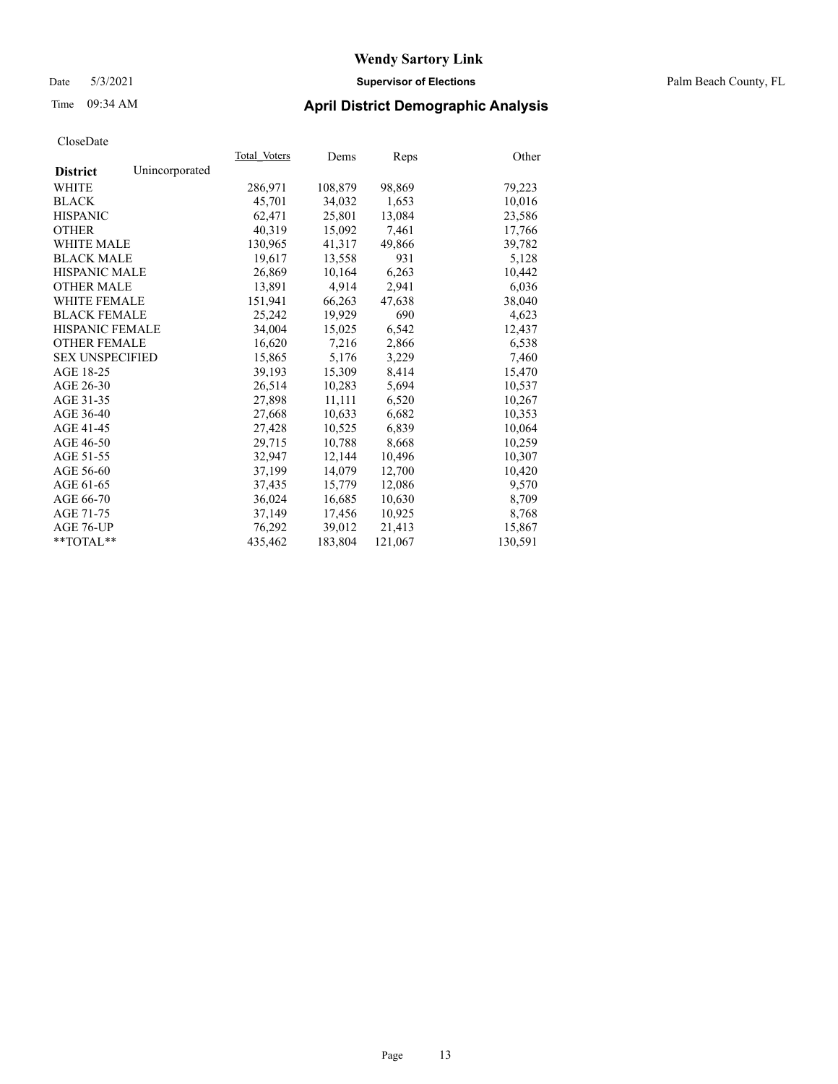#### Date 5/3/2021 **Supervisor of Elections** Palm Beach County, FL

## Time 09:34 AM **April District Demographic Analysis**

| Cioscizate             |                |              |         |         |         |
|------------------------|----------------|--------------|---------|---------|---------|
|                        |                | Total Voters | Dems    | Reps    | Other   |
| <b>District</b>        | Unincorporated |              |         |         |         |
| WHITE                  |                | 286,971      | 108,879 | 98,869  | 79,223  |
| <b>BLACK</b>           |                | 45,701       | 34,032  | 1,653   | 10,016  |
| <b>HISPANIC</b>        |                | 62,471       | 25,801  | 13,084  | 23,586  |
| <b>OTHER</b>           |                | 40,319       | 15,092  | 7,461   | 17,766  |
| <b>WHITE MALE</b>      |                | 130,965      | 41,317  | 49,866  | 39,782  |
| <b>BLACK MALE</b>      |                | 19,617       | 13,558  | 931     | 5,128   |
| <b>HISPANIC MALE</b>   |                | 26,869       | 10,164  | 6,263   | 10,442  |
| <b>OTHER MALE</b>      |                | 13,891       | 4,914   | 2,941   | 6,036   |
| <b>WHITE FEMALE</b>    |                | 151.941      | 66,263  | 47,638  | 38,040  |
| <b>BLACK FEMALE</b>    |                | 25,242       | 19,929  | 690     | 4,623   |
| <b>HISPANIC FEMALE</b> |                | 34,004       | 15,025  | 6,542   | 12,437  |
| <b>OTHER FEMALE</b>    |                | 16,620       | 7,216   | 2,866   | 6,538   |
| <b>SEX UNSPECIFIED</b> |                | 15,865       | 5,176   | 3,229   | 7,460   |
| AGE 18-25              |                | 39,193       | 15,309  | 8,414   | 15,470  |
| AGE 26-30              |                | 26,514       | 10,283  | 5,694   | 10,537  |
| AGE 31-35              |                | 27,898       | 11,111  | 6,520   | 10,267  |
| AGE 36-40              |                | 27,668       | 10,633  | 6,682   | 10,353  |
| AGE 41-45              |                | 27,428       | 10,525  | 6,839   | 10,064  |
| AGE 46-50              |                | 29,715       | 10,788  | 8,668   | 10,259  |
| AGE 51-55              |                | 32,947       | 12,144  | 10,496  | 10,307  |
| AGE 56-60              |                | 37,199       | 14,079  | 12,700  | 10,420  |
| AGE 61-65              |                | 37,435       | 15,779  | 12,086  | 9,570   |
| AGE 66-70              |                | 36,024       | 16,685  | 10,630  | 8,709   |
| AGE 71-75              |                | 37,149       | 17,456  | 10,925  | 8,768   |
| AGE 76-UP              |                | 76,292       | 39.012  | 21,413  | 15,867  |
| $*$ TOTAL $*$          |                | 435,462      | 183,804 | 121,067 | 130,591 |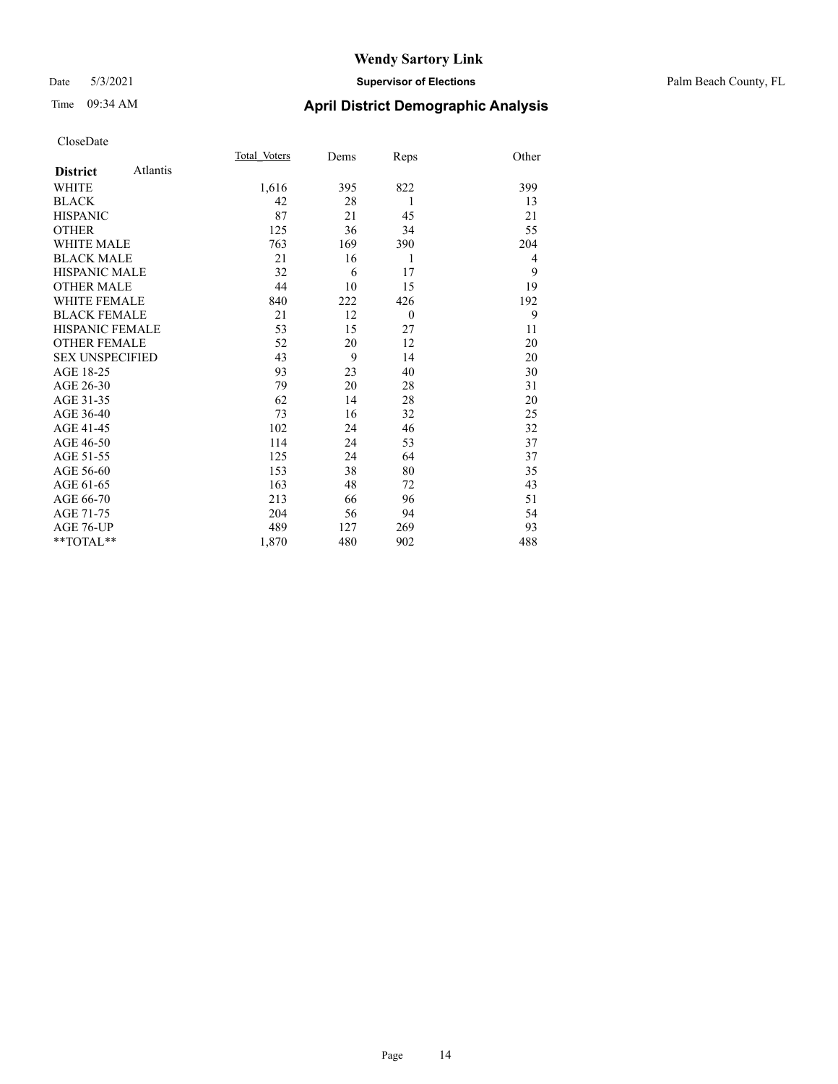#### Date 5/3/2021 **Supervisor of Elections** Palm Beach County, FL

# Time 09:34 AM **April District Demographic Analysis**

|                        |          | Total Voters | Dems | Reps     | Other          |
|------------------------|----------|--------------|------|----------|----------------|
| <b>District</b>        | Atlantis |              |      |          |                |
| WHITE                  |          | 1,616        | 395  | 822      | 399            |
| <b>BLACK</b>           |          | 42           | 28   | 1        | 13             |
| <b>HISPANIC</b>        |          | 87           | 21   | 45       | 21             |
| <b>OTHER</b>           |          | 125          | 36   | 34       | 55             |
| <b>WHITE MALE</b>      |          | 763          | 169  | 390      | 204            |
| <b>BLACK MALE</b>      |          | 21           | 16   | 1        | $\overline{4}$ |
| <b>HISPANIC MALE</b>   |          | 32           | 6    | 17       | 9              |
| <b>OTHER MALE</b>      |          | 44           | 10   | 15       | 19             |
| <b>WHITE FEMALE</b>    |          | 840          | 222  | 426      | 192            |
| <b>BLACK FEMALE</b>    |          | 21           | 12   | $\theta$ | 9              |
| <b>HISPANIC FEMALE</b> |          | 53           | 15   | 27       | 11             |
| <b>OTHER FEMALE</b>    |          | 52           | 20   | 12       | 20             |
| <b>SEX UNSPECIFIED</b> |          | 43           | 9    | 14       | 20             |
| AGE 18-25              |          | 93           | 23   | 40       | 30             |
| AGE 26-30              |          | 79           | 20   | 28       | 31             |
| AGE 31-35              |          | 62           | 14   | 28       | 20             |
| AGE 36-40              |          | 73           | 16   | 32       | 25             |
| AGE 41-45              |          | 102          | 24   | 46       | 32             |
| AGE 46-50              |          | 114          | 24   | 53       | 37             |
| AGE 51-55              |          | 125          | 24   | 64       | 37             |
| AGE 56-60              |          | 153          | 38   | 80       | 35             |
| AGE 61-65              |          | 163          | 48   | 72       | 43             |
| AGE 66-70              |          | 213          | 66   | 96       | 51             |
| AGE 71-75              |          | 204          | 56   | 94       | 54             |
| AGE 76-UP              |          | 489          | 127  | 269      | 93             |
| $*$ $TOTAL**$          |          | 1,870        | 480  | 902      | 488            |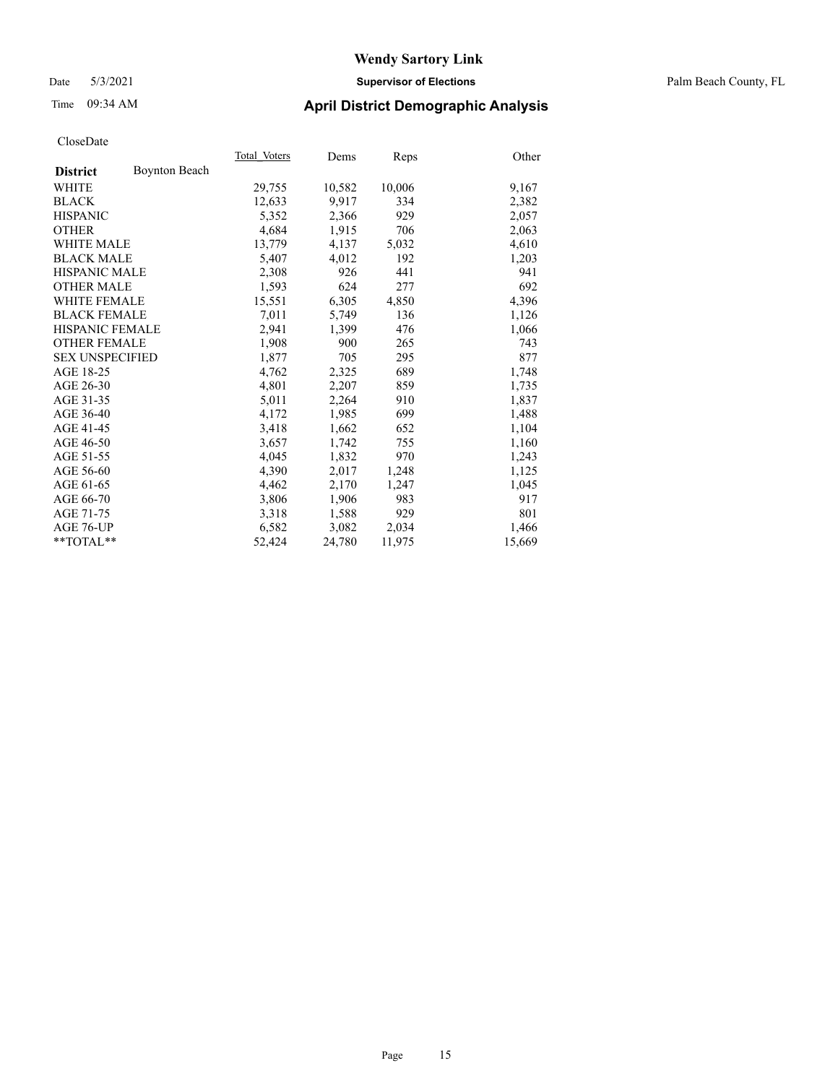#### Date 5/3/2021 **Supervisor of Elections** Palm Beach County, FL

## Time 09:34 AM **April District Demographic Analysis**

|                        |                      | Total Voters | Dems   | <b>Reps</b> | Other  |
|------------------------|----------------------|--------------|--------|-------------|--------|
| <b>District</b>        | <b>Boynton Beach</b> |              |        |             |        |
| WHITE                  |                      | 29,755       | 10,582 | 10,006      | 9,167  |
| <b>BLACK</b>           |                      | 12,633       | 9,917  | 334         | 2,382  |
| <b>HISPANIC</b>        |                      | 5,352        | 2.366  | 929         | 2,057  |
| <b>OTHER</b>           |                      | 4,684        | 1,915  | 706         | 2,063  |
| <b>WHITE MALE</b>      |                      | 13,779       | 4,137  | 5,032       | 4,610  |
| <b>BLACK MALE</b>      |                      | 5,407        | 4,012  | 192         | 1,203  |
| <b>HISPANIC MALE</b>   |                      | 2,308        | 926    | 441         | 941    |
| <b>OTHER MALE</b>      |                      | 1,593        | 624    | 277         | 692    |
| <b>WHITE FEMALE</b>    |                      | 15,551       | 6,305  | 4,850       | 4,396  |
| <b>BLACK FEMALE</b>    |                      | 7,011        | 5,749  | 136         | 1,126  |
| <b>HISPANIC FEMALE</b> |                      | 2,941        | 1,399  | 476         | 1,066  |
| <b>OTHER FEMALE</b>    |                      | 1,908        | 900    | 265         | 743    |
| <b>SEX UNSPECIFIED</b> |                      | 1,877        | 705    | 295         | 877    |
| AGE 18-25              |                      | 4,762        | 2,325  | 689         | 1,748  |
| AGE 26-30              |                      | 4,801        | 2,207  | 859         | 1,735  |
| AGE 31-35              |                      | 5,011        | 2,264  | 910         | 1,837  |
| AGE 36-40              |                      | 4,172        | 1,985  | 699         | 1,488  |
| AGE 41-45              |                      | 3,418        | 1,662  | 652         | 1,104  |
| AGE 46-50              |                      | 3,657        | 1,742  | 755         | 1,160  |
| AGE 51-55              |                      | 4,045        | 1,832  | 970         | 1,243  |
| AGE 56-60              |                      | 4,390        | 2,017  | 1,248       | 1,125  |
| AGE 61-65              |                      | 4,462        | 2,170  | 1,247       | 1,045  |
| AGE 66-70              |                      | 3,806        | 1,906  | 983         | 917    |
| AGE 71-75              |                      | 3,318        | 1,588  | 929         | 801    |
| AGE 76-UP              |                      | 6,582        | 3,082  | 2,034       | 1,466  |
| **TOTAL**              |                      | 52,424       | 24,780 | 11,975      | 15,669 |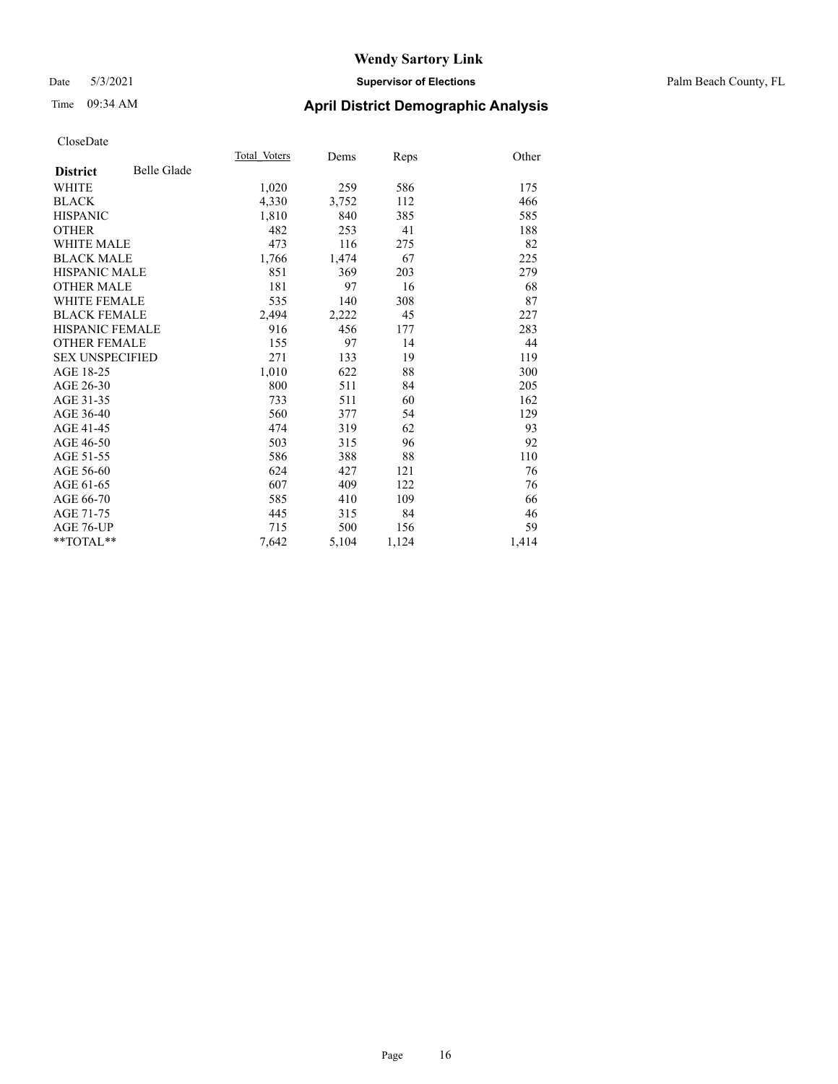#### Date 5/3/2021 **Supervisor of Elections** Palm Beach County, FL

# Time 09:34 AM **April District Demographic Analysis**

|                        |                    | Total Voters | Dems  | Reps  | Other |
|------------------------|--------------------|--------------|-------|-------|-------|
| <b>District</b>        | <b>Belle Glade</b> |              |       |       |       |
| <b>WHITE</b>           |                    | 1,020        | 259   | 586   | 175   |
| <b>BLACK</b>           |                    | 4,330        | 3,752 | 112   | 466   |
| <b>HISPANIC</b>        |                    | 1,810        | 840   | 385   | 585   |
| <b>OTHER</b>           |                    | 482          | 253   | 41    | 188   |
| <b>WHITE MALE</b>      |                    | 473          | 116   | 275   | 82    |
| <b>BLACK MALE</b>      |                    | 1,766        | 1,474 | 67    | 225   |
| <b>HISPANIC MALE</b>   |                    | 851          | 369   | 203   | 279   |
| <b>OTHER MALE</b>      |                    | 181          | 97    | 16    | 68    |
| <b>WHITE FEMALE</b>    |                    | 535          | 140   | 308   | 87    |
| <b>BLACK FEMALE</b>    |                    | 2,494        | 2,222 | 45    | 227   |
| <b>HISPANIC FEMALE</b> |                    | 916          | 456   | 177   | 283   |
| <b>OTHER FEMALE</b>    |                    | 155          | 97    | 14    | 44    |
| <b>SEX UNSPECIFIED</b> |                    | 271          | 133   | 19    | 119   |
| AGE 18-25              |                    | 1,010        | 622   | 88    | 300   |
| AGE 26-30              |                    | 800          | 511   | 84    | 205   |
| AGE 31-35              |                    | 733          | 511   | 60    | 162   |
| AGE 36-40              |                    | 560          | 377   | 54    | 129   |
| AGE 41-45              |                    | 474          | 319   | 62    | 93    |
| AGE 46-50              |                    | 503          | 315   | 96    | 92    |
| AGE 51-55              |                    | 586          | 388   | 88    | 110   |
| AGE 56-60              |                    | 624          | 427   | 121   | 76    |
| AGE 61-65              |                    | 607          | 409   | 122   | 76    |
| AGE 66-70              |                    | 585          | 410   | 109   | 66    |
| AGE 71-75              |                    | 445          | 315   | 84    | 46    |
| AGE 76-UP              |                    | 715          | 500   | 156   | 59    |
| $*$ $TOTAL**$          |                    | 7,642        | 5,104 | 1,124 | 1,414 |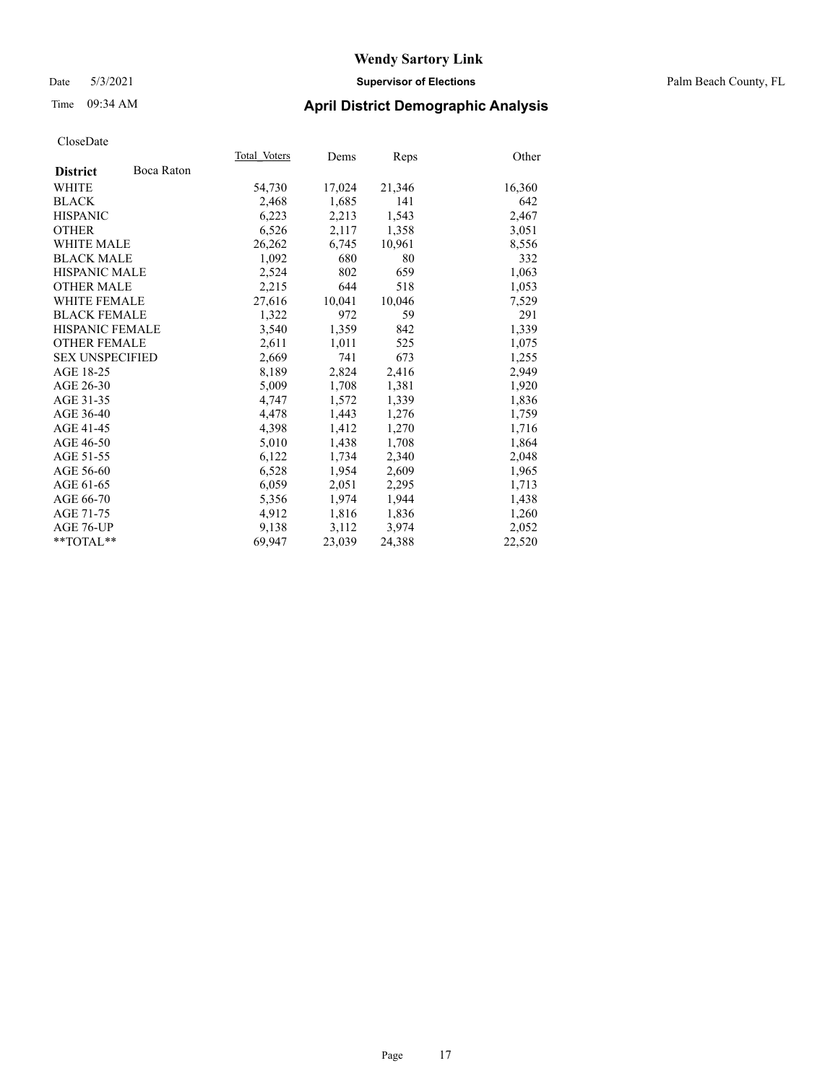#### Date 5/3/2021 **Supervisor of Elections** Palm Beach County, FL

## Time 09:34 AM **April District Demographic Analysis**

|                        |            | Total Voters | Dems   | <b>Reps</b> | Other  |
|------------------------|------------|--------------|--------|-------------|--------|
| <b>District</b>        | Boca Raton |              |        |             |        |
| WHITE                  |            | 54,730       | 17,024 | 21,346      | 16,360 |
| <b>BLACK</b>           |            | 2,468        | 1,685  | 141         | 642    |
| <b>HISPANIC</b>        |            | 6,223        | 2,213  | 1,543       | 2,467  |
| <b>OTHER</b>           |            | 6,526        | 2,117  | 1,358       | 3,051  |
| <b>WHITE MALE</b>      |            | 26,262       | 6,745  | 10,961      | 8,556  |
| <b>BLACK MALE</b>      |            | 1,092        | 680    | 80          | 332    |
| <b>HISPANIC MALE</b>   |            | 2,524        | 802    | 659         | 1,063  |
| <b>OTHER MALE</b>      |            | 2,215        | 644    | 518         | 1,053  |
| <b>WHITE FEMALE</b>    |            | 27,616       | 10,041 | 10,046      | 7,529  |
| <b>BLACK FEMALE</b>    |            | 1,322        | 972    | 59          | 291    |
| <b>HISPANIC FEMALE</b> |            | 3,540        | 1,359  | 842         | 1,339  |
| <b>OTHER FEMALE</b>    |            | 2,611        | 1,011  | 525         | 1,075  |
| <b>SEX UNSPECIFIED</b> |            | 2,669        | 741    | 673         | 1,255  |
| AGE 18-25              |            | 8,189        | 2,824  | 2,416       | 2,949  |
| AGE 26-30              |            | 5,009        | 1,708  | 1,381       | 1,920  |
| AGE 31-35              |            | 4,747        | 1,572  | 1,339       | 1,836  |
| AGE 36-40              |            | 4,478        | 1,443  | 1,276       | 1,759  |
| AGE 41-45              |            | 4,398        | 1,412  | 1,270       | 1,716  |
| AGE 46-50              |            | 5,010        | 1,438  | 1,708       | 1,864  |
| AGE 51-55              |            | 6,122        | 1,734  | 2,340       | 2,048  |
| AGE 56-60              |            | 6,528        | 1,954  | 2,609       | 1,965  |
| AGE 61-65              |            | 6,059        | 2,051  | 2,295       | 1,713  |
| AGE 66-70              |            | 5,356        | 1,974  | 1,944       | 1,438  |
| AGE 71-75              |            | 4,912        | 1,816  | 1,836       | 1,260  |
| AGE 76-UP              |            | 9.138        | 3,112  | 3,974       | 2,052  |
| $*$ $TOTAL**$          |            | 69.947       | 23,039 | 24,388      | 22,520 |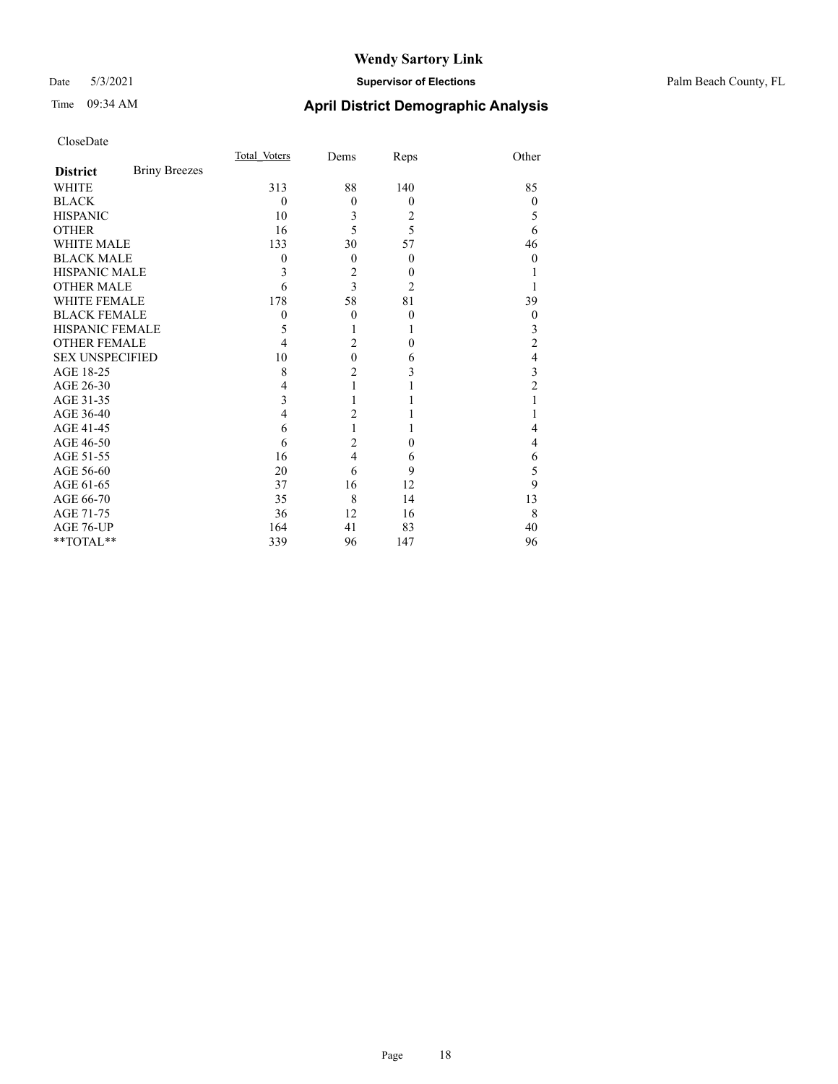#### Date 5/3/2021 **Supervisor of Elections** Palm Beach County, FL

# Time 09:34 AM **April District Demographic Analysis**

|                        |                      | Total Voters | Dems           | Reps           | Other            |
|------------------------|----------------------|--------------|----------------|----------------|------------------|
| <b>District</b>        | <b>Briny Breezes</b> |              |                |                |                  |
| <b>WHITE</b>           |                      | 313          | 88             | 140            | 85               |
| <b>BLACK</b>           |                      | $\theta$     | $\theta$       | $\overline{0}$ | $\theta$         |
| <b>HISPANIC</b>        |                      | 10           | 3              | 2              | 5                |
| <b>OTHER</b>           |                      | 16           | 5              | 5              | 6                |
| <b>WHITE MALE</b>      |                      | 133          | 30             | 57             | 46               |
| <b>BLACK MALE</b>      |                      | 0            | $\theta$       | $\overline{0}$ | $\Omega$         |
| <b>HISPANIC MALE</b>   |                      | 3            | $\overline{c}$ | $\theta$       |                  |
| <b>OTHER MALE</b>      |                      | 6            | 3              | $\overline{2}$ |                  |
| <b>WHITE FEMALE</b>    |                      | 178          | 58             | 81             | 39               |
| <b>BLACK FEMALE</b>    |                      | $\mathbf{0}$ | $\theta$       | $\theta$       | $\boldsymbol{0}$ |
| HISPANIC FEMALE        |                      | 5            | 1              | 1              | 3                |
| <b>OTHER FEMALE</b>    |                      | 4            | $\overline{2}$ | $\theta$       | 2                |
| <b>SEX UNSPECIFIED</b> |                      | 10           | $\overline{0}$ | 6              | 4                |
| AGE 18-25              |                      | 8            | $\overline{c}$ | 3              | 3                |
| AGE 26-30              |                      | 4            | 1              |                | $\overline{c}$   |
| AGE 31-35              |                      | 3            |                |                |                  |
| AGE 36-40              |                      | 4            | $\overline{c}$ |                |                  |
| AGE 41-45              |                      | 6            | 1              | 1              | 4                |
| AGE 46-50              |                      | 6            | $\overline{c}$ | $\theta$       | 4                |
| AGE 51-55              |                      | 16           | $\overline{4}$ | 6              | 6                |
| AGE 56-60              |                      | 20           | 6              | 9              | 5                |
| AGE 61-65              |                      | 37           | 16             | 12             | 9                |
| AGE 66-70              |                      | 35           | 8              | 14             | 13               |
| AGE 71-75              |                      | 36           | 12             | 16             | 8                |
| AGE 76-UP              |                      | 164          | 41             | 83             | 40               |
| **TOTAL**              |                      | 339          | 96             | 147            | 96               |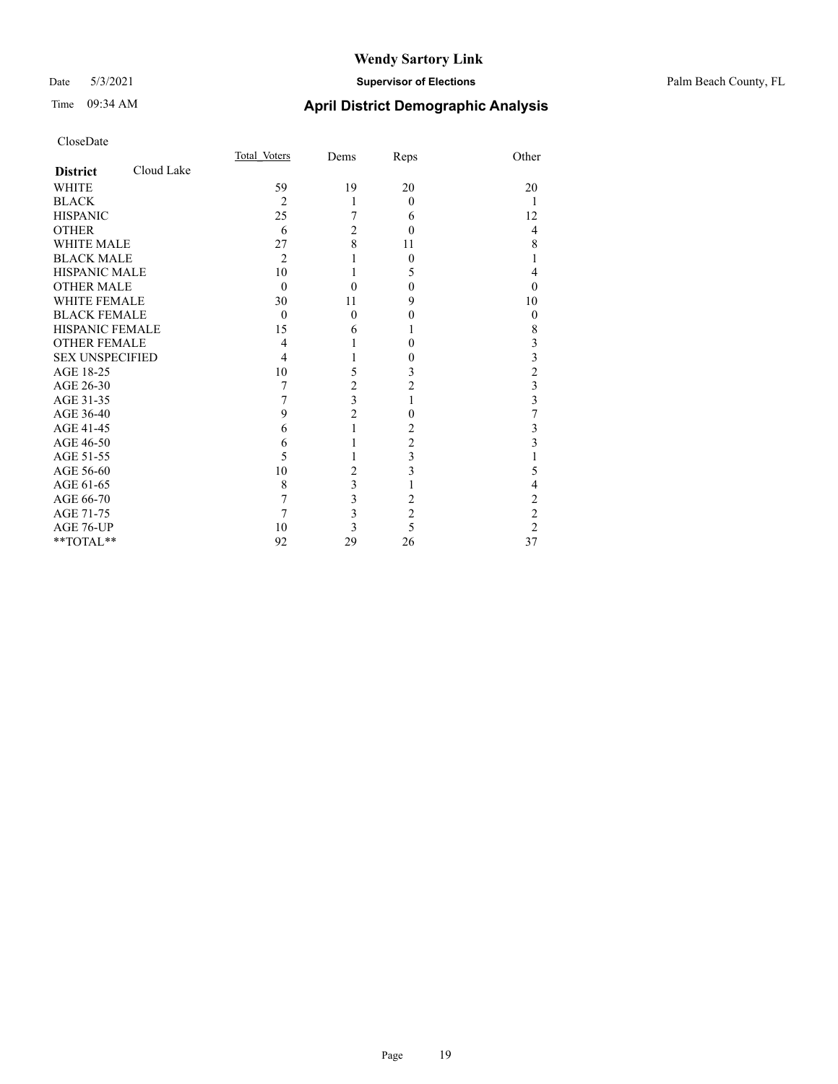#### Date 5/3/2021 **Supervisor of Elections** Palm Beach County, FL

# Time 09:34 AM **April District Demographic Analysis**

|                        |            | Total Voters   | Dems                    | Reps           | Other                   |
|------------------------|------------|----------------|-------------------------|----------------|-------------------------|
| <b>District</b>        | Cloud Lake |                |                         |                |                         |
| <b>WHITE</b>           |            | 59             | 19                      | 20             | 20                      |
| <b>BLACK</b>           |            | 2              | 1                       | $\Omega$       | 1                       |
| <b>HISPANIC</b>        |            | 25             | 7                       | 6              | 12                      |
| <b>OTHER</b>           |            | 6              | $\overline{c}$          | $\Omega$       | $\overline{4}$          |
| <b>WHITE MALE</b>      |            | 27             | 8                       | 11             | 8                       |
| <b>BLACK MALE</b>      |            | $\overline{2}$ |                         | $\theta$       |                         |
| <b>HISPANIC MALE</b>   |            | 10             | 1                       | 5              | $\overline{4}$          |
| <b>OTHER MALE</b>      |            | $\Omega$       | $\theta$                | $\Omega$       | $\Omega$                |
| <b>WHITE FEMALE</b>    |            | 30             | 11                      | 9              | 10                      |
| <b>BLACK FEMALE</b>    |            | $\Omega$       | $\theta$                | $\theta$       | $\theta$                |
| <b>HISPANIC FEMALE</b> |            | 15             | 6                       | 1              | 8                       |
| <b>OTHER FEMALE</b>    |            | 4              |                         | $\theta$       | 3                       |
| <b>SEX UNSPECIFIED</b> |            | 4              |                         | 0              | $\overline{\mathbf{3}}$ |
| AGE 18-25              |            | 10             | 5                       | 3              | $\overline{c}$          |
| AGE 26-30              |            | 7              | $\overline{c}$          | 2              | $\frac{3}{3}$           |
| AGE 31-35              |            | 7              | $\overline{\mathbf{3}}$ |                |                         |
| AGE 36-40              |            | 9              | $\overline{c}$          | $\theta$       | 7                       |
| AGE 41-45              |            | 6              | 1                       | 2              | 3                       |
| AGE 46-50              |            | 6              |                         | $\overline{c}$ | 3                       |
| AGE 51-55              |            | 5              |                         | 3              |                         |
| AGE 56-60              |            | 10             | $\overline{2}$          | 3              | 5                       |
| AGE 61-65              |            | 8              | 3                       |                | 4                       |
| AGE 66-70              |            | 7              | $\overline{3}$          | $\overline{2}$ | $\overline{c}$          |
| AGE 71-75              |            | 7              | $\overline{\mathbf{3}}$ | $\overline{c}$ | $\overline{c}$          |
| AGE 76-UP              |            | 10             | $\overline{\mathbf{3}}$ | 5              | $\overline{2}$          |
| **TOTAL**              |            | 92             | 29                      | 26             | 37                      |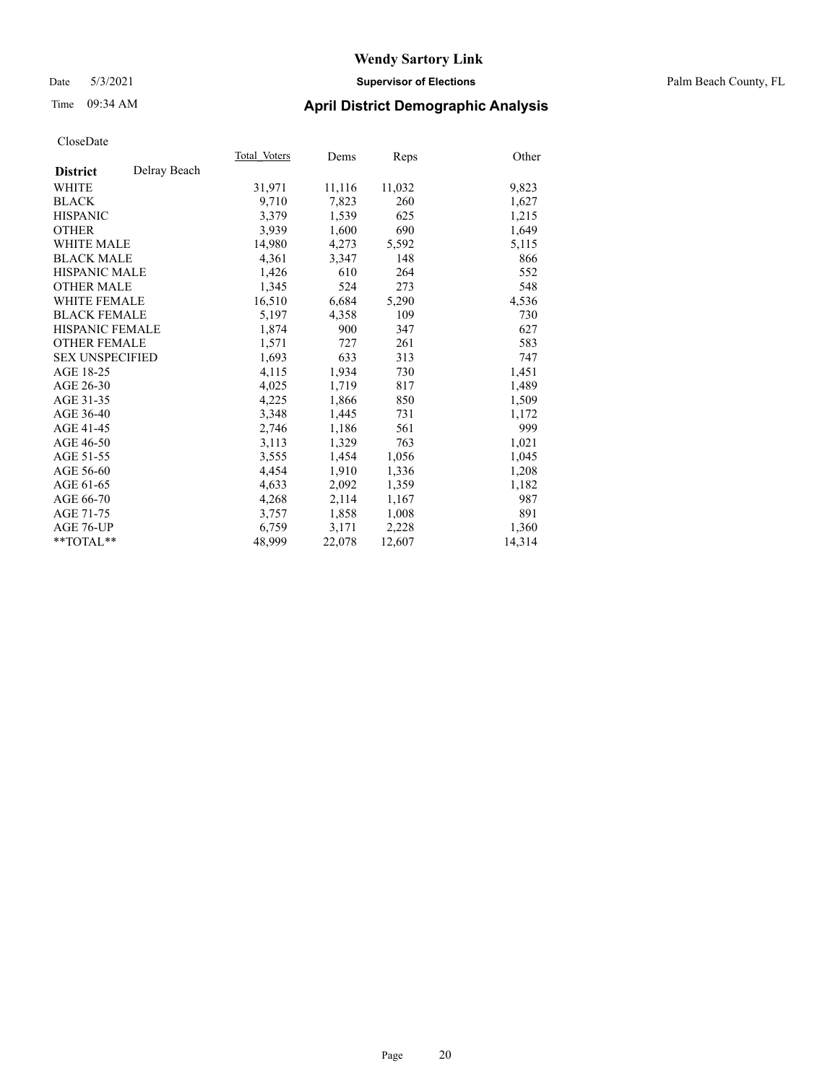#### Date 5/3/2021 **Supervisor of Elections** Palm Beach County, FL

# Time 09:34 AM **April District Demographic Analysis**

|                        |              | Total Voters | Dems   | <b>Reps</b> | Other  |
|------------------------|--------------|--------------|--------|-------------|--------|
| <b>District</b>        | Delray Beach |              |        |             |        |
| WHITE                  |              | 31,971       | 11,116 | 11,032      | 9,823  |
| <b>BLACK</b>           |              | 9,710        | 7,823  | 260         | 1,627  |
| <b>HISPANIC</b>        |              | 3.379        | 1,539  | 625         | 1,215  |
| <b>OTHER</b>           |              | 3,939        | 1,600  | 690         | 1,649  |
| <b>WHITE MALE</b>      |              | 14,980       | 4,273  | 5,592       | 5,115  |
| <b>BLACK MALE</b>      |              | 4,361        | 3,347  | 148         | 866    |
| <b>HISPANIC MALE</b>   |              | 1,426        | 610    | 264         | 552    |
| <b>OTHER MALE</b>      |              | 1,345        | 524    | 273         | 548    |
| <b>WHITE FEMALE</b>    |              | 16,510       | 6,684  | 5,290       | 4,536  |
| <b>BLACK FEMALE</b>    |              | 5,197        | 4,358  | 109         | 730    |
| <b>HISPANIC FEMALE</b> |              | 1,874        | 900    | 347         | 627    |
| <b>OTHER FEMALE</b>    |              | 1,571        | 727    | 261         | 583    |
| <b>SEX UNSPECIFIED</b> |              | 1,693        | 633    | 313         | 747    |
| AGE 18-25              |              | 4,115        | 1,934  | 730         | 1,451  |
| AGE 26-30              |              | 4,025        | 1,719  | 817         | 1,489  |
| AGE 31-35              |              | 4,225        | 1,866  | 850         | 1,509  |
| AGE 36-40              |              | 3,348        | 1,445  | 731         | 1,172  |
| AGE 41-45              |              | 2,746        | 1,186  | 561         | 999    |
| AGE 46-50              |              | 3,113        | 1,329  | 763         | 1,021  |
| AGE 51-55              |              | 3,555        | 1,454  | 1,056       | 1,045  |
| AGE 56-60              |              | 4,454        | 1,910  | 1,336       | 1,208  |
| AGE 61-65              |              | 4,633        | 2,092  | 1,359       | 1,182  |
| AGE 66-70              |              | 4,268        | 2,114  | 1,167       | 987    |
| AGE 71-75              |              | 3,757        | 1,858  | 1,008       | 891    |
| AGE 76-UP              |              | 6,759        | 3,171  | 2,228       | 1,360  |
| $*$ $TOTAL**$          |              | 48,999       | 22,078 | 12,607      | 14,314 |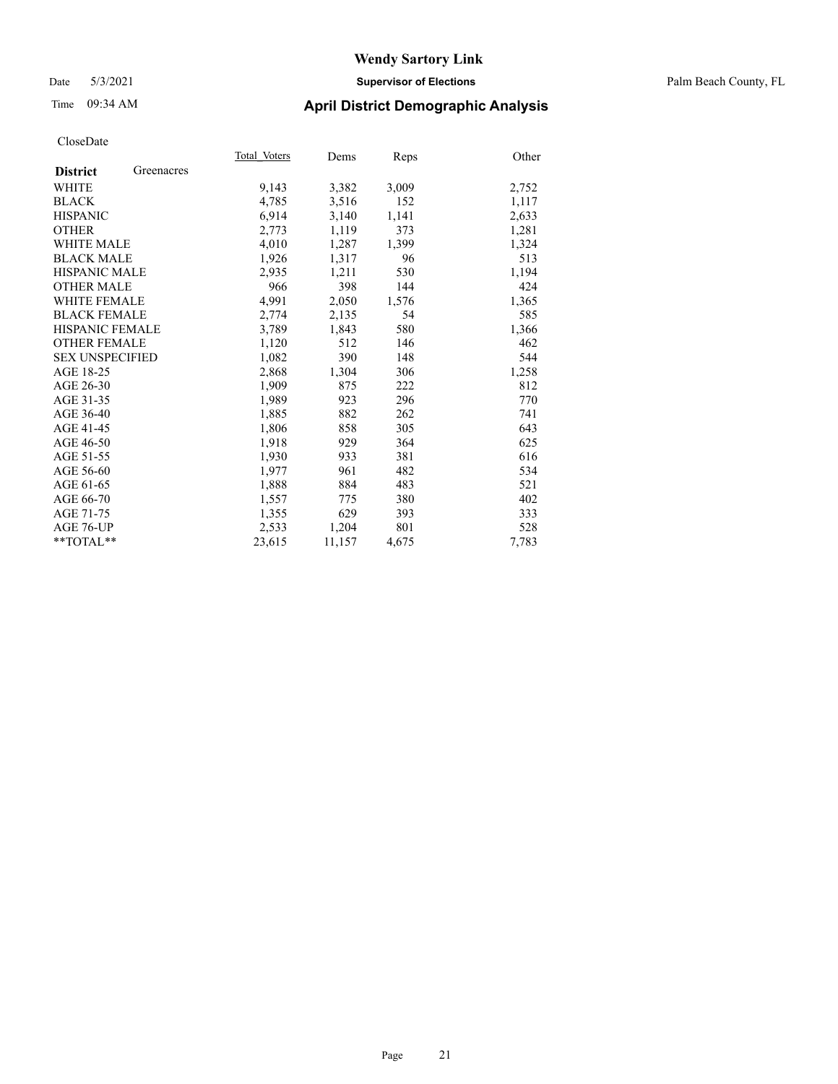#### Date 5/3/2021 **Supervisor of Elections** Palm Beach County, FL

## Time 09:34 AM **April District Demographic Analysis**

|                        |            | Total Voters | Dems   | Reps  | Other |
|------------------------|------------|--------------|--------|-------|-------|
| <b>District</b>        | Greenacres |              |        |       |       |
| WHITE                  |            | 9,143        | 3,382  | 3,009 | 2,752 |
| <b>BLACK</b>           |            | 4,785        | 3,516  | 152   | 1,117 |
| <b>HISPANIC</b>        |            | 6,914        | 3,140  | 1,141 | 2,633 |
| <b>OTHER</b>           |            | 2,773        | 1,119  | 373   | 1,281 |
| WHITE MALE             |            | 4,010        | 1,287  | 1,399 | 1,324 |
| <b>BLACK MALE</b>      |            | 1,926        | 1,317  | 96    | 513   |
| <b>HISPANIC MALE</b>   |            | 2,935        | 1,211  | 530   | 1,194 |
| <b>OTHER MALE</b>      |            | 966          | 398    | 144   | 424   |
| <b>WHITE FEMALE</b>    |            | 4,991        | 2,050  | 1,576 | 1,365 |
| <b>BLACK FEMALE</b>    |            | 2,774        | 2,135  | 54    | 585   |
| <b>HISPANIC FEMALE</b> |            | 3,789        | 1,843  | 580   | 1,366 |
| <b>OTHER FEMALE</b>    |            | 1,120        | 512    | 146   | 462   |
| <b>SEX UNSPECIFIED</b> |            | 1,082        | 390    | 148   | 544   |
| AGE 18-25              |            | 2,868        | 1,304  | 306   | 1,258 |
| AGE 26-30              |            | 1,909        | 875    | 222   | 812   |
| AGE 31-35              |            | 1,989        | 923    | 296   | 770   |
| AGE 36-40              |            | 1,885        | 882    | 262   | 741   |
| AGE 41-45              |            | 1,806        | 858    | 305   | 643   |
| AGE 46-50              |            | 1,918        | 929    | 364   | 625   |
| AGE 51-55              |            | 1,930        | 933    | 381   | 616   |
| AGE 56-60              |            | 1,977        | 961    | 482   | 534   |
| AGE 61-65              |            | 1,888        | 884    | 483   | 521   |
| AGE 66-70              |            | 1,557        | 775    | 380   | 402   |
| AGE 71-75              |            | 1,355        | 629    | 393   | 333   |
| AGE 76-UP              |            | 2,533        | 1,204  | 801   | 528   |
| $*$ $TOTAL**$          |            | 23,615       | 11,157 | 4,675 | 7,783 |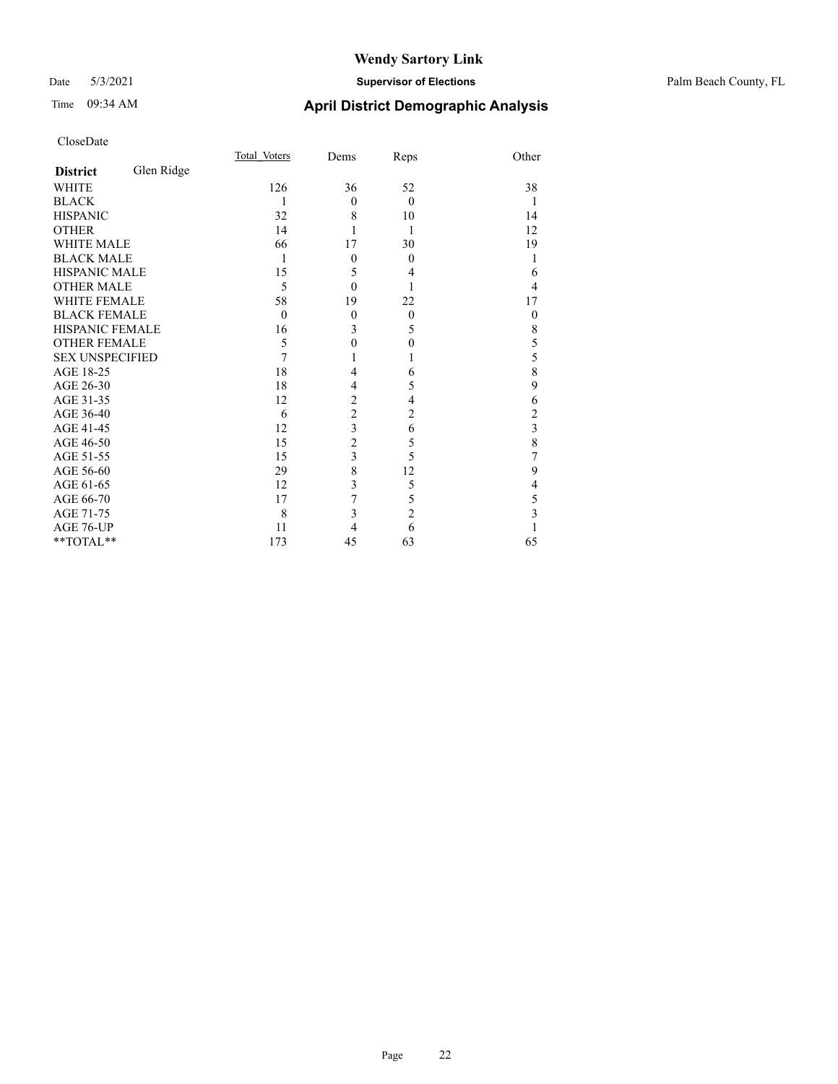#### Date 5/3/2021 **Supervisor of Elections** Palm Beach County, FL

## Time 09:34 AM **April District Demographic Analysis**

|                        |            | Total Voters | Dems                    | Reps           | Other          |
|------------------------|------------|--------------|-------------------------|----------------|----------------|
| <b>District</b>        | Glen Ridge |              |                         |                |                |
| <b>WHITE</b>           |            | 126          | 36                      | 52             | 38             |
| <b>BLACK</b>           |            | 1            | $\theta$                | $\theta$       | 1              |
| <b>HISPANIC</b>        |            | 32           | 8                       | 10             | 14             |
| <b>OTHER</b>           |            | 14           | 1                       | 1              | 12             |
| <b>WHITE MALE</b>      |            | 66           | 17                      | 30             | 19             |
| <b>BLACK MALE</b>      |            | 1            | $\boldsymbol{0}$        | $\Omega$       | 1              |
| <b>HISPANIC MALE</b>   |            | 15           | 5                       | 4              | 6              |
| <b>OTHER MALE</b>      |            | 5            | $\theta$                |                | 4              |
| <b>WHITE FEMALE</b>    |            | 58           | 19                      | 22             | 17             |
| <b>BLACK FEMALE</b>    |            | $\theta$     | $\mathbf{0}$            | $\overline{0}$ | $\overline{0}$ |
| <b>HISPANIC FEMALE</b> |            | 16           | 3                       | 5              | 8              |
| <b>OTHER FEMALE</b>    |            | 5            | $\mathbf{0}$            | $\theta$       | 5              |
| <b>SEX UNSPECIFIED</b> |            | 7            | 1                       |                | 5              |
| AGE 18-25              |            | 18           | 4                       | 6              | 8              |
| AGE 26-30              |            | 18           | 4                       | 5              | 9              |
| AGE 31-35              |            | 12           | $\overline{c}$          | 4              | 6              |
| AGE 36-40              |            | 6            | $\overline{2}$          | $\overline{c}$ | $\overline{c}$ |
| AGE 41-45              |            | 12           | $\overline{\mathbf{3}}$ | 6              | 3              |
| AGE 46-50              |            | 15           | $\overline{2}$          | 5              | 8              |
| AGE 51-55              |            | 15           | $\overline{\mathbf{3}}$ | 5              | 7              |
| AGE 56-60              |            | 29           | 8                       | 12             | 9              |
| AGE 61-65              |            | 12           | 3                       | 5              | $\overline{4}$ |
| AGE 66-70              |            | 17           | 7                       | 5              | 5              |
| AGE 71-75              |            | 8            | 3                       | $\overline{c}$ | 3              |
| AGE 76-UP              |            | 11           | 4                       | 6              |                |
| **TOTAL**              |            | 173          | 45                      | 63             | 65             |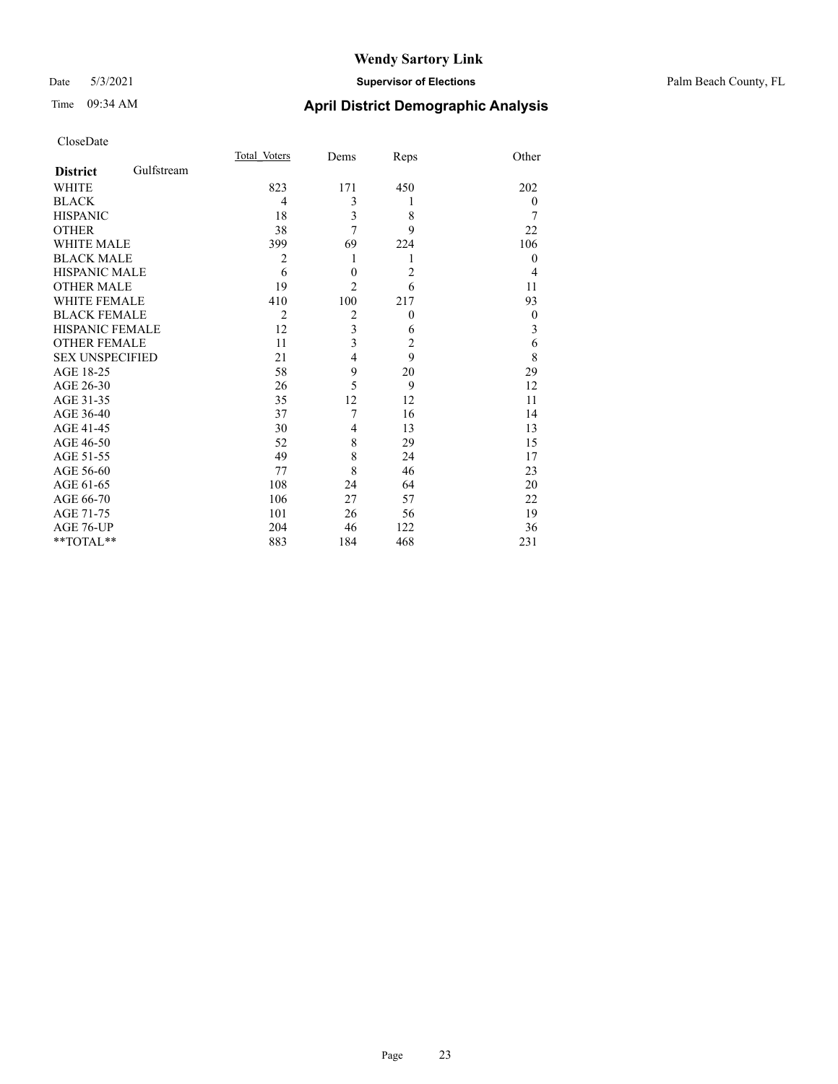#### Date 5/3/2021 **Supervisor of Elections** Palm Beach County, FL

# Time 09:34 AM **April District Demographic Analysis**

|                        |            | Total Voters   | Dems             | Reps           | Other            |
|------------------------|------------|----------------|------------------|----------------|------------------|
| <b>District</b>        | Gulfstream |                |                  |                |                  |
| <b>WHITE</b>           |            | 823            | 171              | 450            | 202              |
| <b>BLACK</b>           |            | 4              | 3                | 1              | $\theta$         |
| <b>HISPANIC</b>        |            | 18             | 3                | 8              | 7                |
| <b>OTHER</b>           |            | 38             | 7                | 9              | 22               |
| <b>WHITE MALE</b>      |            | 399            | 69               | 224            | 106              |
| <b>BLACK MALE</b>      |            | $\overline{2}$ | 1                | 1              | $\theta$         |
| <b>HISPANIC MALE</b>   |            | 6              | $\boldsymbol{0}$ | $\overline{2}$ | $\overline{4}$   |
| <b>OTHER MALE</b>      |            | 19             | $\overline{2}$   | 6              | 11               |
| <b>WHITE FEMALE</b>    |            | 410            | 100              | 217            | 93               |
| <b>BLACK FEMALE</b>    |            | $\overline{2}$ | $\overline{2}$   | $\overline{0}$ | $\boldsymbol{0}$ |
| <b>HISPANIC FEMALE</b> |            | 12             | 3                | 6              | 3                |
| <b>OTHER FEMALE</b>    |            | 11             | $\overline{3}$   | $\overline{2}$ | 6                |
| <b>SEX UNSPECIFIED</b> |            | 21             | $\overline{4}$   | 9              | 8                |
| AGE 18-25              |            | 58             | 9                | 20             | 29               |
| AGE 26-30              |            | 26             | 5                | 9              | 12               |
| AGE 31-35              |            | 35             | 12               | 12             | 11               |
| AGE 36-40              |            | 37             | 7                | 16             | 14               |
| AGE 41-45              |            | 30             | $\overline{4}$   | 13             | 13               |
| AGE 46-50              |            | 52             | 8                | 29             | 15               |
| AGE 51-55              |            | 49             | 8                | 24             | 17               |
| AGE 56-60              |            | 77             | 8                | 46             | 23               |
| AGE 61-65              |            | 108            | 24               | 64             | 20               |
| AGE 66-70              |            | 106            | 27               | 57             | 22               |
| AGE 71-75              |            | 101            | 26               | 56             | 19               |
| AGE 76-UP              |            | 204            | 46               | 122            | 36               |
| **TOTAL**              |            | 883            | 184              | 468            | 231              |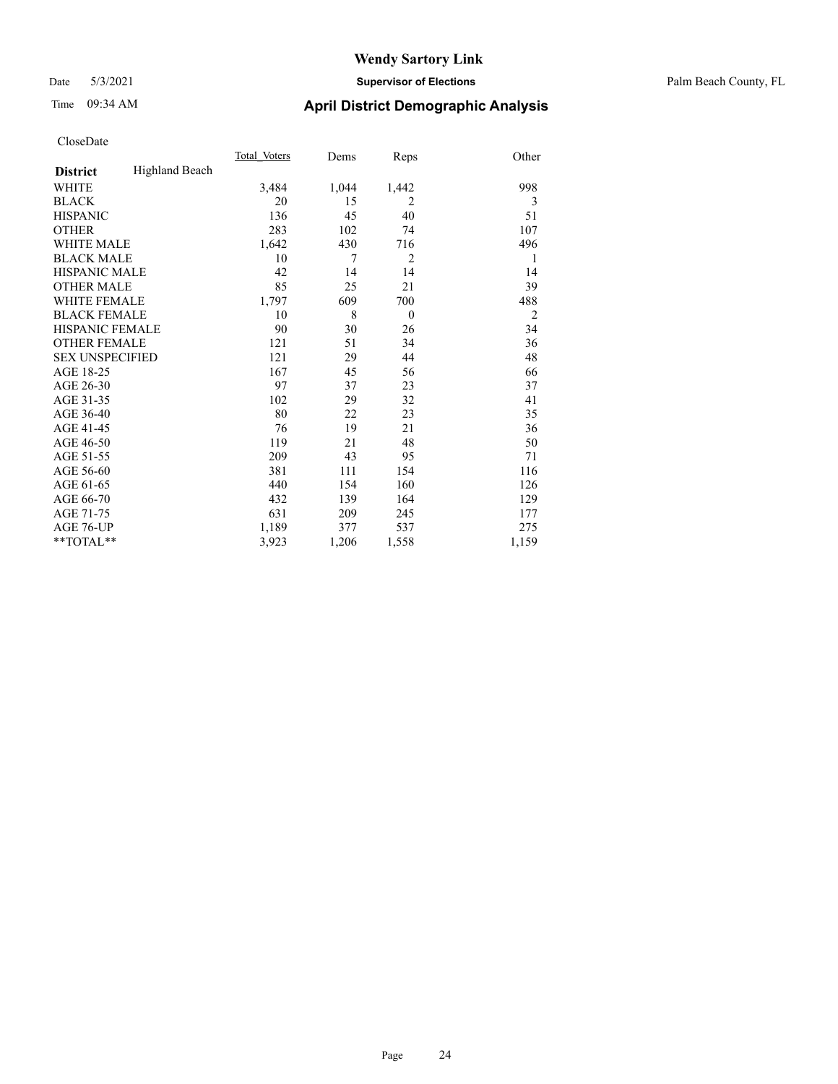#### Date 5/3/2021 **Supervisor of Elections** Palm Beach County, FL

# Time 09:34 AM **April District Demographic Analysis**

|                        |                | Total Voters | Dems  | Reps           | Other          |
|------------------------|----------------|--------------|-------|----------------|----------------|
| <b>District</b>        | Highland Beach |              |       |                |                |
| WHITE                  |                | 3,484        | 1,044 | 1,442          | 998            |
| <b>BLACK</b>           |                | 20           | 15    | 2              | 3              |
| <b>HISPANIC</b>        |                | 136          | 45    | 40             | 51             |
| <b>OTHER</b>           |                | 283          | 102   | 74             | 107            |
| <b>WHITE MALE</b>      |                | 1,642        | 430   | 716            | 496            |
| <b>BLACK MALE</b>      |                | 10           | 7     | $\overline{2}$ | 1              |
| <b>HISPANIC MALE</b>   |                | 42           | 14    | 14             | 14             |
| <b>OTHER MALE</b>      |                | 85           | 25    | 21             | 39             |
| <b>WHITE FEMALE</b>    |                | 1,797        | 609   | 700            | 488            |
| <b>BLACK FEMALE</b>    |                | 10           | 8     | $\theta$       | $\overline{2}$ |
| <b>HISPANIC FEMALE</b> |                | 90           | 30    | 26             | 34             |
| <b>OTHER FEMALE</b>    |                | 121          | 51    | 34             | 36             |
| <b>SEX UNSPECIFIED</b> |                | 121          | 29    | 44             | 48             |
| AGE 18-25              |                | 167          | 45    | 56             | 66             |
| AGE 26-30              |                | 97           | 37    | 23             | 37             |
| AGE 31-35              |                | 102          | 29    | 32             | 41             |
| AGE 36-40              |                | 80           | 22    | 23             | 35             |
| AGE 41-45              |                | 76           | 19    | 21             | 36             |
| AGE 46-50              |                | 119          | 21    | 48             | 50             |
| AGE 51-55              |                | 209          | 43    | 95             | 71             |
| AGE 56-60              |                | 381          | 111   | 154            | 116            |
| AGE 61-65              |                | 440          | 154   | 160            | 126            |
| AGE 66-70              |                | 432          | 139   | 164            | 129            |
| AGE 71-75              |                | 631          | 209   | 245            | 177            |
| AGE 76-UP              |                | 1,189        | 377   | 537            | 275            |
| **TOTAL**              |                | 3,923        | 1,206 | 1,558          | 1,159          |
|                        |                |              |       |                |                |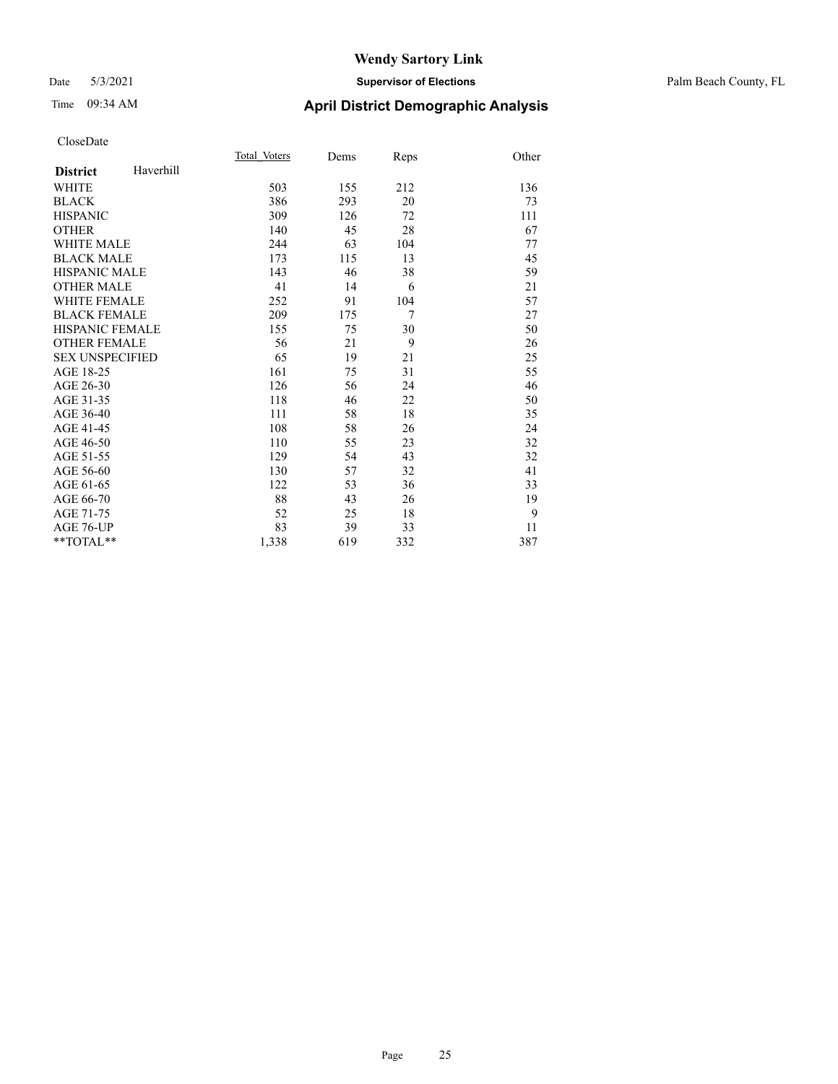#### Date 5/3/2021 **Supervisor of Elections** Palm Beach County, FL

# Time 09:34 AM **April District Demographic Analysis**

|                        |           | Total Voters | Dems | Reps | Other |
|------------------------|-----------|--------------|------|------|-------|
| <b>District</b>        | Haverhill |              |      |      |       |
| <b>WHITE</b>           |           | 503          | 155  | 212  | 136   |
| <b>BLACK</b>           |           | 386          | 293  | 20   | 73    |
| <b>HISPANIC</b>        |           | 309          | 126  | 72   | 111   |
| <b>OTHER</b>           |           | 140          | 45   | 28   | 67    |
| <b>WHITE MALE</b>      |           | 244          | 63   | 104  | 77    |
| <b>BLACK MALE</b>      |           | 173          | 115  | 13   | 45    |
| <b>HISPANIC MALE</b>   |           | 143          | 46   | 38   | 59    |
| <b>OTHER MALE</b>      |           | 41           | 14   | 6    | 21    |
| <b>WHITE FEMALE</b>    |           | 252          | 91   | 104  | 57    |
| <b>BLACK FEMALE</b>    |           | 209          | 175  | 7    | 27    |
| <b>HISPANIC FEMALE</b> |           | 155          | 75   | 30   | 50    |
| <b>OTHER FEMALE</b>    |           | 56           | 21   | 9    | 26    |
| <b>SEX UNSPECIFIED</b> |           | 65           | 19   | 21   | 25    |
| AGE 18-25              |           | 161          | 75   | 31   | 55    |
| AGE 26-30              |           | 126          | 56   | 24   | 46    |
| AGE 31-35              |           | 118          | 46   | 22   | 50    |
| AGE 36-40              |           | 111          | 58   | 18   | 35    |
| AGE 41-45              |           | 108          | 58   | 26   | 24    |
| AGE 46-50              |           | 110          | 55   | 23   | 32    |
| AGE 51-55              |           | 129          | 54   | 43   | 32    |
| AGE 56-60              |           | 130          | 57   | 32   | 41    |
| AGE 61-65              |           | 122          | 53   | 36   | 33    |
| AGE 66-70              |           | 88           | 43   | 26   | 19    |
| AGE 71-75              |           | 52           | 25   | 18   | 9     |
| AGE 76-UP              |           | 83           | 39   | 33   | 11    |
| $**TOTAL**$            |           | 1,338        | 619  | 332  | 387   |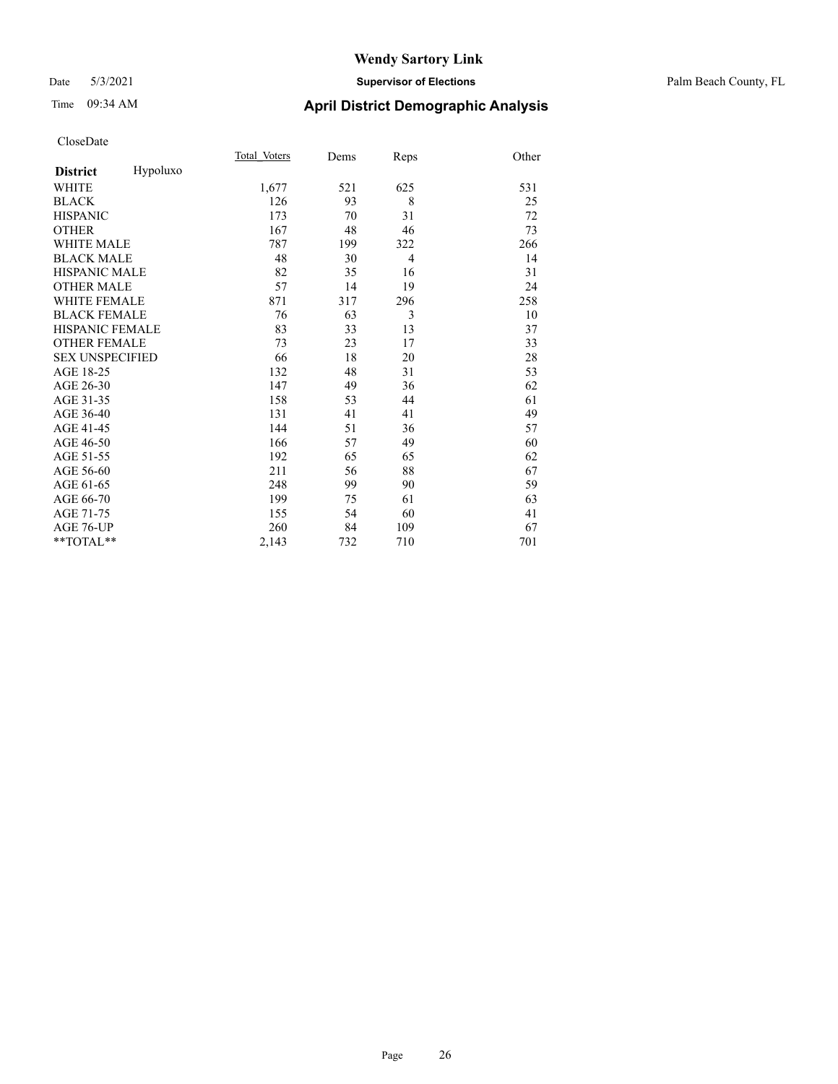# Time 09:34 AM **April District Demographic Analysis**

|                        |          | Total Voters | Dems | Reps           | Other |
|------------------------|----------|--------------|------|----------------|-------|
| <b>District</b>        | Hypoluxo |              |      |                |       |
| <b>WHITE</b>           |          | 1,677        | 521  | 625            | 531   |
| <b>BLACK</b>           |          | 126          | 93   | 8              | 25    |
| <b>HISPANIC</b>        |          | 173          | 70   | 31             | 72    |
| <b>OTHER</b>           |          | 167          | 48   | 46             | 73    |
| <b>WHITE MALE</b>      |          | 787          | 199  | 322            | 266   |
| <b>BLACK MALE</b>      |          | 48           | 30   | $\overline{4}$ | 14    |
| <b>HISPANIC MALE</b>   |          | 82           | 35   | 16             | 31    |
| <b>OTHER MALE</b>      |          | 57           | 14   | 19             | 24    |
| <b>WHITE FEMALE</b>    |          | 871          | 317  | 296            | 258   |
| <b>BLACK FEMALE</b>    |          | 76           | 63   | 3              | 10    |
| <b>HISPANIC FEMALE</b> |          | 83           | 33   | 13             | 37    |
| <b>OTHER FEMALE</b>    |          | 73           | 23   | 17             | 33    |
| <b>SEX UNSPECIFIED</b> |          | 66           | 18   | 20             | 28    |
| AGE 18-25              |          | 132          | 48   | 31             | 53    |
| AGE 26-30              |          | 147          | 49   | 36             | 62    |
| AGE 31-35              |          | 158          | 53   | 44             | 61    |
| AGE 36-40              |          | 131          | 41   | 41             | 49    |
| AGE 41-45              |          | 144          | 51   | 36             | 57    |
| AGE 46-50              |          | 166          | 57   | 49             | 60    |
| AGE 51-55              |          | 192          | 65   | 65             | 62    |
| AGE 56-60              |          | 211          | 56   | 88             | 67    |
| AGE 61-65              |          | 248          | 99   | 90             | 59    |
| AGE 66-70              |          | 199          | 75   | 61             | 63    |
| AGE 71-75              |          | 155          | 54   | 60             | 41    |
| AGE 76-UP              |          | 260          | 84   | 109            | 67    |
| $*$ $TOTAL**$          |          | 2,143        | 732  | 710            | 701   |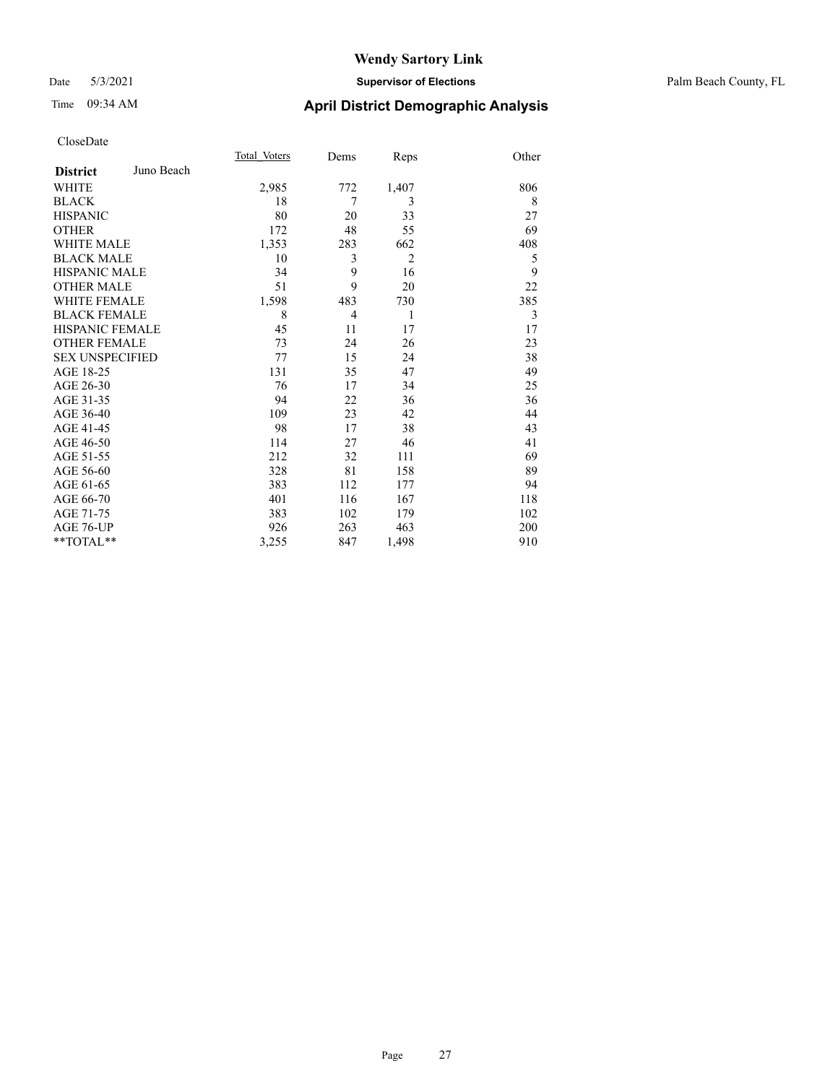#### Date 5/3/2021 **Supervisor of Elections** Palm Beach County, FL

# Time 09:34 AM **April District Demographic Analysis**

|                        |            | Total Voters | Dems           | Reps           | Other |
|------------------------|------------|--------------|----------------|----------------|-------|
| <b>District</b>        | Juno Beach |              |                |                |       |
| WHITE                  |            | 2,985        | 772            | 1,407          | 806   |
| <b>BLACK</b>           |            | 18           | 7              | 3              | 8     |
| <b>HISPANIC</b>        |            | 80           | 20             | 33             | 27    |
| <b>OTHER</b>           |            | 172          | 48             | 55             | 69    |
| <b>WHITE MALE</b>      |            | 1,353        | 283            | 662            | 408   |
| <b>BLACK MALE</b>      |            | 10           | 3              | $\overline{2}$ | 5     |
| <b>HISPANIC MALE</b>   |            | 34           | 9              | 16             | 9     |
| <b>OTHER MALE</b>      |            | 51           | 9              | 20             | 22    |
| <b>WHITE FEMALE</b>    |            | 1,598        | 483            | 730            | 385   |
| <b>BLACK FEMALE</b>    |            | 8            | $\overline{4}$ | 1              | 3     |
| <b>HISPANIC FEMALE</b> |            | 45           | 11             | 17             | 17    |
| <b>OTHER FEMALE</b>    |            | 73           | 24             | 26             | 23    |
| <b>SEX UNSPECIFIED</b> |            | 77           | 15             | 24             | 38    |
| AGE 18-25              |            | 131          | 35             | 47             | 49    |
| AGE 26-30              |            | 76           | 17             | 34             | 25    |
| AGE 31-35              |            | 94           | 22             | 36             | 36    |
| AGE 36-40              |            | 109          | 23             | 42             | 44    |
| AGE 41-45              |            | 98           | 17             | 38             | 43    |
| AGE 46-50              |            | 114          | 27             | 46             | 41    |
| AGE 51-55              |            | 212          | 32             | 111            | 69    |
| AGE 56-60              |            | 328          | 81             | 158            | 89    |
| AGE 61-65              |            | 383          | 112            | 177            | 94    |
| AGE 66-70              |            | 401          | 116            | 167            | 118   |
| AGE 71-75              |            | 383          | 102            | 179            | 102   |
| AGE 76-UP              |            | 926          | 263            | 463            | 200   |
| $*$ $TOTAL**$          |            | 3,255        | 847            | 1,498          | 910   |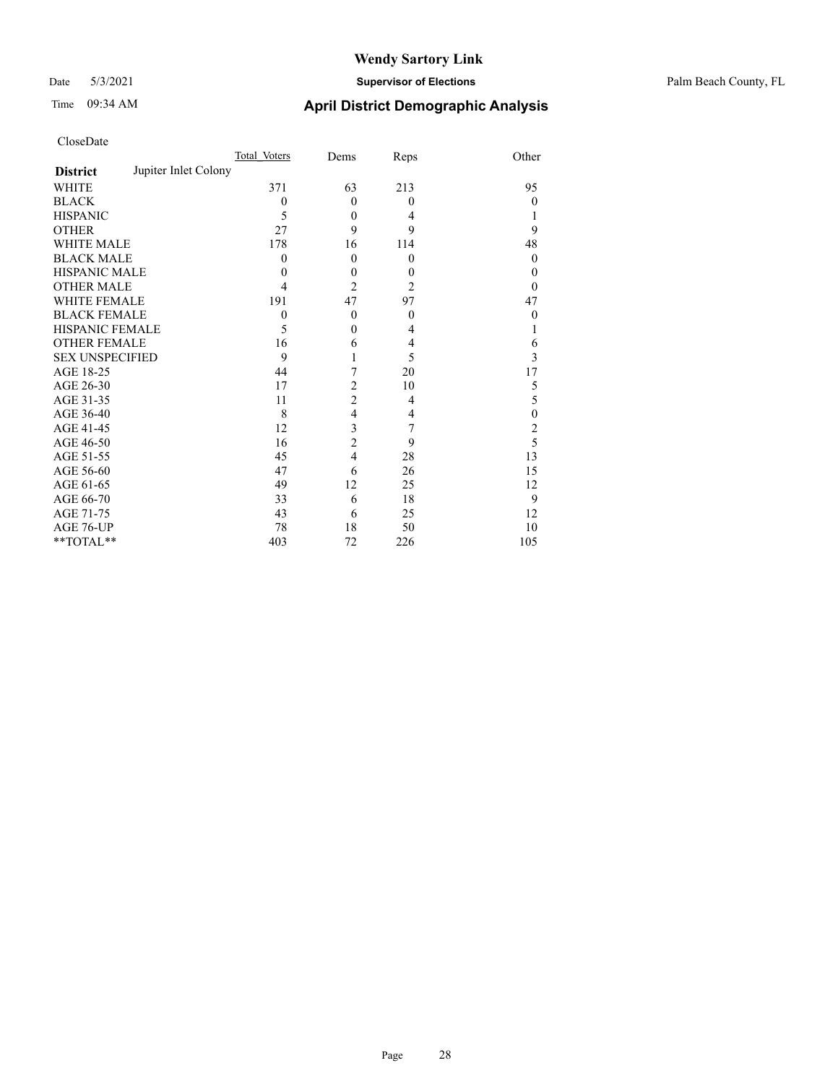#### Date 5/3/2021 **Supervisor of Elections** Palm Beach County, FL

# Time 09:34 AM **April District Demographic Analysis**

| CloseDate |
|-----------|
|-----------|

|                        |                      | Total Voters | Dems           | Reps             | Other    |
|------------------------|----------------------|--------------|----------------|------------------|----------|
| <b>District</b>        | Jupiter Inlet Colony |              |                |                  |          |
| WHITE                  |                      | 371          | 63             | 213              | 95       |
| BLACK                  |                      | $\theta$     | $\overline{0}$ | $\theta$         | $\theta$ |
| HISPANIC               |                      | 5            | $\theta$       | 4                |          |
| OTHER                  |                      | 27           | 9              | 9                | 9        |
| WHITE MALE             |                      | 178          | 16             | 114              | 48       |
| <b>BLACK MALE</b>      |                      | $\Omega$     | $\Omega$       | $\theta$         | $\theta$ |
| HISPANIC MALE          |                      | $\theta$     | $\theta$       | $\boldsymbol{0}$ | $\theta$ |
| OTHER MALE             |                      | 4            | $\overline{c}$ | $\overline{2}$   | $\theta$ |
| WHITE FEMALE           |                      | 191          | 47             | 97               | 47       |
| <b>BLACK FEMALE</b>    |                      | $\theta$     | $\theta$       | $\mathbf{0}$     | $\theta$ |
| HISPANIC FEMALE        |                      | 5            | $\theta$       | 4                |          |
| OTHER FEMALE           |                      | 16           | 6              | 4                | 6        |
| <b>SEX UNSPECIFIED</b> |                      | 9            |                | 5                | 3        |
| AGE 18-25              |                      | 44           | 7              | 20               | 17       |
| AGE 26-30              |                      | 17           | 2              | 10               | 5        |
| AGE 31-35              |                      | 11           | 2              | 4                | 5        |
| AGE 36-40              |                      | 8            | $\overline{4}$ | 4                | 0        |
| AGE 41-45              |                      | 12           | 3              | 7                | 2        |
| AGE 46-50              |                      | 16           | 2              | 9                | 5        |
| AGE 51-55              |                      | 45           | $\overline{4}$ | 28               | 13       |
| AGE 56-60              |                      | 47           | 6              | 26               | 15       |
| AGE 61-65              |                      | 49           | 12             | 25               | 12       |
| AGE 66-70              |                      | 33           | 6              | 18               | 9        |
| AGE 71-75              |                      | 43           | 6              | 25               | 12       |
| AGE 76-UP              |                      | 78           | 18             | 50               | 10       |
| $*$ $TOTAL**$          |                      | 403          | 72             | 226              | 105      |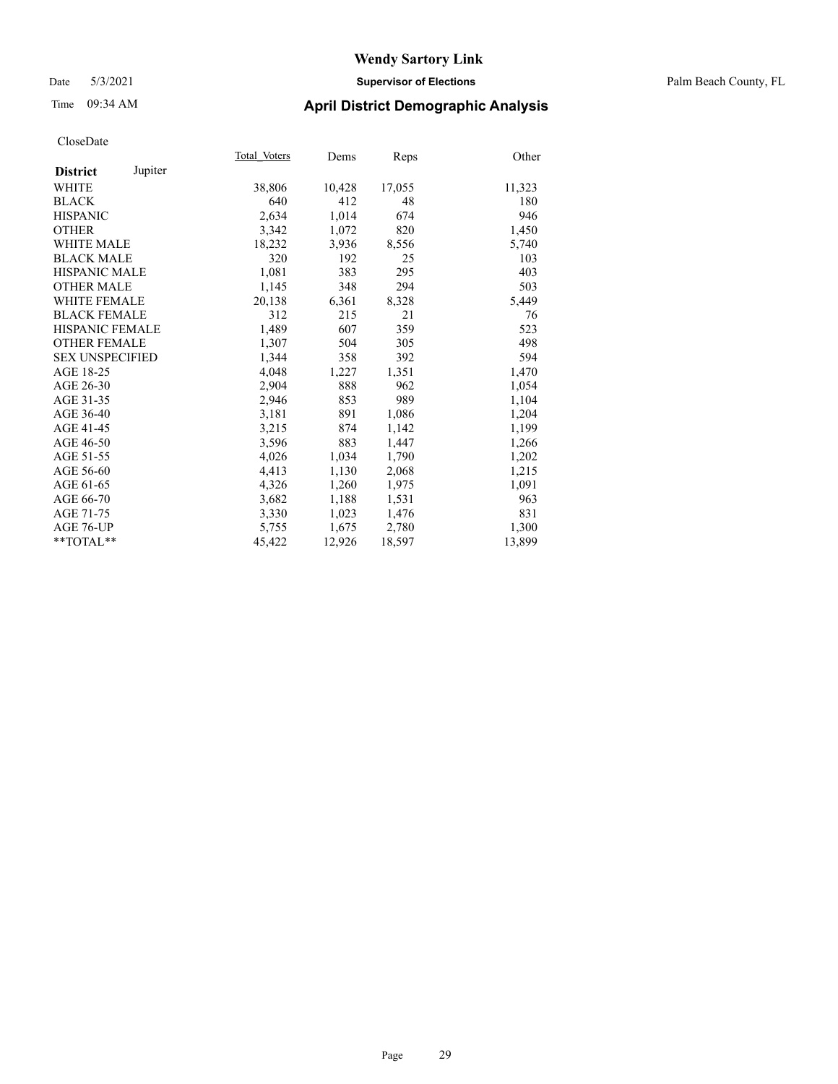#### Date 5/3/2021 **Supervisor of Elections** Palm Beach County, FL

## Time 09:34 AM **April District Demographic Analysis**

|                        |         | Total Voters | Dems   | <b>Reps</b> | Other  |
|------------------------|---------|--------------|--------|-------------|--------|
| <b>District</b>        | Jupiter |              |        |             |        |
| WHITE                  |         | 38,806       | 10,428 | 17,055      | 11,323 |
| <b>BLACK</b>           |         | 640          | 412    | 48          | 180    |
| <b>HISPANIC</b>        |         | 2,634        | 1,014  | 674         | 946    |
| <b>OTHER</b>           |         | 3,342        | 1,072  | 820         | 1,450  |
| <b>WHITE MALE</b>      |         | 18,232       | 3,936  | 8,556       | 5,740  |
| <b>BLACK MALE</b>      |         | 320          | 192    | 25          | 103    |
| <b>HISPANIC MALE</b>   |         | 1,081        | 383    | 295         | 403    |
| <b>OTHER MALE</b>      |         | 1,145        | 348    | 294         | 503    |
| <b>WHITE FEMALE</b>    |         | 20,138       | 6,361  | 8,328       | 5,449  |
| <b>BLACK FEMALE</b>    |         | 312          | 215    | 21          | 76     |
| <b>HISPANIC FEMALE</b> |         | 1,489        | 607    | 359         | 523    |
| <b>OTHER FEMALE</b>    |         | 1,307        | 504    | 305         | 498    |
| <b>SEX UNSPECIFIED</b> |         | 1,344        | 358    | 392         | 594    |
| AGE 18-25              |         | 4,048        | 1,227  | 1,351       | 1,470  |
| AGE 26-30              |         | 2,904        | 888    | 962         | 1,054  |
| AGE 31-35              |         | 2,946        | 853    | 989         | 1,104  |
| AGE 36-40              |         | 3,181        | 891    | 1,086       | 1,204  |
| AGE 41-45              |         | 3,215        | 874    | 1,142       | 1,199  |
| AGE 46-50              |         | 3,596        | 883    | 1,447       | 1,266  |
| AGE 51-55              |         | 4,026        | 1,034  | 1,790       | 1,202  |
| AGE 56-60              |         | 4,413        | 1,130  | 2,068       | 1,215  |
| AGE 61-65              |         | 4,326        | 1,260  | 1,975       | 1,091  |
| AGE 66-70              |         | 3,682        | 1,188  | 1,531       | 963    |
| AGE 71-75              |         | 3,330        | 1,023  | 1,476       | 831    |
| AGE 76-UP              |         | 5,755        | 1,675  | 2,780       | 1,300  |
| $*$ $TOTAL**$          |         | 45,422       | 12,926 | 18,597      | 13,899 |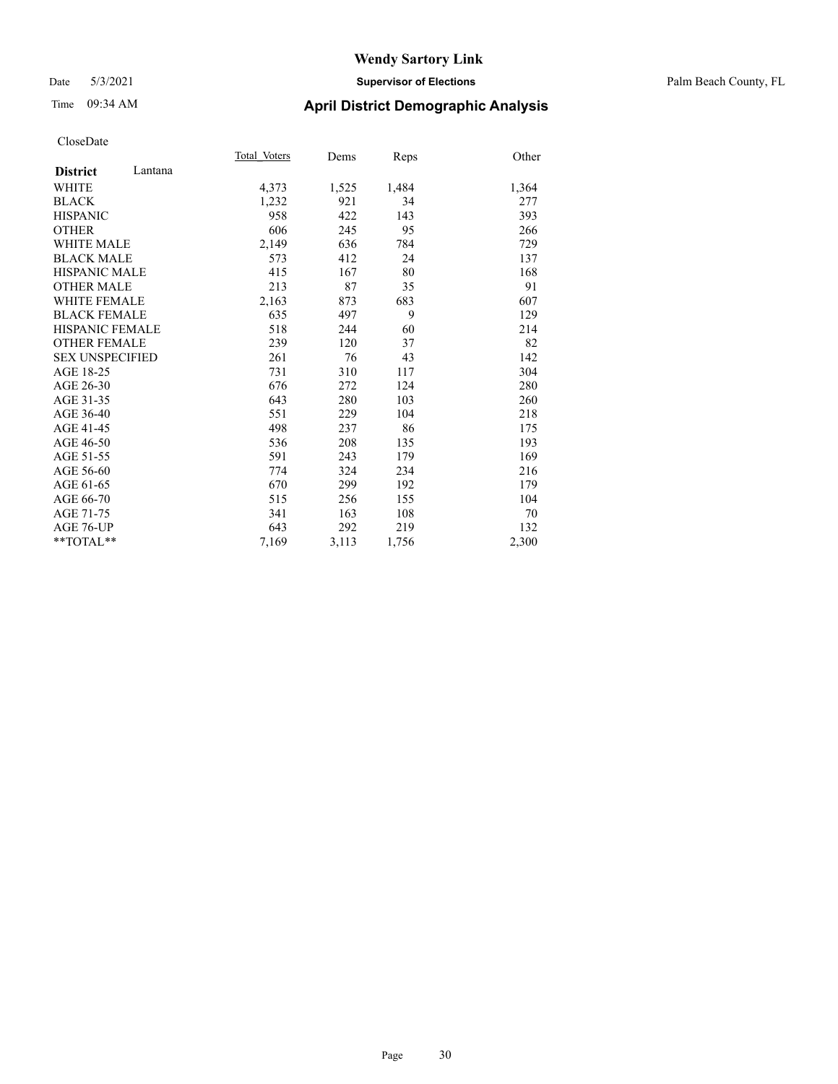#### Date 5/3/2021 **Supervisor of Elections** Palm Beach County, FL

# Time 09:34 AM **April District Demographic Analysis**

|                        | Total Voters | Dems  | Reps  | Other |
|------------------------|--------------|-------|-------|-------|
| Lantana                |              |       |       |       |
|                        | 4,373        | 1,525 | 1,484 | 1,364 |
|                        | 1,232        | 921   | 34    | 277   |
|                        | 958          | 422   | 143   | 393   |
|                        | 606          | 245   | 95    | 266   |
| <b>WHITE MALE</b>      | 2,149        | 636   | 784   | 729   |
| <b>BLACK MALE</b>      | 573          | 412   | 24    | 137   |
| <b>HISPANIC MALE</b>   | 415          | 167   | 80    | 168   |
| <b>OTHER MALE</b>      | 213          | 87    | 35    | 91    |
| <b>WHITE FEMALE</b>    | 2,163        | 873   | 683   | 607   |
| <b>BLACK FEMALE</b>    | 635          | 497   | 9     | 129   |
| <b>HISPANIC FEMALE</b> | 518          | 244   | 60    | 214   |
| <b>OTHER FEMALE</b>    | 239          | 120   | 37    | 82    |
| <b>SEX UNSPECIFIED</b> | 261          | 76    | 43    | 142   |
|                        | 731          | 310   | 117   | 304   |
|                        | 676          | 272   | 124   | 280   |
|                        | 643          | 280   | 103   | 260   |
|                        | 551          | 229   | 104   | 218   |
|                        | 498          | 237   | 86    | 175   |
|                        | 536          | 208   | 135   | 193   |
|                        | 591          | 243   | 179   | 169   |
|                        | 774          | 324   | 234   | 216   |
|                        | 670          | 299   | 192   | 179   |
|                        | 515          | 256   | 155   | 104   |
|                        | 341          | 163   | 108   | 70    |
|                        | 643          | 292   | 219   | 132   |
| **TOTAL**              | 7,169        | 3,113 | 1,756 | 2,300 |
|                        |              |       |       |       |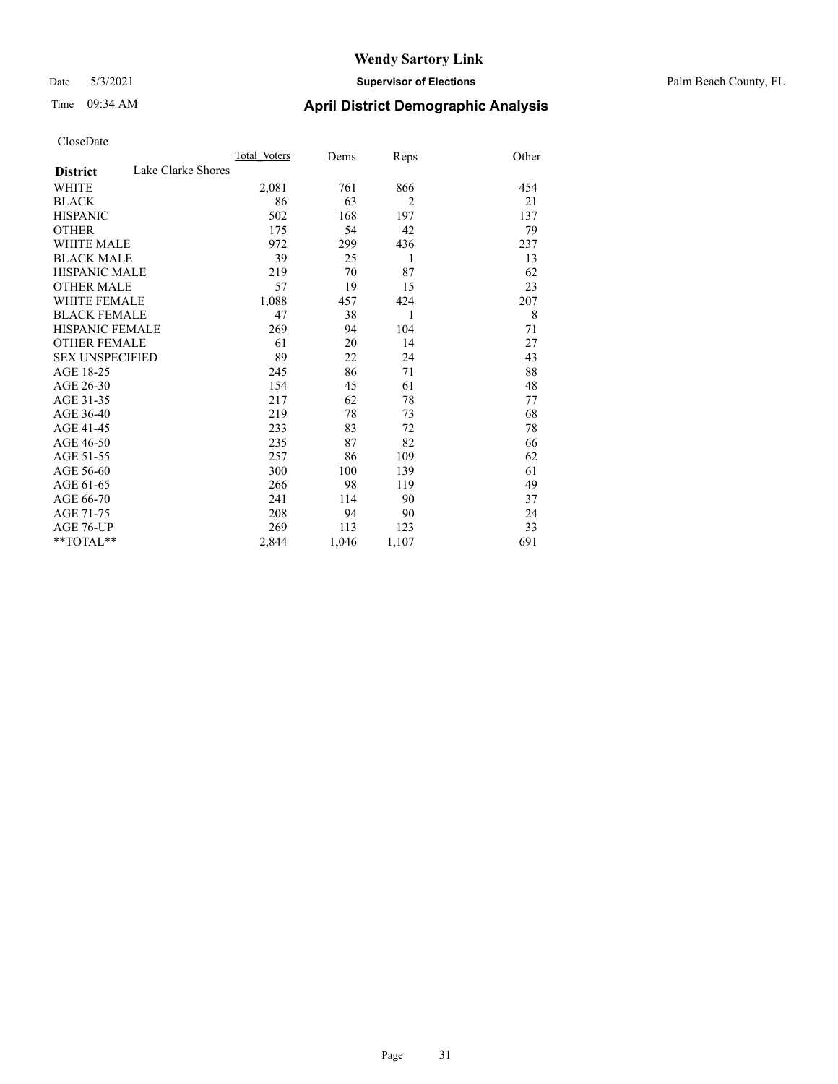#### Date 5/3/2021 **Supervisor of Elections** Palm Beach County, FL

# Time 09:34 AM **April District Demographic Analysis**

|                                       | Total Voters | Dems  | Reps           | Other |
|---------------------------------------|--------------|-------|----------------|-------|
| Lake Clarke Shores<br><b>District</b> |              |       |                |       |
| WHITE                                 | 2,081        | 761   | 866            | 454   |
| <b>BLACK</b>                          | 86           | 63    | $\overline{2}$ | 21    |
| <b>HISPANIC</b>                       | 502          | 168   | 197            | 137   |
| <b>OTHER</b>                          | 175          | 54    | 42             | 79    |
| <b>WHITE MALE</b>                     | 972          | 299   | 436            | 237   |
| <b>BLACK MALE</b>                     | 39           | 25    | 1              | 13    |
| <b>HISPANIC MALE</b>                  | 219          | 70    | 87             | 62    |
| <b>OTHER MALE</b>                     | 57           | 19    | 15             | 23    |
| <b>WHITE FEMALE</b>                   | 1,088        | 457   | 424            | 207   |
| <b>BLACK FEMALE</b>                   | 47           | 38    | 1              | 8     |
| <b>HISPANIC FEMALE</b>                | 269          | 94    | 104            | 71    |
| <b>OTHER FEMALE</b>                   | 61           | 20    | 14             | 27    |
| <b>SEX UNSPECIFIED</b>                | 89           | 22    | 24             | 43    |
| AGE 18-25                             | 245          | 86    | 71             | 88    |
| AGE 26-30                             | 154          | 45    | 61             | 48    |
| AGE 31-35                             | 217          | 62    | 78             | 77    |
| AGE 36-40                             | 219          | 78    | 73             | 68    |
| AGE 41-45                             | 233          | 83    | 72             | 78    |
| AGE 46-50                             | 235          | 87    | 82             | 66    |
| AGE 51-55                             | 257          | 86    | 109            | 62    |
| AGE 56-60                             | 300          | 100   | 139            | 61    |
| AGE 61-65                             | 266          | 98    | 119            | 49    |
| AGE 66-70                             | 241          | 114   | 90             | 37    |
| AGE 71-75                             | 208          | 94    | 90             | 24    |
| AGE 76-UP                             | 269          | 113   | 123            | 33    |
| $*$ $TOTAL**$                         | 2,844        | 1,046 | 1,107          | 691   |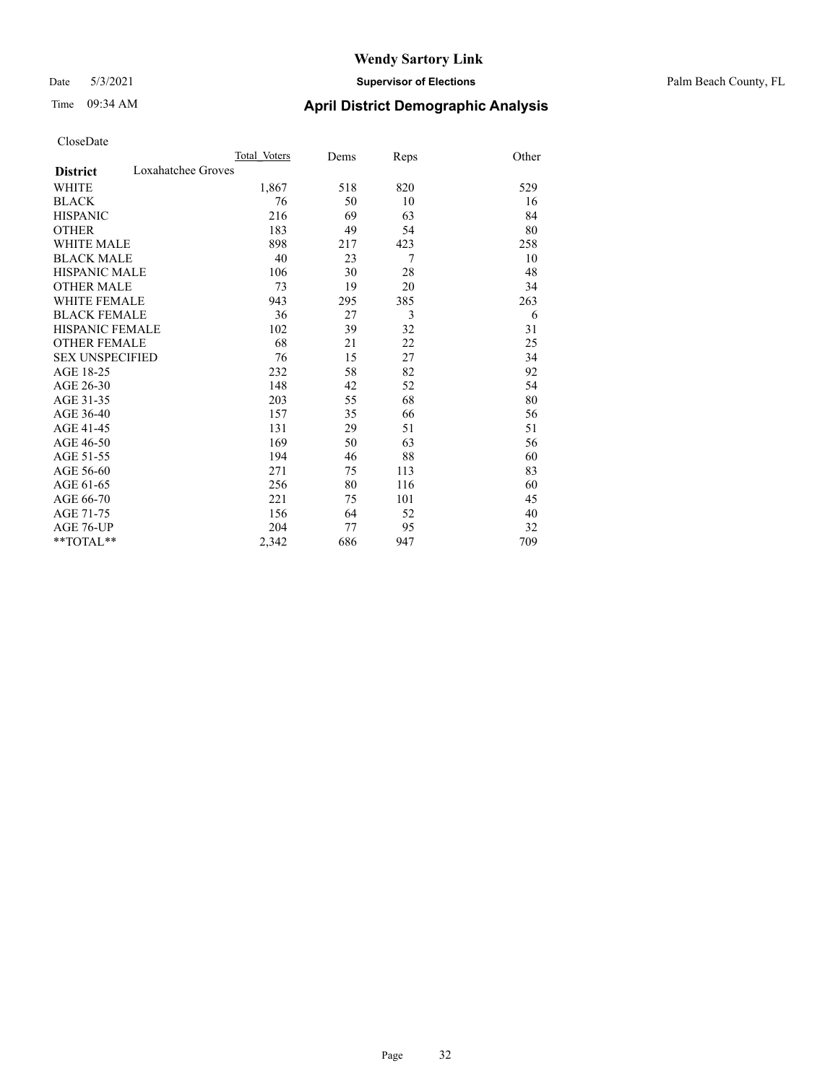#### Date 5/3/2021 **Supervisor of Elections** Palm Beach County, FL

# Time 09:34 AM **April District Demographic Analysis**

|                                       | Total Voters | Dems | Reps | Other |
|---------------------------------------|--------------|------|------|-------|
| Loxahatchee Groves<br><b>District</b> |              |      |      |       |
| WHITE                                 | 1,867        | 518  | 820  | 529   |
| <b>BLACK</b>                          | 76           | 50   | 10   | 16    |
| <b>HISPANIC</b>                       | 216          | 69   | 63   | 84    |
| <b>OTHER</b>                          | 183          | 49   | 54   | 80    |
| <b>WHITE MALE</b>                     | 898          | 217  | 423  | 258   |
| <b>BLACK MALE</b>                     | 40           | 23   | 7    | 10    |
| <b>HISPANIC MALE</b>                  | 106          | 30   | 28   | 48    |
| <b>OTHER MALE</b>                     | 73           | 19   | 20   | 34    |
| <b>WHITE FEMALE</b>                   | 943          | 295  | 385  | 263   |
| <b>BLACK FEMALE</b>                   | 36           | 27   | 3    | 6     |
| <b>HISPANIC FEMALE</b>                | 102          | 39   | 32   | 31    |
| <b>OTHER FEMALE</b>                   | 68           | 21   | 22   | 25    |
| <b>SEX UNSPECIFIED</b>                | 76           | 15   | 27   | 34    |
| AGE 18-25                             | 232          | 58   | 82   | 92    |
| AGE 26-30                             | 148          | 42   | 52   | 54    |
| AGE 31-35                             | 203          | 55   | 68   | 80    |
| AGE 36-40                             | 157          | 35   | 66   | 56    |
| AGE 41-45                             | 131          | 29   | 51   | 51    |
| AGE 46-50                             | 169          | 50   | 63   | 56    |
| AGE 51-55                             | 194          | 46   | 88   | 60    |
| AGE 56-60                             | 271          | 75   | 113  | 83    |
| AGE 61-65                             | 256          | 80   | 116  | 60    |
| AGE 66-70                             | 221          | 75   | 101  | 45    |
| AGE 71-75                             | 156          | 64   | 52   | 40    |
| <b>AGE 76-UP</b>                      | 204          | 77   | 95   | 32    |
| $*$ $TOTAL**$                         | 2,342        | 686  | 947  | 709   |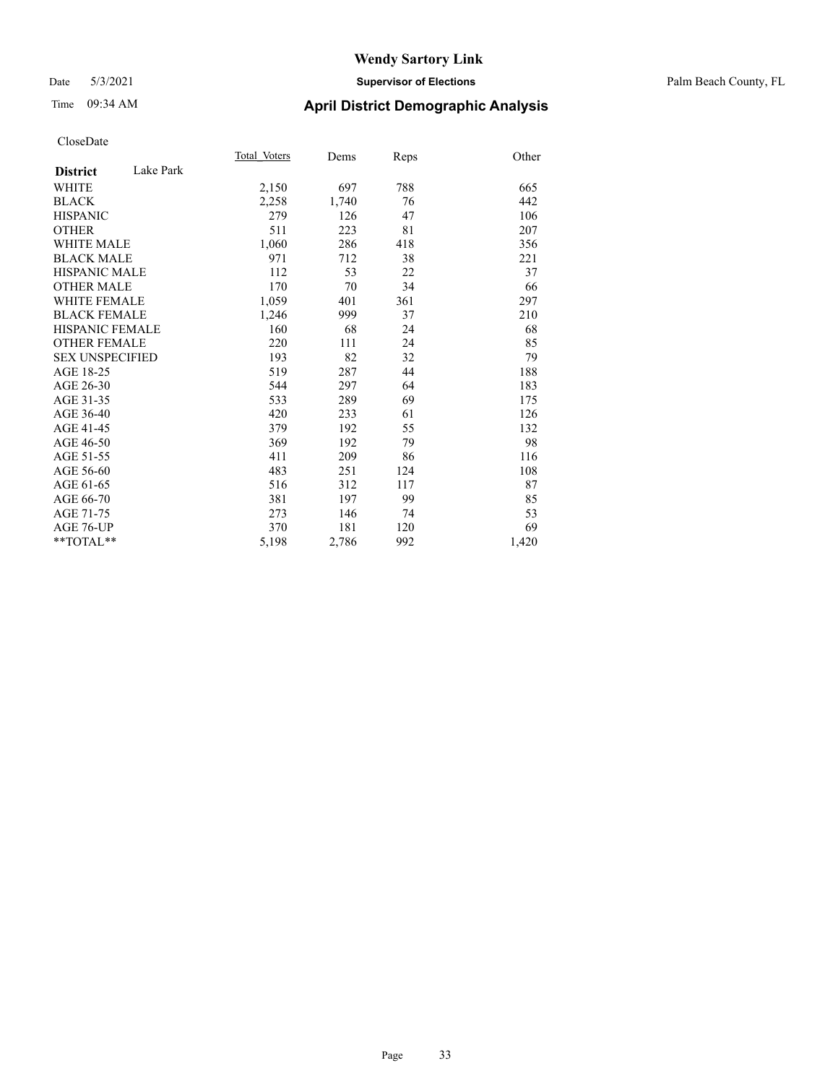#### Date 5/3/2021 **Supervisor of Elections** Palm Beach County, FL

## Time 09:34 AM **April District Demographic Analysis**

|                              | Total Voters | Dems  | Reps | Other |
|------------------------------|--------------|-------|------|-------|
| Lake Park<br><b>District</b> |              |       |      |       |
| <b>WHITE</b>                 | 2,150        | 697   | 788  | 665   |
| <b>BLACK</b>                 | 2,258        | 1,740 | 76   | 442   |
| <b>HISPANIC</b>              | 279          | 126   | 47   | 106   |
| <b>OTHER</b>                 | 511          | 223   | 81   | 207   |
| WHITE MALE                   | 1,060        | 286   | 418  | 356   |
| <b>BLACK MALE</b>            | 971          | 712   | 38   | 221   |
| <b>HISPANIC MALE</b>         | 112          | 53    | 22   | 37    |
| <b>OTHER MALE</b>            | 170          | 70    | 34   | 66    |
| WHITE FEMALE                 | 1,059        | 401   | 361  | 297   |
| <b>BLACK FEMALE</b>          | 1,246        | 999   | 37   | 210   |
| <b>HISPANIC FEMALE</b>       | 160          | 68    | 24   | 68    |
| <b>OTHER FEMALE</b>          | 220          | 111   | 24   | 85    |
| <b>SEX UNSPECIFIED</b>       | 193          | 82    | 32   | 79    |
| AGE 18-25                    | 519          | 287   | 44   | 188   |
| AGE 26-30                    | 544          | 297   | 64   | 183   |
| AGE 31-35                    | 533          | 289   | 69   | 175   |
| AGE 36-40                    | 420          | 233   | 61   | 126   |
| AGE 41-45                    | 379          | 192   | 55   | 132   |
| AGE 46-50                    | 369          | 192   | 79   | 98    |
| AGE 51-55                    | 411          | 209   | 86   | 116   |
| AGE 56-60                    | 483          | 251   | 124  | 108   |
| AGE 61-65                    | 516          | 312   | 117  | 87    |
| AGE 66-70                    | 381          | 197   | 99   | 85    |
| AGE 71-75                    | 273          | 146   | 74   | 53    |
| AGE 76-UP                    | 370          | 181   | 120  | 69    |
| $*$ $TOTAL**$                | 5,198        | 2,786 | 992  | 1,420 |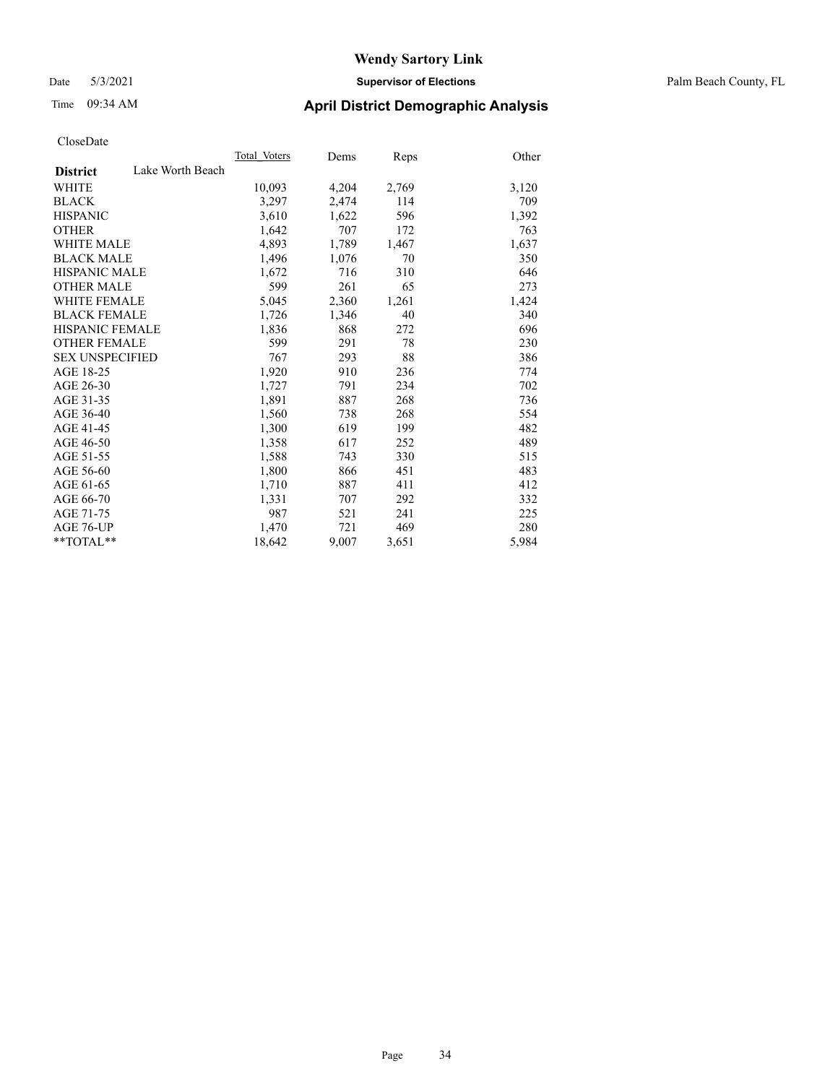Date 5/3/2021 **Supervisor of Elections** Palm Beach County, FL

## Time 09:34 AM **April District Demographic Analysis**

|                                     | Total Voters | Dems  | <b>Reps</b> | Other |
|-------------------------------------|--------------|-------|-------------|-------|
| Lake Worth Beach<br><b>District</b> |              |       |             |       |
| WHITE                               | 10,093       | 4,204 | 2,769       | 3,120 |
| <b>BLACK</b>                        | 3,297        | 2,474 | 114         | 709   |
| <b>HISPANIC</b>                     | 3,610        | 1,622 | 596         | 1,392 |
| <b>OTHER</b>                        | 1,642        | 707   | 172         | 763   |
| <b>WHITE MALE</b>                   | 4,893        | 1,789 | 1,467       | 1,637 |
| <b>BLACK MALE</b>                   | 1,496        | 1,076 | 70          | 350   |
| <b>HISPANIC MALE</b>                | 1,672        | 716   | 310         | 646   |
| <b>OTHER MALE</b>                   | 599          | 261   | 65          | 273   |
| WHITE FEMALE                        | 5,045        | 2,360 | 1,261       | 1,424 |
| <b>BLACK FEMALE</b>                 | 1,726        | 1,346 | 40          | 340   |
| <b>HISPANIC FEMALE</b>              | 1,836        | 868   | 272         | 696   |
| <b>OTHER FEMALE</b>                 | 599          | 291   | 78          | 230   |
| <b>SEX UNSPECIFIED</b>              | 767          | 293   | 88          | 386   |
| AGE 18-25                           | 1,920        | 910   | 236         | 774   |
| AGE 26-30                           | 1,727        | 791   | 234         | 702   |
| AGE 31-35                           | 1,891        | 887   | 268         | 736   |
| AGE 36-40                           | 1,560        | 738   | 268         | 554   |
| AGE 41-45                           | 1,300        | 619   | 199         | 482   |
| AGE 46-50                           | 1,358        | 617   | 252         | 489   |
| AGE 51-55                           | 1,588        | 743   | 330         | 515   |
| AGE 56-60                           | 1,800        | 866   | 451         | 483   |
| AGE 61-65                           | 1,710        | 887   | 411         | 412   |
| AGE 66-70                           | 1,331        | 707   | 292         | 332   |
| AGE 71-75                           | 987          | 521   | 241         | 225   |
| AGE 76-UP                           | 1,470        | 721   | 469         | 280   |
| $*$ $TOTAL**$                       | 18,642       | 9,007 | 3,651       | 5,984 |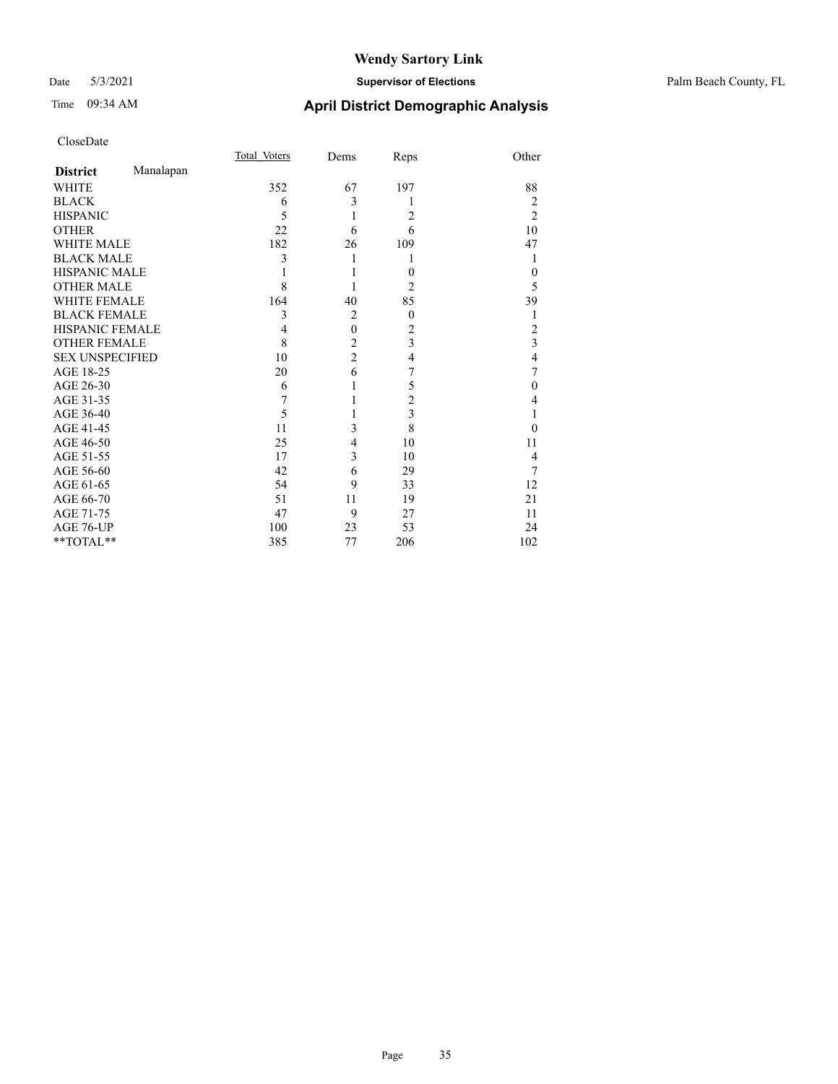#### Date 5/3/2021 **Supervisor of Elections** Palm Beach County, FL

# Time 09:34 AM **April District Demographic Analysis**

| CloseDate |
|-----------|
|-----------|

|                        |           | Total Voters | Dems           | Reps             | Other                   |
|------------------------|-----------|--------------|----------------|------------------|-------------------------|
| <b>District</b>        | Manalapan |              |                |                  |                         |
| WHITE                  |           | 352          | 67             | 197              | 88                      |
| <b>BLACK</b>           |           | 6            | 3              | 1                | 2                       |
| <b>HISPANIC</b>        |           | 5            | 1              | 2                | $\overline{2}$          |
| <b>OTHER</b>           |           | 22           | 6              | 6                | 10                      |
| <b>WHITE MALE</b>      |           | 182          | 26             | 109              | 47                      |
| <b>BLACK MALE</b>      |           | 3            |                | 1                | 1                       |
| <b>HISPANIC MALE</b>   |           |              |                | $\theta$         | $\theta$                |
| <b>OTHER MALE</b>      |           | 8            |                | 2                | 5                       |
| <b>WHITE FEMALE</b>    |           | 164          | 40             | 85               | 39                      |
| <b>BLACK FEMALE</b>    |           | 3            | $\overline{2}$ | $\boldsymbol{0}$ |                         |
| HISPANIC FEMALE        |           | 4            | $\mathbf{0}$   | 2                | 2                       |
| <b>OTHER FEMALE</b>    |           | 8            | $\overline{c}$ | 3                | $\overline{\mathbf{3}}$ |
| <b>SEX UNSPECIFIED</b> |           | 10           | $\overline{c}$ | 4                | $\overline{4}$          |
| AGE 18-25              |           | 20           | 6              | 7                | 7                       |
| AGE 26-30              |           | 6            | 1              | 5                | $\theta$                |
| AGE 31-35              |           | 7            |                | $\overline{c}$   | 4                       |
| AGE 36-40              |           | 5            |                | 3                |                         |
| AGE 41-45              |           | 11           | 3              | 8                | 0                       |
| AGE 46-50              |           | 25           | 4              | 10               | 11                      |
| AGE 51-55              |           | 17           | 3              | 10               | 4                       |
| AGE 56-60              |           | 42           | 6              | 29               | 7                       |
| AGE 61-65              |           | 54           | 9              | 33               | 12                      |
| AGE 66-70              |           | 51           | 11             | 19               | 21                      |
| AGE 71-75              |           | 47           | 9              | 27               | 11                      |
| AGE 76-UP              |           | 100          | 23             | 53               | 24                      |
| **TOTAL**              |           | 385          | 77             | 206              | 102                     |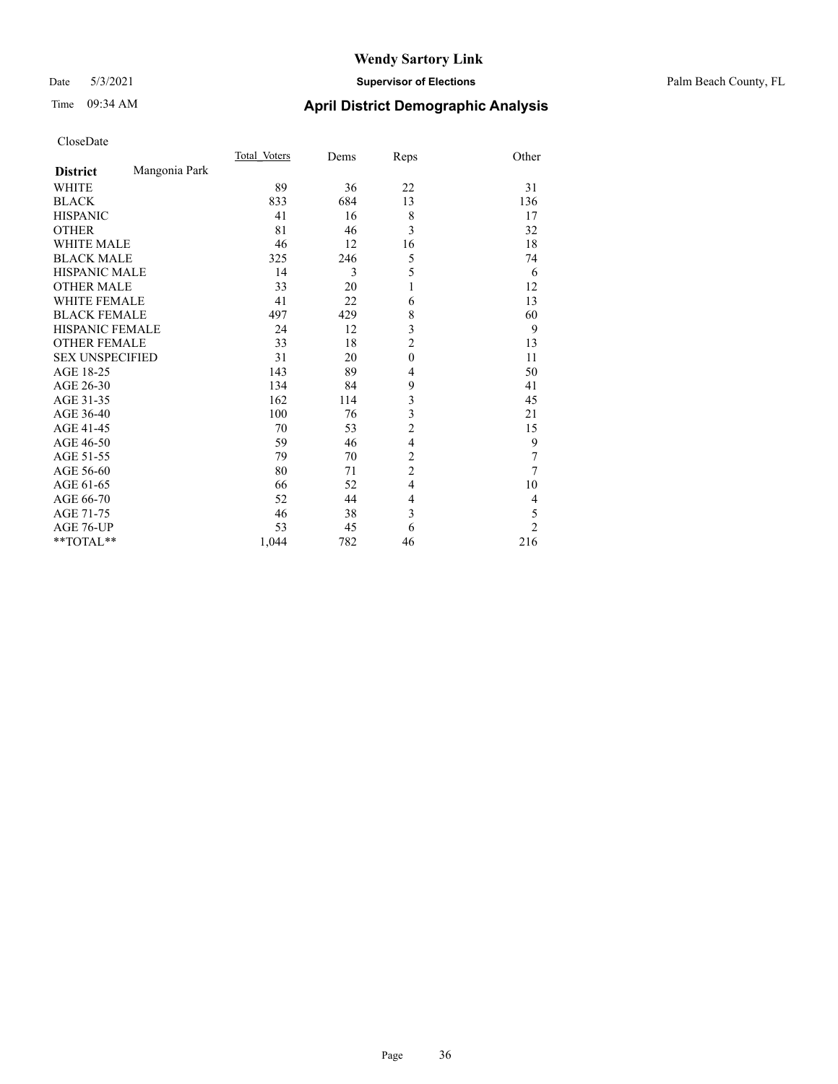#### Date 5/3/2021 **Supervisor of Elections** Palm Beach County, FL

# Time 09:34 AM **April District Demographic Analysis**

|                        |               | Total Voters | Dems | Reps           | Other          |
|------------------------|---------------|--------------|------|----------------|----------------|
| <b>District</b>        | Mangonia Park |              |      |                |                |
| WHITE                  |               | 89           | 36   | 22             | 31             |
| <b>BLACK</b>           |               | 833          | 684  | 13             | 136            |
| <b>HISPANIC</b>        |               | 41           | 16   | 8              | 17             |
| <b>OTHER</b>           |               | 81           | 46   | 3              | 32             |
| <b>WHITE MALE</b>      |               | 46           | 12   | 16             | 18             |
| <b>BLACK MALE</b>      |               | 325          | 246  | 5              | 74             |
| <b>HISPANIC MALE</b>   |               | 14           | 3    | 5              | 6              |
| <b>OTHER MALE</b>      |               | 33           | 20   | 1              | 12             |
| <b>WHITE FEMALE</b>    |               | 41           | 22   | 6              | 13             |
| <b>BLACK FEMALE</b>    |               | 497          | 429  | 8              | 60             |
| HISPANIC FEMALE        |               | 24           | 12   | 3              | 9              |
| <b>OTHER FEMALE</b>    |               | 33           | 18   | $\overline{c}$ | 13             |
| <b>SEX UNSPECIFIED</b> |               | 31           | 20   | $\mathbf{0}$   | 11             |
| AGE 18-25              |               | 143          | 89   | $\overline{4}$ | 50             |
| AGE 26-30              |               | 134          | 84   | 9              | 41             |
| AGE 31-35              |               | 162          | 114  | 3              | 45             |
| AGE 36-40              |               | 100          | 76   | 3              | 21             |
| AGE 41-45              |               | 70           | 53   | $\overline{c}$ | 15             |
| AGE 46-50              |               | 59           | 46   | $\overline{4}$ | 9              |
| AGE 51-55              |               | 79           | 70   | $\overline{c}$ | 7              |
| AGE 56-60              |               | 80           | 71   | $\overline{c}$ | 7              |
| AGE 61-65              |               | 66           | 52   | 4              | 10             |
| AGE 66-70              |               | 52           | 44   | 4              | 4              |
| AGE 71-75              |               | 46           | 38   | 3              | 5              |
| AGE 76-UP              |               | 53           | 45   | 6              | $\overline{c}$ |
| **TOTAL**              |               | 1,044        | 782  | 46             | 216            |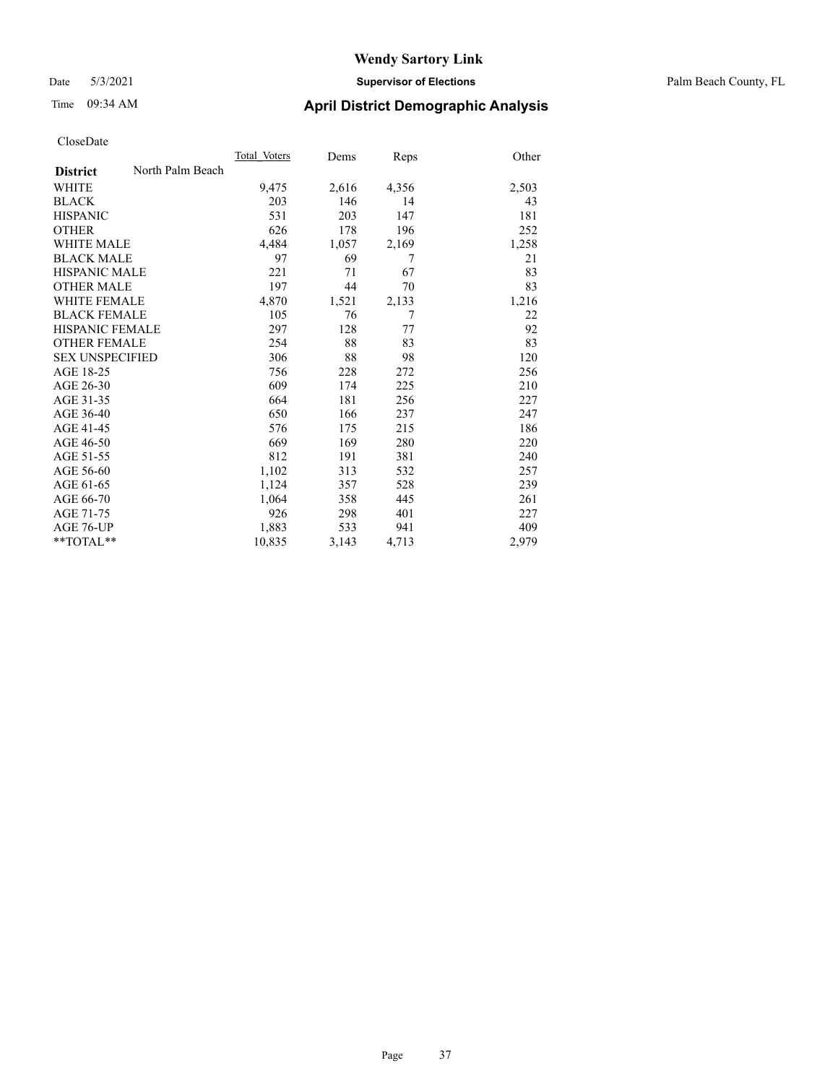#### Date 5/3/2021 **Supervisor of Elections** Palm Beach County, FL

### Time 09:34 AM **April District Demographic Analysis**

|                        |                  | Total Voters | Dems  | Reps  | Other |
|------------------------|------------------|--------------|-------|-------|-------|
| <b>District</b>        | North Palm Beach |              |       |       |       |
| <b>WHITE</b>           |                  | 9,475        | 2,616 | 4,356 | 2,503 |
| <b>BLACK</b>           |                  | 203          | 146   | 14    | 43    |
| <b>HISPANIC</b>        |                  | 531          | 203   | 147   | 181   |
| <b>OTHER</b>           |                  | 626          | 178   | 196   | 252   |
| WHITE MALE             |                  | 4,484        | 1,057 | 2,169 | 1,258 |
| <b>BLACK MALE</b>      |                  | 97           | 69    | 7     | 21    |
| <b>HISPANIC MALE</b>   |                  | 221          | 71    | 67    | 83    |
| <b>OTHER MALE</b>      |                  | 197          | 44    | 70    | 83    |
| WHITE FEMALE           |                  | 4,870        | 1,521 | 2,133 | 1,216 |
| <b>BLACK FEMALE</b>    |                  | 105          | 76    | 7     | 22    |
| <b>HISPANIC FEMALE</b> |                  | 297          | 128   | 77    | 92    |
| <b>OTHER FEMALE</b>    |                  | 254          | 88    | 83    | 83    |
| <b>SEX UNSPECIFIED</b> |                  | 306          | 88    | 98    | 120   |
| AGE 18-25              |                  | 756          | 228   | 272   | 256   |
| AGE 26-30              |                  | 609          | 174   | 225   | 210   |
| AGE 31-35              |                  | 664          | 181   | 256   | 227   |
| AGE 36-40              |                  | 650          | 166   | 237   | 247   |
| AGE 41-45              |                  | 576          | 175   | 215   | 186   |
| AGE 46-50              |                  | 669          | 169   | 280   | 220   |
| AGE 51-55              |                  | 812          | 191   | 381   | 240   |
| AGE 56-60              |                  | 1,102        | 313   | 532   | 257   |
| AGE 61-65              |                  | 1,124        | 357   | 528   | 239   |
| AGE 66-70              |                  | 1,064        | 358   | 445   | 261   |
| AGE 71-75              |                  | 926          | 298   | 401   | 227   |
| AGE 76-UP              |                  | 1,883        | 533   | 941   | 409   |
| $*$ $TOTAL**$          |                  | 10,835       | 3,143 | 4,713 | 2,979 |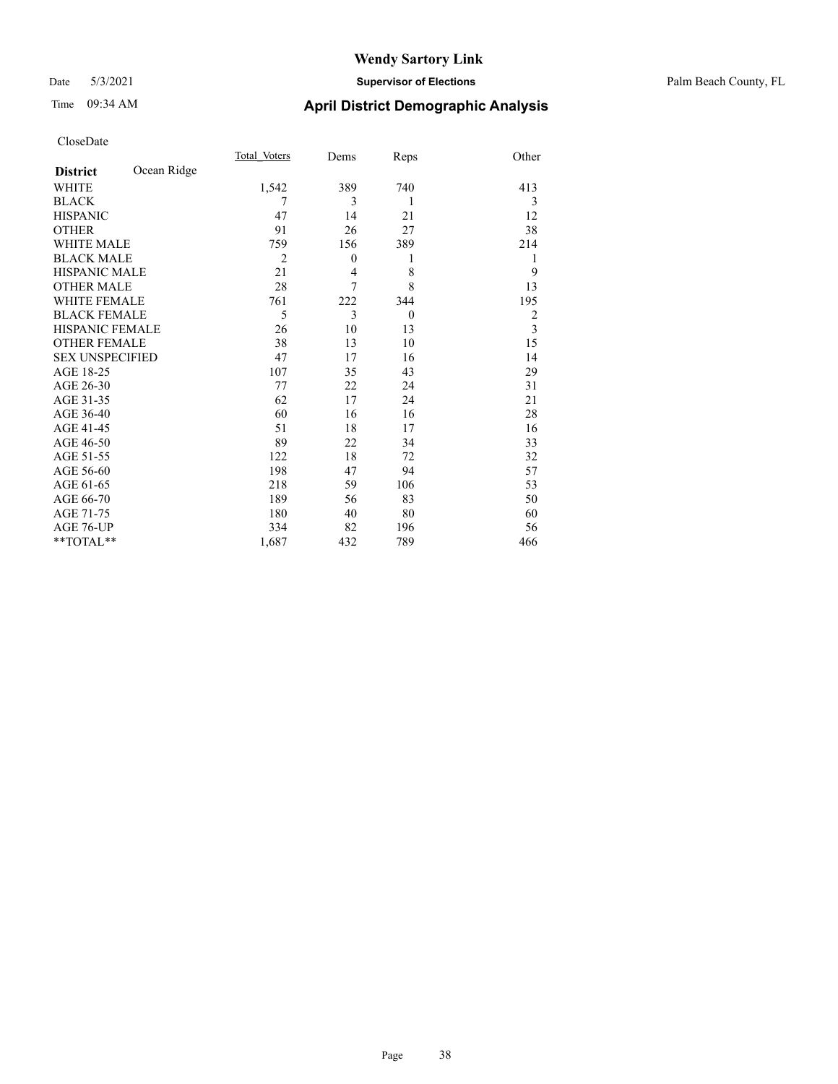#### Date 5/3/2021 **Supervisor of Elections** Palm Beach County, FL

## Time 09:34 AM **April District Demographic Analysis**

|                        |             | Total Voters   | Dems     | Reps     | Other |
|------------------------|-------------|----------------|----------|----------|-------|
| <b>District</b>        | Ocean Ridge |                |          |          |       |
| WHITE                  |             | 1,542          | 389      | 740      | 413   |
| <b>BLACK</b>           |             | 7              | 3        | 1        | 3     |
| <b>HISPANIC</b>        |             | 47             | 14       | 21       | 12    |
| <b>OTHER</b>           |             | 91             | 26       | 27       | 38    |
| <b>WHITE MALE</b>      |             | 759            | 156      | 389      | 214   |
| <b>BLACK MALE</b>      |             | $\overline{2}$ | $\theta$ | 1        | 1     |
| <b>HISPANIC MALE</b>   |             | 21             | 4        | 8        | 9     |
| <b>OTHER MALE</b>      |             | 28             | 7        | 8        | 13    |
| <b>WHITE FEMALE</b>    |             | 761            | 222      | 344      | 195   |
| <b>BLACK FEMALE</b>    |             | 5              | 3        | $\theta$ | 2     |
| <b>HISPANIC FEMALE</b> |             | 26             | 10       | 13       | 3     |
| <b>OTHER FEMALE</b>    |             | 38             | 13       | 10       | 15    |
| <b>SEX UNSPECIFIED</b> |             | 47             | 17       | 16       | 14    |
| AGE 18-25              |             | 107            | 35       | 43       | 29    |
| AGE 26-30              |             | 77             | 22       | 24       | 31    |
| AGE 31-35              |             | 62             | 17       | 24       | 21    |
| AGE 36-40              |             | 60             | 16       | 16       | 28    |
| AGE 41-45              |             | 51             | 18       | 17       | 16    |
| AGE 46-50              |             | 89             | 22       | 34       | 33    |
| AGE 51-55              |             | 122            | 18       | 72       | 32    |
| AGE 56-60              |             | 198            | 47       | 94       | 57    |
| AGE 61-65              |             | 218            | 59       | 106      | 53    |
| AGE 66-70              |             | 189            | 56       | 83       | 50    |
| AGE 71-75              |             | 180            | 40       | 80       | 60    |
| AGE 76-UP              |             | 334            | 82       | 196      | 56    |
| **TOTAL**              |             | 1,687          | 432      | 789      | 466   |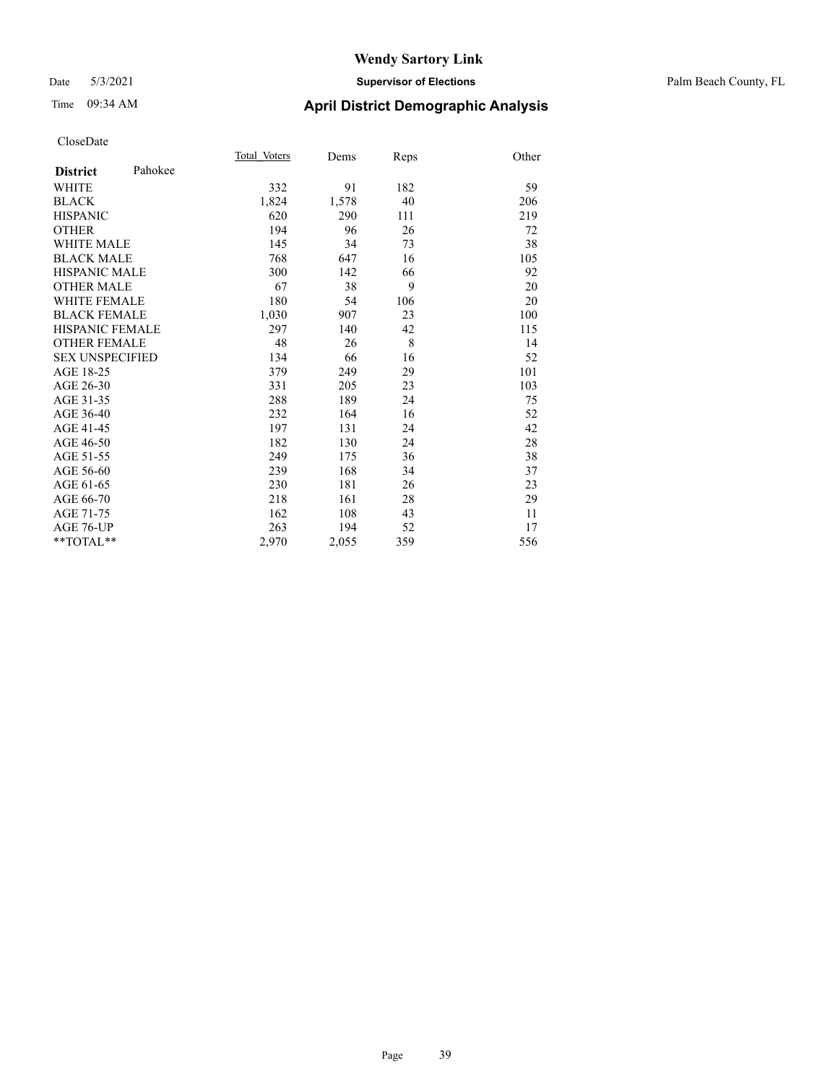#### Date 5/3/2021 **Supervisor of Elections** Palm Beach County, FL

## Time 09:34 AM **April District Demographic Analysis**

|                        |         | Total Voters | Dems  | Reps | Other |
|------------------------|---------|--------------|-------|------|-------|
| <b>District</b>        | Pahokee |              |       |      |       |
| WHITE                  |         | 332          | 91    | 182  | 59    |
| <b>BLACK</b>           |         | 1,824        | 1,578 | 40   | 206   |
| <b>HISPANIC</b>        |         | 620          | 290   | 111  | 219   |
| <b>OTHER</b>           |         | 194          | 96    | 26   | 72    |
| WHITE MALE             |         | 145          | 34    | 73   | 38    |
| <b>BLACK MALE</b>      |         | 768          | 647   | 16   | 105   |
| <b>HISPANIC MALE</b>   |         | 300          | 142   | 66   | 92    |
| <b>OTHER MALE</b>      |         | 67           | 38    | 9    | 20    |
| <b>WHITE FEMALE</b>    |         | 180          | 54    | 106  | 20    |
| <b>BLACK FEMALE</b>    |         | 1,030        | 907   | 23   | 100   |
| <b>HISPANIC FEMALE</b> |         | 297          | 140   | 42   | 115   |
| <b>OTHER FEMALE</b>    |         | 48           | 26    | 8    | 14    |
| <b>SEX UNSPECIFIED</b> |         | 134          | 66    | 16   | 52    |
| AGE 18-25              |         | 379          | 249   | 29   | 101   |
| AGE 26-30              |         | 331          | 205   | 23   | 103   |
| AGE 31-35              |         | 288          | 189   | 24   | 75    |
| AGE 36-40              |         | 232          | 164   | 16   | 52    |
| AGE 41-45              |         | 197          | 131   | 24   | 42    |
| AGE 46-50              |         | 182          | 130   | 24   | 28    |
| AGE 51-55              |         | 249          | 175   | 36   | 38    |
| AGE 56-60              |         | 239          | 168   | 34   | 37    |
| AGE 61-65              |         | 230          | 181   | 26   | 23    |
| AGE 66-70              |         | 218          | 161   | 28   | 29    |
| AGE 71-75              |         | 162          | 108   | 43   | 11    |
| AGE 76-UP              |         | 263          | 194   | 52   | 17    |
| $*$ $TOTAL**$          |         | 2,970        | 2,055 | 359  | 556   |
|                        |         |              |       |      |       |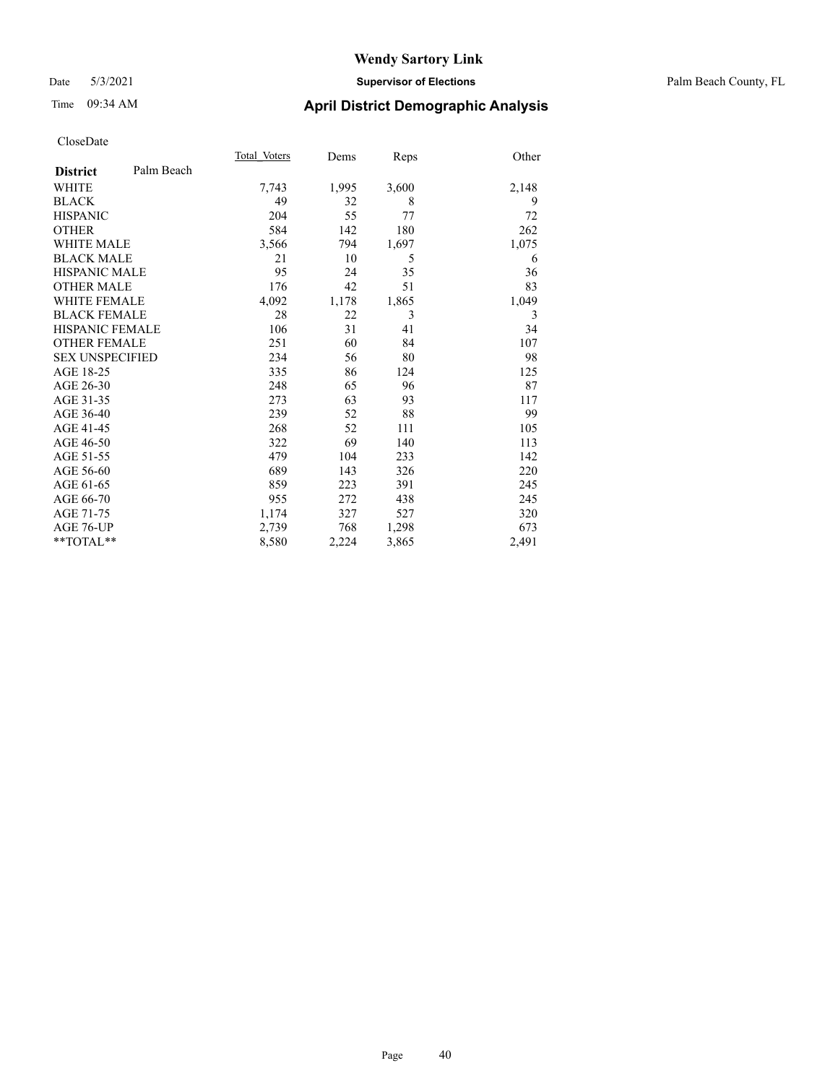#### Date 5/3/2021 **Supervisor of Elections** Palm Beach County, FL

## Time 09:34 AM **April District Demographic Analysis**

|                        |            | Total Voters | Dems  | Reps  | Other |
|------------------------|------------|--------------|-------|-------|-------|
| <b>District</b>        | Palm Beach |              |       |       |       |
| <b>WHITE</b>           |            | 7,743        | 1,995 | 3,600 | 2,148 |
| <b>BLACK</b>           |            | 49           | 32    | 8     | 9     |
| <b>HISPANIC</b>        |            | 204          | 55    | 77    | 72    |
| <b>OTHER</b>           |            | 584          | 142   | 180   | 262   |
| WHITE MALE             |            | 3,566        | 794   | 1,697 | 1,075 |
| <b>BLACK MALE</b>      |            | 21           | 10    | 5     | 6     |
| <b>HISPANIC MALE</b>   |            | 95           | 24    | 35    | 36    |
| <b>OTHER MALE</b>      |            | 176          | 42    | 51    | 83    |
| WHITE FEMALE           |            | 4,092        | 1,178 | 1,865 | 1,049 |
| <b>BLACK FEMALE</b>    |            | 28           | 22    | 3     | 3     |
| <b>HISPANIC FEMALE</b> |            | 106          | 31    | 41    | 34    |
| <b>OTHER FEMALE</b>    |            | 251          | 60    | 84    | 107   |
| <b>SEX UNSPECIFIED</b> |            | 234          | 56    | 80    | 98    |
| AGE 18-25              |            | 335          | 86    | 124   | 125   |
| AGE 26-30              |            | 248          | 65    | 96    | 87    |
| AGE 31-35              |            | 273          | 63    | 93    | 117   |
| AGE 36-40              |            | 239          | 52    | 88    | 99    |
| AGE 41-45              |            | 268          | 52    | 111   | 105   |
| AGE 46-50              |            | 322          | 69    | 140   | 113   |
| AGE 51-55              |            | 479          | 104   | 233   | 142   |
| AGE 56-60              |            | 689          | 143   | 326   | 220   |
| AGE 61-65              |            | 859          | 223   | 391   | 245   |
| AGE 66-70              |            | 955          | 272   | 438   | 245   |
| AGE 71-75              |            | 1,174        | 327   | 527   | 320   |
| AGE 76-UP              |            | 2,739        | 768   | 1,298 | 673   |
| $*$ $*$ TOTAL $*$ $*$  |            | 8,580        | 2,224 | 3,865 | 2,491 |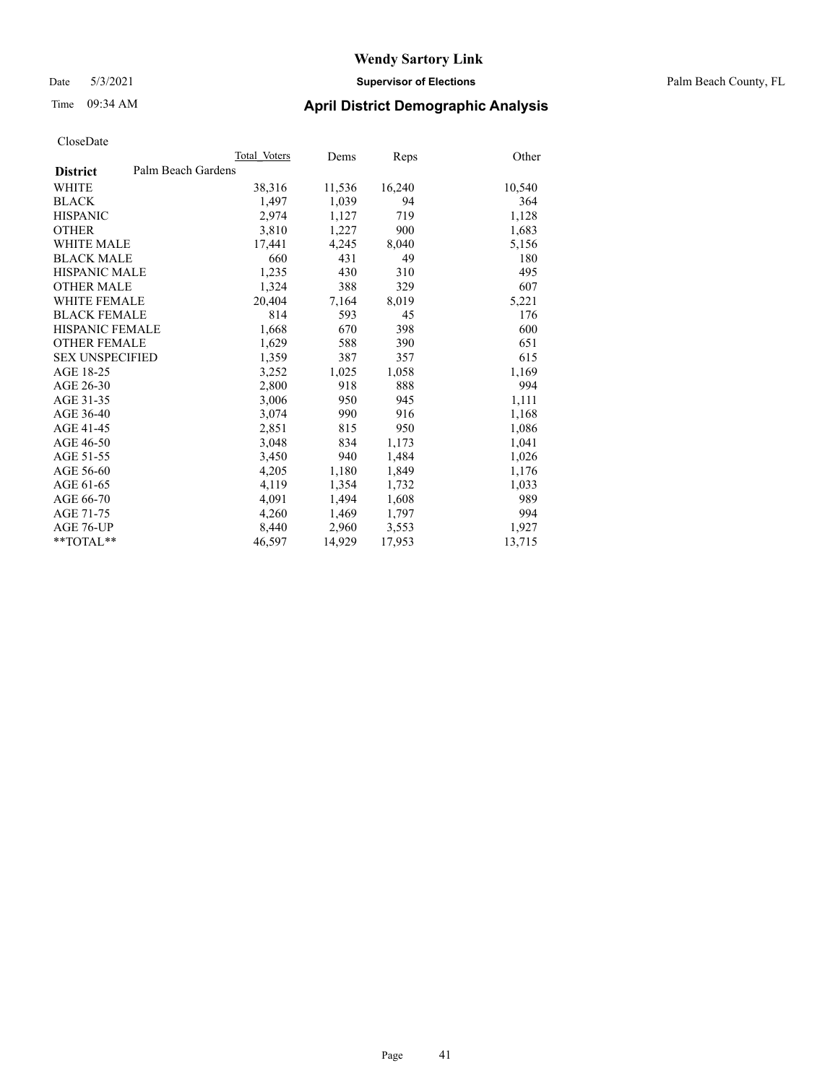Date 5/3/2021 **Supervisor of Elections** Palm Beach County, FL

### Time 09:34 AM **April District Demographic Analysis**

|                                       | Total Voters | Dems   | <b>Reps</b> | Other  |
|---------------------------------------|--------------|--------|-------------|--------|
| Palm Beach Gardens<br><b>District</b> |              |        |             |        |
| WHITE                                 | 38,316       | 11,536 | 16,240      | 10,540 |
| <b>BLACK</b>                          | 1,497        | 1,039  | 94          | 364    |
| <b>HISPANIC</b>                       | 2,974        | 1,127  | 719         | 1,128  |
| <b>OTHER</b>                          | 3,810        | 1,227  | 900         | 1,683  |
| <b>WHITE MALE</b>                     | 17,441       | 4,245  | 8,040       | 5,156  |
| <b>BLACK MALE</b>                     | 660          | 431    | 49          | 180    |
| <b>HISPANIC MALE</b>                  | 1,235        | 430    | 310         | 495    |
| <b>OTHER MALE</b>                     | 1,324        | 388    | 329         | 607    |
| <b>WHITE FEMALE</b>                   | 20,404       | 7,164  | 8,019       | 5,221  |
| <b>BLACK FEMALE</b>                   | 814          | 593    | 45          | 176    |
| <b>HISPANIC FEMALE</b>                | 1,668        | 670    | 398         | 600    |
| <b>OTHER FEMALE</b>                   | 1,629        | 588    | 390         | 651    |
| <b>SEX UNSPECIFIED</b>                | 1,359        | 387    | 357         | 615    |
| AGE 18-25                             | 3,252        | 1,025  | 1,058       | 1,169  |
| AGE 26-30                             | 2,800        | 918    | 888         | 994    |
| AGE 31-35                             | 3,006        | 950    | 945         | 1,111  |
| AGE 36-40                             | 3,074        | 990    | 916         | 1,168  |
| AGE 41-45                             | 2,851        | 815    | 950         | 1,086  |
| AGE 46-50                             | 3,048        | 834    | 1,173       | 1,041  |
| AGE 51-55                             | 3,450        | 940    | 1,484       | 1,026  |
| AGE 56-60                             | 4,205        | 1,180  | 1,849       | 1,176  |
| AGE 61-65                             | 4,119        | 1,354  | 1,732       | 1,033  |
| AGE 66-70                             | 4,091        | 1,494  | 1,608       | 989    |
| AGE 71-75                             | 4,260        | 1,469  | 1,797       | 994    |
| AGE 76-UP                             | 8.440        | 2,960  | 3,553       | 1,927  |
| $*$ $TOTAL**$                         | 46,597       | 14,929 | 17,953      | 13,715 |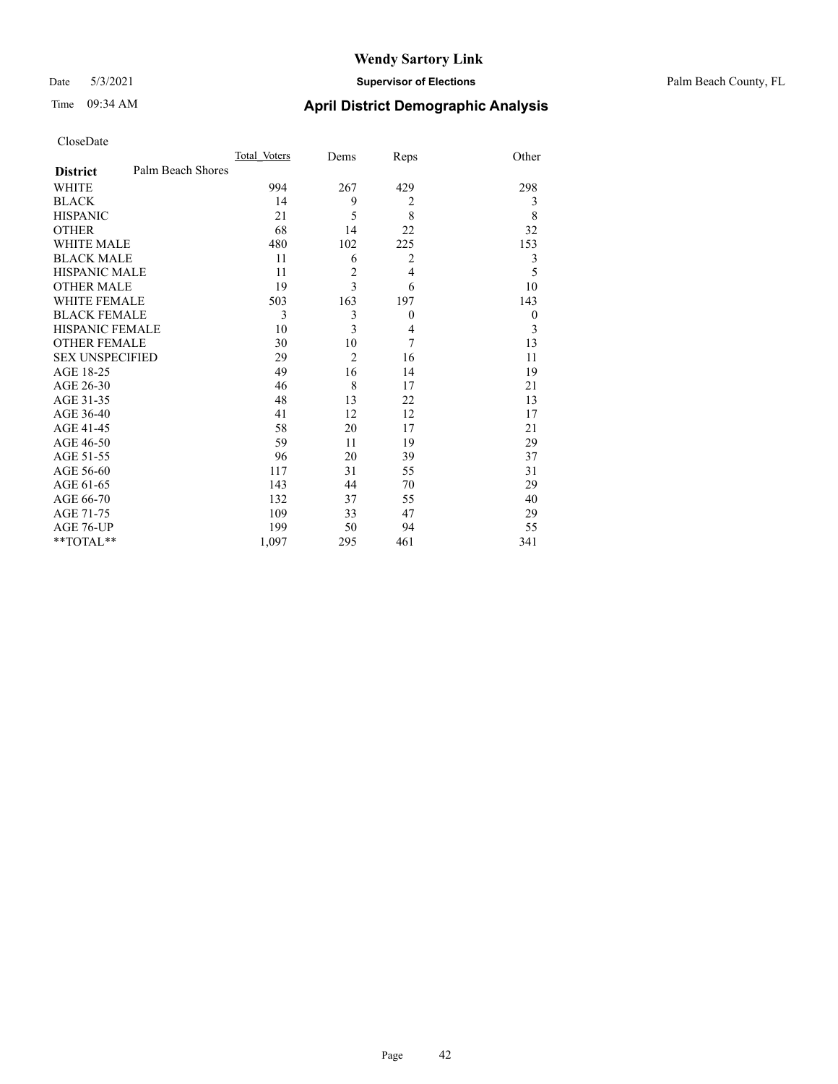#### Date 5/3/2021 **Supervisor of Elections** Palm Beach County, FL

## Time 09:34 AM **April District Demographic Analysis**

| CloseDate |
|-----------|
|-----------|

|                        |                   | Total Voters | Dems           | Reps           | Other    |
|------------------------|-------------------|--------------|----------------|----------------|----------|
| <b>District</b>        | Palm Beach Shores |              |                |                |          |
| WHITE                  |                   | 994          | 267            | 429            | 298      |
| BLACK                  |                   | 14           | 9              | 2              | 3        |
| <b>HISPANIC</b>        |                   | 21           | 5              | 8              | 8        |
| <b>OTHER</b>           |                   | 68           | 14             | 22             | 32       |
| WHITE MALE             |                   | 480          | 102            | 225            | 153      |
| <b>BLACK MALE</b>      |                   | 11           | 6              | $\overline{2}$ | 3        |
| HISPANIC MALE          |                   | 11           | $\overline{c}$ | $\overline{4}$ | 5        |
| OTHER MALE             |                   | 19           | 3              | 6              | 10       |
| WHITE FEMALE           |                   | 503          | 163            | 197            | 143      |
| <b>BLACK FEMALE</b>    |                   | 3            | 3              | $\mathbf{0}$   | $\theta$ |
| HISPANIC FEMALE        |                   | 10           | 3              | 4              | 3        |
| <b>OTHER FEMALE</b>    |                   | 30           | 10             | 7              | 13       |
| <b>SEX UNSPECIFIED</b> |                   | 29           | $\overline{2}$ | 16             | 11       |
| AGE 18-25              |                   | 49           | 16             | 14             | 19       |
| AGE 26-30              |                   | 46           | 8              | 17             | 21       |
| AGE 31-35              |                   | 48           | 13             | 22             | 13       |
| AGE 36-40              |                   | 41           | 12             | 12             | 17       |
| AGE 41-45              |                   | 58           | 20             | 17             | 21       |
| AGE 46-50              |                   | 59           | 11             | 19             | 29       |
| AGE 51-55              |                   | 96           | 20             | 39             | 37       |
| AGE 56-60              |                   | 117          | 31             | 55             | 31       |
| AGE 61-65              |                   | 143          | 44             | 70             | 29       |
| AGE 66-70              |                   | 132          | 37             | 55             | 40       |
| AGE 71-75              |                   | 109          | 33             | 47             | 29       |
| AGE 76-UP              |                   | 199          | 50             | 94             | 55       |
| $*$ $TOTAL**$          |                   | 1,097        | 295            | 461            | 341      |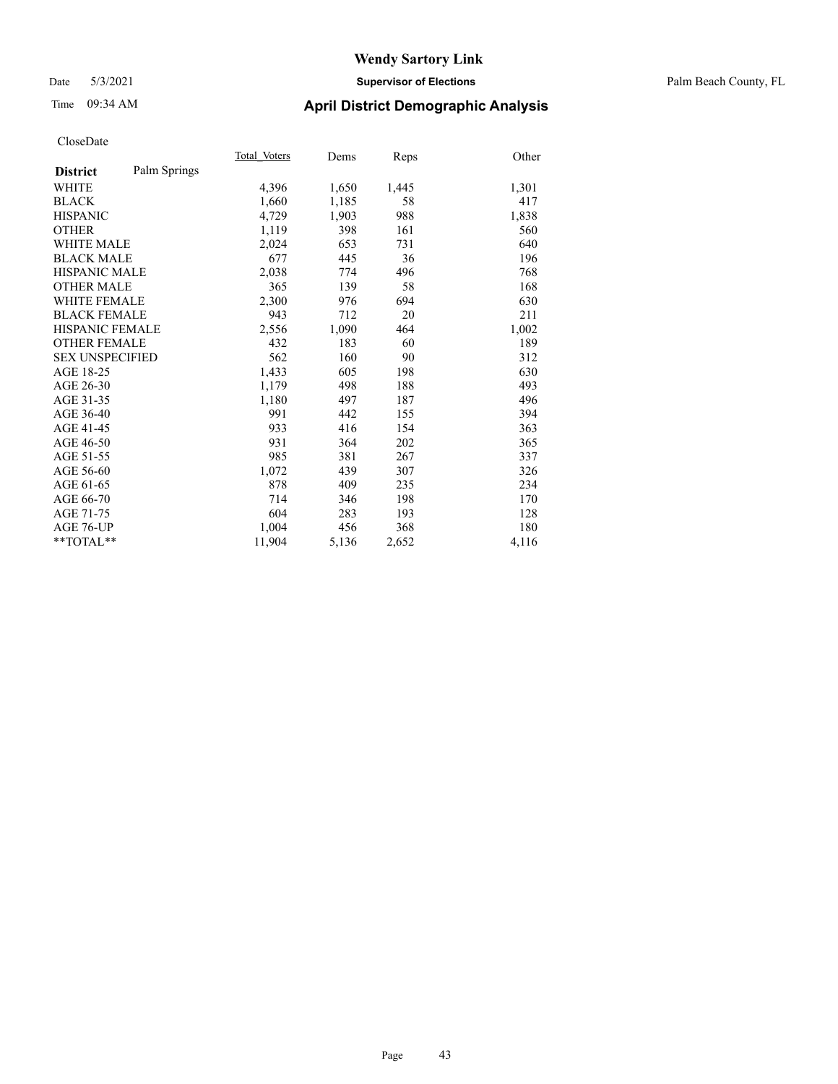#### Date 5/3/2021 **Supervisor of Elections** Palm Beach County, FL

### Time 09:34 AM **April District Demographic Analysis**

|                        |              | Total Voters | Dems  | Reps  | Other |
|------------------------|--------------|--------------|-------|-------|-------|
| <b>District</b>        | Palm Springs |              |       |       |       |
| <b>WHITE</b>           |              | 4,396        | 1,650 | 1,445 | 1,301 |
| <b>BLACK</b>           |              | 1,660        | 1,185 | 58    | 417   |
| <b>HISPANIC</b>        |              | 4,729        | 1,903 | 988   | 1,838 |
| <b>OTHER</b>           |              | 1,119        | 398   | 161   | 560   |
| WHITE MALE             |              | 2,024        | 653   | 731   | 640   |
| <b>BLACK MALE</b>      |              | 677          | 445   | 36    | 196   |
| <b>HISPANIC MALE</b>   |              | 2,038        | 774   | 496   | 768   |
| <b>OTHER MALE</b>      |              | 365          | 139   | 58    | 168   |
| WHITE FEMALE           |              | 2,300        | 976   | 694   | 630   |
| <b>BLACK FEMALE</b>    |              | 943          | 712   | 20    | 211   |
| <b>HISPANIC FEMALE</b> |              | 2,556        | 1,090 | 464   | 1,002 |
| <b>OTHER FEMALE</b>    |              | 432          | 183   | 60    | 189   |
| <b>SEX UNSPECIFIED</b> |              | 562          | 160   | 90    | 312   |
| AGE 18-25              |              | 1,433        | 605   | 198   | 630   |
| AGE 26-30              |              | 1,179        | 498   | 188   | 493   |
| AGE 31-35              |              | 1,180        | 497   | 187   | 496   |
| AGE 36-40              |              | 991          | 442   | 155   | 394   |
| AGE 41-45              |              | 933          | 416   | 154   | 363   |
| AGE 46-50              |              | 931          | 364   | 202   | 365   |
| AGE 51-55              |              | 985          | 381   | 267   | 337   |
| AGE 56-60              |              | 1,072        | 439   | 307   | 326   |
| AGE 61-65              |              | 878          | 409   | 235   | 234   |
| AGE 66-70              |              | 714          | 346   | 198   | 170   |
| AGE 71-75              |              | 604          | 283   | 193   | 128   |
| AGE 76-UP              |              | 1,004        | 456   | 368   | 180   |
| $*$ $TOTAL**$          |              | 11,904       | 5,136 | 2,652 | 4,116 |
|                        |              |              |       |       |       |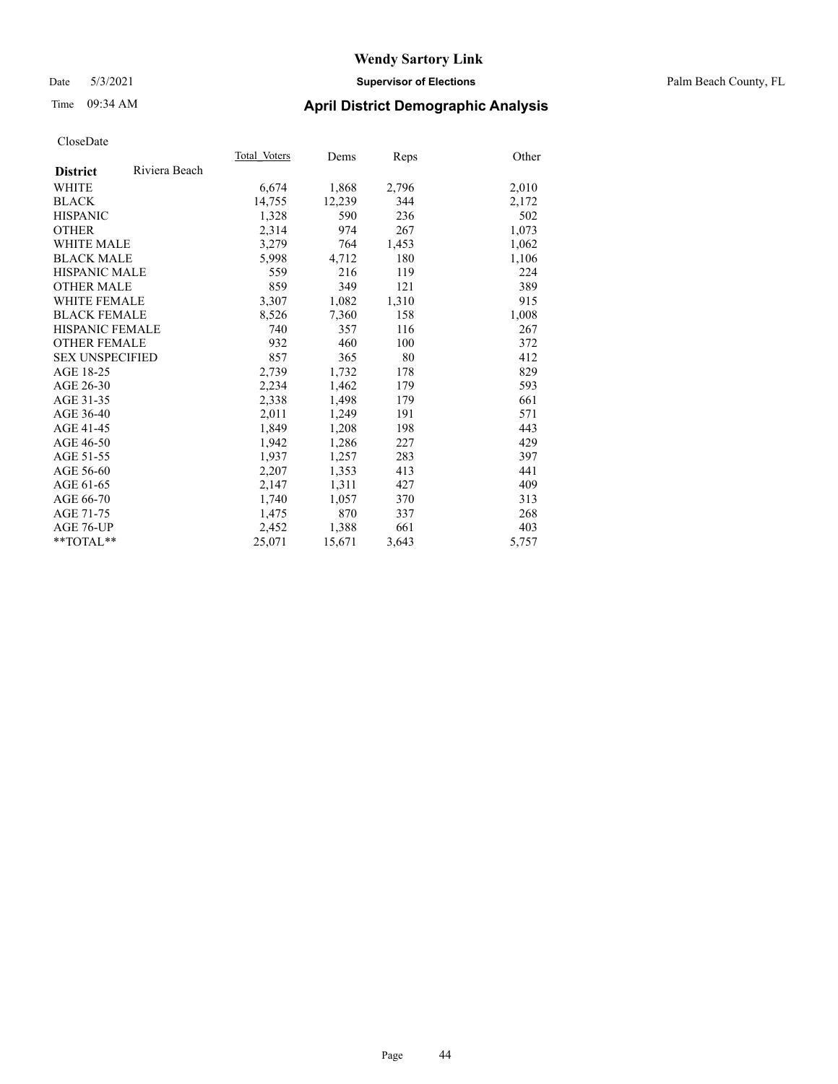#### Date 5/3/2021 **Supervisor of Elections** Palm Beach County, FL

### Time 09:34 AM **April District Demographic Analysis**

|                        |               | Total Voters | Dems   | Reps  | Other |
|------------------------|---------------|--------------|--------|-------|-------|
| <b>District</b>        | Riviera Beach |              |        |       |       |
| WHITE                  |               | 6,674        | 1,868  | 2,796 | 2,010 |
| <b>BLACK</b>           |               | 14,755       | 12,239 | 344   | 2,172 |
| <b>HISPANIC</b>        |               | 1,328        | 590    | 236   | 502   |
| <b>OTHER</b>           |               | 2,314        | 974    | 267   | 1,073 |
| <b>WHITE MALE</b>      |               | 3,279        | 764    | 1,453 | 1,062 |
| <b>BLACK MALE</b>      |               | 5,998        | 4,712  | 180   | 1,106 |
| <b>HISPANIC MALE</b>   |               | 559          | 216    | 119   | 224   |
| <b>OTHER MALE</b>      |               | 859          | 349    | 121   | 389   |
| WHITE FEMALE           |               | 3,307        | 1,082  | 1,310 | 915   |
| <b>BLACK FEMALE</b>    |               | 8,526        | 7,360  | 158   | 1,008 |
| <b>HISPANIC FEMALE</b> |               | 740          | 357    | 116   | 267   |
| <b>OTHER FEMALE</b>    |               | 932          | 460    | 100   | 372   |
| <b>SEX UNSPECIFIED</b> |               | 857          | 365    | 80    | 412   |
| AGE 18-25              |               | 2,739        | 1,732  | 178   | 829   |
| AGE 26-30              |               | 2,234        | 1,462  | 179   | 593   |
| AGE 31-35              |               | 2,338        | 1,498  | 179   | 661   |
| AGE 36-40              |               | 2,011        | 1,249  | 191   | 571   |
| AGE 41-45              |               | 1,849        | 1,208  | 198   | 443   |
| AGE 46-50              |               | 1,942        | 1,286  | 227   | 429   |
| AGE 51-55              |               | 1.937        | 1,257  | 283   | 397   |
| AGE 56-60              |               | 2,207        | 1,353  | 413   | 441   |
| AGE 61-65              |               | 2,147        | 1,311  | 427   | 409   |
| AGE 66-70              |               | 1,740        | 1,057  | 370   | 313   |
| AGE 71-75              |               | 1,475        | 870    | 337   | 268   |
| AGE 76-UP              |               | 2,452        | 1,388  | 661   | 403   |
| $*$ $TOTAL**$          |               | 25,071       | 15,671 | 3,643 | 5,757 |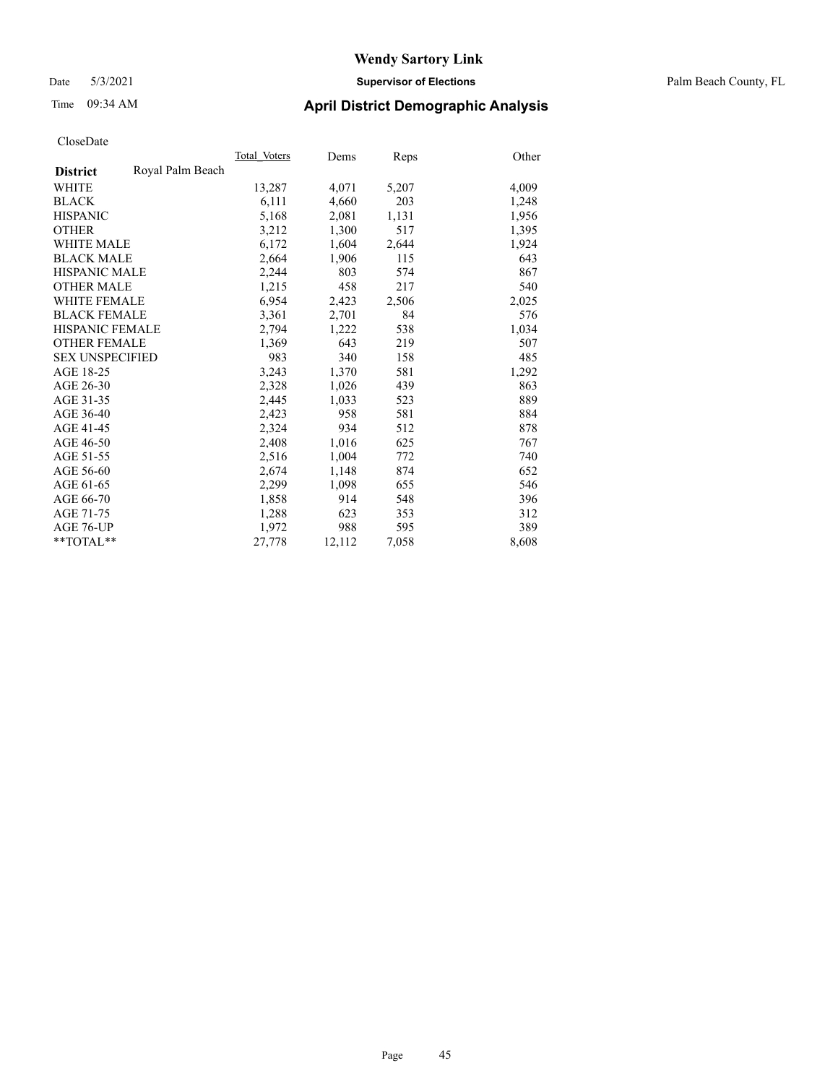#### Date 5/3/2021 **Supervisor of Elections** Palm Beach County, FL

### Time 09:34 AM **April District Demographic Analysis**

|                        |                  | Total Voters | Dems   | <b>Reps</b> | Other |
|------------------------|------------------|--------------|--------|-------------|-------|
| <b>District</b>        | Royal Palm Beach |              |        |             |       |
| WHITE                  |                  | 13,287       | 4,071  | 5,207       | 4,009 |
| <b>BLACK</b>           |                  | 6,111        | 4,660  | 203         | 1,248 |
| <b>HISPANIC</b>        |                  | 5,168        | 2,081  | 1,131       | 1,956 |
| <b>OTHER</b>           |                  | 3,212        | 1,300  | 517         | 1,395 |
| <b>WHITE MALE</b>      |                  | 6,172        | 1,604  | 2,644       | 1,924 |
| <b>BLACK MALE</b>      |                  | 2,664        | 1,906  | 115         | 643   |
| <b>HISPANIC MALE</b>   |                  | 2,244        | 803    | 574         | 867   |
| <b>OTHER MALE</b>      |                  | 1,215        | 458    | 217         | 540   |
| <b>WHITE FEMALE</b>    |                  | 6,954        | 2,423  | 2,506       | 2,025 |
| <b>BLACK FEMALE</b>    |                  | 3,361        | 2,701  | 84          | 576   |
| <b>HISPANIC FEMALE</b> |                  | 2,794        | 1,222  | 538         | 1,034 |
| <b>OTHER FEMALE</b>    |                  | 1,369        | 643    | 219         | 507   |
| <b>SEX UNSPECIFIED</b> |                  | 983          | 340    | 158         | 485   |
| AGE 18-25              |                  | 3,243        | 1,370  | 581         | 1,292 |
| AGE 26-30              |                  | 2,328        | 1,026  | 439         | 863   |
| AGE 31-35              |                  | 2,445        | 1,033  | 523         | 889   |
| AGE 36-40              |                  | 2,423        | 958    | 581         | 884   |
| AGE 41-45              |                  | 2,324        | 934    | 512         | 878   |
| AGE 46-50              |                  | 2,408        | 1,016  | 625         | 767   |
| AGE 51-55              |                  | 2,516        | 1,004  | 772         | 740   |
| AGE 56-60              |                  | 2,674        | 1,148  | 874         | 652   |
| AGE 61-65              |                  | 2,299        | 1,098  | 655         | 546   |
| AGE 66-70              |                  | 1,858        | 914    | 548         | 396   |
| AGE 71-75              |                  | 1,288        | 623    | 353         | 312   |
| AGE 76-UP              |                  | 1,972        | 988    | 595         | 389   |
| **TOTAL**              |                  | 27,778       | 12,112 | 7,058       | 8,608 |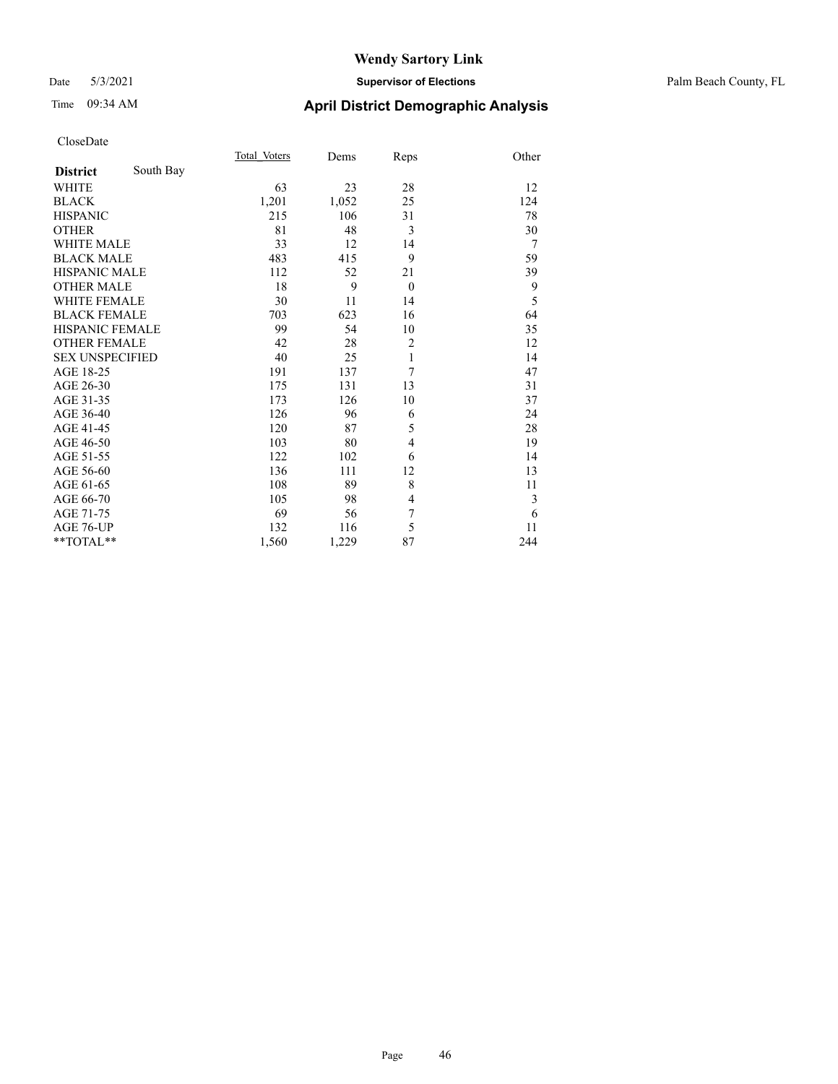## Time 09:34 AM **April District Demographic Analysis**

|                        |           | Total Voters | Dems  | Reps           | Other |
|------------------------|-----------|--------------|-------|----------------|-------|
| <b>District</b>        | South Bay |              |       |                |       |
| WHITE                  |           | 63           | 23    | 28             | 12    |
| <b>BLACK</b>           |           | 1,201        | 1,052 | 25             | 124   |
| <b>HISPANIC</b>        |           | 215          | 106   | 31             | 78    |
| <b>OTHER</b>           |           | 81           | 48    | 3              | 30    |
| <b>WHITE MALE</b>      |           | 33           | 12    | 14             | 7     |
| <b>BLACK MALE</b>      |           | 483          | 415   | 9              | 59    |
| <b>HISPANIC MALE</b>   |           | 112          | 52    | 21             | 39    |
| <b>OTHER MALE</b>      |           | 18           | 9     | $\theta$       | 9     |
| <b>WHITE FEMALE</b>    |           | 30           | 11    | 14             | 5     |
| <b>BLACK FEMALE</b>    |           | 703          | 623   | 16             | 64    |
| HISPANIC FEMALE        |           | 99           | 54    | 10             | 35    |
| <b>OTHER FEMALE</b>    |           | 42           | 28    | $\overline{2}$ | 12    |
| <b>SEX UNSPECIFIED</b> |           | 40           | 25    | 1              | 14    |
| AGE 18-25              |           | 191          | 137   | 7              | 47    |
| AGE 26-30              |           | 175          | 131   | 13             | 31    |
| AGE 31-35              |           | 173          | 126   | 10             | 37    |
| AGE 36-40              |           | 126          | 96    | 6              | 24    |
| AGE 41-45              |           | 120          | 87    | 5              | 28    |
| AGE 46-50              |           | 103          | 80    | 4              | 19    |
| AGE 51-55              |           | 122          | 102   | 6              | 14    |
| AGE 56-60              |           | 136          | 111   | 12             | 13    |
| AGE 61-65              |           | 108          | 89    | 8              | 11    |
| AGE 66-70              |           | 105          | 98    | 4              | 3     |
| AGE 71-75              |           | 69           | 56    | 7              | 6     |
| AGE 76-UP              |           | 132          | 116   | 5              | 11    |
| **TOTAL**              |           | 1,560        | 1,229 | 87             | 244   |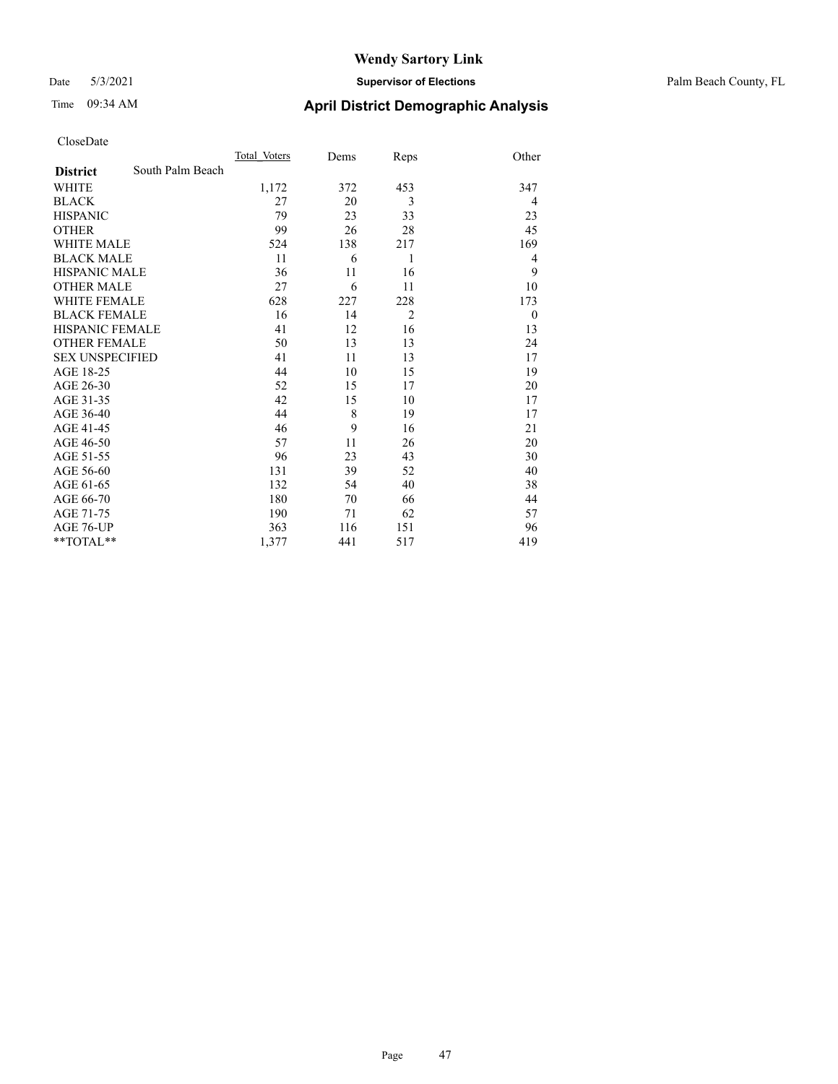#### Date 5/3/2021 **Supervisor of Elections** Palm Beach County, FL

## Time 09:34 AM **April District Demographic Analysis**

|                        |                  | Total Voters | Dems | Reps           | Other    |
|------------------------|------------------|--------------|------|----------------|----------|
| <b>District</b>        | South Palm Beach |              |      |                |          |
| <b>WHITE</b>           |                  | 1,172        | 372  | 453            | 347      |
| <b>BLACK</b>           |                  | 27           | 20   | 3              | 4        |
| <b>HISPANIC</b>        |                  | 79           | 23   | 33             | 23       |
| <b>OTHER</b>           |                  | 99           | 26   | 28             | 45       |
| <b>WHITE MALE</b>      |                  | 524          | 138  | 217            | 169      |
| <b>BLACK MALE</b>      |                  | 11           | 6    | 1              | 4        |
| <b>HISPANIC MALE</b>   |                  | 36           | 11   | 16             | 9        |
| <b>OTHER MALE</b>      |                  | 27           | 6    | 11             | 10       |
| <b>WHITE FEMALE</b>    |                  | 628          | 227  | 228            | 173      |
| <b>BLACK FEMALE</b>    |                  | 16           | 14   | $\overline{2}$ | $\theta$ |
| HISPANIC FEMALE        |                  | 41           | 12   | 16             | 13       |
| <b>OTHER FEMALE</b>    |                  | 50           | 13   | 13             | 24       |
| <b>SEX UNSPECIFIED</b> |                  | 41           | 11   | 13             | 17       |
| AGE 18-25              |                  | 44           | 10   | 15             | 19       |
| AGE 26-30              |                  | 52           | 15   | 17             | 20       |
| AGE 31-35              |                  | 42           | 15   | 10             | 17       |
| AGE 36-40              |                  | 44           | 8    | 19             | 17       |
| AGE 41-45              |                  | 46           | 9    | 16             | 21       |
| AGE 46-50              |                  | 57           | 11   | 26             | 20       |
| AGE 51-55              |                  | 96           | 23   | 43             | 30       |
| AGE 56-60              |                  | 131          | 39   | 52             | 40       |
| AGE 61-65              |                  | 132          | 54   | 40             | 38       |
| AGE 66-70              |                  | 180          | 70   | 66             | 44       |
| AGE 71-75              |                  | 190          | 71   | 62             | 57       |
| AGE 76-UP              |                  | 363          | 116  | 151            | 96       |
| $*$ $TOTAL**$          |                  | 1,377        | 441  | 517            | 419      |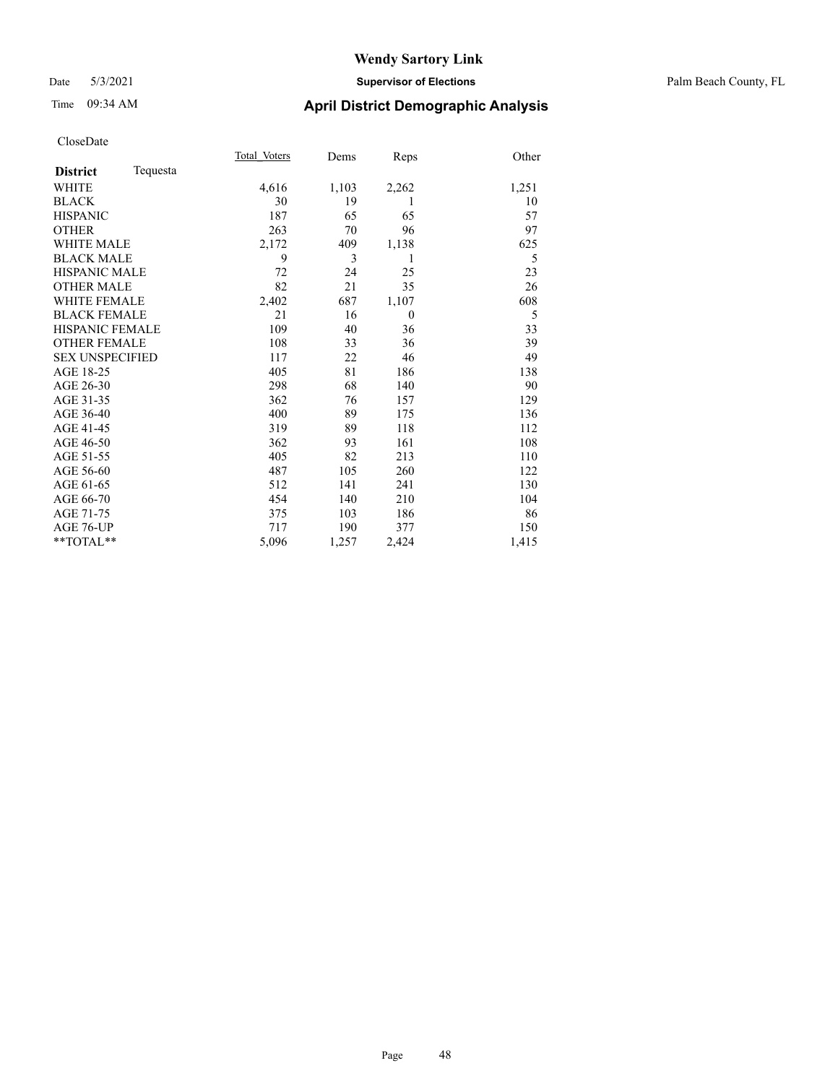#### Date 5/3/2021 **Supervisor of Elections** Palm Beach County, FL

## Time 09:34 AM **April District Demographic Analysis**

|                        |          | Total Voters | Dems  | Reps     | Other |
|------------------------|----------|--------------|-------|----------|-------|
| <b>District</b>        | Tequesta |              |       |          |       |
| <b>WHITE</b>           |          | 4,616        | 1,103 | 2,262    | 1,251 |
| <b>BLACK</b>           |          | 30           | 19    | 1        | 10    |
| <b>HISPANIC</b>        |          | 187          | 65    | 65       | 57    |
| <b>OTHER</b>           |          | 263          | 70    | 96       | 97    |
| <b>WHITE MALE</b>      |          | 2,172        | 409   | 1,138    | 625   |
| <b>BLACK MALE</b>      |          | 9            | 3     | 1        | 5     |
| <b>HISPANIC MALE</b>   |          | 72           | 24    | 25       | 23    |
| <b>OTHER MALE</b>      |          | 82           | 21    | 35       | 26    |
| <b>WHITE FEMALE</b>    |          | 2,402        | 687   | 1,107    | 608   |
| <b>BLACK FEMALE</b>    |          | 21           | 16    | $\theta$ | 5     |
| HISPANIC FEMALE        |          | 109          | 40    | 36       | 33    |
| <b>OTHER FEMALE</b>    |          | 108          | 33    | 36       | 39    |
| <b>SEX UNSPECIFIED</b> |          | 117          | 22    | 46       | 49    |
| AGE 18-25              |          | 405          | 81    | 186      | 138   |
| AGE 26-30              |          | 298          | 68    | 140      | 90    |
| AGE 31-35              |          | 362          | 76    | 157      | 129   |
| AGE 36-40              |          | 400          | 89    | 175      | 136   |
| AGE 41-45              |          | 319          | 89    | 118      | 112   |
| AGE 46-50              |          | 362          | 93    | 161      | 108   |
| AGE 51-55              |          | 405          | 82    | 213      | 110   |
| AGE 56-60              |          | 487          | 105   | 260      | 122   |
| AGE 61-65              |          | 512          | 141   | 241      | 130   |
| AGE 66-70              |          | 454          | 140   | 210      | 104   |
| AGE 71-75              |          | 375          | 103   | 186      | 86    |
| AGE 76-UP              |          | 717          | 190   | 377      | 150   |
| **TOTAL**              |          | 5,096        | 1,257 | 2,424    | 1,415 |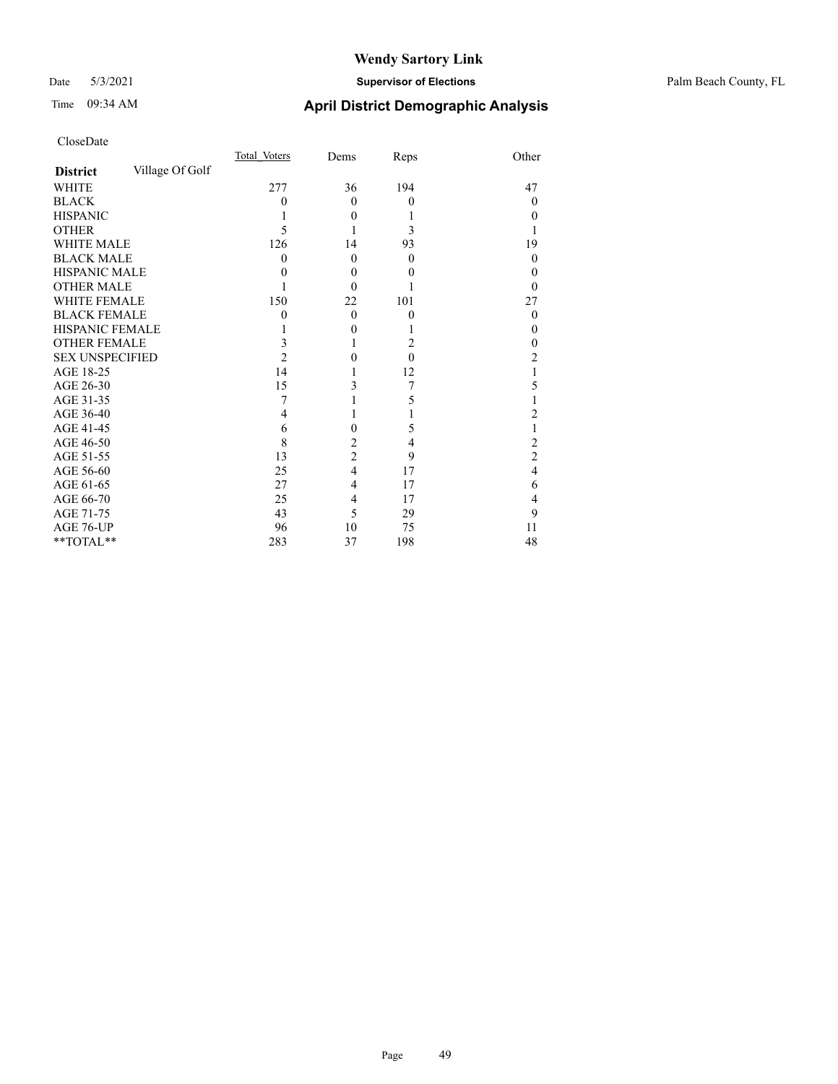#### Date 5/3/2021 **Supervisor of Elections** Palm Beach County, FL

## Time 09:34 AM **April District Demographic Analysis**

|                        |                 | Total Voters | Dems           | Reps         | Other            |
|------------------------|-----------------|--------------|----------------|--------------|------------------|
| <b>District</b>        | Village Of Golf |              |                |              |                  |
| <b>WHITE</b>           |                 | 277          | 36             | 194          | 47               |
| <b>BLACK</b>           |                 | 0            | $\Omega$       | $\mathbf{0}$ | $\theta$         |
| <b>HISPANIC</b>        |                 |              | $\theta$       |              | 0                |
| <b>OTHER</b>           |                 | 5            |                | 3            |                  |
| <b>WHITE MALE</b>      |                 | 126          | 14             | 93           | 19               |
| <b>BLACK MALE</b>      |                 | $\theta$     | $\theta$       | $\theta$     | 0                |
| <b>HISPANIC MALE</b>   |                 | 0            | $\theta$       | 0            | $_{0}$           |
| <b>OTHER MALE</b>      |                 |              | $\Omega$       |              | 0                |
| WHITE FEMALE           |                 | 150          | 22             | 101          | 27               |
| <b>BLACK FEMALE</b>    |                 | 0            | $\theta$       | $\mathbf{0}$ | $\boldsymbol{0}$ |
| HISPANIC FEMALE        |                 |              | $\theta$       |              | $\theta$         |
| <b>OTHER FEMALE</b>    |                 | 3            | 1              | 2            | 0                |
| <b>SEX UNSPECIFIED</b> |                 | 2            | $\theta$       | $\theta$     | 2                |
| AGE 18-25              |                 | 14           |                | 12           |                  |
| AGE 26-30              |                 | 15           | 3              | 7            | 5                |
| AGE 31-35              |                 | 7            |                | 5            |                  |
| AGE 36-40              |                 | 4            | 1              |              | 2                |
| AGE 41-45              |                 | 6            | $\theta$       | 5            |                  |
| AGE 46-50              |                 | 8            | $\overline{2}$ | 4            | 2                |
| AGE 51-55              |                 | 13           | $\overline{2}$ | 9            | $\overline{c}$   |
| AGE 56-60              |                 | 25           | $\overline{4}$ | 17           | 4                |
| AGE 61-65              |                 | 27           | 4              | 17           | 6                |
| AGE 66-70              |                 | 25           | 4              | 17           | 4                |
| AGE 71-75              |                 | 43           | 5              | 29           | 9                |
| AGE 76-UP              |                 | 96           | 10             | 75           | 11               |
| **TOTAL**              |                 | 283          | 37             | 198          | 48               |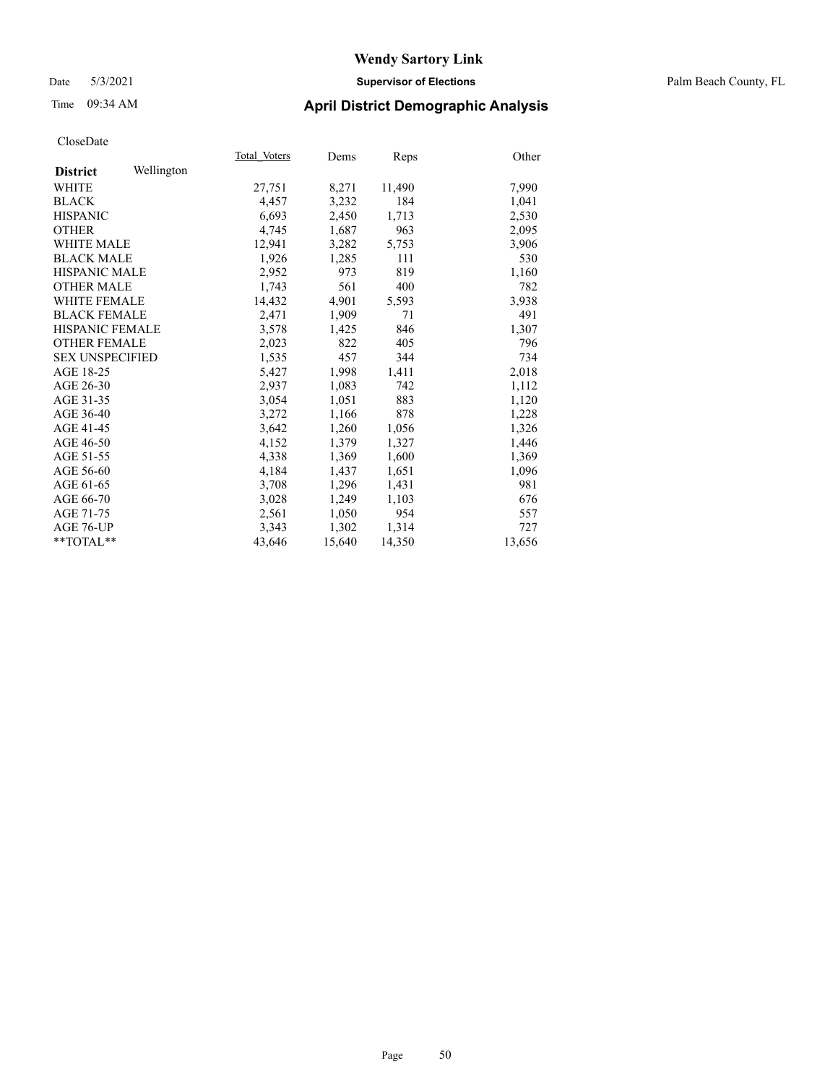## Time 09:34 AM **April District Demographic Analysis**

|                        |            | Total Voters | Dems   | Reps   | Other  |
|------------------------|------------|--------------|--------|--------|--------|
| <b>District</b>        | Wellington |              |        |        |        |
| WHITE                  |            | 27,751       | 8,271  | 11,490 | 7,990  |
| <b>BLACK</b>           |            | 4,457        | 3,232  | 184    | 1,041  |
| <b>HISPANIC</b>        |            | 6,693        | 2,450  | 1,713  | 2,530  |
| <b>OTHER</b>           |            | 4,745        | 1,687  | 963    | 2,095  |
| <b>WHITE MALE</b>      |            | 12,941       | 3,282  | 5,753  | 3,906  |
| <b>BLACK MALE</b>      |            | 1,926        | 1,285  | 111    | 530    |
| <b>HISPANIC MALE</b>   |            | 2,952        | 973    | 819    | 1,160  |
| <b>OTHER MALE</b>      |            | 1,743        | 561    | 400    | 782    |
| <b>WHITE FEMALE</b>    |            | 14,432       | 4,901  | 5,593  | 3,938  |
| <b>BLACK FEMALE</b>    |            | 2,471        | 1,909  | 71     | 491    |
| <b>HISPANIC FEMALE</b> |            | 3,578        | 1,425  | 846    | 1,307  |
| <b>OTHER FEMALE</b>    |            | 2,023        | 822    | 405    | 796    |
| <b>SEX UNSPECIFIED</b> |            | 1,535        | 457    | 344    | 734    |
| AGE 18-25              |            | 5,427        | 1,998  | 1,411  | 2,018  |
| AGE 26-30              |            | 2,937        | 1,083  | 742    | 1,112  |
| AGE 31-35              |            | 3,054        | 1,051  | 883    | 1,120  |
| AGE 36-40              |            | 3,272        | 1,166  | 878    | 1,228  |
| AGE 41-45              |            | 3,642        | 1,260  | 1,056  | 1,326  |
| AGE 46-50              |            | 4,152        | 1,379  | 1,327  | 1,446  |
| AGE 51-55              |            | 4,338        | 1,369  | 1,600  | 1,369  |
| AGE 56-60              |            | 4,184        | 1,437  | 1,651  | 1,096  |
| AGE 61-65              |            | 3,708        | 1,296  | 1,431  | 981    |
| AGE 66-70              |            | 3,028        | 1,249  | 1,103  | 676    |
| AGE 71-75              |            | 2,561        | 1,050  | 954    | 557    |
| AGE 76-UP              |            | 3,343        | 1,302  | 1,314  | 727    |
| $*$ $TOTAL**$          |            | 43,646       | 15,640 | 14,350 | 13,656 |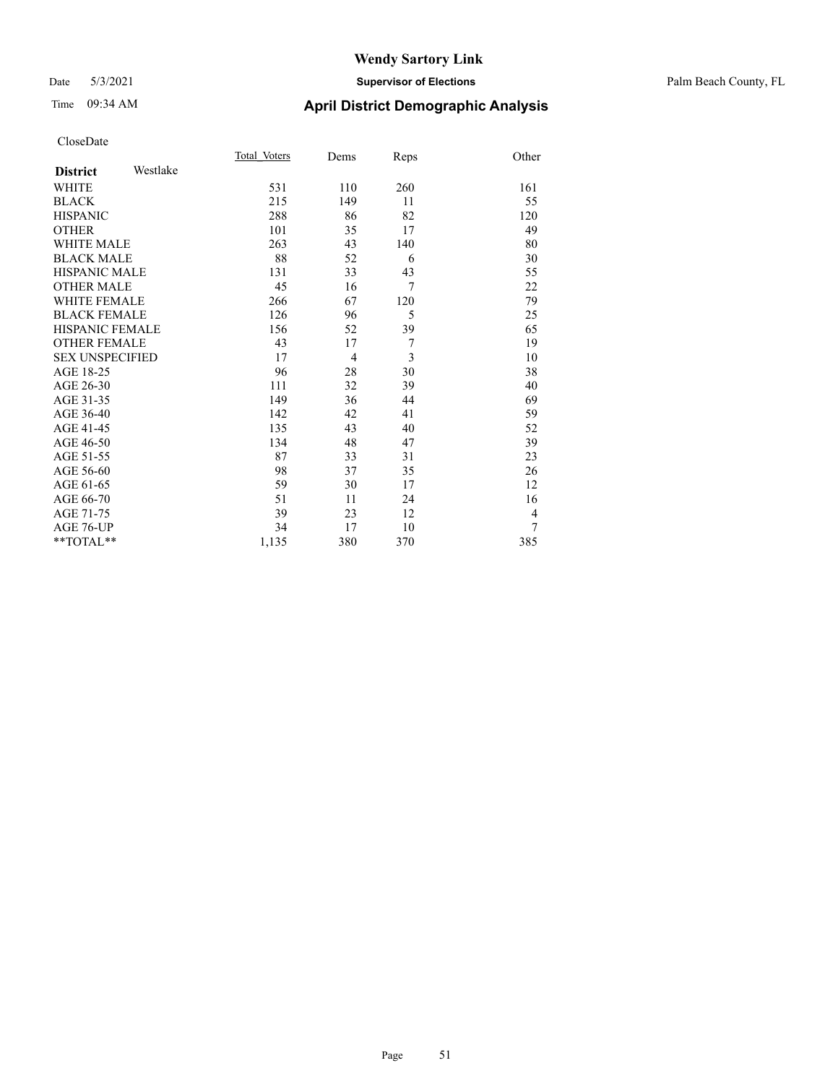#### Date 5/3/2021 **Supervisor of Elections** Palm Beach County, FL

## Time 09:34 AM **April District Demographic Analysis**

|                        |          | Total Voters | Dems           | Reps | Other          |
|------------------------|----------|--------------|----------------|------|----------------|
| <b>District</b>        | Westlake |              |                |      |                |
| <b>WHITE</b>           |          | 531          | 110            | 260  | 161            |
| <b>BLACK</b>           |          | 215          | 149            | 11   | 55             |
| <b>HISPANIC</b>        |          | 288          | 86             | 82   | 120            |
| <b>OTHER</b>           |          | 101          | 35             | 17   | 49             |
| WHITE MALE             |          | 263          | 43             | 140  | 80             |
| <b>BLACK MALE</b>      |          | 88           | 52             | 6    | 30             |
| <b>HISPANIC MALE</b>   |          | 131          | 33             | 43   | 55             |
| <b>OTHER MALE</b>      |          | 45           | 16             | 7    | 22             |
| <b>WHITE FEMALE</b>    |          | 266          | 67             | 120  | 79             |
| <b>BLACK FEMALE</b>    |          | 126          | 96             | 5    | 25             |
| <b>HISPANIC FEMALE</b> |          | 156          | 52             | 39   | 65             |
| <b>OTHER FEMALE</b>    |          | 43           | 17             | 7    | 19             |
| <b>SEX UNSPECIFIED</b> |          | 17           | $\overline{4}$ | 3    | 10             |
| AGE 18-25              |          | 96           | 28             | 30   | 38             |
| AGE 26-30              |          | 111          | 32             | 39   | 40             |
| AGE 31-35              |          | 149          | 36             | 44   | 69             |
| AGE 36-40              |          | 142          | 42             | 41   | 59             |
| AGE 41-45              |          | 135          | 43             | 40   | 52             |
| AGE 46-50              |          | 134          | 48             | 47   | 39             |
| AGE 51-55              |          | 87           | 33             | 31   | 23             |
| AGE 56-60              |          | 98           | 37             | 35   | 26             |
| AGE 61-65              |          | 59           | 30             | 17   | 12             |
| AGE 66-70              |          | 51           | 11             | 24   | 16             |
| AGE 71-75              |          | 39           | 23             | 12   | $\overline{4}$ |
| AGE 76-UP              |          | 34           | 17             | 10   | 7              |
| $*$ $TOTAL**$          |          | 1,135        | 380            | 370  | 385            |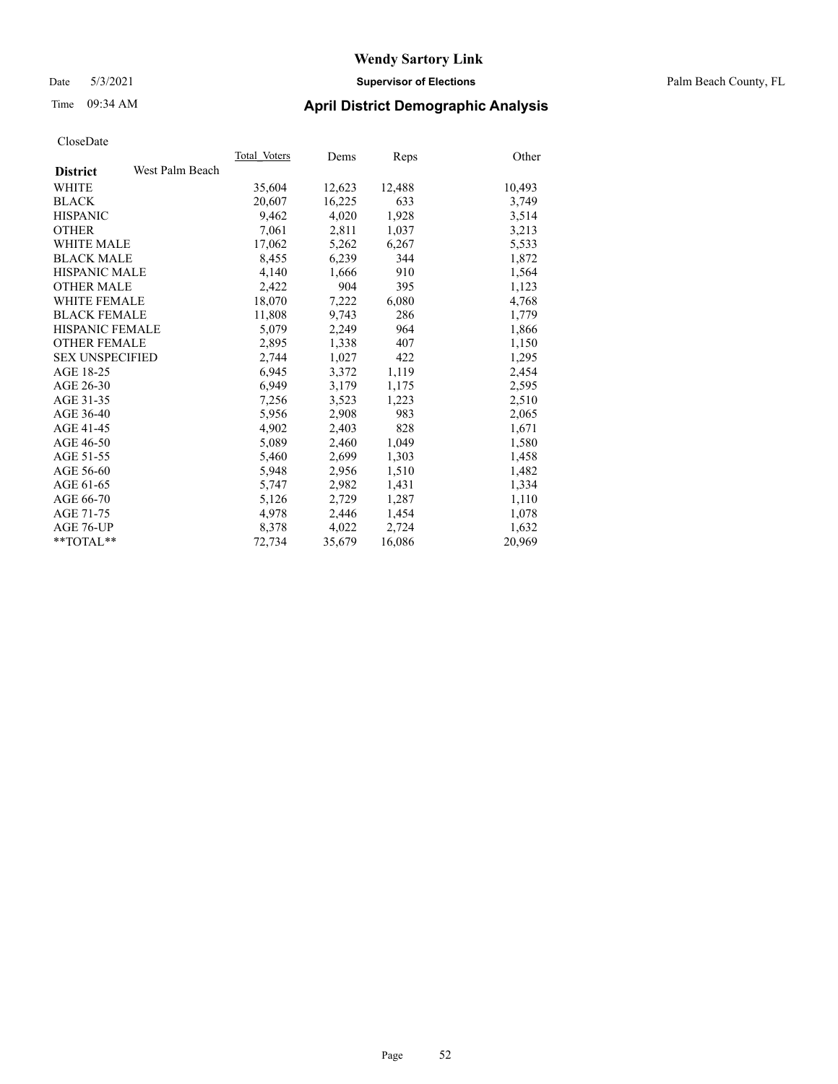#### Date 5/3/2021 **Supervisor of Elections** Palm Beach County, FL

### Time 09:34 AM **April District Demographic Analysis**

|                        |                 | Total Voters | Dems   | <b>Reps</b> | Other  |
|------------------------|-----------------|--------------|--------|-------------|--------|
| <b>District</b>        | West Palm Beach |              |        |             |        |
| WHITE                  |                 | 35,604       | 12,623 | 12,488      | 10,493 |
| <b>BLACK</b>           |                 | 20,607       | 16,225 | 633         | 3,749  |
| <b>HISPANIC</b>        |                 | 9,462        | 4,020  | 1,928       | 3,514  |
| <b>OTHER</b>           |                 | 7,061        | 2,811  | 1,037       | 3,213  |
| <b>WHITE MALE</b>      |                 | 17,062       | 5,262  | 6,267       | 5,533  |
| <b>BLACK MALE</b>      |                 | 8,455        | 6,239  | 344         | 1,872  |
| <b>HISPANIC MALE</b>   |                 | 4,140        | 1,666  | 910         | 1,564  |
| <b>OTHER MALE</b>      |                 | 2,422        | 904    | 395         | 1,123  |
| <b>WHITE FEMALE</b>    |                 | 18,070       | 7,222  | 6,080       | 4,768  |
| <b>BLACK FEMALE</b>    |                 | 11,808       | 9,743  | 286         | 1,779  |
| <b>HISPANIC FEMALE</b> |                 | 5,079        | 2,249  | 964         | 1,866  |
| <b>OTHER FEMALE</b>    |                 | 2,895        | 1,338  | 407         | 1,150  |
| <b>SEX UNSPECIFIED</b> |                 | 2,744        | 1,027  | 422         | 1,295  |
| AGE 18-25              |                 | 6,945        | 3,372  | 1,119       | 2,454  |
| AGE 26-30              |                 | 6,949        | 3,179  | 1,175       | 2,595  |
| AGE 31-35              |                 | 7,256        | 3,523  | 1,223       | 2,510  |
| AGE 36-40              |                 | 5,956        | 2,908  | 983         | 2,065  |
| AGE 41-45              |                 | 4,902        | 2,403  | 828         | 1,671  |
| AGE 46-50              |                 | 5,089        | 2,460  | 1,049       | 1,580  |
| AGE 51-55              |                 | 5,460        | 2,699  | 1,303       | 1,458  |
| AGE 56-60              |                 | 5,948        | 2,956  | 1,510       | 1,482  |
| AGE 61-65              |                 | 5,747        | 2,982  | 1,431       | 1,334  |
| AGE 66-70              |                 | 5,126        | 2,729  | 1,287       | 1,110  |
| AGE 71-75              |                 | 4,978        | 2,446  | 1,454       | 1,078  |
| AGE 76-UP              |                 | 8,378        | 4,022  | 2,724       | 1,632  |
| $*$ $TOTAL**$          |                 | 72.734       | 35,679 | 16,086      | 20,969 |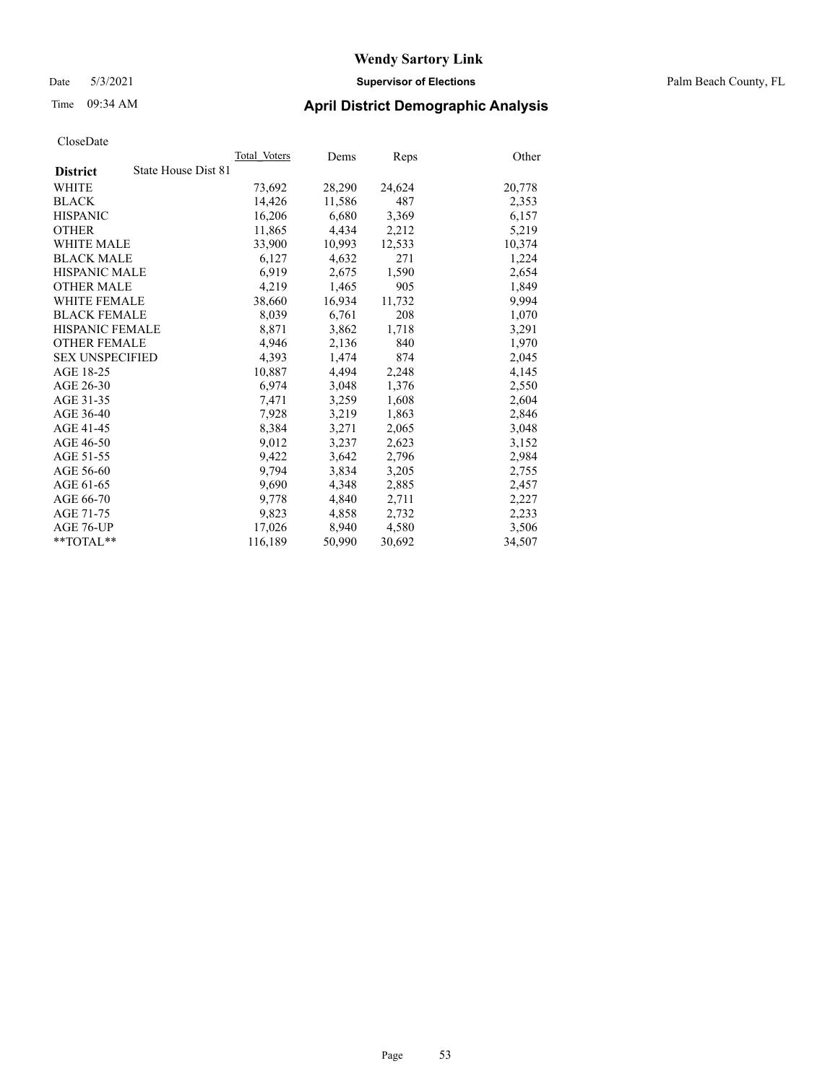#### Date 5/3/2021 **Supervisor of Elections** Palm Beach County, FL

### Time 09:34 AM **April District Demographic Analysis**

|                        |                     | Total Voters | Dems   | Reps   | Other  |
|------------------------|---------------------|--------------|--------|--------|--------|
| <b>District</b>        | State House Dist 81 |              |        |        |        |
| WHITE                  |                     | 73,692       | 28,290 | 24,624 | 20,778 |
| <b>BLACK</b>           |                     | 14,426       | 11,586 | 487    | 2,353  |
| <b>HISPANIC</b>        |                     | 16,206       | 6,680  | 3,369  | 6,157  |
| <b>OTHER</b>           |                     | 11,865       | 4,434  | 2,212  | 5,219  |
| <b>WHITE MALE</b>      |                     | 33,900       | 10,993 | 12,533 | 10,374 |
| <b>BLACK MALE</b>      |                     | 6,127        | 4,632  | 271    | 1,224  |
| <b>HISPANIC MALE</b>   |                     | 6,919        | 2,675  | 1,590  | 2,654  |
| <b>OTHER MALE</b>      |                     | 4,219        | 1,465  | 905    | 1,849  |
| <b>WHITE FEMALE</b>    |                     | 38,660       | 16,934 | 11,732 | 9,994  |
| <b>BLACK FEMALE</b>    |                     | 8,039        | 6,761  | 208    | 1,070  |
| <b>HISPANIC FEMALE</b> |                     | 8,871        | 3,862  | 1,718  | 3,291  |
| <b>OTHER FEMALE</b>    |                     | 4,946        | 2,136  | 840    | 1,970  |
| <b>SEX UNSPECIFIED</b> |                     | 4,393        | 1,474  | 874    | 2,045  |
| AGE 18-25              |                     | 10,887       | 4,494  | 2,248  | 4,145  |
| AGE 26-30              |                     | 6,974        | 3,048  | 1,376  | 2,550  |
| AGE 31-35              |                     | 7,471        | 3,259  | 1,608  | 2,604  |
| AGE 36-40              |                     | 7,928        | 3,219  | 1,863  | 2,846  |
| AGE 41-45              |                     | 8,384        | 3,271  | 2,065  | 3,048  |
| AGE 46-50              |                     | 9,012        | 3,237  | 2,623  | 3,152  |
| AGE 51-55              |                     | 9,422        | 3,642  | 2,796  | 2,984  |
| AGE 56-60              |                     | 9,794        | 3,834  | 3,205  | 2,755  |
| AGE 61-65              |                     | 9.690        | 4,348  | 2,885  | 2,457  |
| AGE 66-70              |                     | 9,778        | 4,840  | 2,711  | 2,227  |
| AGE 71-75              |                     | 9,823        | 4,858  | 2,732  | 2,233  |
| AGE 76-UP              |                     | 17.026       | 8,940  | 4,580  | 3,506  |
| **TOTAL**              |                     | 116,189      | 50,990 | 30,692 | 34,507 |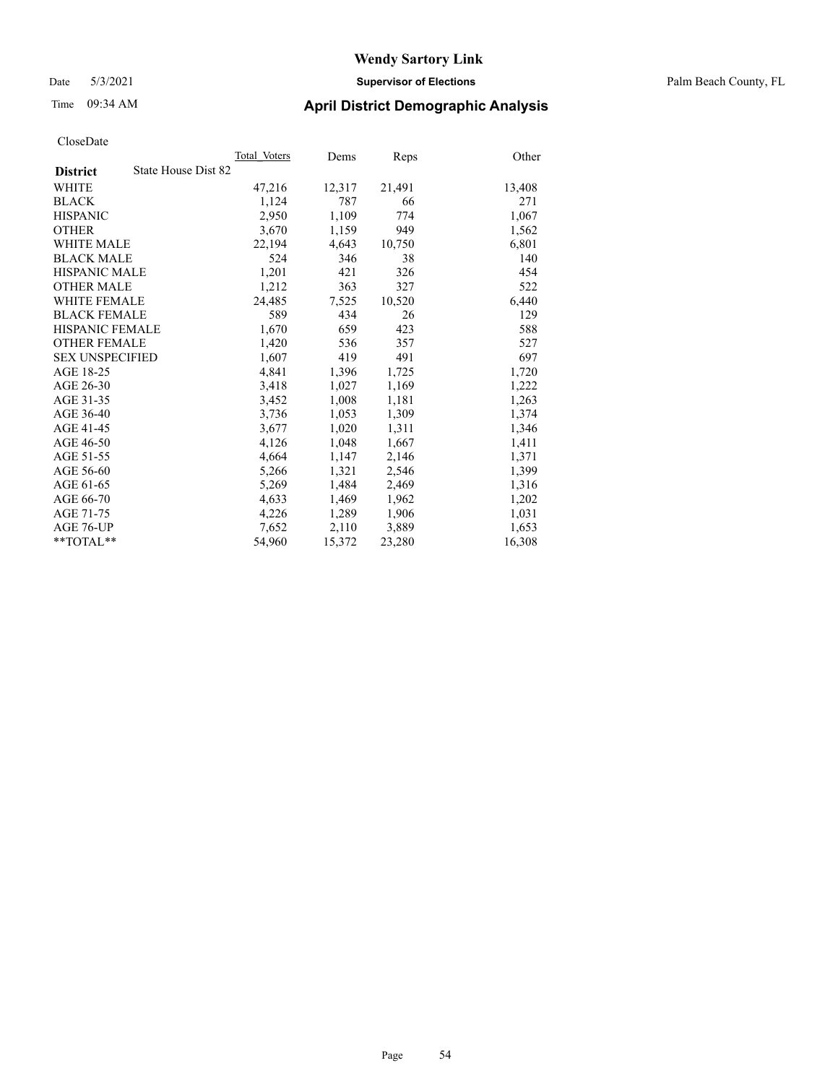Date 5/3/2021 **Supervisor of Elections** Palm Beach County, FL

### Time 09:34 AM **April District Demographic Analysis**

|                                        | Total Voters | Dems   | Reps   | Other  |
|----------------------------------------|--------------|--------|--------|--------|
| State House Dist 82<br><b>District</b> |              |        |        |        |
| WHITE                                  | 47,216       | 12,317 | 21,491 | 13,408 |
| <b>BLACK</b>                           | 1,124        | 787    | 66     | 271    |
| <b>HISPANIC</b>                        | 2.950        | 1,109  | 774    | 1,067  |
| <b>OTHER</b>                           | 3,670        | 1,159  | 949    | 1,562  |
| <b>WHITE MALE</b>                      | 22,194       | 4,643  | 10,750 | 6,801  |
| <b>BLACK MALE</b>                      | 524          | 346    | 38     | 140    |
| <b>HISPANIC MALE</b>                   | 1,201        | 421    | 326    | 454    |
| <b>OTHER MALE</b>                      | 1,212        | 363    | 327    | 522    |
| <b>WHITE FEMALE</b>                    | 24.485       | 7,525  | 10,520 | 6,440  |
| <b>BLACK FEMALE</b>                    | 589          | 434    | 26     | 129    |
| <b>HISPANIC FEMALE</b>                 | 1,670        | 659    | 423    | 588    |
| <b>OTHER FEMALE</b>                    | 1,420        | 536    | 357    | 527    |
| <b>SEX UNSPECIFIED</b>                 | 1,607        | 419    | 491    | 697    |
| AGE 18-25                              | 4,841        | 1,396  | 1,725  | 1,720  |
| AGE 26-30                              | 3,418        | 1,027  | 1,169  | 1,222  |
| AGE 31-35                              | 3,452        | 1,008  | 1,181  | 1,263  |
| AGE 36-40                              | 3,736        | 1,053  | 1,309  | 1,374  |
| AGE 41-45                              | 3,677        | 1,020  | 1,311  | 1,346  |
| AGE 46-50                              | 4,126        | 1,048  | 1,667  | 1,411  |
| AGE 51-55                              | 4,664        | 1,147  | 2,146  | 1,371  |
| AGE 56-60                              | 5,266        | 1,321  | 2,546  | 1,399  |
| AGE 61-65                              | 5,269        | 1,484  | 2,469  | 1,316  |
| AGE 66-70                              | 4,633        | 1,469  | 1,962  | 1,202  |
| AGE 71-75                              | 4,226        | 1,289  | 1,906  | 1,031  |
| AGE 76-UP                              | 7.652        | 2,110  | 3,889  | 1,653  |
| $*$ $TOTAL**$                          | 54,960       | 15,372 | 23,280 | 16,308 |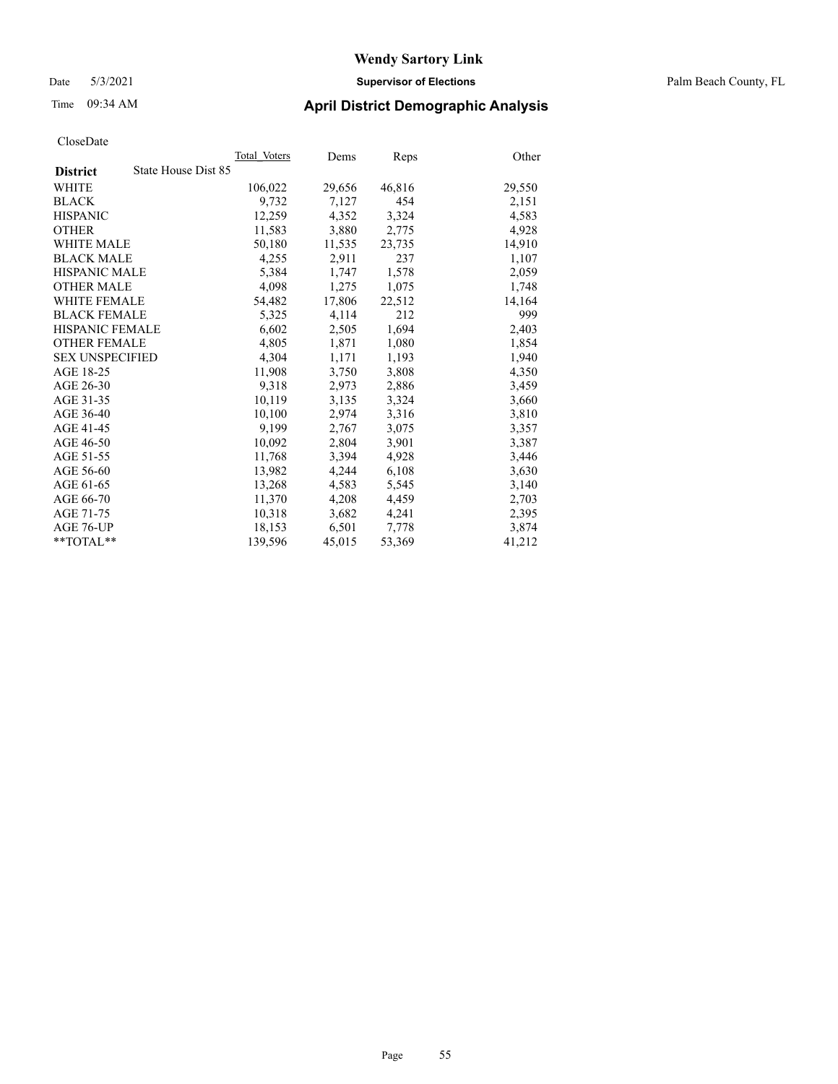#### Date 5/3/2021 **Supervisor of Elections** Palm Beach County, FL

### Time 09:34 AM **April District Demographic Analysis**

|                                        | Total Voters | Dems   | <b>Reps</b> | Other  |
|----------------------------------------|--------------|--------|-------------|--------|
| State House Dist 85<br><b>District</b> |              |        |             |        |
| WHITE                                  | 106,022      | 29,656 | 46,816      | 29,550 |
| <b>BLACK</b>                           | 9,732        | 7,127  | 454         | 2,151  |
| <b>HISPANIC</b>                        | 12,259       | 4,352  | 3,324       | 4,583  |
| <b>OTHER</b>                           | 11,583       | 3,880  | 2,775       | 4,928  |
| <b>WHITE MALE</b>                      | 50,180       | 11,535 | 23,735      | 14,910 |
| <b>BLACK MALE</b>                      | 4,255        | 2,911  | 237         | 1,107  |
| <b>HISPANIC MALE</b>                   | 5,384        | 1,747  | 1,578       | 2,059  |
| <b>OTHER MALE</b>                      | 4,098        | 1,275  | 1,075       | 1,748  |
| <b>WHITE FEMALE</b>                    | 54,482       | 17,806 | 22,512      | 14,164 |
| <b>BLACK FEMALE</b>                    | 5,325        | 4,114  | 212         | 999    |
| <b>HISPANIC FEMALE</b>                 | 6,602        | 2,505  | 1,694       | 2,403  |
| <b>OTHER FEMALE</b>                    | 4,805        | 1,871  | 1,080       | 1,854  |
| <b>SEX UNSPECIFIED</b>                 | 4,304        | 1,171  | 1,193       | 1,940  |
| AGE 18-25                              | 11,908       | 3,750  | 3,808       | 4,350  |
| AGE 26-30                              | 9,318        | 2,973  | 2,886       | 3,459  |
| AGE 31-35                              | 10,119       | 3,135  | 3,324       | 3,660  |
| AGE 36-40                              | 10,100       | 2,974  | 3,316       | 3,810  |
| AGE 41-45                              | 9,199        | 2,767  | 3,075       | 3,357  |
| AGE 46-50                              | 10,092       | 2,804  | 3,901       | 3,387  |
| AGE 51-55                              | 11,768       | 3,394  | 4,928       | 3,446  |
| AGE 56-60                              | 13,982       | 4,244  | 6,108       | 3,630  |
| AGE 61-65                              | 13,268       | 4,583  | 5,545       | 3,140  |
| AGE 66-70                              | 11,370       | 4,208  | 4,459       | 2,703  |
| AGE 71-75                              | 10,318       | 3,682  | 4,241       | 2,395  |
| AGE 76-UP                              | 18,153       | 6,501  | 7,778       | 3,874  |
| $*$ TOTAL $*$                          | 139,596      | 45,015 | 53,369      | 41,212 |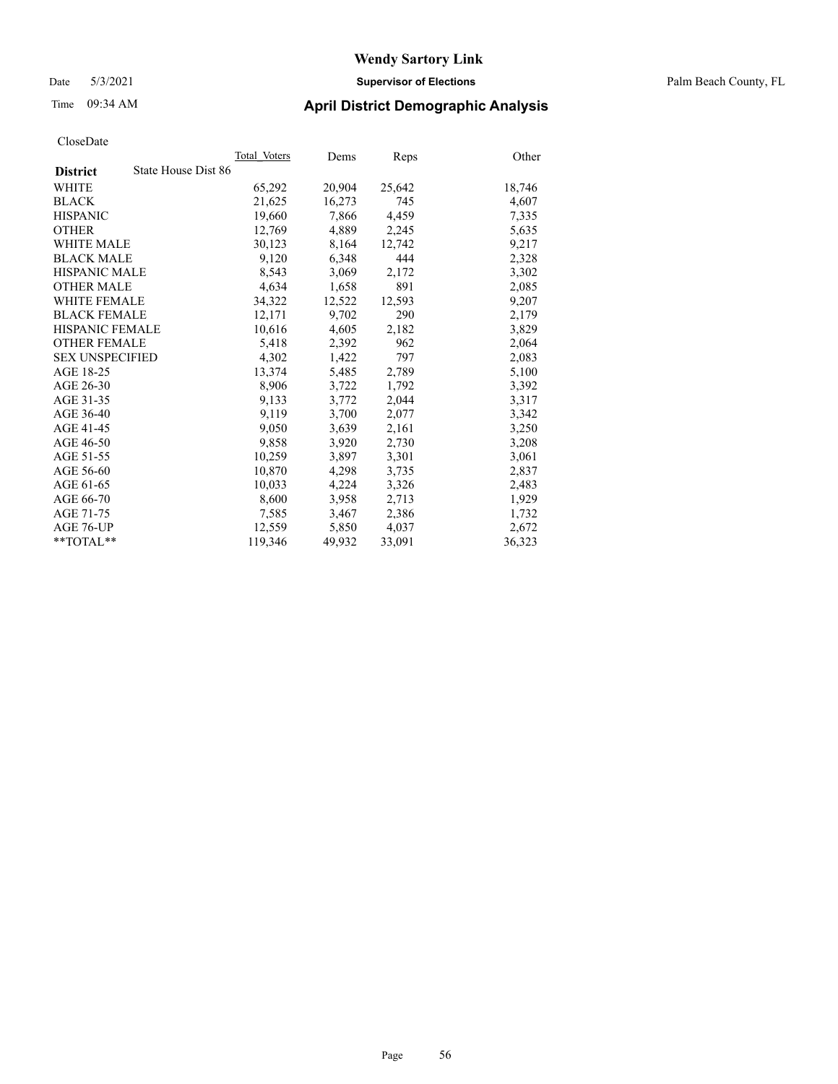#### Date 5/3/2021 **Supervisor of Elections** Palm Beach County, FL

### Time 09:34 AM **April District Demographic Analysis**

|                                        | Total Voters | Dems   | <b>Reps</b> | Other  |
|----------------------------------------|--------------|--------|-------------|--------|
| State House Dist 86<br><b>District</b> |              |        |             |        |
| WHITE                                  | 65,292       | 20,904 | 25,642      | 18,746 |
| <b>BLACK</b>                           | 21,625       | 16,273 | 745         | 4,607  |
| <b>HISPANIC</b>                        | 19,660       | 7.866  | 4.459       | 7,335  |
| <b>OTHER</b>                           | 12,769       | 4,889  | 2,245       | 5,635  |
| <b>WHITE MALE</b>                      | 30,123       | 8,164  | 12,742      | 9,217  |
| <b>BLACK MALE</b>                      | 9,120        | 6,348  | 444         | 2,328  |
| <b>HISPANIC MALE</b>                   | 8,543        | 3,069  | 2,172       | 3,302  |
| <b>OTHER MALE</b>                      | 4,634        | 1,658  | 891         | 2,085  |
| <b>WHITE FEMALE</b>                    | 34,322       | 12,522 | 12,593      | 9,207  |
| <b>BLACK FEMALE</b>                    | 12,171       | 9,702  | 290         | 2,179  |
| <b>HISPANIC FEMALE</b>                 | 10,616       | 4,605  | 2,182       | 3,829  |
| <b>OTHER FEMALE</b>                    | 5,418        | 2,392  | 962         | 2,064  |
| <b>SEX UNSPECIFIED</b>                 | 4.302        | 1,422  | 797         | 2,083  |
| AGE 18-25                              | 13,374       | 5,485  | 2,789       | 5,100  |
| AGE 26-30                              | 8,906        | 3,722  | 1,792       | 3,392  |
| AGE 31-35                              | 9,133        | 3,772  | 2,044       | 3,317  |
| AGE 36-40                              | 9,119        | 3,700  | 2,077       | 3,342  |
| AGE 41-45                              | 9,050        | 3,639  | 2,161       | 3,250  |
| AGE 46-50                              | 9,858        | 3,920  | 2,730       | 3,208  |
| AGE 51-55                              | 10,259       | 3,897  | 3,301       | 3,061  |
| AGE 56-60                              | 10,870       | 4,298  | 3,735       | 2,837  |
| AGE 61-65                              | 10,033       | 4,224  | 3,326       | 2,483  |
| AGE 66-70                              | 8,600        | 3,958  | 2,713       | 1,929  |
| AGE 71-75                              | 7,585        | 3,467  | 2,386       | 1,732  |
| AGE 76-UP                              | 12,559       | 5,850  | 4,037       | 2,672  |
| $*$ TOTAL $*$                          | 119,346      | 49,932 | 33,091      | 36,323 |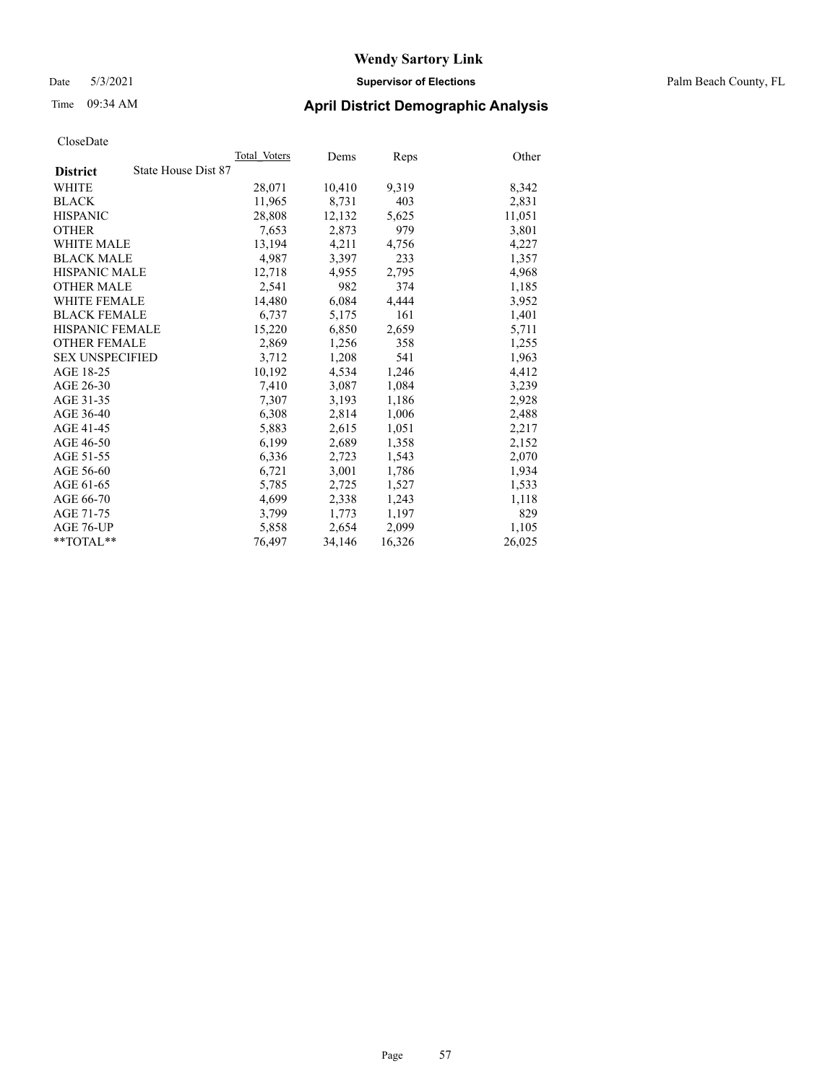#### Date 5/3/2021 **Supervisor of Elections** Palm Beach County, FL

### Time 09:34 AM **April District Demographic Analysis**

|                                        | Total Voters | Dems   | Reps   | Other  |
|----------------------------------------|--------------|--------|--------|--------|
| State House Dist 87<br><b>District</b> |              |        |        |        |
| WHITE                                  | 28,071       | 10,410 | 9,319  | 8,342  |
| <b>BLACK</b>                           | 11,965       | 8,731  | 403    | 2,831  |
| <b>HISPANIC</b>                        | 28,808       | 12,132 | 5,625  | 11,051 |
| <b>OTHER</b>                           | 7,653        | 2,873  | 979    | 3,801  |
| <b>WHITE MALE</b>                      | 13,194       | 4,211  | 4,756  | 4,227  |
| <b>BLACK MALE</b>                      | 4,987        | 3,397  | 233    | 1,357  |
| <b>HISPANIC MALE</b>                   | 12,718       | 4,955  | 2,795  | 4,968  |
| <b>OTHER MALE</b>                      | 2,541        | 982    | 374    | 1,185  |
| <b>WHITE FEMALE</b>                    | 14,480       | 6,084  | 4,444  | 3,952  |
| <b>BLACK FEMALE</b>                    | 6.737        | 5,175  | 161    | 1,401  |
| HISPANIC FEMALE                        | 15,220       | 6,850  | 2,659  | 5,711  |
| <b>OTHER FEMALE</b>                    | 2,869        | 1,256  | 358    | 1,255  |
| <b>SEX UNSPECIFIED</b>                 | 3,712        | 1,208  | 541    | 1,963  |
| AGE 18-25                              | 10,192       | 4,534  | 1,246  | 4,412  |
| AGE 26-30                              | 7,410        | 3,087  | 1,084  | 3,239  |
| AGE 31-35                              | 7,307        | 3,193  | 1,186  | 2,928  |
| AGE 36-40                              | 6,308        | 2,814  | 1,006  | 2,488  |
| AGE 41-45                              | 5,883        | 2,615  | 1,051  | 2,217  |
| AGE 46-50                              | 6,199        | 2,689  | 1,358  | 2,152  |
| AGE 51-55                              | 6,336        | 2,723  | 1,543  | 2,070  |
| AGE 56-60                              | 6,721        | 3,001  | 1,786  | 1,934  |
| AGE 61-65                              | 5,785        | 2,725  | 1,527  | 1,533  |
| AGE 66-70                              | 4,699        | 2,338  | 1,243  | 1,118  |
| AGE 71-75                              | 3,799        | 1,773  | 1,197  | 829    |
| AGE 76-UP                              | 5,858        | 2,654  | 2,099  | 1,105  |
| $*$ $TOTAL**$                          | 76,497       | 34,146 | 16,326 | 26,025 |
|                                        |              |        |        |        |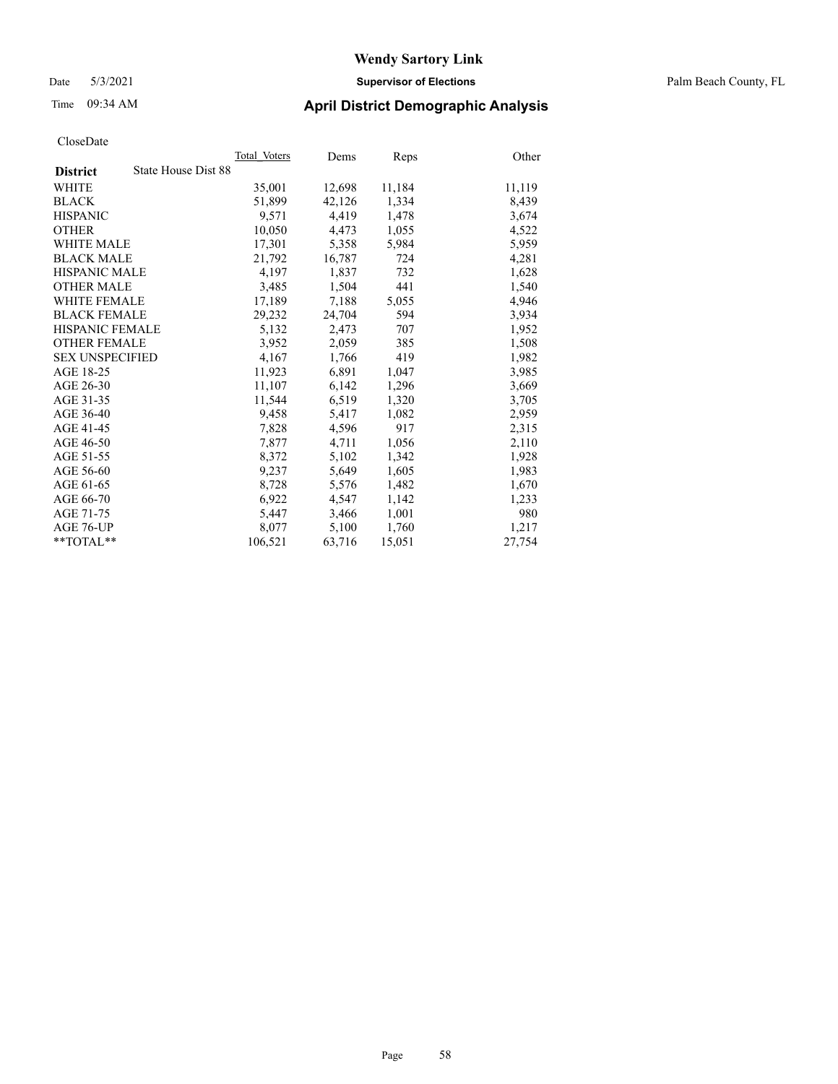#### Date 5/3/2021 **Supervisor of Elections** Palm Beach County, FL

### Time 09:34 AM **April District Demographic Analysis**

|                                        | Total Voters | Dems   | Reps   | Other  |
|----------------------------------------|--------------|--------|--------|--------|
| State House Dist 88<br><b>District</b> |              |        |        |        |
| WHITE                                  | 35,001       | 12,698 | 11,184 | 11,119 |
| <b>BLACK</b>                           | 51,899       | 42,126 | 1,334  | 8,439  |
| <b>HISPANIC</b>                        | 9,571        | 4,419  | 1,478  | 3,674  |
| <b>OTHER</b>                           | 10,050       | 4,473  | 1,055  | 4,522  |
| <b>WHITE MALE</b>                      | 17,301       | 5,358  | 5,984  | 5,959  |
| <b>BLACK MALE</b>                      | 21,792       | 16,787 | 724    | 4,281  |
| <b>HISPANIC MALE</b>                   | 4,197        | 1,837  | 732    | 1,628  |
| <b>OTHER MALE</b>                      | 3,485        | 1,504  | 441    | 1,540  |
| <b>WHITE FEMALE</b>                    | 17,189       | 7,188  | 5,055  | 4,946  |
| <b>BLACK FEMALE</b>                    | 29.232       | 24,704 | 594    | 3,934  |
| <b>HISPANIC FEMALE</b>                 | 5,132        | 2,473  | 707    | 1,952  |
| <b>OTHER FEMALE</b>                    | 3,952        | 2,059  | 385    | 1,508  |
| <b>SEX UNSPECIFIED</b>                 | 4.167        | 1,766  | 419    | 1,982  |
| AGE 18-25                              | 11,923       | 6,891  | 1,047  | 3,985  |
| AGE 26-30                              | 11,107       | 6,142  | 1,296  | 3,669  |
| AGE 31-35                              | 11,544       | 6,519  | 1,320  | 3,705  |
| AGE 36-40                              | 9,458        | 5,417  | 1,082  | 2,959  |
| AGE 41-45                              | 7,828        | 4,596  | 917    | 2,315  |
| AGE 46-50                              | 7,877        | 4,711  | 1,056  | 2,110  |
| AGE 51-55                              | 8,372        | 5,102  | 1,342  | 1,928  |
| AGE 56-60                              | 9,237        | 5,649  | 1,605  | 1,983  |
| AGE 61-65                              | 8,728        | 5,576  | 1,482  | 1,670  |
| AGE 66-70                              | 6,922        | 4,547  | 1,142  | 1,233  |
| AGE 71-75                              | 5,447        | 3,466  | 1,001  | 980    |
| AGE 76-UP                              | 8,077        | 5,100  | 1,760  | 1,217  |
| $*$ $TOTAL**$                          | 106,521      | 63,716 | 15,051 | 27,754 |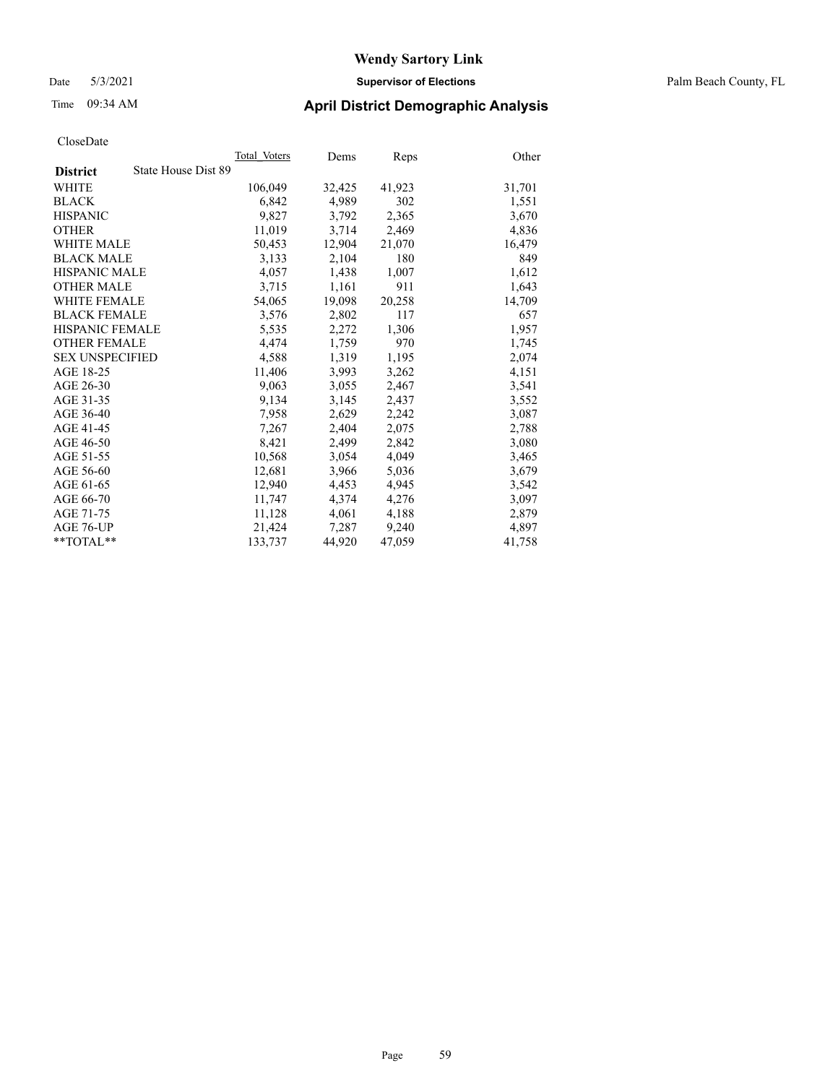Date 5/3/2021 **Supervisor of Elections** Palm Beach County, FL

### Time 09:34 AM **April District Demographic Analysis**

|                                        | Total Voters | Dems   | Reps   | Other  |
|----------------------------------------|--------------|--------|--------|--------|
| State House Dist 89<br><b>District</b> |              |        |        |        |
| WHITE                                  | 106,049      | 32,425 | 41,923 | 31,701 |
| <b>BLACK</b>                           | 6,842        | 4,989  | 302    | 1,551  |
| <b>HISPANIC</b>                        | 9,827        | 3,792  | 2,365  | 3,670  |
| <b>OTHER</b>                           | 11,019       | 3,714  | 2,469  | 4,836  |
| <b>WHITE MALE</b>                      | 50,453       | 12,904 | 21,070 | 16,479 |
| <b>BLACK MALE</b>                      | 3,133        | 2,104  | 180    | 849    |
| <b>HISPANIC MALE</b>                   | 4,057        | 1,438  | 1,007  | 1,612  |
| <b>OTHER MALE</b>                      | 3,715        | 1,161  | 911    | 1,643  |
| <b>WHITE FEMALE</b>                    | 54,065       | 19,098 | 20,258 | 14,709 |
| <b>BLACK FEMALE</b>                    | 3,576        | 2,802  | 117    | 657    |
| <b>HISPANIC FEMALE</b>                 | 5,535        | 2,272  | 1,306  | 1,957  |
| <b>OTHER FEMALE</b>                    | 4,474        | 1,759  | 970    | 1,745  |
| <b>SEX UNSPECIFIED</b>                 | 4,588        | 1,319  | 1,195  | 2,074  |
| AGE 18-25                              | 11,406       | 3,993  | 3,262  | 4,151  |
| AGE 26-30                              | 9,063        | 3,055  | 2,467  | 3,541  |
| AGE 31-35                              | 9,134        | 3,145  | 2,437  | 3,552  |
| AGE 36-40                              | 7,958        | 2,629  | 2,242  | 3,087  |
| AGE 41-45                              | 7,267        | 2,404  | 2,075  | 2,788  |
| AGE 46-50                              | 8,421        | 2,499  | 2,842  | 3,080  |
| AGE 51-55                              | 10,568       | 3.054  | 4,049  | 3,465  |
| AGE 56-60                              | 12,681       | 3,966  | 5,036  | 3,679  |
| AGE 61-65                              | 12,940       | 4,453  | 4,945  | 3,542  |
| AGE 66-70                              | 11,747       | 4,374  | 4,276  | 3,097  |
| AGE 71-75                              | 11,128       | 4,061  | 4,188  | 2,879  |
| AGE 76-UP                              | 21,424       | 7,287  | 9,240  | 4,897  |
| **TOTAL**                              | 133,737      | 44,920 | 47,059 | 41,758 |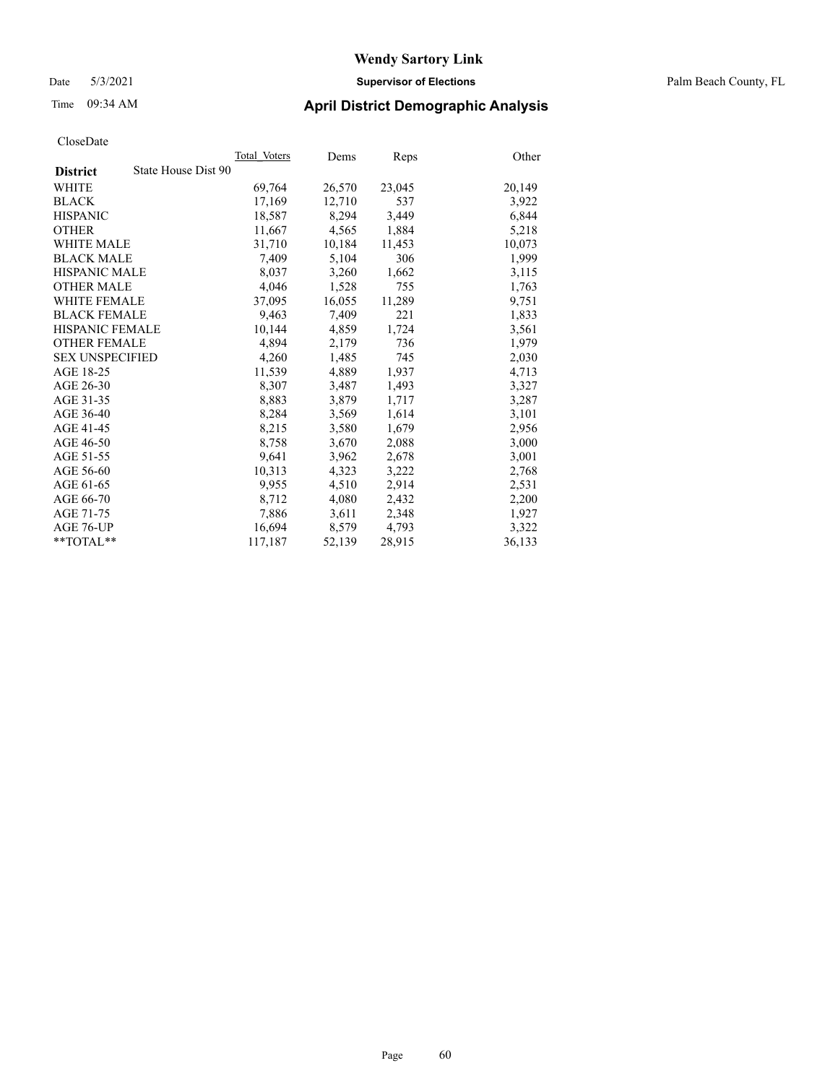#### Date 5/3/2021 **Supervisor of Elections** Palm Beach County, FL

### Time 09:34 AM **April District Demographic Analysis**

|                                        | Total Voters | Dems   | <b>Reps</b> | Other  |
|----------------------------------------|--------------|--------|-------------|--------|
| State House Dist 90<br><b>District</b> |              |        |             |        |
| WHITE                                  | 69,764       | 26,570 | 23,045      | 20,149 |
| <b>BLACK</b>                           | 17,169       | 12,710 | 537         | 3,922  |
| <b>HISPANIC</b>                        | 18,587       | 8,294  | 3,449       | 6,844  |
| <b>OTHER</b>                           | 11,667       | 4,565  | 1,884       | 5,218  |
| <b>WHITE MALE</b>                      | 31,710       | 10,184 | 11,453      | 10,073 |
| <b>BLACK MALE</b>                      | 7,409        | 5,104  | 306         | 1,999  |
| <b>HISPANIC MALE</b>                   | 8,037        | 3,260  | 1,662       | 3,115  |
| <b>OTHER MALE</b>                      | 4,046        | 1,528  | 755         | 1,763  |
| <b>WHITE FEMALE</b>                    | 37,095       | 16,055 | 11,289      | 9,751  |
| <b>BLACK FEMALE</b>                    | 9,463        | 7,409  | 221         | 1,833  |
| <b>HISPANIC FEMALE</b>                 | 10,144       | 4,859  | 1,724       | 3,561  |
| <b>OTHER FEMALE</b>                    | 4,894        | 2,179  | 736         | 1,979  |
| <b>SEX UNSPECIFIED</b>                 | 4,260        | 1,485  | 745         | 2,030  |
| AGE 18-25                              | 11,539       | 4,889  | 1,937       | 4,713  |
| AGE 26-30                              | 8,307        | 3,487  | 1,493       | 3,327  |
| AGE 31-35                              | 8,883        | 3,879  | 1,717       | 3,287  |
| AGE 36-40                              | 8,284        | 3,569  | 1,614       | 3,101  |
| AGE 41-45                              | 8,215        | 3,580  | 1,679       | 2,956  |
| AGE 46-50                              | 8,758        | 3,670  | 2,088       | 3,000  |
| AGE 51-55                              | 9,641        | 3,962  | 2,678       | 3,001  |
| AGE 56-60                              | 10,313       | 4,323  | 3,222       | 2,768  |
| AGE 61-65                              | 9,955        | 4,510  | 2,914       | 2,531  |
| AGE 66-70                              | 8,712        | 4,080  | 2,432       | 2,200  |
| AGE 71-75                              | 7,886        | 3,611  | 2,348       | 1,927  |
| AGE 76-UP                              | 16,694       | 8,579  | 4,793       | 3,322  |
| $*$ $TOTAL**$                          | 117,187      | 52,139 | 28,915      | 36,133 |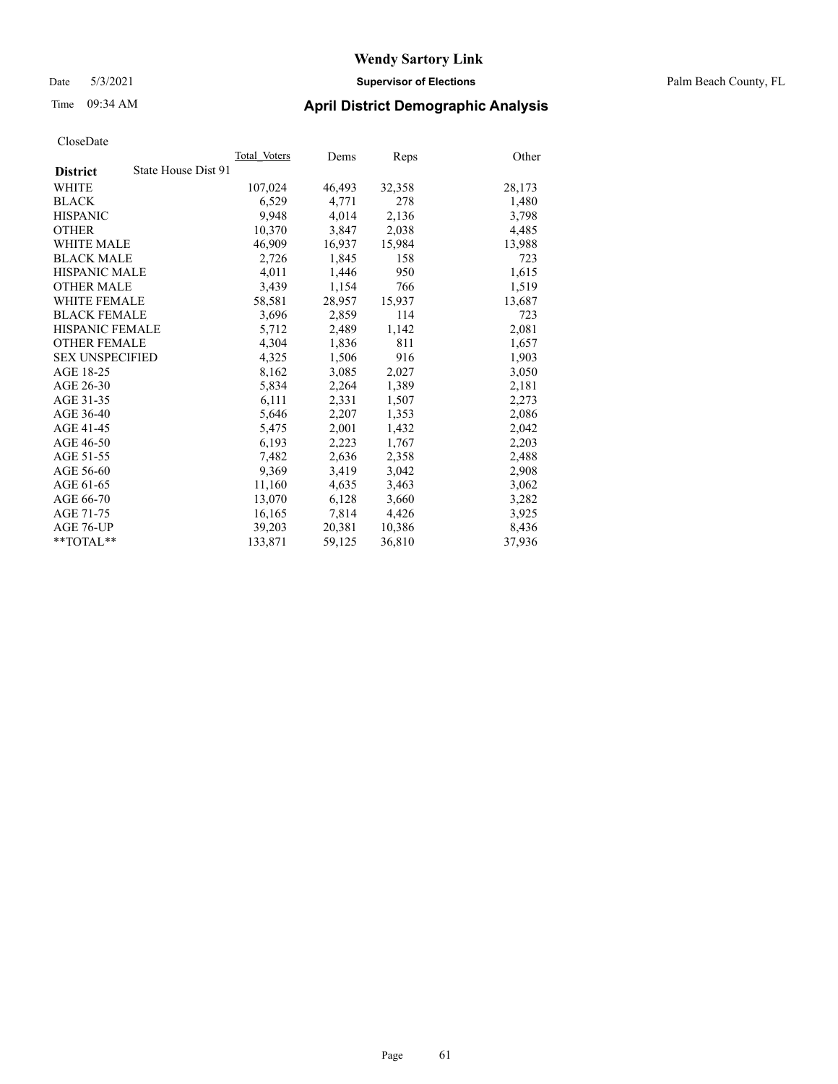Date 5/3/2021 **Supervisor of Elections** Palm Beach County, FL

### Time 09:34 AM **April District Demographic Analysis**

|                                        | Total Voters | Dems   | Reps   | Other  |
|----------------------------------------|--------------|--------|--------|--------|
| State House Dist 91<br><b>District</b> |              |        |        |        |
| WHITE                                  | 107,024      | 46,493 | 32,358 | 28,173 |
| <b>BLACK</b>                           | 6,529        | 4,771  | 278    | 1,480  |
| <b>HISPANIC</b>                        | 9.948        | 4,014  | 2,136  | 3,798  |
| <b>OTHER</b>                           | 10,370       | 3,847  | 2,038  | 4,485  |
| <b>WHITE MALE</b>                      | 46,909       | 16,937 | 15,984 | 13,988 |
| <b>BLACK MALE</b>                      | 2,726        | 1,845  | 158    | 723    |
| <b>HISPANIC MALE</b>                   | 4,011        | 1,446  | 950    | 1,615  |
| <b>OTHER MALE</b>                      | 3.439        | 1,154  | 766    | 1,519  |
| <b>WHITE FEMALE</b>                    | 58,581       | 28,957 | 15,937 | 13,687 |
| <b>BLACK FEMALE</b>                    | 3,696        | 2,859  | 114    | 723    |
| <b>HISPANIC FEMALE</b>                 | 5,712        | 2,489  | 1,142  | 2,081  |
| <b>OTHER FEMALE</b>                    | 4,304        | 1,836  | 811    | 1,657  |
| <b>SEX UNSPECIFIED</b>                 | 4,325        | 1,506  | 916    | 1,903  |
| AGE 18-25                              | 8,162        | 3,085  | 2,027  | 3,050  |
| AGE 26-30                              | 5,834        | 2,264  | 1,389  | 2,181  |
| AGE 31-35                              | 6,111        | 2,331  | 1,507  | 2,273  |
| AGE 36-40                              | 5,646        | 2,207  | 1,353  | 2,086  |
| AGE 41-45                              | 5,475        | 2,001  | 1,432  | 2,042  |
| AGE 46-50                              | 6,193        | 2,223  | 1,767  | 2,203  |
| AGE 51-55                              | 7,482        | 2,636  | 2,358  | 2,488  |
| AGE 56-60                              | 9,369        | 3,419  | 3,042  | 2,908  |
| AGE 61-65                              | 11,160       | 4,635  | 3,463  | 3,062  |
| AGE 66-70                              | 13,070       | 6,128  | 3,660  | 3,282  |
| AGE 71-75                              | 16,165       | 7,814  | 4,426  | 3,925  |
| AGE 76-UP                              | 39,203       | 20,381 | 10,386 | 8,436  |
| $*$ $TOTAL**$                          | 133,871      | 59,125 | 36,810 | 37,936 |
|                                        |              |        |        |        |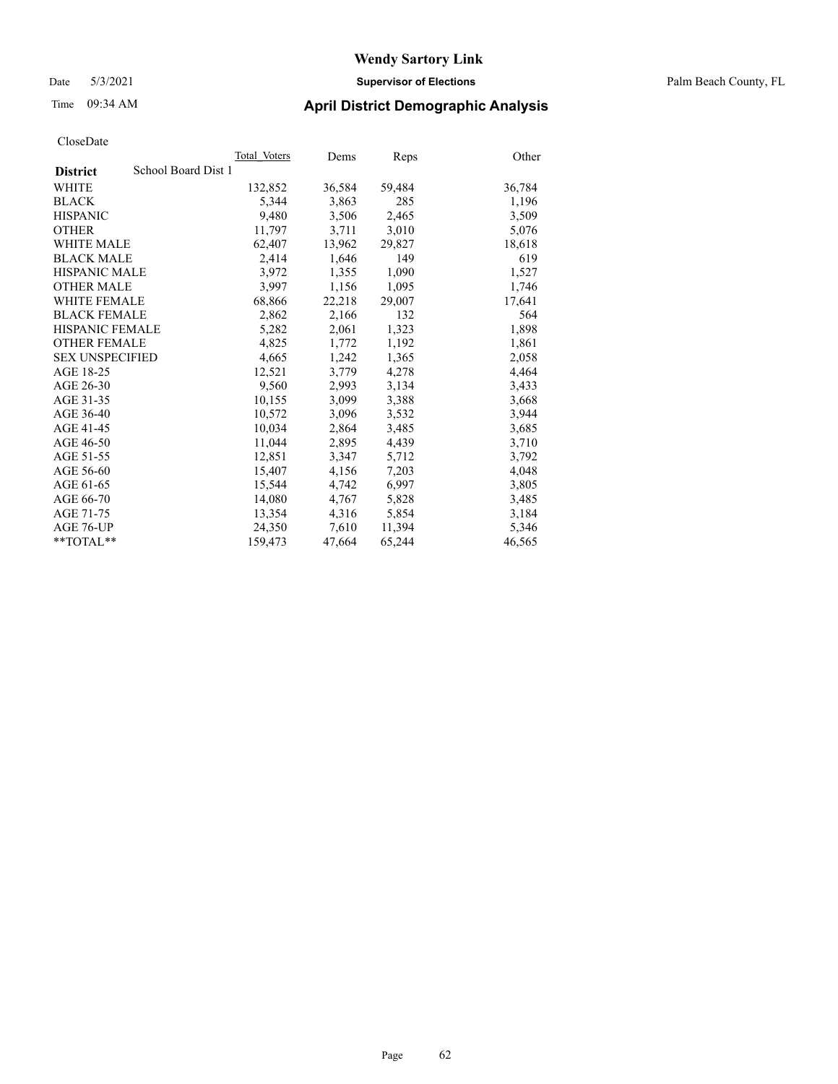#### Date 5/3/2021 **Supervisor of Elections** Palm Beach County, FL

### Time 09:34 AM **April District Demographic Analysis**

|                                        | Total Voters | Dems   | Reps   | Other  |
|----------------------------------------|--------------|--------|--------|--------|
| School Board Dist 1<br><b>District</b> |              |        |        |        |
| WHITE                                  | 132,852      | 36,584 | 59,484 | 36,784 |
| <b>BLACK</b>                           | 5.344        | 3,863  | 285    | 1,196  |
| <b>HISPANIC</b>                        | 9,480        | 3,506  | 2,465  | 3,509  |
| <b>OTHER</b>                           | 11,797       | 3,711  | 3,010  | 5,076  |
| <b>WHITE MALE</b>                      | 62,407       | 13,962 | 29,827 | 18,618 |
| <b>BLACK MALE</b>                      | 2,414        | 1,646  | 149    | 619    |
| <b>HISPANIC MALE</b>                   | 3,972        | 1,355  | 1,090  | 1,527  |
| <b>OTHER MALE</b>                      | 3,997        | 1,156  | 1,095  | 1,746  |
| <b>WHITE FEMALE</b>                    | 68,866       | 22,218 | 29,007 | 17,641 |
| <b>BLACK FEMALE</b>                    | 2.862        | 2.166  | 132    | 564    |
| <b>HISPANIC FEMALE</b>                 | 5,282        | 2,061  | 1,323  | 1,898  |
| <b>OTHER FEMALE</b>                    | 4,825        | 1,772  | 1,192  | 1,861  |
| <b>SEX UNSPECIFIED</b>                 | 4.665        | 1,242  | 1,365  | 2,058  |
| AGE 18-25                              | 12,521       | 3,779  | 4,278  | 4,464  |
| AGE 26-30                              | 9,560        | 2,993  | 3,134  | 3,433  |
| AGE 31-35                              | 10,155       | 3,099  | 3,388  | 3,668  |
| AGE 36-40                              | 10,572       | 3,096  | 3,532  | 3,944  |
| AGE 41-45                              | 10,034       | 2,864  | 3,485  | 3,685  |
| AGE 46-50                              | 11,044       | 2,895  | 4,439  | 3,710  |
| AGE 51-55                              | 12,851       | 3,347  | 5,712  | 3,792  |
| AGE 56-60                              | 15,407       | 4,156  | 7,203  | 4,048  |
| AGE 61-65                              | 15,544       | 4,742  | 6,997  | 3,805  |
| AGE 66-70                              | 14,080       | 4,767  | 5,828  | 3,485  |
| AGE 71-75                              | 13,354       | 4,316  | 5,854  | 3,184  |
| AGE 76-UP                              | 24,350       | 7,610  | 11,394 | 5,346  |
| $*$ TOTAL $*$                          | 159,473      | 47,664 | 65,244 | 46,565 |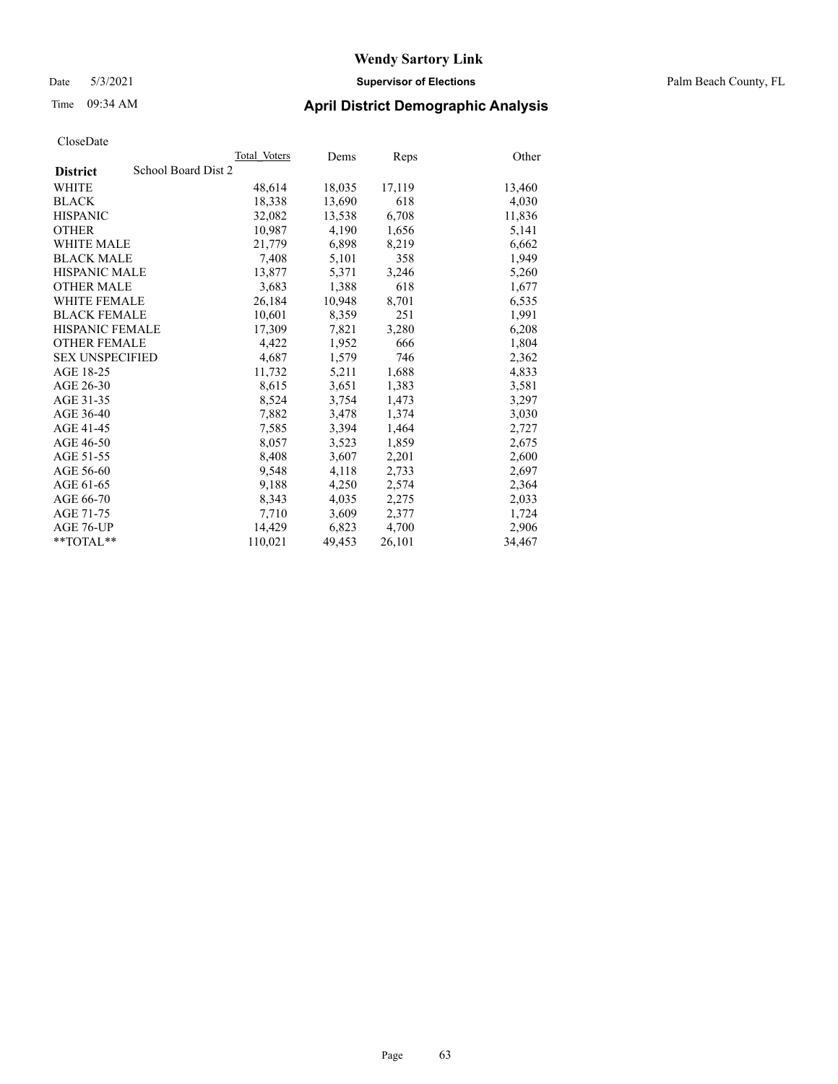#### Date 5/3/2021 **Supervisor of Elections** Palm Beach County, FL

### Time 09:34 AM **April District Demographic Analysis**

|                                        | Total Voters | Dems   | <b>Reps</b> | Other  |
|----------------------------------------|--------------|--------|-------------|--------|
| School Board Dist 2<br><b>District</b> |              |        |             |        |
| WHITE                                  | 48,614       | 18,035 | 17,119      | 13,460 |
| <b>BLACK</b>                           | 18,338       | 13,690 | 618         | 4,030  |
| <b>HISPANIC</b>                        | 32,082       | 13,538 | 6,708       | 11,836 |
| <b>OTHER</b>                           | 10,987       | 4,190  | 1,656       | 5,141  |
| <b>WHITE MALE</b>                      | 21,779       | 6,898  | 8,219       | 6,662  |
| <b>BLACK MALE</b>                      | 7,408        | 5,101  | 358         | 1,949  |
| <b>HISPANIC MALE</b>                   | 13,877       | 5,371  | 3,246       | 5,260  |
| <b>OTHER MALE</b>                      | 3,683        | 1,388  | 618         | 1,677  |
| <b>WHITE FEMALE</b>                    | 26,184       | 10,948 | 8,701       | 6,535  |
| <b>BLACK FEMALE</b>                    | 10,601       | 8,359  | 251         | 1,991  |
| <b>HISPANIC FEMALE</b>                 | 17,309       | 7,821  | 3,280       | 6,208  |
| <b>OTHER FEMALE</b>                    | 4,422        | 1,952  | 666         | 1,804  |
| <b>SEX UNSPECIFIED</b>                 | 4,687        | 1,579  | 746         | 2,362  |
| AGE 18-25                              | 11,732       | 5,211  | 1,688       | 4,833  |
| AGE 26-30                              | 8,615        | 3,651  | 1,383       | 3,581  |
| AGE 31-35                              | 8,524        | 3,754  | 1,473       | 3,297  |
| AGE 36-40                              | 7,882        | 3,478  | 1,374       | 3,030  |
| AGE 41-45                              | 7,585        | 3,394  | 1,464       | 2,727  |
| AGE 46-50                              | 8,057        | 3,523  | 1,859       | 2,675  |
| AGE 51-55                              | 8,408        | 3,607  | 2,201       | 2,600  |
| AGE 56-60                              | 9,548        | 4,118  | 2,733       | 2,697  |
| AGE 61-65                              | 9,188        | 4,250  | 2,574       | 2,364  |
| AGE 66-70                              | 8,343        | 4,035  | 2,275       | 2,033  |
| AGE 71-75                              | 7,710        | 3,609  | 2,377       | 1,724  |
| AGE 76-UP                              | 14,429       | 6,823  | 4,700       | 2,906  |
| $*$ $TOTAL**$                          | 110,021      | 49,453 | 26,101      | 34,467 |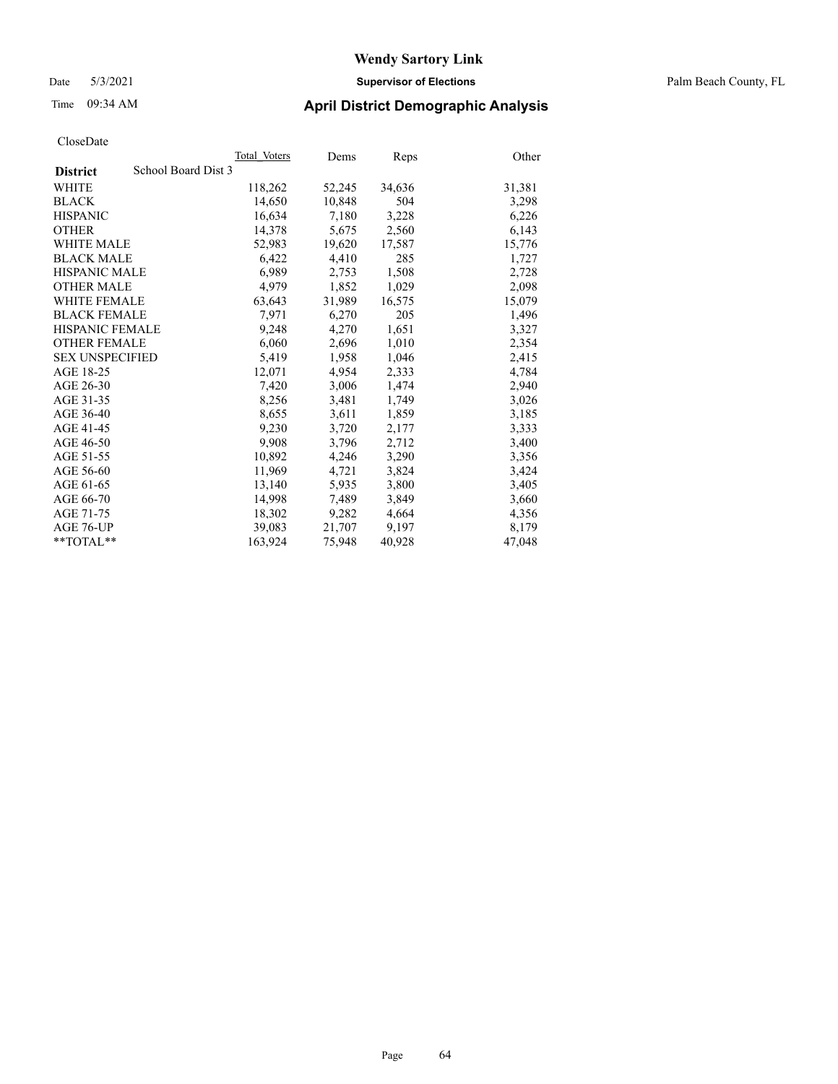#### Date 5/3/2021 **Supervisor of Elections** Palm Beach County, FL

### Time 09:34 AM **April District Demographic Analysis**

|                                        | Total Voters | Dems   | Reps   | Other  |
|----------------------------------------|--------------|--------|--------|--------|
| School Board Dist 3<br><b>District</b> |              |        |        |        |
| WHITE                                  | 118,262      | 52,245 | 34,636 | 31,381 |
| <b>BLACK</b>                           | 14,650       | 10,848 | 504    | 3,298  |
| <b>HISPANIC</b>                        | 16,634       | 7,180  | 3,228  | 6,226  |
| <b>OTHER</b>                           | 14,378       | 5,675  | 2,560  | 6,143  |
| <b>WHITE MALE</b>                      | 52,983       | 19,620 | 17,587 | 15,776 |
| <b>BLACK MALE</b>                      | 6,422        | 4,410  | 285    | 1,727  |
| <b>HISPANIC MALE</b>                   | 6,989        | 2,753  | 1,508  | 2,728  |
| <b>OTHER MALE</b>                      | 4,979        | 1,852  | 1,029  | 2,098  |
| <b>WHITE FEMALE</b>                    | 63,643       | 31,989 | 16,575 | 15,079 |
| <b>BLACK FEMALE</b>                    | 7,971        | 6,270  | 205    | 1,496  |
| <b>HISPANIC FEMALE</b>                 | 9,248        | 4,270  | 1,651  | 3,327  |
| <b>OTHER FEMALE</b>                    | 6,060        | 2,696  | 1,010  | 2,354  |
| <b>SEX UNSPECIFIED</b>                 | 5,419        | 1,958  | 1,046  | 2,415  |
| AGE 18-25                              | 12,071       | 4,954  | 2,333  | 4,784  |
| AGE 26-30                              | 7,420        | 3,006  | 1,474  | 2,940  |
| AGE 31-35                              | 8,256        | 3,481  | 1,749  | 3,026  |
| AGE 36-40                              | 8,655        | 3,611  | 1,859  | 3,185  |
| AGE 41-45                              | 9,230        | 3,720  | 2,177  | 3,333  |
| AGE 46-50                              | 9,908        | 3,796  | 2,712  | 3,400  |
| AGE 51-55                              | 10,892       | 4,246  | 3,290  | 3,356  |
| AGE 56-60                              | 11,969       | 4,721  | 3,824  | 3,424  |
| AGE 61-65                              | 13,140       | 5,935  | 3,800  | 3,405  |
| AGE 66-70                              | 14,998       | 7,489  | 3,849  | 3,660  |
| AGE 71-75                              | 18,302       | 9,282  | 4,664  | 4,356  |
| AGE 76-UP                              | 39,083       | 21,707 | 9,197  | 8,179  |
| **TOTAL**                              | 163,924      | 75,948 | 40,928 | 47,048 |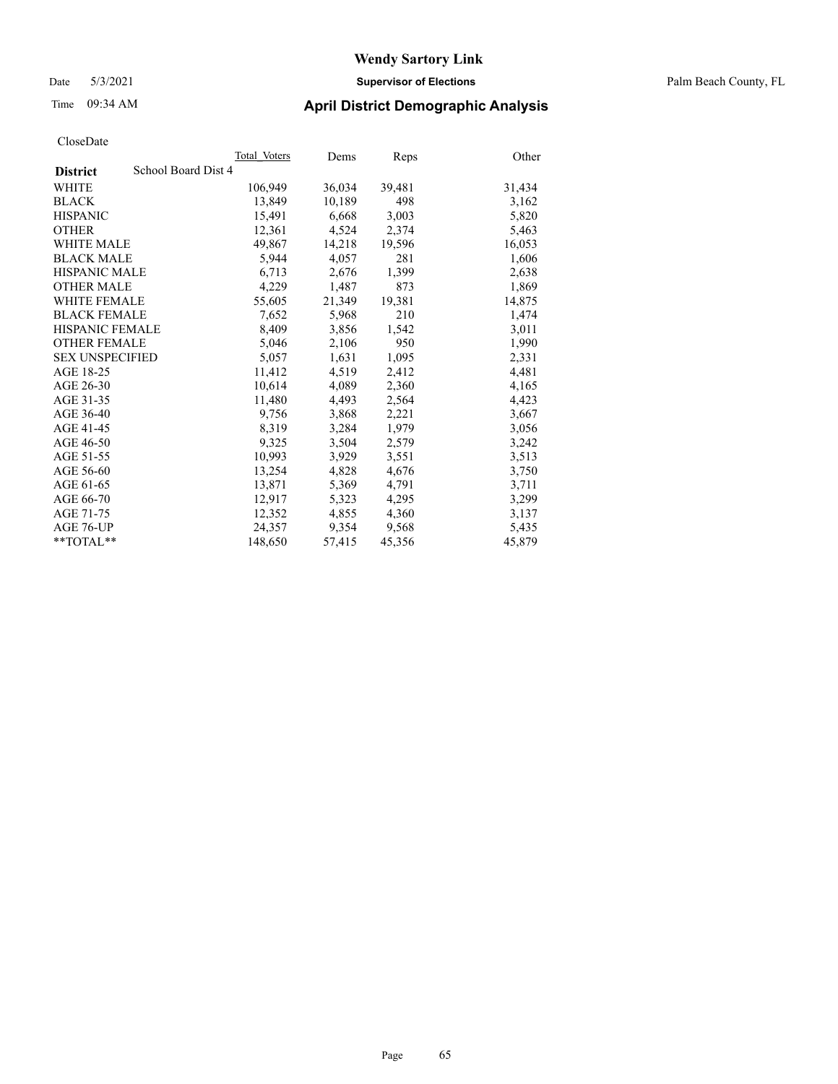#### Date 5/3/2021 **Supervisor of Elections** Palm Beach County, FL

### Time 09:34 AM **April District Demographic Analysis**

|                                        | Total Voters | Dems   | Reps   | Other  |
|----------------------------------------|--------------|--------|--------|--------|
| School Board Dist 4<br><b>District</b> |              |        |        |        |
| WHITE                                  | 106,949      | 36,034 | 39,481 | 31,434 |
| <b>BLACK</b>                           | 13,849       | 10,189 | 498    | 3,162  |
| <b>HISPANIC</b>                        | 15,491       | 6,668  | 3,003  | 5,820  |
| <b>OTHER</b>                           | 12,361       | 4,524  | 2,374  | 5,463  |
| <b>WHITE MALE</b>                      | 49,867       | 14,218 | 19,596 | 16,053 |
| <b>BLACK MALE</b>                      | 5,944        | 4,057  | 281    | 1,606  |
| <b>HISPANIC MALE</b>                   | 6,713        | 2,676  | 1,399  | 2,638  |
| <b>OTHER MALE</b>                      | 4,229        | 1,487  | 873    | 1,869  |
| <b>WHITE FEMALE</b>                    | 55,605       | 21,349 | 19,381 | 14,875 |
| <b>BLACK FEMALE</b>                    | 7.652        | 5,968  | 210    | 1,474  |
| <b>HISPANIC FEMALE</b>                 | 8,409        | 3,856  | 1,542  | 3,011  |
| <b>OTHER FEMALE</b>                    | 5,046        | 2,106  | 950    | 1,990  |
| <b>SEX UNSPECIFIED</b>                 | 5,057        | 1.631  | 1.095  | 2,331  |
| AGE 18-25                              | 11,412       | 4,519  | 2,412  | 4,481  |
| AGE 26-30                              | 10,614       | 4,089  | 2,360  | 4,165  |
| AGE 31-35                              | 11,480       | 4,493  | 2,564  | 4,423  |
| AGE 36-40                              | 9,756        | 3,868  | 2,221  | 3,667  |
| AGE 41-45                              | 8,319        | 3,284  | 1,979  | 3,056  |
| AGE 46-50                              | 9,325        | 3,504  | 2,579  | 3,242  |
| AGE 51-55                              | 10,993       | 3,929  | 3,551  | 3,513  |
| AGE 56-60                              | 13,254       | 4,828  | 4,676  | 3,750  |
| AGE 61-65                              | 13,871       | 5,369  | 4,791  | 3,711  |
| AGE 66-70                              | 12,917       | 5,323  | 4,295  | 3,299  |
| AGE 71-75                              | 12,352       | 4,855  | 4,360  | 3,137  |
| AGE 76-UP                              | 24,357       | 9,354  | 9,568  | 5,435  |
| $*$ $TOTAL**$                          | 148,650      | 57,415 | 45,356 | 45,879 |
|                                        |              |        |        |        |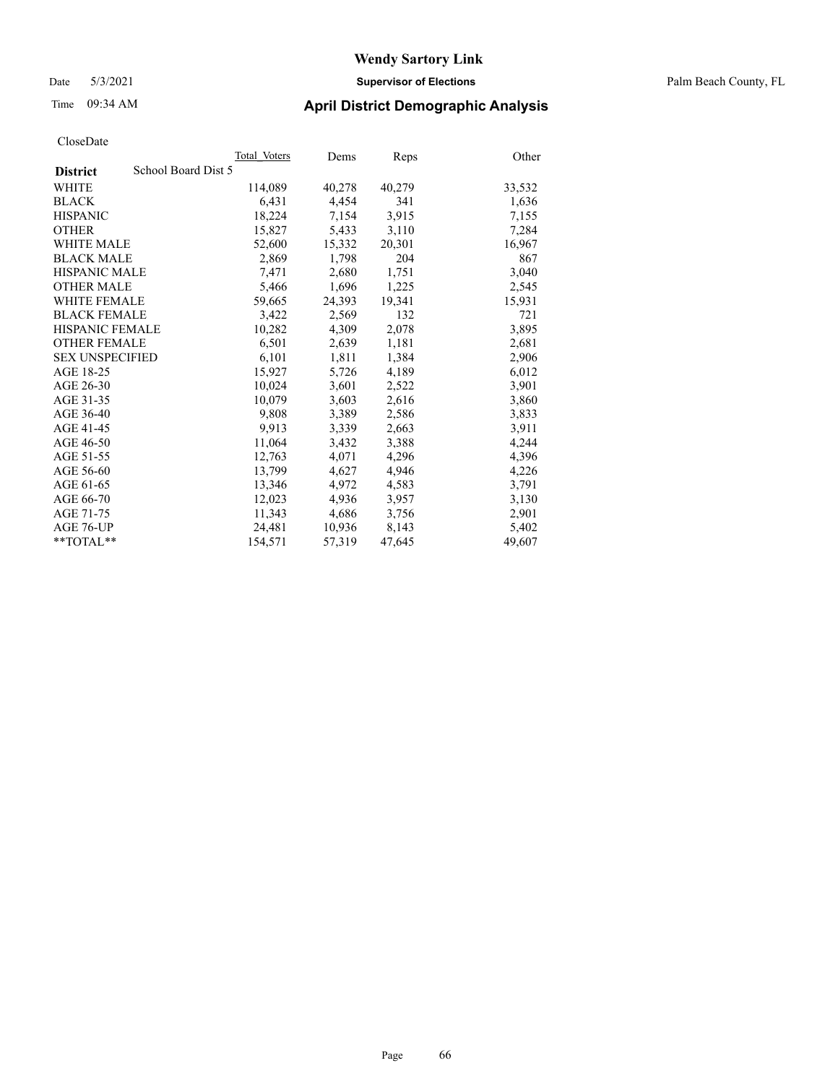#### Date 5/3/2021 **Supervisor of Elections** Palm Beach County, FL

### Time 09:34 AM **April District Demographic Analysis**

|                        | Total Voters        | Dems   | Reps   | Other  |
|------------------------|---------------------|--------|--------|--------|
| <b>District</b>        | School Board Dist 5 |        |        |        |
| WHITE                  | 114,089             | 40,278 | 40,279 | 33,532 |
| <b>BLACK</b>           | 6,431               | 4,454  | 341    | 1,636  |
| <b>HISPANIC</b>        | 18,224              | 7,154  | 3,915  | 7,155  |
| <b>OTHER</b>           | 15,827              | 5,433  | 3,110  | 7,284  |
| <b>WHITE MALE</b>      | 52,600              | 15,332 | 20,301 | 16,967 |
| <b>BLACK MALE</b>      | 2,869               | 1,798  | 204    | 867    |
| <b>HISPANIC MALE</b>   | 7,471               | 2,680  | 1,751  | 3,040  |
| <b>OTHER MALE</b>      | 5,466               | 1,696  | 1,225  | 2,545  |
| <b>WHITE FEMALE</b>    | 59,665              | 24,393 | 19,341 | 15,931 |
| <b>BLACK FEMALE</b>    | 3.422               | 2.569  | 132    | 721    |
| <b>HISPANIC FEMALE</b> | 10,282              | 4,309  | 2,078  | 3,895  |
| <b>OTHER FEMALE</b>    | 6,501               | 2,639  | 1,181  | 2,681  |
| <b>SEX UNSPECIFIED</b> | 6,101               | 1,811  | 1,384  | 2,906  |
| AGE 18-25              | 15,927              | 5,726  | 4,189  | 6,012  |
| AGE 26-30              | 10,024              | 3,601  | 2,522  | 3,901  |
| AGE 31-35              | 10,079              | 3,603  | 2,616  | 3,860  |
| AGE 36-40              | 9,808               | 3,389  | 2,586  | 3,833  |
| AGE 41-45              | 9,913               | 3,339  | 2,663  | 3,911  |
| AGE 46-50              | 11,064              | 3,432  | 3,388  | 4,244  |
| AGE 51-55              | 12,763              | 4,071  | 4,296  | 4,396  |
| AGE 56-60              | 13,799              | 4,627  | 4,946  | 4,226  |
| AGE 61-65              | 13,346              | 4,972  | 4,583  | 3,791  |
| AGE 66-70              | 12.023              | 4,936  | 3,957  | 3,130  |
| AGE 71-75              | 11,343              | 4,686  | 3,756  | 2,901  |
| AGE 76-UP              | 24,481              | 10,936 | 8,143  | 5,402  |
| $*$ TOTAL $*$          | 154,571             | 57,319 | 47,645 | 49,607 |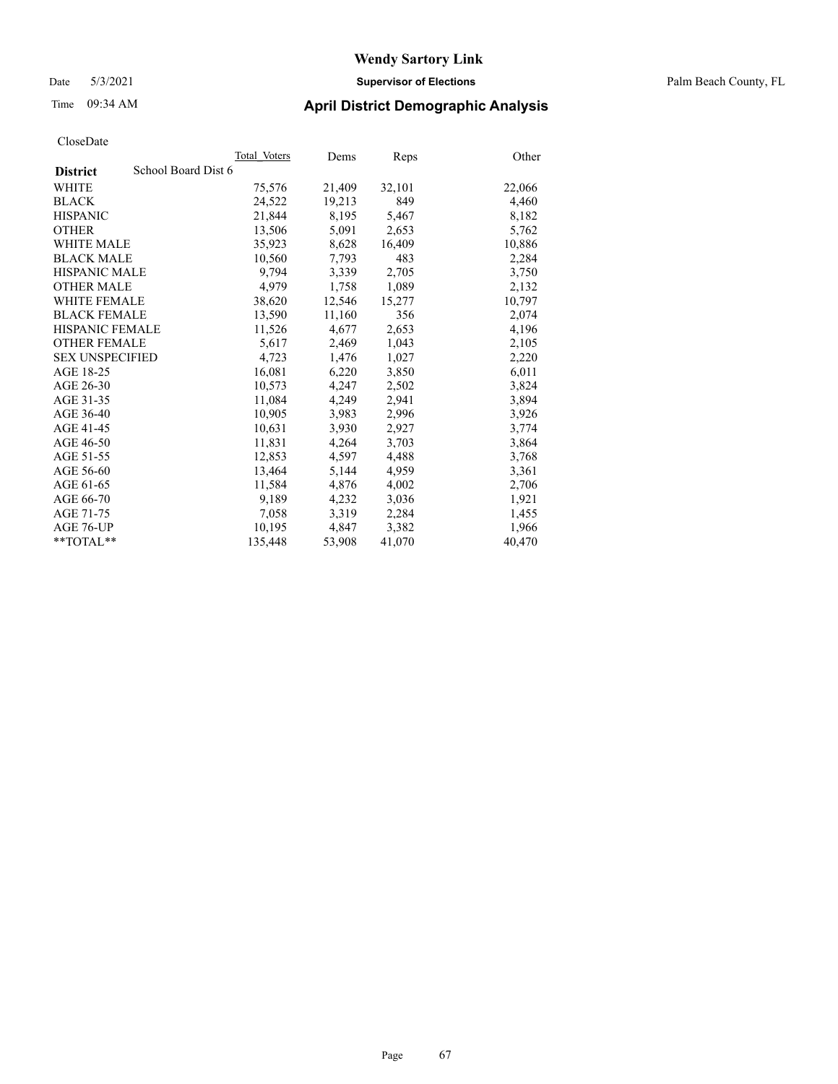#### Date 5/3/2021 **Supervisor of Elections** Palm Beach County, FL

### Time 09:34 AM **April District Demographic Analysis**

| ClustDate              |                     |              |        |        |        |
|------------------------|---------------------|--------------|--------|--------|--------|
|                        |                     | Total Voters | Dems   | Reps   | Other  |
| <b>District</b>        | School Board Dist 6 |              |        |        |        |
| WHITE                  |                     | 75,576       | 21,409 | 32,101 | 22,066 |
| <b>BLACK</b>           |                     | 24,522       | 19,213 | 849    | 4,460  |
| <b>HISPANIC</b>        |                     | 21,844       | 8,195  | 5,467  | 8,182  |
| <b>OTHER</b>           |                     | 13,506       | 5,091  | 2,653  | 5,762  |
| <b>WHITE MALE</b>      |                     | 35,923       | 8,628  | 16,409 | 10,886 |
| <b>BLACK MALE</b>      |                     | 10,560       | 7,793  | 483    | 2,284  |
| <b>HISPANIC MALE</b>   |                     | 9,794        | 3,339  | 2,705  | 3,750  |
| <b>OTHER MALE</b>      |                     | 4,979        | 1,758  | 1,089  | 2,132  |
| <b>WHITE FEMALE</b>    |                     | 38,620       | 12,546 | 15,277 | 10,797 |
| <b>BLACK FEMALE</b>    |                     | 13,590       | 11,160 | 356    | 2,074  |
| <b>HISPANIC FEMALE</b> |                     | 11,526       | 4,677  | 2,653  | 4,196  |
| <b>OTHER FEMALE</b>    |                     | 5,617        | 2,469  | 1,043  | 2,105  |
| <b>SEX UNSPECIFIED</b> |                     | 4,723        | 1,476  | 1,027  | 2,220  |
| AGE 18-25              |                     | 16,081       | 6,220  | 3,850  | 6,011  |
| AGE 26-30              |                     | 10,573       | 4,247  | 2,502  | 3,824  |
| AGE 31-35              |                     | 11,084       | 4,249  | 2,941  | 3,894  |
| AGE 36-40              |                     | 10.905       | 3,983  | 2,996  | 3,926  |
| AGE 41-45              |                     | 10,631       | 3,930  | 2,927  | 3,774  |
| AGE 46-50              |                     | 11,831       | 4,264  | 3,703  | 3,864  |
| AGE 51-55              |                     | 12,853       | 4,597  | 4,488  | 3,768  |
| AGE 56-60              |                     | 13,464       | 5,144  | 4,959  | 3,361  |
| AGE 61-65              |                     | 11,584       | 4,876  | 4,002  | 2,706  |
| AGE 66-70              |                     | 9,189        | 4,232  | 3,036  | 1,921  |
| AGE 71-75              |                     | 7,058        | 3,319  | 2,284  | 1,455  |
| AGE 76-UP              |                     | 10.195       | 4,847  | 3,382  | 1,966  |
| $*$ $TOTAL**$          |                     | 135,448      | 53,908 | 41,070 | 40,470 |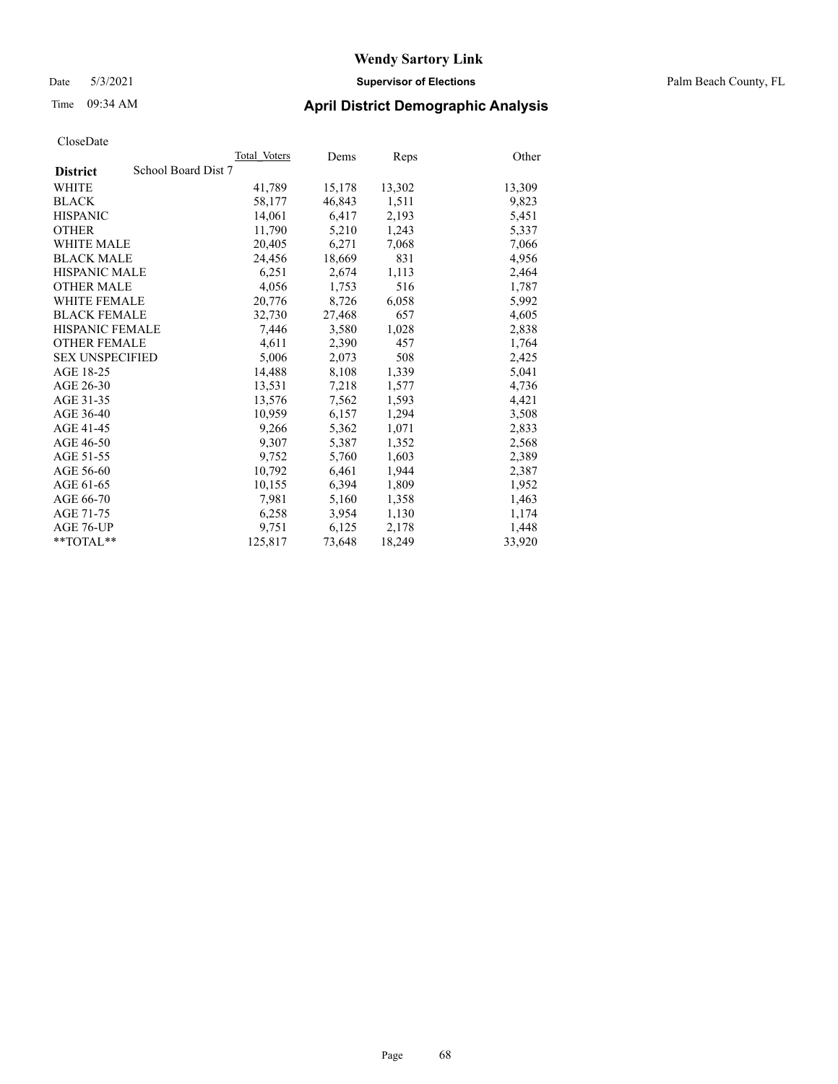#### Date 5/3/2021 **Supervisor of Elections** Palm Beach County, FL

### Time 09:34 AM **April District Demographic Analysis**

|                                        | Total Voters | Dems   | Reps   | Other  |
|----------------------------------------|--------------|--------|--------|--------|
| School Board Dist 7<br><b>District</b> |              |        |        |        |
| WHITE                                  | 41,789       | 15,178 | 13,302 | 13,309 |
| <b>BLACK</b>                           | 58,177       | 46,843 | 1,511  | 9,823  |
| <b>HISPANIC</b>                        | 14,061       | 6,417  | 2,193  | 5,451  |
| <b>OTHER</b>                           | 11,790       | 5,210  | 1,243  | 5,337  |
| <b>WHITE MALE</b>                      | 20,405       | 6,271  | 7,068  | 7,066  |
| <b>BLACK MALE</b>                      | 24,456       | 18,669 | 831    | 4,956  |
| <b>HISPANIC MALE</b>                   | 6,251        | 2,674  | 1,113  | 2,464  |
| <b>OTHER MALE</b>                      | 4,056        | 1,753  | 516    | 1,787  |
| <b>WHITE FEMALE</b>                    | 20,776       | 8,726  | 6,058  | 5,992  |
| <b>BLACK FEMALE</b>                    | 32,730       | 27,468 | 657    | 4,605  |
| HISPANIC FEMALE                        | 7,446        | 3,580  | 1,028  | 2,838  |
| <b>OTHER FEMALE</b>                    | 4,611        | 2,390  | 457    | 1,764  |
| <b>SEX UNSPECIFIED</b>                 | 5,006        | 2.073  | 508    | 2,425  |
| AGE 18-25                              | 14,488       | 8,108  | 1,339  | 5,041  |
| AGE 26-30                              | 13,531       | 7,218  | 1,577  | 4,736  |
| AGE 31-35                              | 13,576       | 7,562  | 1,593  | 4,421  |
| AGE 36-40                              | 10,959       | 6,157  | 1,294  | 3,508  |
| AGE 41-45                              | 9,266        | 5,362  | 1,071  | 2,833  |
| AGE 46-50                              | 9,307        | 5,387  | 1,352  | 2,568  |
| AGE 51-55                              | 9,752        | 5,760  | 1,603  | 2,389  |
| AGE 56-60                              | 10,792       | 6,461  | 1,944  | 2,387  |
| AGE 61-65                              | 10,155       | 6,394  | 1,809  | 1,952  |
| AGE 66-70                              | 7,981        | 5,160  | 1,358  | 1,463  |
| AGE 71-75                              | 6,258        | 3,954  | 1,130  | 1,174  |
| AGE 76-UP                              | 9,751        | 6,125  | 2,178  | 1,448  |
| $*$ $TOTAL**$                          | 125,817      | 73,648 | 18,249 | 33,920 |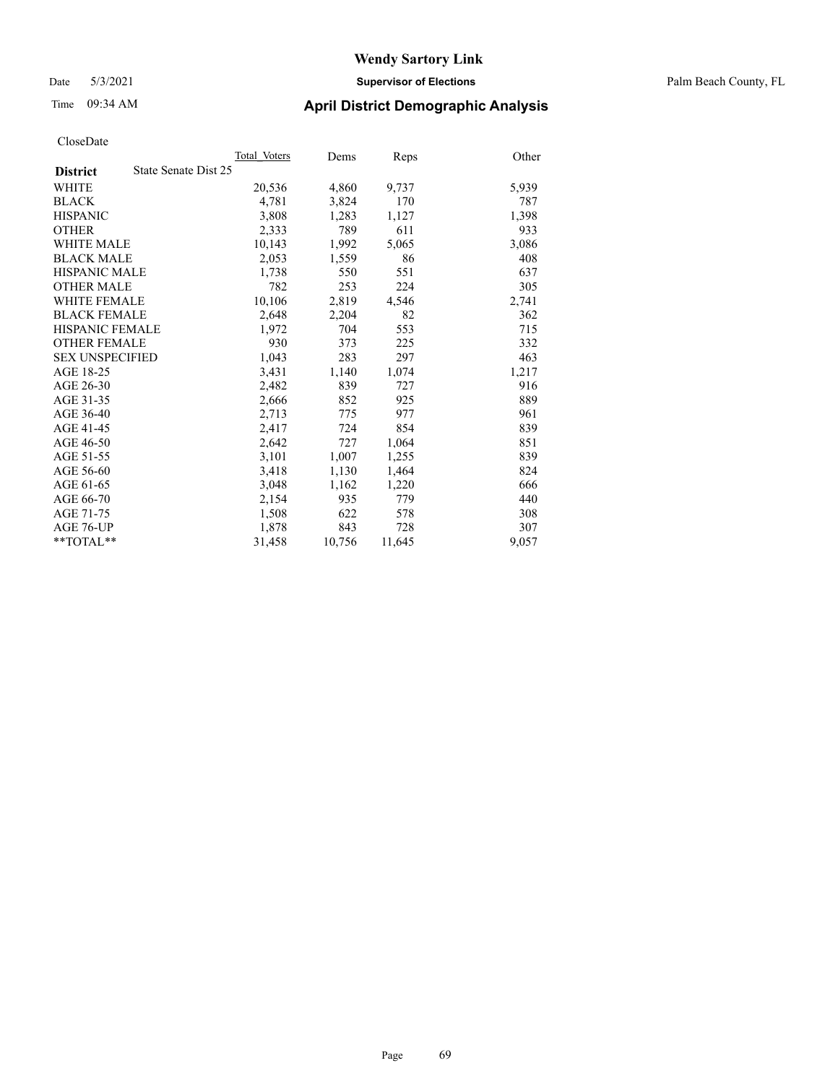Date 5/3/2021 **Supervisor of Elections** Palm Beach County, FL

### Time 09:34 AM **April District Demographic Analysis**

|                        | Total Voters         | Dems   | <b>Reps</b> | Other |
|------------------------|----------------------|--------|-------------|-------|
| <b>District</b>        | State Senate Dist 25 |        |             |       |
| WHITE                  | 20,536               | 4,860  | 9,737       | 5,939 |
| <b>BLACK</b>           | 4,781                | 3,824  | 170         | 787   |
| <b>HISPANIC</b>        | 3,808                | 1,283  | 1,127       | 1,398 |
| <b>OTHER</b>           | 2,333                | 789    | 611         | 933   |
| WHITE MALE             | 10,143               | 1,992  | 5,065       | 3,086 |
| <b>BLACK MALE</b>      | 2,053                | 1,559  | 86          | 408   |
| <b>HISPANIC MALE</b>   | 1,738                | 550    | 551         | 637   |
| OTHER MALE             | 782                  | 253    | 224         | 305   |
| <b>WHITE FEMALE</b>    | 10,106               | 2,819  | 4,546       | 2,741 |
| <b>BLACK FEMALE</b>    | 2,648                | 2,204  | 82          | 362   |
| <b>HISPANIC FEMALE</b> | 1,972                | 704    | 553         | 715   |
| <b>OTHER FEMALE</b>    | 930                  | 373    | 225         | 332   |
| <b>SEX UNSPECIFIED</b> | 1,043                | 283    | 297         | 463   |
| AGE 18-25              | 3,431                | 1,140  | 1,074       | 1,217 |
| AGE 26-30              | 2,482                | 839    | 727         | 916   |
| AGE 31-35              | 2,666                | 852    | 925         | 889   |
| AGE 36-40              | 2,713                | 775    | 977         | 961   |
| AGE 41-45              | 2,417                | 724    | 854         | 839   |
| AGE 46-50              | 2,642                | 727    | 1,064       | 851   |
| AGE 51-55              | 3,101                | 1,007  | 1,255       | 839   |
| AGE 56-60              | 3,418                | 1,130  | 1,464       | 824   |
| AGE 61-65              | 3,048                | 1,162  | 1,220       | 666   |
| AGE 66-70              | 2,154                | 935    | 779         | 440   |
| AGE 71-75              | 1,508                | 622    | 578         | 308   |
| AGE 76-UP              | 1,878                | 843    | 728         | 307   |
| $*$ $TOTAL**$          | 31,458               | 10,756 | 11,645      | 9,057 |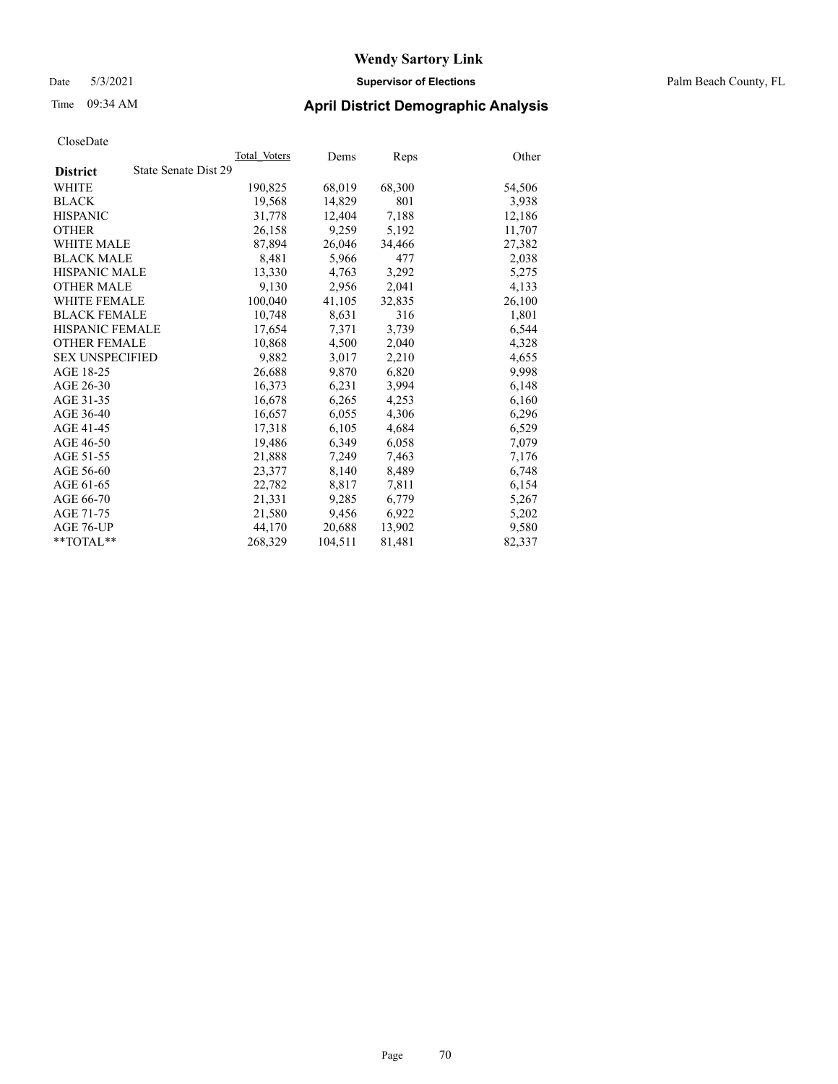#### Date 5/3/2021 **Supervisor of Elections** Palm Beach County, FL

### Time 09:34 AM **April District Demographic Analysis**

|                                         | Total Voters | Dems    | <b>Reps</b> | Other  |
|-----------------------------------------|--------------|---------|-------------|--------|
| State Senate Dist 29<br><b>District</b> |              |         |             |        |
| WHITE                                   | 190,825      | 68,019  | 68,300      | 54,506 |
| <b>BLACK</b>                            | 19,568       | 14,829  | 801         | 3,938  |
| <b>HISPANIC</b>                         | 31.778       | 12,404  | 7,188       | 12,186 |
| <b>OTHER</b>                            | 26,158       | 9,259   | 5,192       | 11,707 |
| <b>WHITE MALE</b>                       | 87,894       | 26,046  | 34,466      | 27,382 |
| <b>BLACK MALE</b>                       | 8,481        | 5,966   | 477         | 2,038  |
| <b>HISPANIC MALE</b>                    | 13,330       | 4,763   | 3,292       | 5,275  |
| <b>OTHER MALE</b>                       | 9.130        | 2,956   | 2.041       | 4,133  |
| <b>WHITE FEMALE</b>                     | 100,040      | 41,105  | 32,835      | 26,100 |
| <b>BLACK FEMALE</b>                     | 10.748       | 8,631   | 316         | 1,801  |
| <b>HISPANIC FEMALE</b>                  | 17,654       | 7,371   | 3,739       | 6,544  |
| <b>OTHER FEMALE</b>                     | 10,868       | 4.500   | 2,040       | 4,328  |
| <b>SEX UNSPECIFIED</b>                  | 9.882        | 3,017   | 2,210       | 4,655  |
| AGE 18-25                               | 26,688       | 9,870   | 6,820       | 9,998  |
| AGE 26-30                               | 16,373       | 6,231   | 3,994       | 6,148  |
| AGE 31-35                               | 16,678       | 6,265   | 4,253       | 6,160  |
| AGE 36-40                               | 16,657       | 6,055   | 4,306       | 6,296  |
| AGE 41-45                               | 17,318       | 6,105   | 4,684       | 6,529  |
| AGE 46-50                               | 19,486       | 6,349   | 6,058       | 7,079  |
| AGE 51-55                               | 21,888       | 7,249   | 7,463       | 7,176  |
| AGE 56-60                               | 23,377       | 8,140   | 8,489       | 6,748  |
| AGE 61-65                               | 22,782       | 8,817   | 7,811       | 6,154  |
| AGE 66-70                               | 21,331       | 9,285   | 6,779       | 5,267  |
| AGE 71-75                               | 21,580       | 9,456   | 6,922       | 5,202  |
| AGE 76-UP                               | 44,170       | 20,688  | 13,902      | 9,580  |
| $*$ TOTAL $*$                           | 268,329      | 104,511 | 81,481      | 82,337 |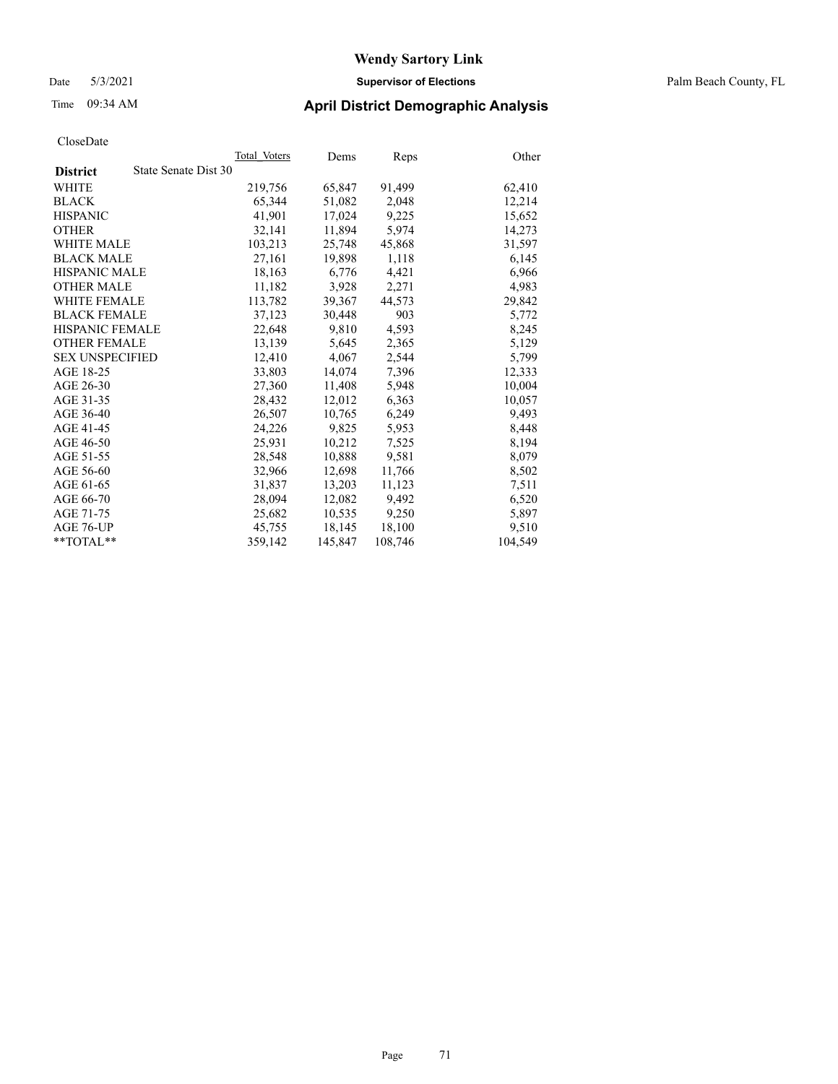#### Date 5/3/2021 **Supervisor of Elections** Palm Beach County, FL

### Time 09:34 AM **April District Demographic Analysis**

|                                         | Total Voters | Dems    | Reps    | Other   |
|-----------------------------------------|--------------|---------|---------|---------|
| State Senate Dist 30<br><b>District</b> |              |         |         |         |
| WHITE                                   | 219,756      | 65,847  | 91,499  | 62,410  |
| <b>BLACK</b>                            | 65,344       | 51,082  | 2,048   | 12,214  |
| <b>HISPANIC</b>                         | 41,901       | 17,024  | 9,225   | 15,652  |
| <b>OTHER</b>                            | 32,141       | 11,894  | 5,974   | 14,273  |
| <b>WHITE MALE</b>                       | 103,213      | 25,748  | 45,868  | 31,597  |
| <b>BLACK MALE</b>                       | 27,161       | 19,898  | 1,118   | 6,145   |
| <b>HISPANIC MALE</b>                    | 18,163       | 6,776   | 4,421   | 6,966   |
| <b>OTHER MALE</b>                       | 11,182       | 3,928   | 2,271   | 4,983   |
| <b>WHITE FEMALE</b>                     | 113,782      | 39,367  | 44,573  | 29,842  |
| <b>BLACK FEMALE</b>                     | 37.123       | 30.448  | 903     | 5,772   |
| <b>HISPANIC FEMALE</b>                  | 22,648       | 9,810   | 4,593   | 8,245   |
| <b>OTHER FEMALE</b>                     | 13,139       | 5,645   | 2,365   | 5,129   |
| <b>SEX UNSPECIFIED</b>                  | 12.410       | 4,067   | 2,544   | 5,799   |
| AGE 18-25                               | 33,803       | 14,074  | 7,396   | 12,333  |
| AGE 26-30                               | 27,360       | 11,408  | 5,948   | 10,004  |
| AGE 31-35                               | 28,432       | 12,012  | 6,363   | 10,057  |
| AGE 36-40                               | 26,507       | 10,765  | 6,249   | 9,493   |
| AGE 41-45                               | 24,226       | 9,825   | 5,953   | 8,448   |
| AGE 46-50                               | 25,931       | 10,212  | 7,525   | 8,194   |
| AGE 51-55                               | 28,548       | 10,888  | 9,581   | 8,079   |
| AGE 56-60                               | 32,966       | 12,698  | 11,766  | 8,502   |
| AGE 61-65                               | 31,837       | 13,203  | 11,123  | 7,511   |
| AGE 66-70                               | 28,094       | 12,082  | 9,492   | 6,520   |
| AGE 71-75                               | 25,682       | 10,535  | 9,250   | 5,897   |
| AGE 76-UP                               | 45,755       | 18,145  | 18,100  | 9,510   |
| $*$ $TOTAL**$                           | 359,142      | 145,847 | 108,746 | 104,549 |
|                                         |              |         |         |         |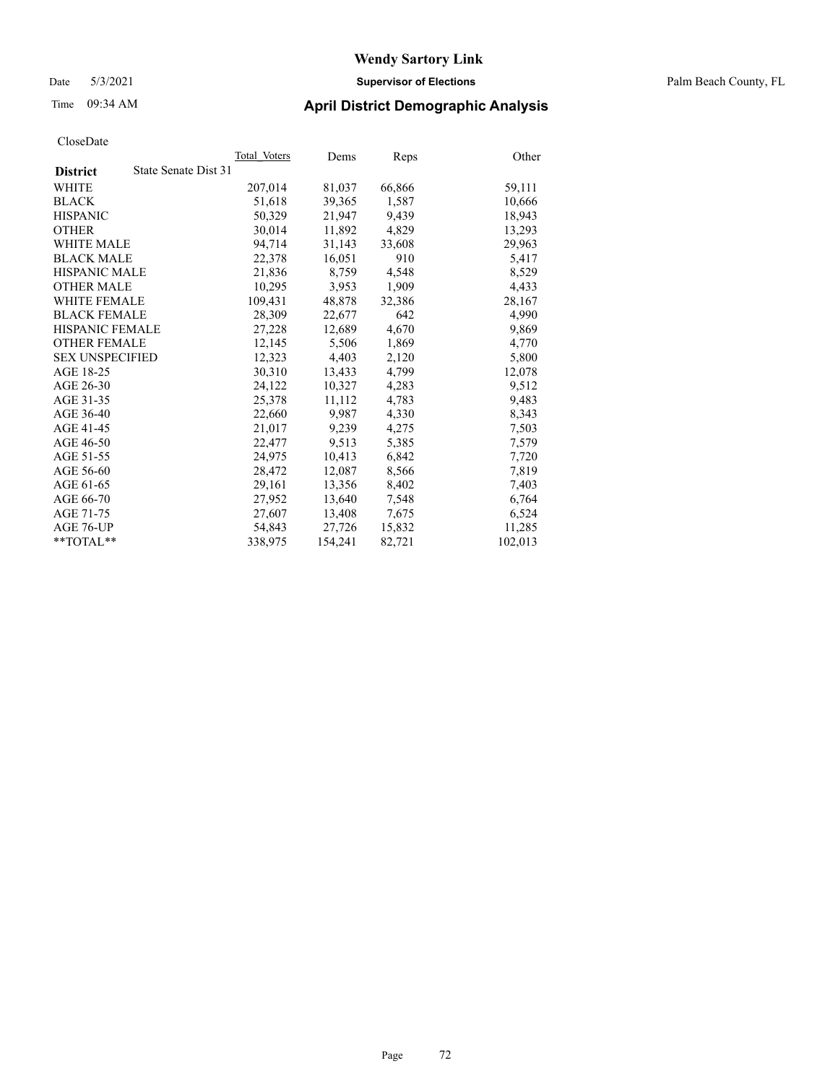#### Date 5/3/2021 **Supervisor of Elections** Palm Beach County, FL

### Time 09:34 AM **April District Demographic Analysis**

|                                         | Total Voters | Dems    | <b>Reps</b> | Other   |
|-----------------------------------------|--------------|---------|-------------|---------|
| State Senate Dist 31<br><b>District</b> |              |         |             |         |
| WHITE                                   | 207,014      | 81,037  | 66,866      | 59,111  |
| <b>BLACK</b>                            | 51,618       | 39,365  | 1,587       | 10,666  |
| <b>HISPANIC</b>                         | 50,329       | 21,947  | 9,439       | 18,943  |
| <b>OTHER</b>                            | 30,014       | 11,892  | 4,829       | 13,293  |
| <b>WHITE MALE</b>                       | 94,714       | 31,143  | 33,608      | 29,963  |
| <b>BLACK MALE</b>                       | 22,378       | 16,051  | 910         | 5,417   |
| <b>HISPANIC MALE</b>                    | 21,836       | 8,759   | 4,548       | 8,529   |
| <b>OTHER MALE</b>                       | 10.295       | 3,953   | 1,909       | 4,433   |
| <b>WHITE FEMALE</b>                     | 109,431      | 48,878  | 32,386      | 28,167  |
| <b>BLACK FEMALE</b>                     | 28,309       | 22,677  | 642         | 4,990   |
| <b>HISPANIC FEMALE</b>                  | 27,228       | 12,689  | 4,670       | 9,869   |
| <b>OTHER FEMALE</b>                     | 12,145       | 5,506   | 1,869       | 4,770   |
| <b>SEX UNSPECIFIED</b>                  | 12,323       | 4,403   | 2,120       | 5,800   |
| AGE 18-25                               | 30,310       | 13,433  | 4,799       | 12,078  |
| AGE 26-30                               | 24.122       | 10,327  | 4,283       | 9,512   |
| AGE 31-35                               | 25,378       | 11,112  | 4,783       | 9,483   |
| AGE 36-40                               | 22,660       | 9,987   | 4,330       | 8,343   |
| AGE 41-45                               | 21,017       | 9,239   | 4,275       | 7,503   |
| AGE 46-50                               | 22,477       | 9,513   | 5,385       | 7,579   |
| AGE 51-55                               | 24.975       | 10,413  | 6,842       | 7,720   |
| AGE 56-60                               | 28,472       | 12,087  | 8,566       | 7,819   |
| AGE 61-65                               | 29,161       | 13,356  | 8,402       | 7,403   |
| AGE 66-70                               | 27,952       | 13,640  | 7,548       | 6,764   |
| AGE 71-75                               | 27,607       | 13,408  | 7,675       | 6,524   |
| AGE 76-UP                               | 54,843       | 27,726  | 15,832      | 11,285  |
| **TOTAL**                               | 338,975      | 154,241 | 82,721      | 102,013 |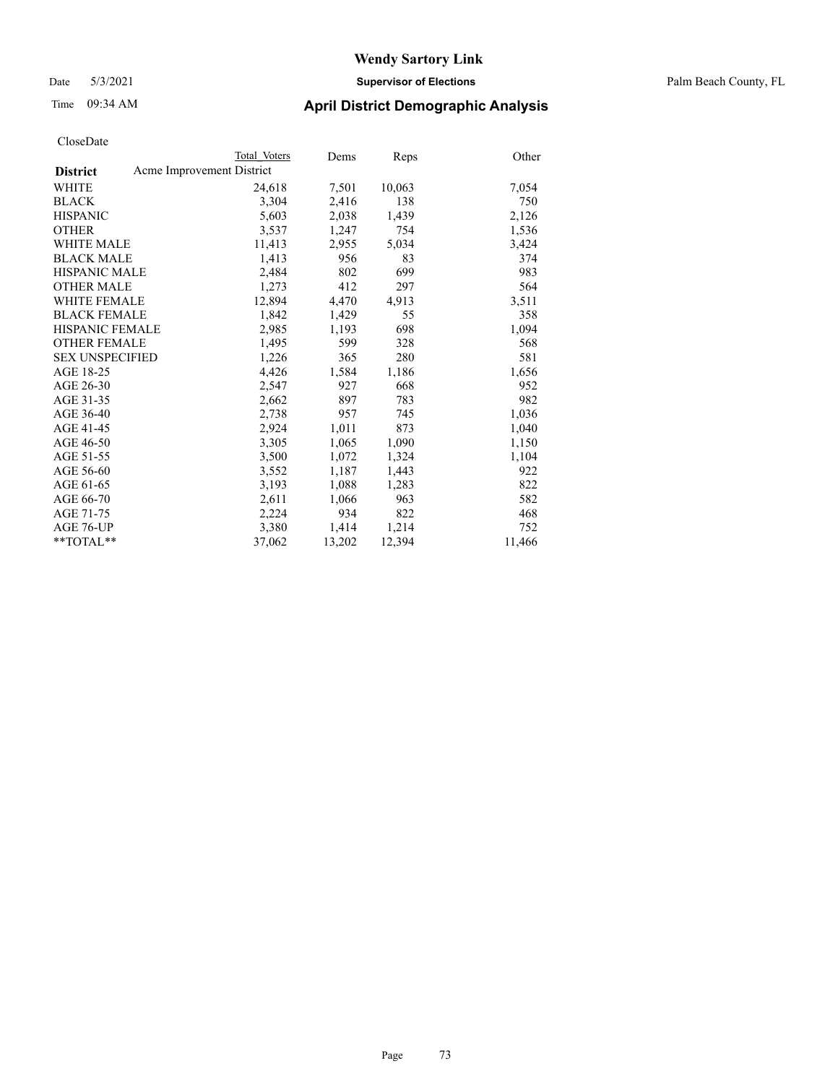### Date 5/3/2021 **Supervisor of Elections** Palm Beach County, FL

### Time 09:34 AM **April District Demographic Analysis**

|                                              | Total Voters | Dems   | <b>Reps</b> | Other  |
|----------------------------------------------|--------------|--------|-------------|--------|
| Acme Improvement District<br><b>District</b> |              |        |             |        |
| WHITE                                        | 24,618       | 7,501  | 10,063      | 7,054  |
| <b>BLACK</b>                                 | 3,304        | 2,416  | 138         | 750    |
| <b>HISPANIC</b>                              | 5,603        | 2,038  | 1,439       | 2,126  |
| <b>OTHER</b>                                 | 3,537        | 1,247  | 754         | 1,536  |
| <b>WHITE MALE</b>                            | 11,413       | 2,955  | 5,034       | 3,424  |
| <b>BLACK MALE</b>                            | 1,413        | 956    | 83          | 374    |
| <b>HISPANIC MALE</b>                         | 2,484        | 802    | 699         | 983    |
| <b>OTHER MALE</b>                            | 1,273        | 412    | 297         | 564    |
| <b>WHITE FEMALE</b>                          | 12,894       | 4,470  | 4,913       | 3,511  |
| <b>BLACK FEMALE</b>                          | 1,842        | 1,429  | 55          | 358    |
| <b>HISPANIC FEMALE</b>                       | 2,985        | 1,193  | 698         | 1,094  |
| <b>OTHER FEMALE</b>                          | 1,495        | 599    | 328         | 568    |
| <b>SEX UNSPECIFIED</b>                       | 1,226        | 365    | 280         | 581    |
| AGE 18-25                                    | 4,426        | 1,584  | 1,186       | 1,656  |
| AGE 26-30                                    | 2,547        | 927    | 668         | 952    |
| AGE 31-35                                    | 2,662        | 897    | 783         | 982    |
| AGE 36-40                                    | 2,738        | 957    | 745         | 1,036  |
| AGE 41-45                                    | 2,924        | 1,011  | 873         | 1,040  |
| AGE 46-50                                    | 3,305        | 1,065  | 1,090       | 1,150  |
| AGE 51-55                                    | 3,500        | 1,072  | 1,324       | 1,104  |
| AGE 56-60                                    | 3,552        | 1,187  | 1,443       | 922    |
| AGE 61-65                                    | 3,193        | 1,088  | 1,283       | 822    |
| AGE 66-70                                    | 2,611        | 1,066  | 963         | 582    |
| AGE 71-75                                    | 2,224        | 934    | 822         | 468    |
| AGE 76-UP                                    | 3,380        | 1,414  | 1,214       | 752    |
| **TOTAL**                                    | 37,062       | 13,202 | 12,394      | 11,466 |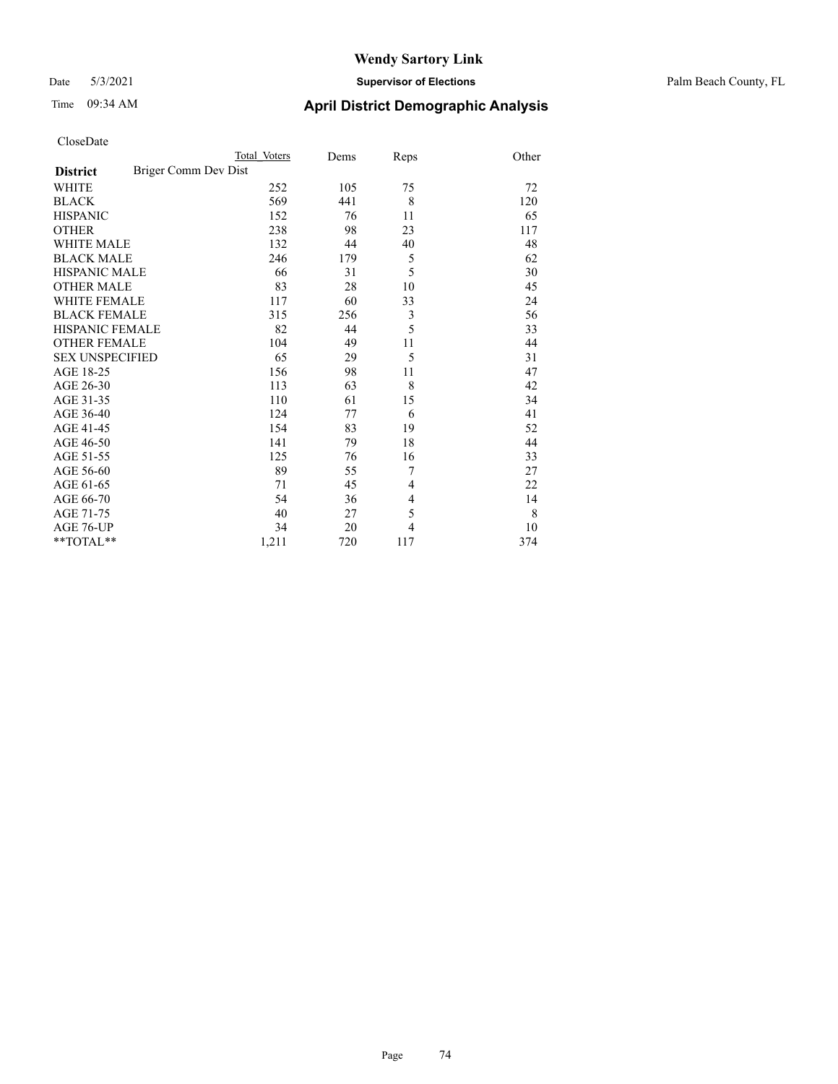### Date 5/3/2021 **Supervisor of Elections** Palm Beach County, FL

# Time 09:34 AM **April District Demographic Analysis**

|                                         | Total Voters | Dems | Reps           | Other |
|-----------------------------------------|--------------|------|----------------|-------|
| Briger Comm Dev Dist<br><b>District</b> |              |      |                |       |
| <b>WHITE</b>                            | 252          | 105  | 75             | 72    |
| <b>BLACK</b>                            | 569          | 441  | 8              | 120   |
| <b>HISPANIC</b>                         | 152          | 76   | 11             | 65    |
| <b>OTHER</b>                            | 238          | 98   | 23             | 117   |
| <b>WHITE MALE</b>                       | 132          | 44   | 40             | 48    |
| <b>BLACK MALE</b>                       | 246          | 179  | 5              | 62    |
| <b>HISPANIC MALE</b>                    | 66           | 31   | 5              | 30    |
| <b>OTHER MALE</b>                       | 83           | 28   | 10             | 45    |
| <b>WHITE FEMALE</b>                     | 117          | 60   | 33             | 24    |
| <b>BLACK FEMALE</b>                     | 315          | 256  | $\mathfrak{Z}$ | 56    |
| <b>HISPANIC FEMALE</b>                  | 82           | 44   | 5              | 33    |
| <b>OTHER FEMALE</b>                     | 104          | 49   | 11             | 44    |
| <b>SEX UNSPECIFIED</b>                  | 65           | 29   | 5              | 31    |
| AGE 18-25                               | 156          | 98   | 11             | 47    |
| AGE 26-30                               | 113          | 63   | 8              | 42    |
| AGE 31-35                               | 110          | 61   | 15             | 34    |
| AGE 36-40                               | 124          | 77   | 6              | 41    |
| AGE 41-45                               | 154          | 83   | 19             | 52    |
| AGE 46-50                               | 141          | 79   | 18             | 44    |
| AGE 51-55                               | 125          | 76   | 16             | 33    |
| AGE 56-60                               | 89           | 55   | 7              | 27    |
| AGE 61-65                               | 71           | 45   | 4              | 22    |
| AGE 66-70                               | 54           | 36   | 4              | 14    |
| AGE 71-75                               | 40           | 27   | 5              | 8     |
| AGE 76-UP                               | 34           | 20   | 4              | 10    |
| **TOTAL**                               | 1,211        | 720  | 117            | 374   |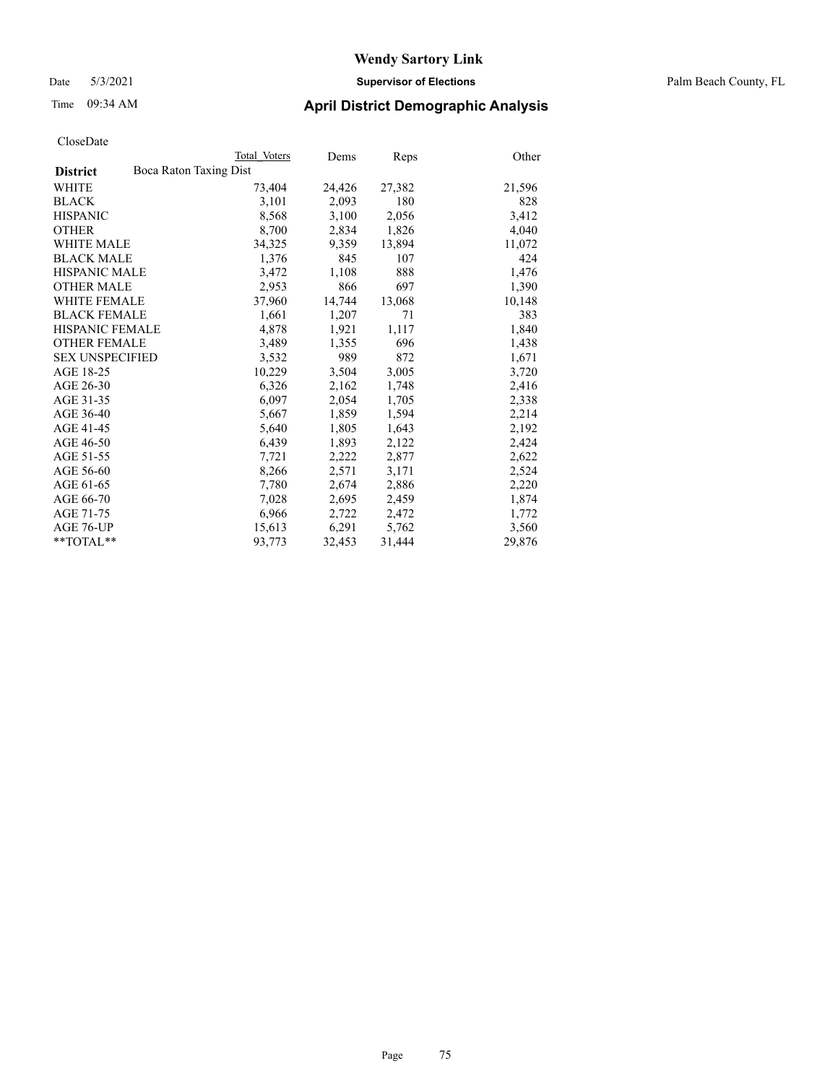Date 5/3/2021 **Supervisor of Elections** Palm Beach County, FL

### Time 09:34 AM **April District Demographic Analysis**

|                                           | Total Voters | Dems   | Reps   | Other  |
|-------------------------------------------|--------------|--------|--------|--------|
| Boca Raton Taxing Dist<br><b>District</b> |              |        |        |        |
| WHITE                                     | 73,404       | 24,426 | 27,382 | 21,596 |
| <b>BLACK</b>                              | 3,101        | 2,093  | 180    | 828    |
| <b>HISPANIC</b>                           | 8,568        | 3,100  | 2,056  | 3,412  |
| <b>OTHER</b>                              | 8,700        | 2,834  | 1,826  | 4,040  |
| <b>WHITE MALE</b>                         | 34,325       | 9,359  | 13,894 | 11,072 |
| <b>BLACK MALE</b>                         | 1,376        | 845    | 107    | 424    |
| <b>HISPANIC MALE</b>                      | 3,472        | 1,108  | 888    | 1,476  |
| <b>OTHER MALE</b>                         | 2,953        | 866    | 697    | 1,390  |
| <b>WHITE FEMALE</b>                       | 37,960       | 14,744 | 13,068 | 10,148 |
| <b>BLACK FEMALE</b>                       | 1.661        | 1,207  | 71     | 383    |
| HISPANIC FEMALE                           | 4,878        | 1,921  | 1,117  | 1,840  |
| <b>OTHER FEMALE</b>                       | 3,489        | 1,355  | 696    | 1,438  |
| <b>SEX UNSPECIFIED</b>                    | 3.532        | 989    | 872    | 1,671  |
| AGE 18-25                                 | 10,229       | 3,504  | 3,005  | 3,720  |
| AGE 26-30                                 | 6,326        | 2,162  | 1,748  | 2,416  |
| AGE 31-35                                 | 6,097        | 2,054  | 1,705  | 2,338  |
| AGE 36-40                                 | 5,667        | 1,859  | 1,594  | 2,214  |
| AGE 41-45                                 | 5,640        | 1,805  | 1,643  | 2,192  |
| AGE 46-50                                 | 6,439        | 1,893  | 2,122  | 2,424  |
| AGE 51-55                                 | 7,721        | 2,222  | 2,877  | 2,622  |
| AGE 56-60                                 | 8,266        | 2,571  | 3,171  | 2,524  |
| AGE 61-65                                 | 7,780        | 2,674  | 2,886  | 2,220  |
| AGE 66-70                                 | 7,028        | 2,695  | 2,459  | 1,874  |
| AGE 71-75                                 | 6,966        | 2,722  | 2,472  | 1,772  |
| AGE 76-UP                                 | 15,613       | 6,291  | 5,762  | 3,560  |
| $*$ TOTAL $*$                             | 93,773       | 32,453 | 31,444 | 29,876 |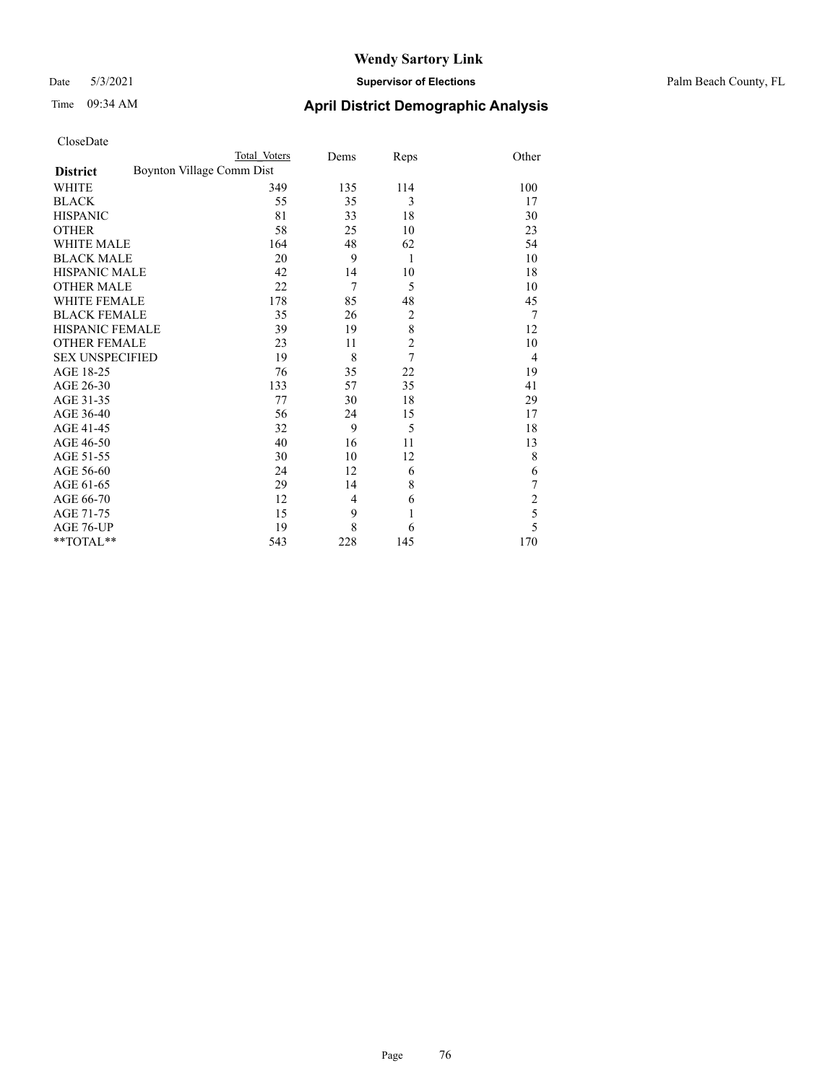### Date 5/3/2021 **Supervisor of Elections** Palm Beach County, FL

| CloseDate |
|-----------|
|-----------|

|                        |                           | Total Voters | Dems           | Reps           | Other          |
|------------------------|---------------------------|--------------|----------------|----------------|----------------|
| <b>District</b>        | Boynton Village Comm Dist |              |                |                |                |
| WHITE                  |                           | 349          | 135            | 114            | 100            |
| BLACK                  |                           | 55           | 35             | 3              | 17             |
| HISPANIC               |                           | 81           | 33             | 18             | 30             |
| OTHER                  |                           | 58           | 25             | 10             | 23             |
| WHITE MALE             |                           | 164          | 48             | 62             | 54             |
| <b>BLACK MALE</b>      |                           | 20           | 9              | 1              | 10             |
| HISPANIC MALE          |                           | 42           | 14             | 10             | 18             |
| OTHER MALE             |                           | 22           | $\overline{7}$ | 5              | 10             |
| WHITE FEMALE           |                           | 178          | 85             | 48             | 45             |
| BLACK FEMALE           |                           | 35           | 26             | $\overline{c}$ | 7              |
| HISPANIC FEMALE        |                           | 39           | 19             | $\,$ $\,$      | 12             |
| OTHER FEMALE           |                           | 23           | 11             | $\overline{c}$ | 10             |
| <b>SEX UNSPECIFIED</b> |                           | 19           | 8              | $\overline{7}$ | $\overline{4}$ |
| AGE 18-25              |                           | 76           | 35             | 22             | 19             |
| AGE 26-30              |                           | 133          | 57             | 35             | 41             |
| AGE 31-35              |                           | 77           | 30             | 18             | 29             |
| AGE 36-40              |                           | 56           | 24             | 15             | 17             |
| AGE 41-45              |                           | 32           | 9              | 5              | 18             |
| AGE 46-50              |                           | 40           | 16             | 11             | 13             |
| AGE 51-55              |                           | 30           | 10             | 12             | 8              |
| AGE 56-60              |                           | 24           | 12             | 6              | 6              |
| AGE 61-65              |                           | 29           | 14             | 8              | 7              |
| AGE 66-70              |                           | 12           | 4              | 6              | $\overline{c}$ |
| AGE 71-75              |                           | 15           | 9              | $\mathbf{1}$   | 5              |
| AGE 76-UP              |                           | 19           | 8              | 6              | 5              |
| $*$ TOTAL $**$         |                           | 543          | 228            | 145            | 170            |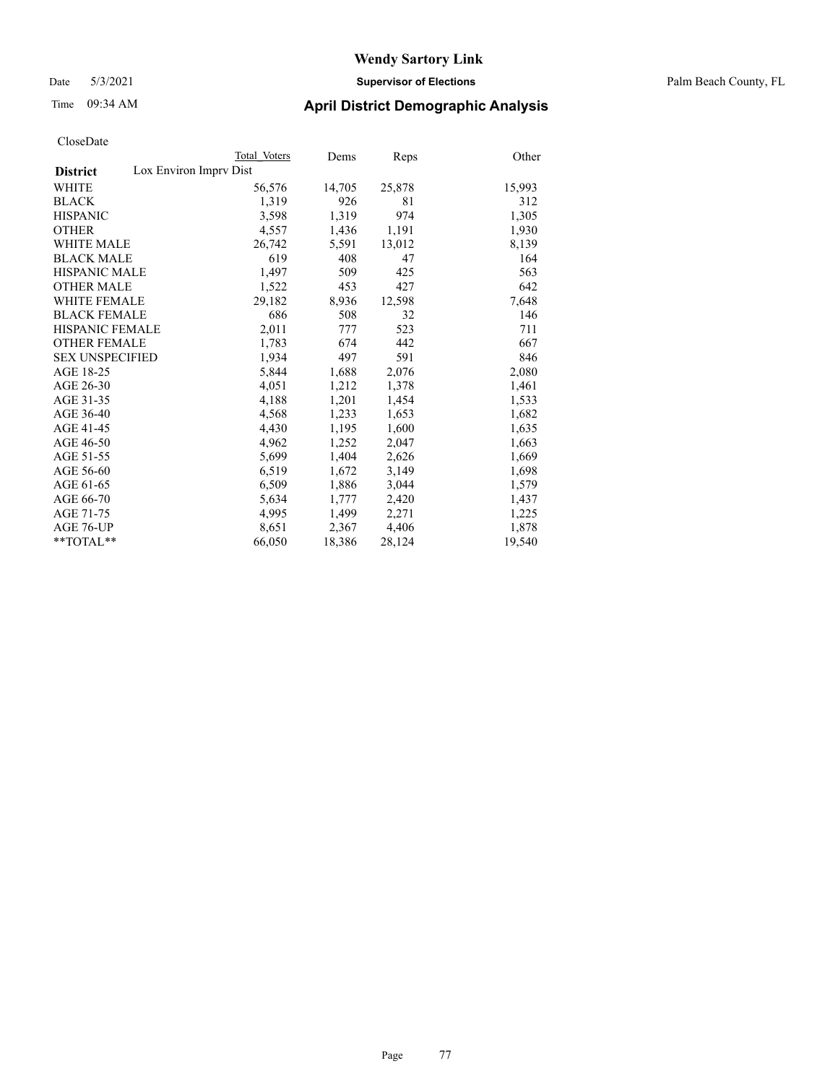Date 5/3/2021 **Supervisor of Elections** Palm Beach County, FL

### Time 09:34 AM **April District Demographic Analysis**

|                                           | Total Voters | Dems   | <b>Reps</b> | Other  |
|-------------------------------------------|--------------|--------|-------------|--------|
| Lox Environ Imprv Dist<br><b>District</b> |              |        |             |        |
| <b>WHITE</b>                              | 56,576       | 14,705 | 25,878      | 15,993 |
| <b>BLACK</b>                              | 1,319        | 926    | 81          | 312    |
| <b>HISPANIC</b>                           | 3,598        | 1,319  | 974         | 1,305  |
| <b>OTHER</b>                              | 4,557        | 1,436  | 1,191       | 1,930  |
| <b>WHITE MALE</b>                         | 26,742       | 5,591  | 13,012      | 8,139  |
| <b>BLACK MALE</b>                         | 619          | 408    | 47          | 164    |
| <b>HISPANIC MALE</b>                      | 1,497        | 509    | 425         | 563    |
| <b>OTHER MALE</b>                         | 1,522        | 453    | 427         | 642    |
| <b>WHITE FEMALE</b>                       | 29,182       | 8,936  | 12,598      | 7,648  |
| <b>BLACK FEMALE</b>                       | 686          | 508    | 32          | 146    |
| HISPANIC FEMALE                           | 2,011        | 777    | 523         | 711    |
| <b>OTHER FEMALE</b>                       | 1,783        | 674    | 442         | 667    |
| <b>SEX UNSPECIFIED</b>                    | 1,934        | 497    | 591         | 846    |
| AGE 18-25                                 | 5,844        | 1,688  | 2,076       | 2,080  |
| AGE 26-30                                 | 4,051        | 1,212  | 1,378       | 1,461  |
| AGE 31-35                                 | 4,188        | 1,201  | 1,454       | 1,533  |
| AGE 36-40                                 | 4,568        | 1,233  | 1,653       | 1,682  |
| AGE 41-45                                 | 4,430        | 1,195  | 1,600       | 1,635  |
| AGE 46-50                                 | 4,962        | 1,252  | 2,047       | 1,663  |
| AGE 51-55                                 | 5,699        | 1,404  | 2,626       | 1,669  |
| AGE 56-60                                 | 6,519        | 1,672  | 3,149       | 1,698  |
| AGE 61-65                                 | 6,509        | 1,886  | 3,044       | 1,579  |
| AGE 66-70                                 | 5,634        | 1,777  | 2,420       | 1,437  |
| AGE 71-75                                 | 4,995        | 1,499  | 2,271       | 1,225  |
| AGE 76-UP                                 | 8,651        | 2,367  | 4,406       | 1,878  |
| $*$ $TOTAL**$                             | 66,050       | 18,386 | 28,124      | 19,540 |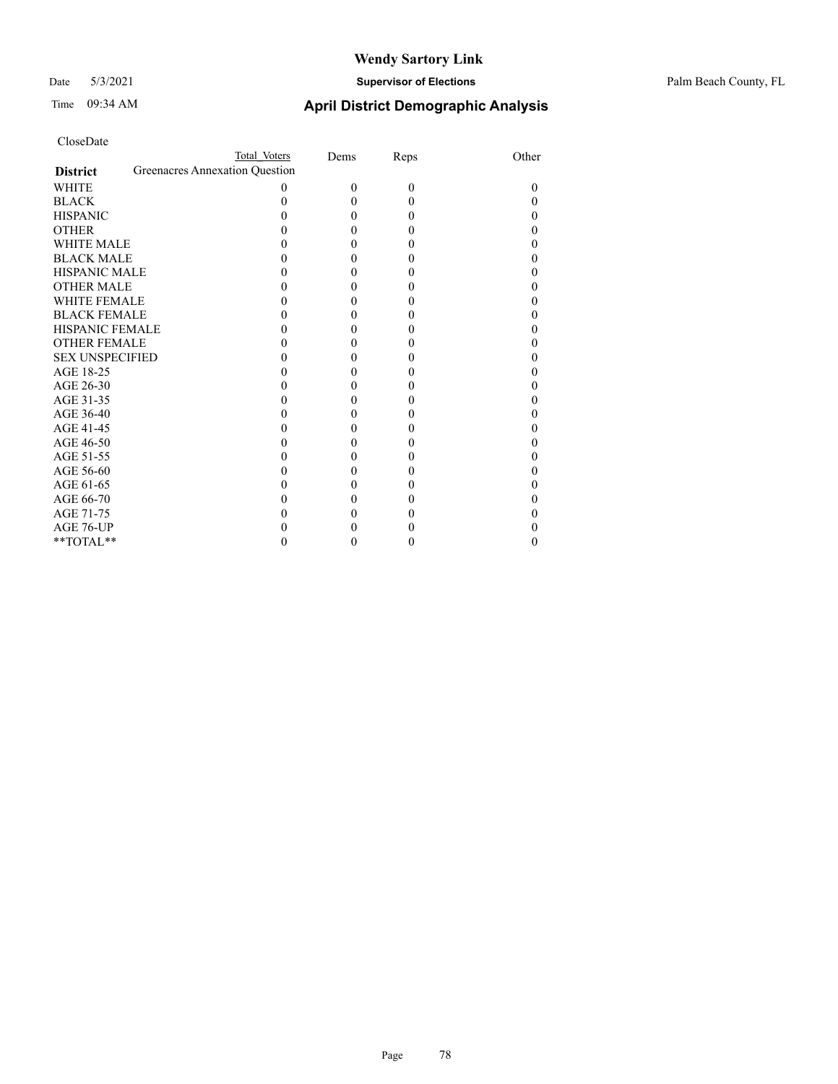### Date 5/3/2021 **Supervisor of Elections** Palm Beach County, FL

| CloseDate |
|-----------|
|-----------|

|                     |                                | Total Voters | Dems     | Reps     | Other |
|---------------------|--------------------------------|--------------|----------|----------|-------|
| <b>District</b>     | Greenacres Annexation Question |              |          |          |       |
| WHITE               |                                | $\Omega$     | $\Omega$ | $\Omega$ | 0     |
| BLACK               |                                |              | 0        | 0        |       |
| <b>HISPANIC</b>     |                                |              |          | 0        |       |
| OTHER               |                                |              |          |          |       |
| WHITE MALE          |                                |              |          | 0        |       |
| <b>BLACK MALE</b>   |                                |              |          |          |       |
| HISPANIC MALE       |                                |              |          |          |       |
| OTHER MALE          |                                |              |          |          |       |
| WHITE FEMALE        |                                |              |          |          |       |
| <b>BLACK FEMALE</b> |                                |              |          |          |       |
| HISPANIC FEMALE     |                                |              | 0        |          |       |
| <b>OTHER FEMALE</b> |                                |              |          |          |       |
| SEX UNSPECIFIED     |                                |              |          |          |       |
| AGE 18-25           |                                |              |          |          |       |
| AGE 26-30           |                                |              |          |          |       |
| AGE 31-35           |                                |              |          |          |       |
| AGE 36-40           |                                |              |          |          |       |
| AGE 41-45           |                                |              |          |          |       |
| AGE 46-50           |                                |              |          |          |       |
| AGE 51-55           |                                |              |          |          |       |
| AGE 56-60           |                                |              |          |          |       |
| AGE 61-65           |                                |              |          |          |       |
| AGE 66-70           |                                |              |          |          |       |
| AGE 71-75           |                                |              |          |          |       |
| AGE 76-UP           |                                |              |          |          |       |
| $*$ TOTAL $*$       |                                |              |          |          |       |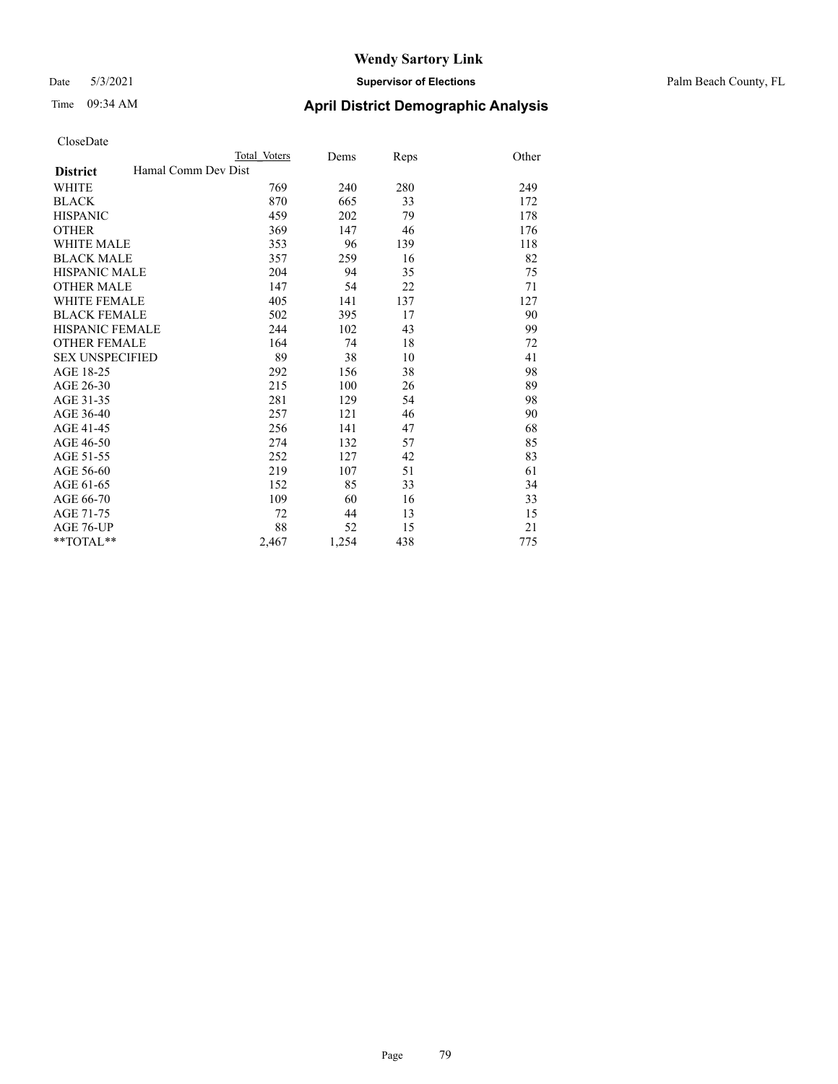### Date 5/3/2021 **Supervisor of Elections** Palm Beach County, FL

# Time 09:34 AM **April District Demographic Analysis**

|                                        | Total Voters | Dems  | Reps | Other |
|----------------------------------------|--------------|-------|------|-------|
| Hamal Comm Dev Dist<br><b>District</b> |              |       |      |       |
| <b>WHITE</b>                           | 769          | 240   | 280  | 249   |
| <b>BLACK</b>                           | 870          | 665   | 33   | 172   |
| <b>HISPANIC</b>                        | 459          | 202   | 79   | 178   |
| <b>OTHER</b>                           | 369          | 147   | 46   | 176   |
| <b>WHITE MALE</b>                      | 353          | 96    | 139  | 118   |
| <b>BLACK MALE</b>                      | 357          | 259   | 16   | 82    |
| <b>HISPANIC MALE</b>                   | 204          | 94    | 35   | 75    |
| <b>OTHER MALE</b>                      | 147          | 54    | 22   | 71    |
| <b>WHITE FEMALE</b>                    | 405          | 141   | 137  | 127   |
| <b>BLACK FEMALE</b>                    | 502          | 395   | 17   | 90    |
| <b>HISPANIC FEMALE</b>                 | 244          | 102   | 43   | 99    |
| <b>OTHER FEMALE</b>                    | 164          | 74    | 18   | 72    |
| <b>SEX UNSPECIFIED</b>                 | 89           | 38    | 10   | 41    |
| AGE 18-25                              | 292          | 156   | 38   | 98    |
| AGE 26-30                              | 215          | 100   | 26   | 89    |
| AGE 31-35                              | 281          | 129   | 54   | 98    |
| AGE 36-40                              | 257          | 121   | 46   | 90    |
| AGE 41-45                              | 256          | 141   | 47   | 68    |
| AGE 46-50                              | 274          | 132   | 57   | 85    |
| AGE 51-55                              | 252          | 127   | 42   | 83    |
| AGE 56-60                              | 219          | 107   | 51   | 61    |
| AGE 61-65                              | 152          | 85    | 33   | 34    |
| AGE 66-70                              | 109          | 60    | 16   | 33    |
| AGE 71-75                              | 72           | 44    | 13   | 15    |
| AGE 76-UP                              | 88           | 52    | 15   | 21    |
| $*$ $TOTAL**$                          | 2,467        | 1,254 | 438  | 775   |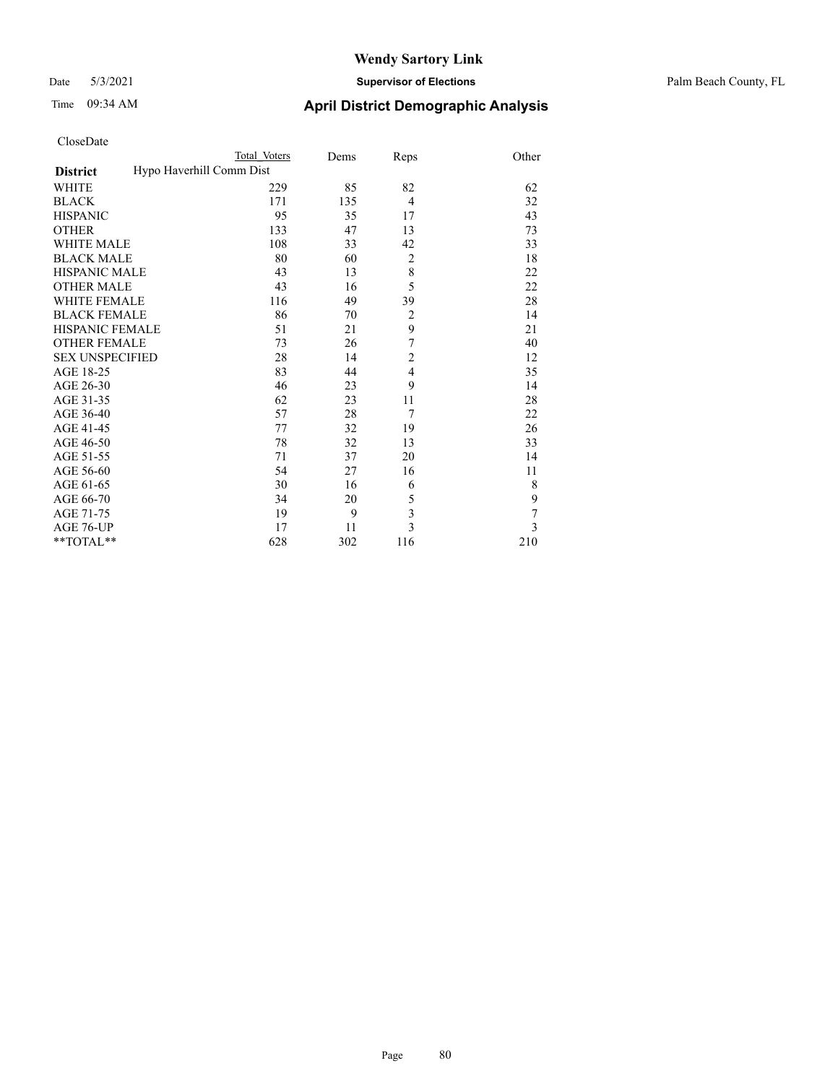### Date 5/3/2021 **Supervisor of Elections** Palm Beach County, FL

| CloseDate |
|-----------|
|-----------|

|                        | Total Voters             | Dems | Reps                    | Other |
|------------------------|--------------------------|------|-------------------------|-------|
| <b>District</b>        | Hypo Haverhill Comm Dist |      |                         |       |
| WHITE                  | 229                      | 85   | 82                      | 62    |
| BLACK                  | 171                      | 135  | $\overline{4}$          | 32    |
| HISPANIC               | 95                       | 35   | 17                      | 43    |
| OTHER                  | 133                      | 47   | 13                      | 73    |
| WHITE MALE             | 108                      | 33   | 42                      | 33    |
| <b>BLACK MALE</b>      | 80                       | 60   | $\overline{2}$          | 18    |
| HISPANIC MALE          | 43                       | 13   | 8                       | 22    |
| <b>OTHER MALE</b>      | 43                       | 16   | 5                       | 22    |
| WHITE FEMALE           | 116                      | 49   | 39                      | 28    |
| <b>BLACK FEMALE</b>    | 86                       | 70   | $\mathfrak{2}$          | 14    |
| HISPANIC FEMALE        | 51                       | 21   | 9                       | 21    |
| <b>OTHER FEMALE</b>    | 73                       | 26   | $\boldsymbol{7}$        | 40    |
| <b>SEX UNSPECIFIED</b> | 28                       | 14   | $\overline{c}$          | 12    |
| AGE 18-25              | 83                       | 44   | $\overline{4}$          | 35    |
| AGE 26-30              | 46                       | 23   | 9                       | 14    |
| AGE 31-35              | 62                       | 23   | 11                      | 28    |
| AGE 36-40              | 57                       | 28   | 7                       | 22    |
| AGE 41-45              | 77                       | 32   | 19                      | 26    |
| AGE 46-50              | 78                       | 32   | 13                      | 33    |
| AGE 51-55              | 71                       | 37   | 20                      | 14    |
| AGE 56-60              | 54                       | 27   | 16                      | 11    |
| AGE 61-65              | 30                       | 16   | 6                       | 8     |
| AGE 66-70              | 34                       | 20   | 5                       | 9     |
| AGE 71-75              | 19                       | 9    | $\overline{\mathbf{3}}$ | 7     |
| AGE 76-UP              | 17                       | 11   | $\overline{3}$          | 3     |
| $*$ TOTAL $*$          | 628                      | 302  | 116                     | 210   |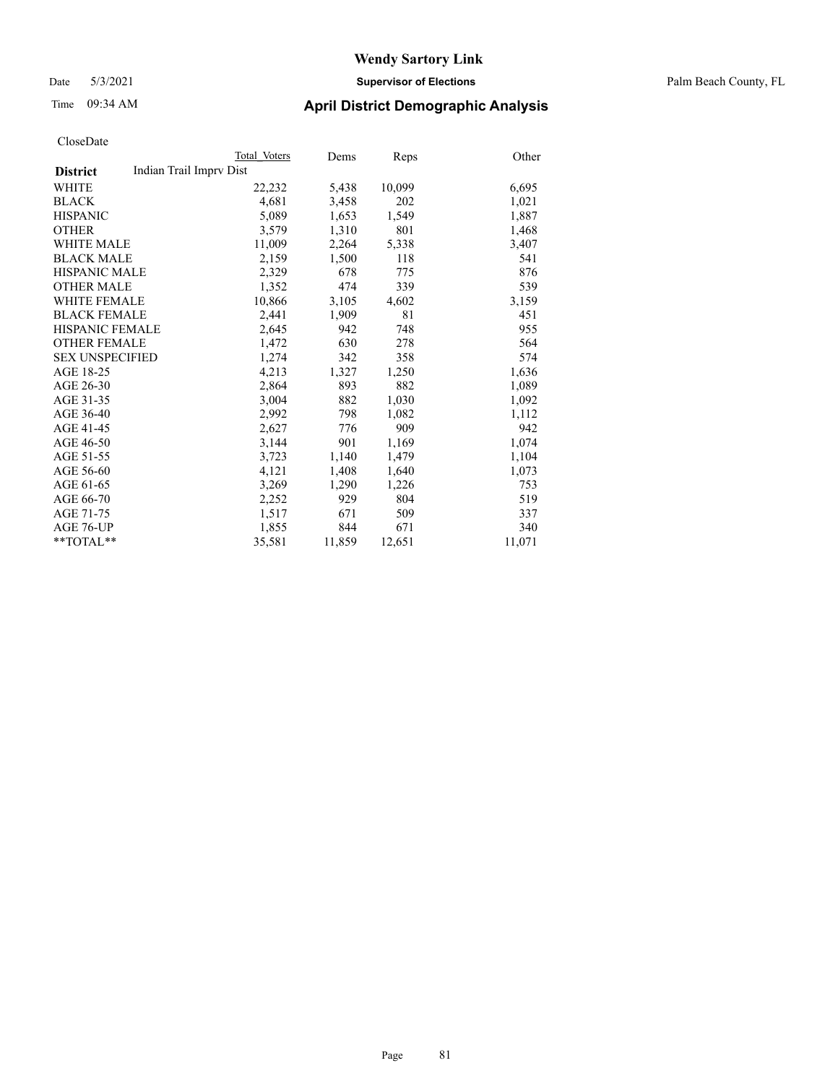### Date 5/3/2021 **Supervisor of Elections** Palm Beach County, FL

### Time 09:34 AM **April District Demographic Analysis**

|                        | Total Voters            | Dems   | Reps   | Other  |
|------------------------|-------------------------|--------|--------|--------|
| <b>District</b>        | Indian Trail Imprv Dist |        |        |        |
| WHITE                  | 22,232                  | 5,438  | 10,099 | 6,695  |
| <b>BLACK</b>           | 4,681                   | 3,458  | 202    | 1,021  |
| <b>HISPANIC</b>        | 5,089                   | 1,653  | 1,549  | 1,887  |
| <b>OTHER</b>           | 3,579                   | 1,310  | 801    | 1,468  |
| <b>WHITE MALE</b>      | 11,009                  | 2,264  | 5,338  | 3,407  |
| <b>BLACK MALE</b>      | 2,159                   | 1,500  | 118    | 541    |
| <b>HISPANIC MALE</b>   | 2,329                   | 678    | 775    | 876    |
| <b>OTHER MALE</b>      | 1,352                   | 474    | 339    | 539    |
| <b>WHITE FEMALE</b>    | 10,866                  | 3,105  | 4,602  | 3,159  |
| <b>BLACK FEMALE</b>    | 2,441                   | 1,909  | 81     | 451    |
| <b>HISPANIC FEMALE</b> | 2,645                   | 942    | 748    | 955    |
| <b>OTHER FEMALE</b>    | 1,472                   | 630    | 278    | 564    |
| <b>SEX UNSPECIFIED</b> | 1,274                   | 342    | 358    | 574    |
| AGE 18-25              | 4,213                   | 1,327  | 1,250  | 1,636  |
| AGE 26-30              | 2,864                   | 893    | 882    | 1,089  |
| AGE 31-35              | 3,004                   | 882    | 1,030  | 1,092  |
| AGE 36-40              | 2,992                   | 798    | 1,082  | 1,112  |
| AGE 41-45              | 2,627                   | 776    | 909    | 942    |
| AGE 46-50              | 3,144                   | 901    | 1,169  | 1,074  |
| AGE 51-55              | 3,723                   | 1,140  | 1,479  | 1,104  |
| AGE 56-60              | 4,121                   | 1,408  | 1,640  | 1,073  |
| AGE 61-65              | 3,269                   | 1,290  | 1,226  | 753    |
| AGE 66-70              | 2,252                   | 929    | 804    | 519    |
| AGE 71-75              | 1,517                   | 671    | 509    | 337    |
| AGE 76-UP              | 1,855                   | 844    | 671    | 340    |
| **TOTAL**              | 35,581                  | 11,859 | 12,651 | 11,071 |
|                        |                         |        |        |        |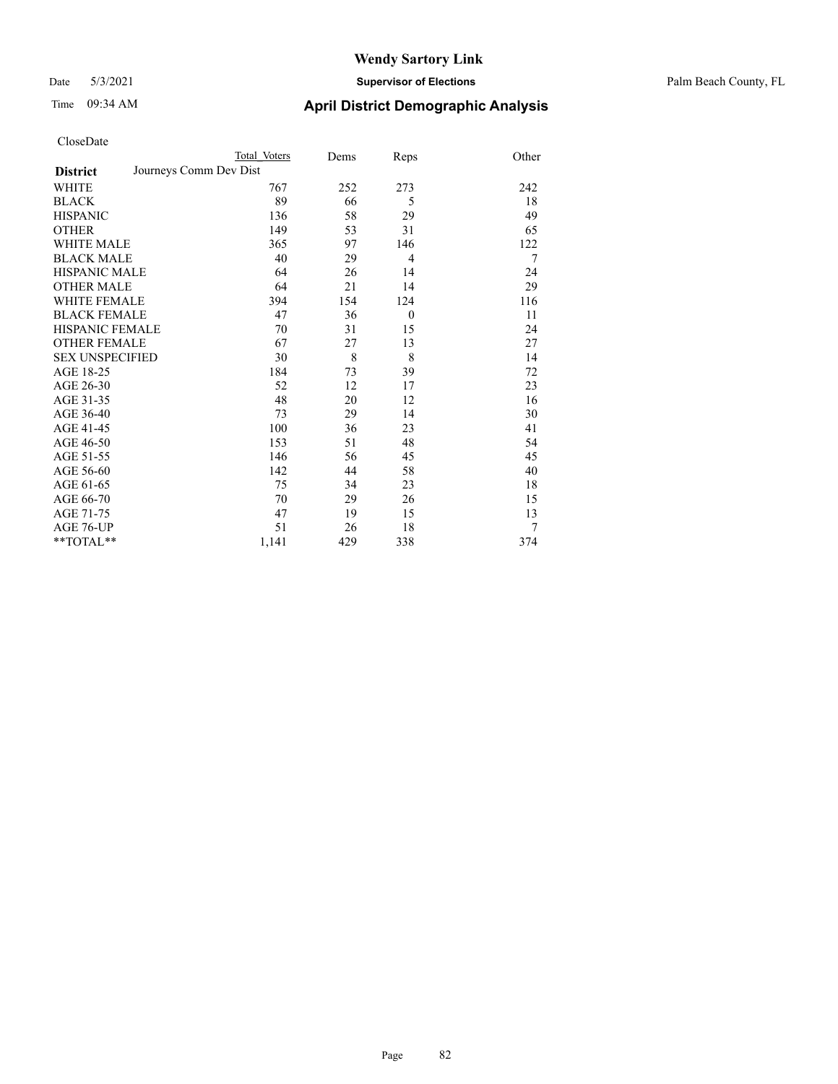### Date 5/3/2021 **Supervisor of Elections** Palm Beach County, FL

| CloseDate |
|-----------|
|-----------|

|                        |                        | Total Voters | Dems | Reps           | Other |
|------------------------|------------------------|--------------|------|----------------|-------|
| <b>District</b>        | Journeys Comm Dev Dist |              |      |                |       |
| WHITE                  |                        | 767          | 252  | 273            | 242   |
| BLACK                  |                        | 89           | 66   | 5              | 18    |
| <b>HISPANIC</b>        |                        | 136          | 58   | 29             | 49    |
| <b>OTHER</b>           |                        | 149          | 53   | 31             | 65    |
| WHITE MALE             |                        | 365          | 97   | 146            | 122   |
| <b>BLACK MALE</b>      |                        | 40           | 29   | $\overline{4}$ | 7     |
| HISPANIC MALE          |                        | 64           | 26   | 14             | 24    |
| OTHER MALE             |                        | 64           | 21   | 14             | 29    |
| WHITE FEMALE           |                        | 394          | 154  | 124            | 116   |
| <b>BLACK FEMALE</b>    |                        | 47           | 36   | $\mathbf{0}$   | 11    |
| HISPANIC FEMALE        |                        | 70           | 31   | 15             | 24    |
| <b>OTHER FEMALE</b>    |                        | 67           | 27   | 13             | 27    |
| <b>SEX UNSPECIFIED</b> |                        | 30           | 8    | 8              | 14    |
| AGE 18-25              |                        | 184          | 73   | 39             | 72    |
| AGE 26-30              |                        | 52           | 12   | 17             | 23    |
| AGE 31-35              |                        | 48           | 20   | 12             | 16    |
| AGE 36-40              |                        | 73           | 29   | 14             | 30    |
| AGE 41-45              |                        | 100          | 36   | 23             | 41    |
| AGE 46-50              |                        | 153          | 51   | 48             | 54    |
| AGE 51-55              |                        | 146          | 56   | 45             | 45    |
| AGE 56-60              |                        | 142          | 44   | 58             | 40    |
| AGE 61-65              |                        | 75           | 34   | 23             | 18    |
| AGE 66-70              |                        | 70           | 29   | 26             | 15    |
| AGE 71-75              |                        | 47           | 19   | 15             | 13    |
| AGE 76-UP              |                        | 51           | 26   | 18             |       |
| **TOTAL**              |                        | 1,141        | 429  | 338            | 374   |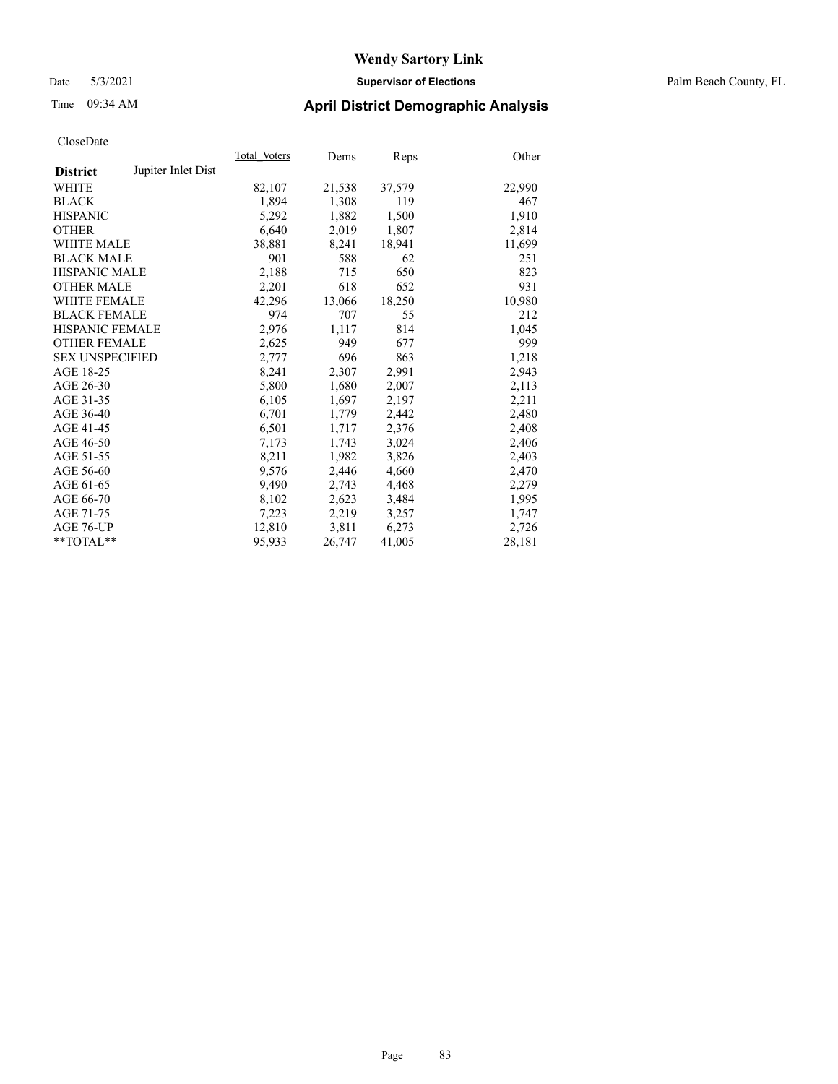### Date 5/3/2021 **Supervisor of Elections** Palm Beach County, FL

# Time 09:34 AM **April District Demographic Analysis**

|                        |                    | Total Voters | Dems   | Reps   | Other  |
|------------------------|--------------------|--------------|--------|--------|--------|
| <b>District</b>        | Jupiter Inlet Dist |              |        |        |        |
| WHITE                  |                    | 82,107       | 21,538 | 37,579 | 22,990 |
| <b>BLACK</b>           |                    | 1,894        | 1,308  | 119    | 467    |
| <b>HISPANIC</b>        |                    | 5,292        | 1,882  | 1,500  | 1,910  |
| <b>OTHER</b>           |                    | 6,640        | 2,019  | 1,807  | 2,814  |
| <b>WHITE MALE</b>      |                    | 38,881       | 8,241  | 18,941 | 11,699 |
| <b>BLACK MALE</b>      |                    | 901          | 588    | 62     | 251    |
| <b>HISPANIC MALE</b>   |                    | 2,188        | 715    | 650    | 823    |
| <b>OTHER MALE</b>      |                    | 2,201        | 618    | 652    | 931    |
| <b>WHITE FEMALE</b>    |                    | 42,296       | 13,066 | 18,250 | 10,980 |
| <b>BLACK FEMALE</b>    |                    | 974          | 707    | 55     | 212    |
| <b>HISPANIC FEMALE</b> |                    | 2,976        | 1,117  | 814    | 1,045  |
| <b>OTHER FEMALE</b>    |                    | 2,625        | 949    | 677    | 999    |
| <b>SEX UNSPECIFIED</b> |                    | 2,777        | 696    | 863    | 1,218  |
| AGE 18-25              |                    | 8,241        | 2,307  | 2,991  | 2,943  |
| AGE 26-30              |                    | 5,800        | 1,680  | 2,007  | 2,113  |
| AGE 31-35              |                    | 6,105        | 1,697  | 2,197  | 2,211  |
| AGE 36-40              |                    | 6,701        | 1,779  | 2,442  | 2,480  |
| AGE 41-45              |                    | 6,501        | 1,717  | 2,376  | 2,408  |
| AGE 46-50              |                    | 7,173        | 1,743  | 3,024  | 2,406  |
| AGE 51-55              |                    | 8,211        | 1,982  | 3,826  | 2,403  |
| AGE 56-60              |                    | 9,576        | 2,446  | 4,660  | 2,470  |
| AGE 61-65              |                    | 9,490        | 2,743  | 4,468  | 2,279  |
| AGE 66-70              |                    | 8,102        | 2,623  | 3,484  | 1,995  |
| AGE 71-75              |                    | 7,223        | 2,219  | 3,257  | 1,747  |
| AGE 76-UP              |                    | 12,810       | 3,811  | 6,273  | 2,726  |
| $*$ $TOTAL**$          |                    | 95,933       | 26,747 | 41,005 | 28,181 |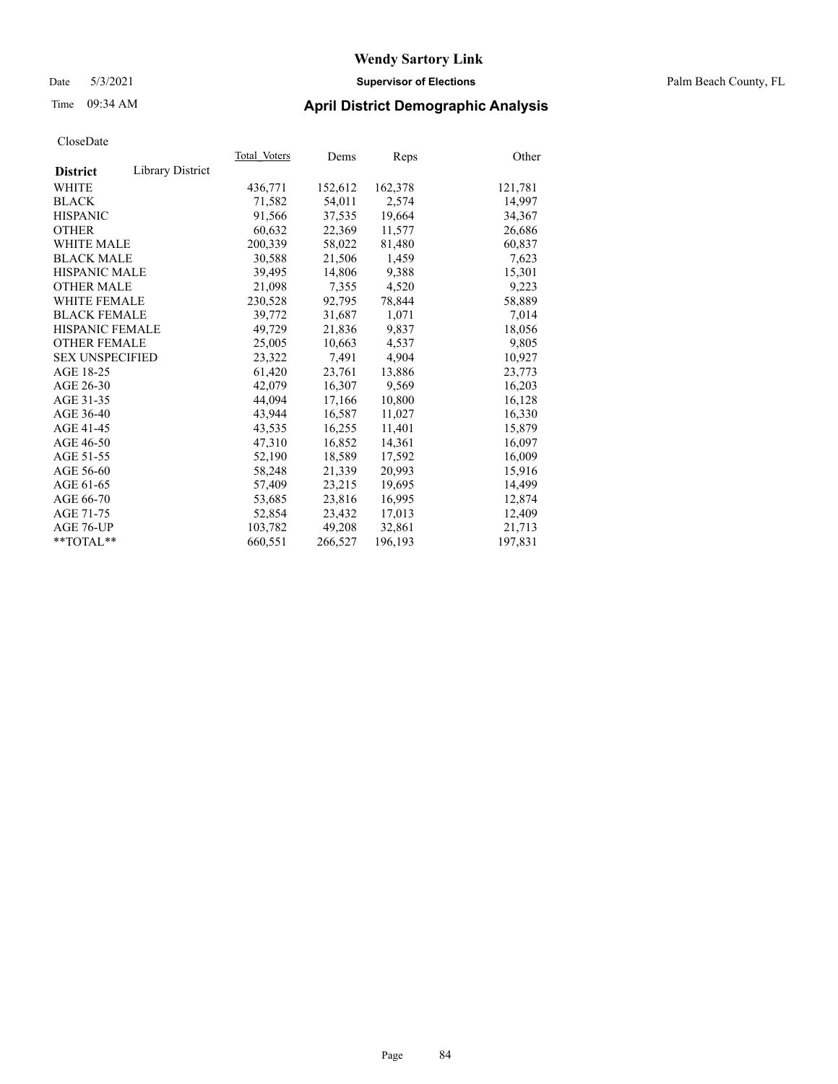### Date 5/3/2021 **Supervisor of Elections** Palm Beach County, FL

# Time 09:34 AM **April District Demographic Analysis**

| Cioscizate             |                  |              |         |         |         |
|------------------------|------------------|--------------|---------|---------|---------|
|                        |                  | Total Voters | Dems    | Reps    | Other   |
| <b>District</b>        | Library District |              |         |         |         |
| WHITE                  |                  | 436,771      | 152,612 | 162,378 | 121,781 |
| <b>BLACK</b>           |                  | 71,582       | 54,011  | 2,574   | 14,997  |
| <b>HISPANIC</b>        |                  | 91,566       | 37,535  | 19,664  | 34,367  |
| <b>OTHER</b>           |                  | 60,632       | 22,369  | 11,577  | 26,686  |
| <b>WHITE MALE</b>      |                  | 200,339      | 58,022  | 81,480  | 60,837  |
| <b>BLACK MALE</b>      |                  | 30,588       | 21,506  | 1,459   | 7,623   |
| <b>HISPANIC MALE</b>   |                  | 39,495       | 14,806  | 9,388   | 15,301  |
| <b>OTHER MALE</b>      |                  | 21,098       | 7,355   | 4,520   | 9,223   |
| <b>WHITE FEMALE</b>    |                  | 230,528      | 92,795  | 78,844  | 58,889  |
| <b>BLACK FEMALE</b>    |                  | 39.772       | 31,687  | 1,071   | 7,014   |
| <b>HISPANIC FEMALE</b> |                  | 49,729       | 21,836  | 9,837   | 18,056  |
| <b>OTHER FEMALE</b>    |                  | 25,005       | 10,663  | 4,537   | 9,805   |
| <b>SEX UNSPECIFIED</b> |                  | 23,322       | 7,491   | 4,904   | 10,927  |
| AGE 18-25              |                  | 61,420       | 23,761  | 13,886  | 23,773  |
| AGE 26-30              |                  | 42,079       | 16,307  | 9,569   | 16,203  |
| AGE 31-35              |                  | 44,094       | 17,166  | 10,800  | 16,128  |
| AGE 36-40              |                  | 43.944       | 16,587  | 11,027  | 16,330  |
| AGE 41-45              |                  | 43.535       | 16,255  | 11,401  | 15,879  |
| AGE 46-50              |                  | 47,310       | 16,852  | 14,361  | 16,097  |
| AGE 51-55              |                  | 52,190       | 18,589  | 17,592  | 16,009  |
| AGE 56-60              |                  | 58,248       | 21,339  | 20,993  | 15,916  |
| AGE 61-65              |                  | 57,409       | 23,215  | 19,695  | 14,499  |
| AGE 66-70              |                  | 53,685       | 23,816  | 16,995  | 12.874  |
| AGE 71-75              |                  | 52,854       | 23,432  | 17,013  | 12,409  |
| AGE 76-UP              |                  | 103,782      | 49,208  | 32,861  | 21,713  |
| $*$ $TOTAL**$          |                  | 660,551      | 266,527 | 196,193 | 197,831 |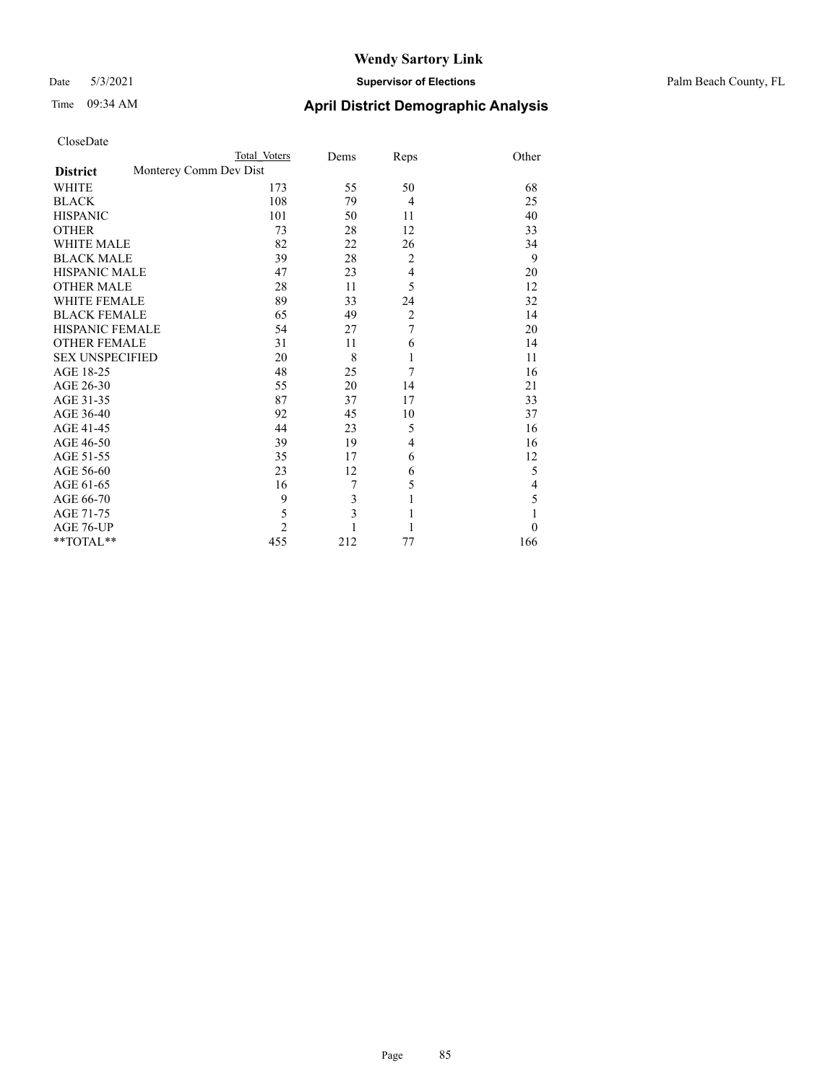### Date 5/3/2021 **Supervisor of Elections** Palm Beach County, FL

| CloseDate |
|-----------|
|-----------|

|                     |                        | Total Voters   | Dems | Reps           | Other    |
|---------------------|------------------------|----------------|------|----------------|----------|
| <b>District</b>     | Monterey Comm Dev Dist |                |      |                |          |
| WHITE               |                        | 173            | 55   | 50             | 68       |
| BLACK               |                        | 108            | 79   | $\overline{4}$ | 25       |
| <b>HISPANIC</b>     |                        | 101            | 50   | 11             | 40       |
| OTHER               |                        | 73             | 28   | 12             | 33       |
| WHITE MALE          |                        | 82             | 22   | 26             | 34       |
| <b>BLACK MALE</b>   |                        | 39             | 28   | $\overline{2}$ | 9        |
| HISPANIC MALE       |                        | 47             | 23   | $\overline{4}$ | 20       |
| OTHER MALE          |                        | 28             | 11   | 5              | 12       |
| WHITE FEMALE        |                        | 89             | 33   | 24             | 32       |
| BLACK FEMALE        |                        | 65             | 49   | $\overline{c}$ | 14       |
| HISPANIC FEMALE     |                        | 54             | 27   | 7              | 20       |
| <b>OTHER FEMALE</b> |                        | 31             | 11   | 6              | 14       |
| SEX UNSPECIFIED     |                        | 20             | 8    | 1              | 11       |
| AGE 18-25           |                        | 48             | 25   | 7              | 16       |
| AGE 26-30           |                        | 55             | 20   | 14             | 21       |
| AGE 31-35           |                        | 87             | 37   | 17             | 33       |
| AGE 36-40           |                        | 92             | 45   | 10             | 37       |
| AGE 41-45           |                        | 44             | 23   | 5              | 16       |
| AGE 46-50           |                        | 39             | 19   | 4              | 16       |
| AGE 51-55           |                        | 35             | 17   | 6              | 12       |
| AGE 56-60           |                        | 23             | 12   | 6              | 5        |
| AGE 61-65           |                        | 16             | 7    | 5              | 4        |
| AGE 66-70           |                        | 9              | 3    | $\mathbf{1}$   | 5        |
| AGE 71-75           |                        | 5              | 3    | $\mathbf{1}$   | 1        |
| AGE 76-UP           |                        | $\overline{2}$ |      | 1              | $\Omega$ |
| $*$ $TOTAL**$       |                        | 455            | 212  | 77             | 166      |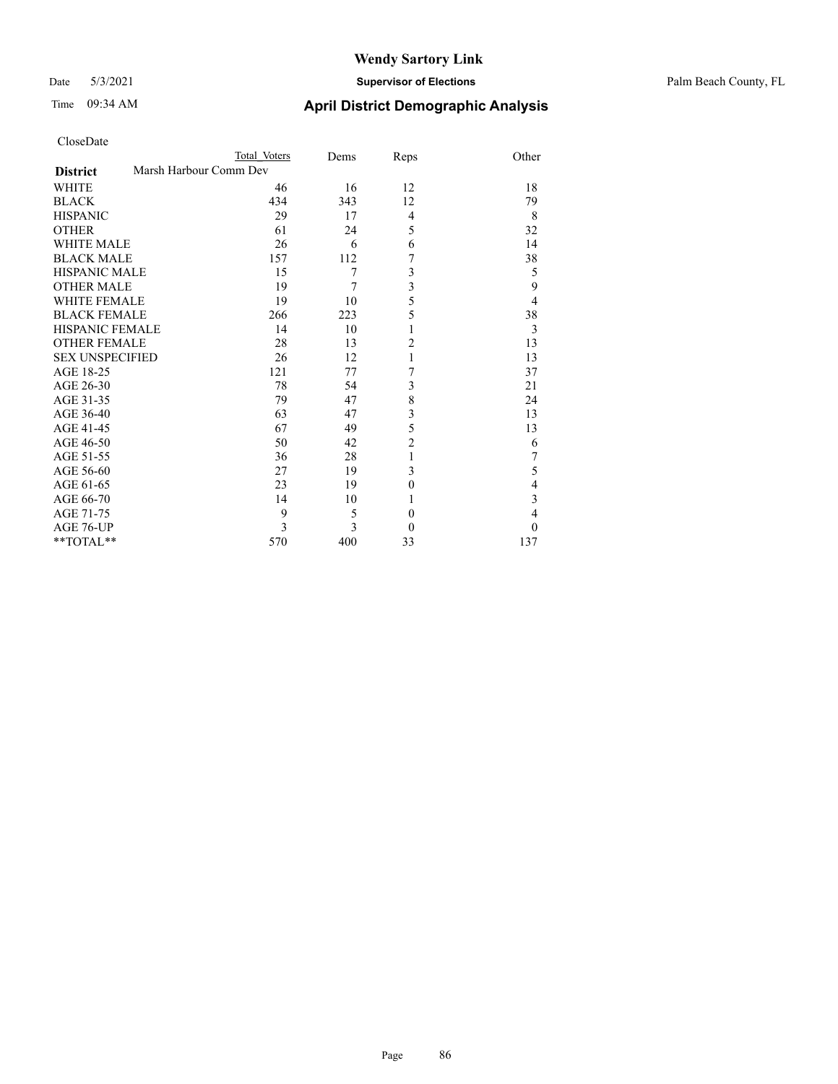### Date 5/3/2021 **Supervisor of Elections** Palm Beach County, FL

| CloseDate              |                        |              |      |                |                  |
|------------------------|------------------------|--------------|------|----------------|------------------|
|                        |                        | Total Voters | Dems | Reps           | Other            |
| <b>District</b>        | Marsh Harbour Comm Dev |              |      |                |                  |
| WHITE                  |                        | 46           | 16   | 12             | 18               |
| <b>BLACK</b>           |                        | 434          | 343  | 12             | 79               |
| <b>HISPANIC</b>        |                        | 29           | 17   | 4              | 8                |
| <b>OTHER</b>           |                        | 61           | 24   | 5              | 32               |
| <b>WHITE MALE</b>      |                        | 26           | 6    | 6              | 14               |
| <b>BLACK MALE</b>      |                        | 157          | 112  | 7              | 38               |
| <b>HISPANIC MALE</b>   |                        | 15           | 7    | 3              | 5                |
| <b>OTHER MALE</b>      |                        | 19           | 7    | 3              | 9                |
| <b>WHITE FEMALE</b>    |                        | 19           | 10   | 5              | $\overline{4}$   |
| <b>BLACK FEMALE</b>    |                        | 266          | 223  | 5              | 38               |
| <b>HISPANIC FEMALE</b> |                        | 14           | 10   | 1              | 3                |
| <b>OTHER FEMALE</b>    |                        | 28           | 13   | $\overline{c}$ | 13               |
| <b>SEX UNSPECIFIED</b> |                        | 26           | 12   | 1              | 13               |
| AGE 18-25              |                        | 121          | 77   | 7              | 37               |
| AGE 26-30              |                        | 78           | 54   | 3              | 21               |
| AGE 31-35              |                        | 79           | 47   | 8              | 24               |
| AGE 36-40              |                        | 63           | 47   | 3              | 13               |
| AGE 41-45              |                        | 67           | 49   | 5              | 13               |
| AGE 46-50              |                        | 50           | 42   | $\overline{2}$ | 6                |
| AGE 51-55              |                        | 36           | 28   | 1              | $\boldsymbol{7}$ |
| AGE 56-60              |                        | 27           | 19   | 3              | 5                |
| AGE 61-65              |                        | 23           | 19   | $\theta$       | $\overline{4}$   |
| AGE 66-70              |                        | 14           | 10   | 1              | $\mathfrak{Z}$   |
| AGE 71-75              |                        | 9            | 5    | $\theta$       | $\overline{4}$   |
| AGE 76-UP              |                        | 3            | 3    | $\theta$       | $\theta$         |
| **TOTAL**              |                        | 570          | 400  | 33             | 137              |
|                        |                        |              |      |                |                  |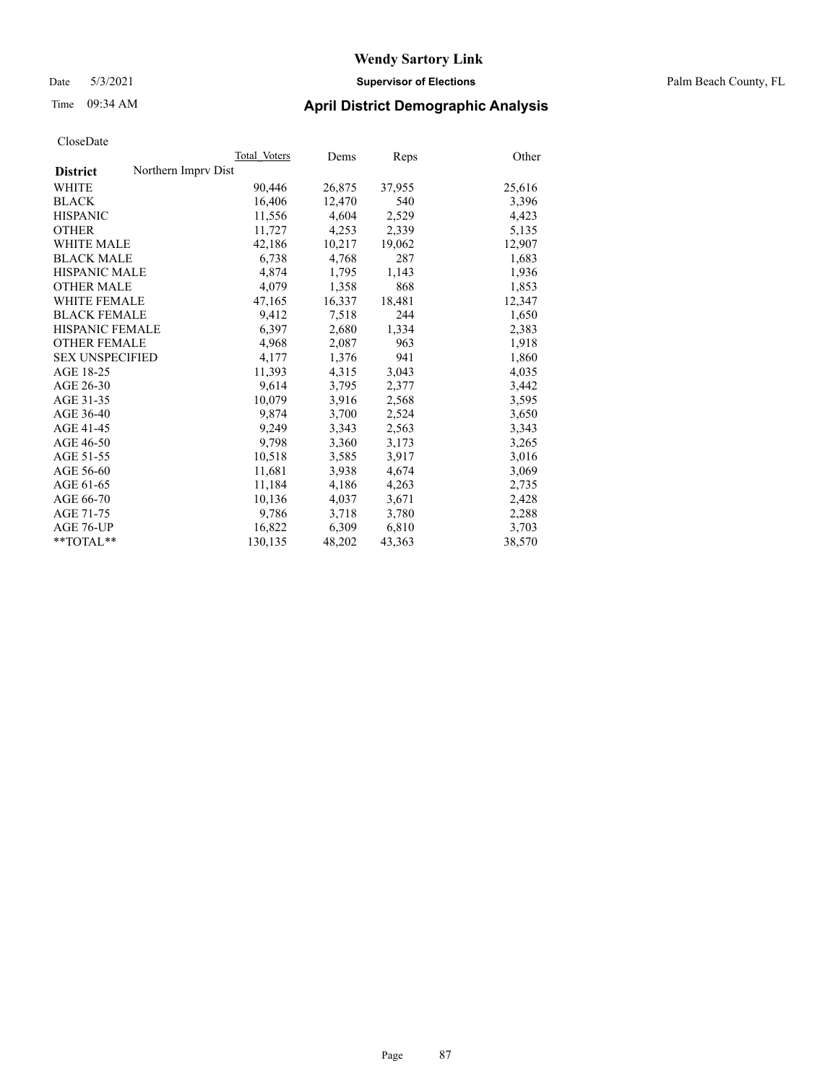### Date 5/3/2021 **Supervisor of Elections** Palm Beach County, FL

### Time 09:34 AM **April District Demographic Analysis**

| ClustDate              |                     |              |        |        |        |
|------------------------|---------------------|--------------|--------|--------|--------|
|                        |                     | Total Voters | Dems   | Reps   | Other  |
| <b>District</b>        | Northern Imprv Dist |              |        |        |        |
| WHITE                  |                     | 90,446       | 26,875 | 37,955 | 25,616 |
| <b>BLACK</b>           |                     | 16,406       | 12,470 | 540    | 3,396  |
| <b>HISPANIC</b>        |                     | 11,556       | 4,604  | 2,529  | 4,423  |
| <b>OTHER</b>           |                     | 11,727       | 4,253  | 2,339  | 5,135  |
| <b>WHITE MALE</b>      |                     | 42,186       | 10,217 | 19,062 | 12,907 |
| <b>BLACK MALE</b>      |                     | 6,738        | 4,768  | 287    | 1,683  |
| <b>HISPANIC MALE</b>   |                     | 4,874        | 1,795  | 1,143  | 1,936  |
| <b>OTHER MALE</b>      |                     | 4,079        | 1,358  | 868    | 1,853  |
| <b>WHITE FEMALE</b>    |                     | 47,165       | 16,337 | 18,481 | 12,347 |
| <b>BLACK FEMALE</b>    |                     | 9,412        | 7,518  | 244    | 1,650  |
| <b>HISPANIC FEMALE</b> |                     | 6,397        | 2,680  | 1,334  | 2,383  |
| <b>OTHER FEMALE</b>    |                     | 4,968        | 2,087  | 963    | 1,918  |
| <b>SEX UNSPECIFIED</b> |                     | 4,177        | 1,376  | 941    | 1,860  |
| AGE 18-25              |                     | 11,393       | 4,315  | 3,043  | 4,035  |
| AGE 26-30              |                     | 9,614        | 3,795  | 2,377  | 3,442  |
| AGE 31-35              |                     | 10,079       | 3,916  | 2,568  | 3,595  |
| AGE 36-40              |                     | 9.874        | 3,700  | 2,524  | 3,650  |
| AGE 41-45              |                     | 9,249        | 3,343  | 2,563  | 3,343  |
| AGE 46-50              |                     | 9,798        | 3,360  | 3,173  | 3,265  |
| AGE 51-55              |                     | 10,518       | 3,585  | 3,917  | 3,016  |
| AGE 56-60              |                     | 11,681       | 3,938  | 4,674  | 3,069  |
| AGE 61-65              |                     | 11,184       | 4,186  | 4,263  | 2,735  |
| AGE 66-70              |                     | 10,136       | 4,037  | 3,671  | 2,428  |
| AGE 71-75              |                     | 9,786        | 3,718  | 3,780  | 2,288  |
| AGE 76-UP              |                     | 16,822       | 6,309  | 6,810  | 3,703  |
| $*$ $TOTAL**$          |                     | 130,135      | 48,202 | 43,363 | 38,570 |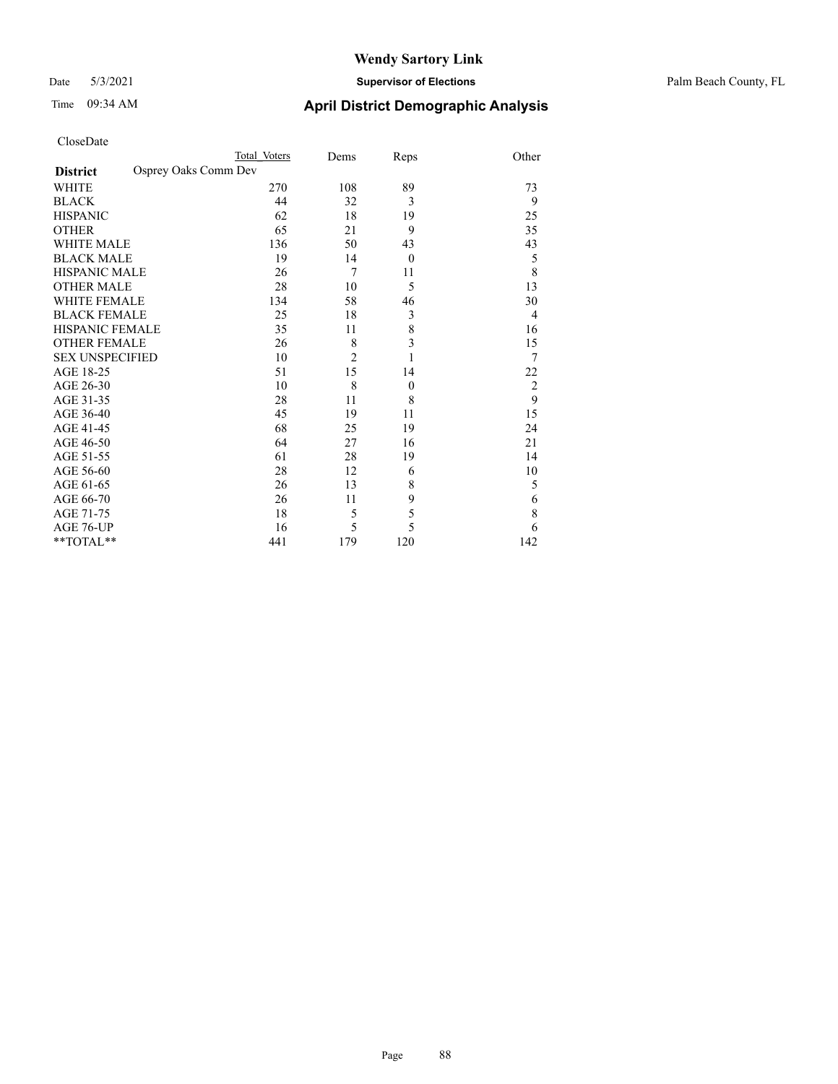### Date 5/3/2021 **Supervisor of Elections** Palm Beach County, FL

| CloseDate |
|-----------|
|-----------|

|                        |                      | Total Voters | Dems           | Reps             | Other          |
|------------------------|----------------------|--------------|----------------|------------------|----------------|
| <b>District</b>        | Osprey Oaks Comm Dev |              |                |                  |                |
| WHITE                  |                      | 270          | 108            | 89               | 73             |
| BLACK                  |                      | 44           | 32             | 3                | 9              |
| <b>HISPANIC</b>        |                      | 62           | 18             | 19               | 25             |
| OTHER                  |                      | 65           | 21             | 9                | 35             |
| WHITE MALE             |                      | 136          | 50             | 43               | 43             |
| <b>BLACK MALE</b>      |                      | 19           | 14             | $\overline{0}$   | 5              |
| HISPANIC MALE          |                      | 26           | $\overline{7}$ | 11               | 8              |
| OTHER MALE             |                      | 28           | 10             | 5                | 13             |
| WHITE FEMALE           |                      | 134          | 58             | 46               | 30             |
| BLACK FEMALE           |                      | 25           | 18             | 3                | 4              |
| HISPANIC FEMALE        |                      | 35           | 11             | 8                | 16             |
| <b>OTHER FEMALE</b>    |                      | 26           | 8              | 3                | 15             |
| <b>SEX UNSPECIFIED</b> |                      | 10           | $\overline{2}$ | 1                | 7              |
| AGE 18-25              |                      | 51           | 15             | 14               | 22             |
| AGE 26-30              |                      | 10           | 8              | $\boldsymbol{0}$ | $\overline{2}$ |
| AGE 31-35              |                      | 28           | 11             | 8                | 9              |
| AGE 36-40              |                      | 45           | 19             | 11               | 15             |
| AGE 41-45              |                      | 68           | 25             | 19               | 24             |
| AGE 46-50              |                      | 64           | 27             | 16               | 21             |
| AGE 51-55              |                      | 61           | 28             | 19               | 14             |
| AGE 56-60              |                      | 28           | 12             | 6                | 10             |
| AGE 61-65              |                      | 26           | 13             | 8                | 5              |
| AGE 66-70              |                      | 26           | 11             | 9                | 6              |
| AGE 71-75              |                      | 18           | 5              | 5                | 8              |
| AGE 76-UP              |                      | 16           | 5              | 5                | 6              |
| $*$ $TOTAL**$          |                      | 441          | 179            | 120              | 142            |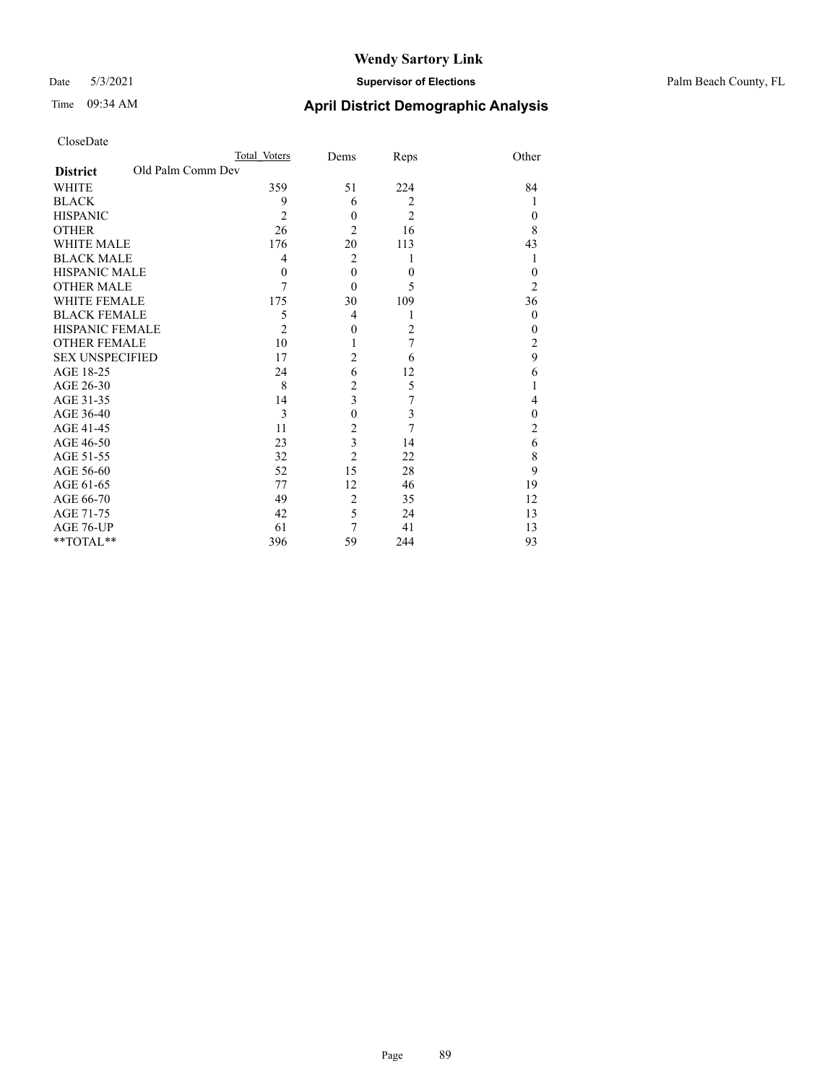### Date 5/3/2021 **Supervisor of Elections** Palm Beach County, FL

| CloseDate |
|-----------|
|-----------|

|                        |                   | Total Voters   | Dems           | Reps           | Other          |
|------------------------|-------------------|----------------|----------------|----------------|----------------|
| <b>District</b>        | Old Palm Comm Dev |                |                |                |                |
| WHITE                  |                   | 359            | 51             | 224            | 84             |
| BLACK                  |                   | 9              | 6              | $\overline{2}$ | 1              |
| HISPANIC               |                   | $\overline{2}$ | $\theta$       | $\overline{2}$ | $\theta$       |
| OTHER                  |                   | 26             | $\overline{2}$ | 16             | 8              |
| WHITE MALE             |                   | 176            | 20             | 113            | 43             |
| <b>BLACK MALE</b>      |                   | 4              | $\overline{2}$ | 1              | 1              |
| HISPANIC MALE          |                   | $\theta$       | $\theta$       | $\theta$       | $\theta$       |
| OTHER MALE             |                   | 7              | $\theta$       | 5              | 2              |
| WHITE FEMALE           |                   | 175            | 30             | 109            | 36             |
| BLACK FEMALE           |                   | 5              | $\overline{4}$ |                | $\theta$       |
| HISPANIC FEMALE        |                   | $\overline{2}$ | $\theta$       | $\overline{2}$ | $\theta$       |
| OTHER FEMALE           |                   | 10             |                | 7              | 2              |
| <b>SEX UNSPECIFIED</b> |                   | 17             | 2              | 6              | 9              |
| AGE 18-25              |                   | 24             | 6              | 12             | 6              |
| AGE 26-30              |                   | 8              | $\overline{2}$ | 5              | 1              |
| AGE 31-35              |                   | 14             | 3              | 7              | 4              |
| AGE 36-40              |                   | 3              | $\mathbf{0}$   | 3              | $\mathbf{0}$   |
| AGE 41-45              |                   | 11             | 2              | 7              | $\overline{c}$ |
| AGE 46-50              |                   | 23             | 3              | 14             | 6              |
| AGE 51-55              |                   | 32             | $\overline{2}$ | 22             | 8              |
| AGE 56-60              |                   | 52             | 15             | 28             | 9              |
| AGE 61-65              |                   | 77             | 12             | 46             | 19             |
| AGE 66-70              |                   | 49             | $\overline{2}$ | 35             | 12             |
| AGE 71-75              |                   | 42             | 5              | 24             | 13             |
| AGE 76-UP              |                   | 61             | 7              | 41             | 13             |
| $*$ $TOTAL**$          |                   | 396            | 59             | 244            | 93             |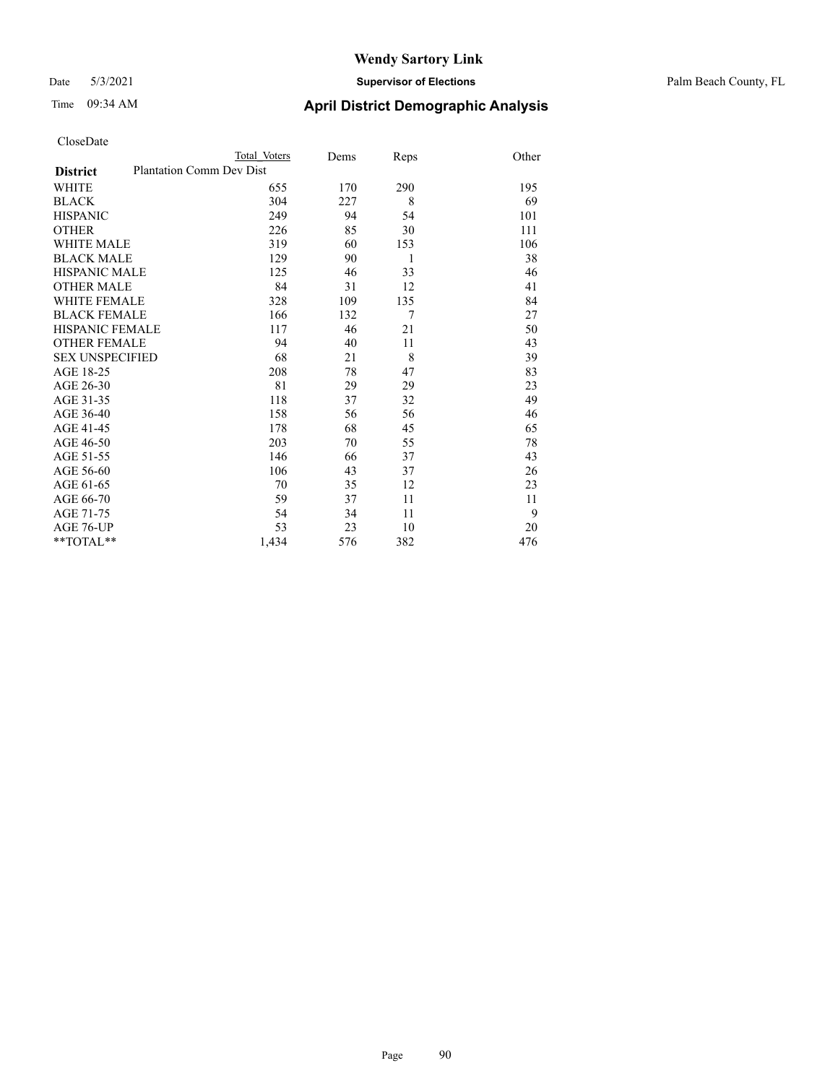### Date 5/3/2021 **Supervisor of Elections** Palm Beach County, FL

| CloseDate |
|-----------|
|-----------|

|                        |                          | Total Voters | Dems | Reps           | Other |
|------------------------|--------------------------|--------------|------|----------------|-------|
| <b>District</b>        | Plantation Comm Dev Dist |              |      |                |       |
| WHITE                  |                          | 655          | 170  | 290            | 195   |
| BLACK                  |                          | 304          | 227  | 8              | 69    |
| HISPANIC               |                          | 249          | 94   | 54             | 101   |
| OTHER                  |                          | 226          | 85   | 30             | 111   |
| WHITE MALE             |                          | 319          | 60   | 153            | 106   |
| BLACK MALE             |                          | 129          | 90   | 1              | 38    |
| HISPANIC MALE          |                          | 125          | 46   | 33             | 46    |
| OTHER MALE             |                          | 84           | 31   | 12             | 41    |
| <b>WHITE FEMALE</b>    |                          | 328          | 109  | 135            | 84    |
| BLACK FEMALE           |                          | 166          | 132  | $\overline{7}$ | 27    |
| HISPANIC FEMALE        |                          | 117          | 46   | 21             | 50    |
| <b>OTHER FEMALE</b>    |                          | 94           | 40   | 11             | 43    |
| <b>SEX UNSPECIFIED</b> |                          | 68           | 21   | 8              | 39    |
| AGE 18-25              |                          | 208          | 78   | 47             | 83    |
| AGE 26-30              |                          | 81           | 29   | 29             | 23    |
| AGE 31-35              |                          | 118          | 37   | 32             | 49    |
| AGE 36-40              |                          | 158          | 56   | 56             | 46    |
| AGE 41-45              |                          | 178          | 68   | 45             | 65    |
| AGE 46-50              |                          | 203          | 70   | 55             | 78    |
| AGE 51-55              |                          | 146          | 66   | 37             | 43    |
| AGE 56-60              |                          | 106          | 43   | 37             | 26    |
| AGE 61-65              |                          | 70           | 35   | 12             | 23    |
| AGE 66-70              |                          | 59           | 37   | 11             | 11    |
| AGE 71-75              |                          | 54           | 34   | 11             | 9     |
| AGE 76-UP              |                          | 53           | 23   | 10             | 20    |
| $*$ $TOTAL**$          |                          | 1,434        | 576  | 382            | 476   |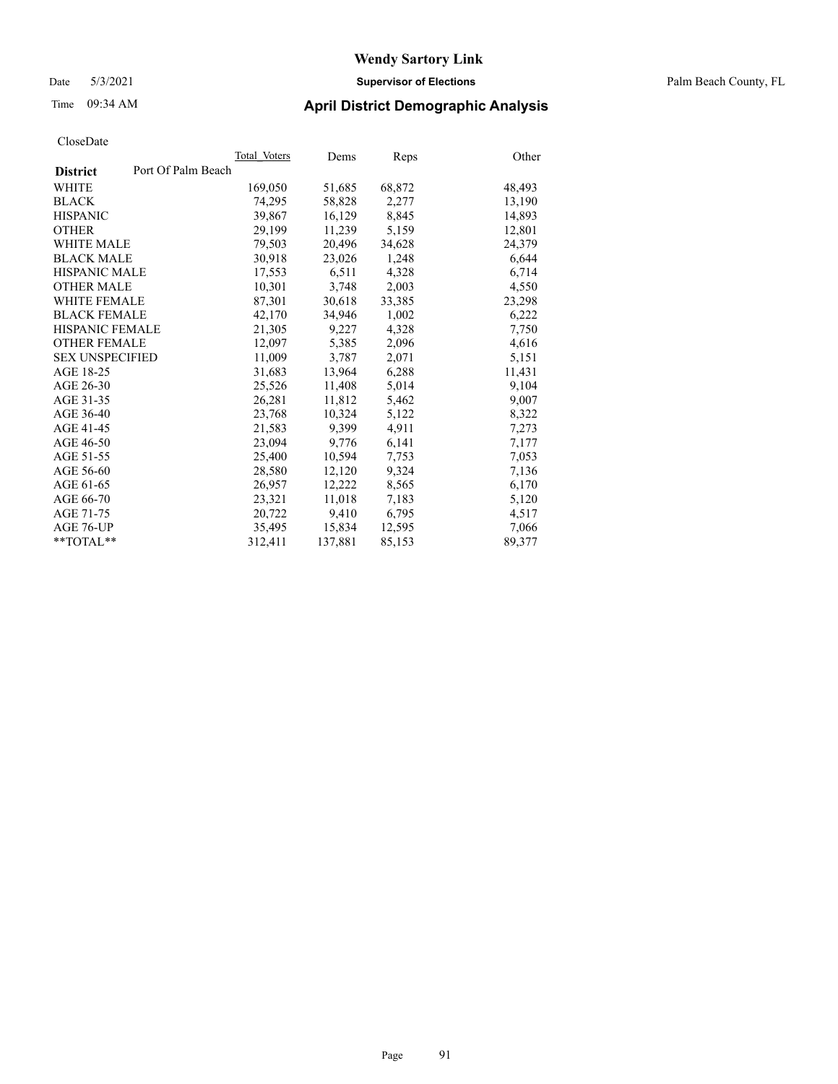### Date 5/3/2021 **Supervisor of Elections** Palm Beach County, FL

### Time 09:34 AM **April District Demographic Analysis**

|                                       | Total Voters | Dems    | Reps   | Other  |
|---------------------------------------|--------------|---------|--------|--------|
| Port Of Palm Beach<br><b>District</b> |              |         |        |        |
| WHITE                                 | 169,050      | 51,685  | 68,872 | 48,493 |
| <b>BLACK</b>                          | 74,295       | 58,828  | 2,277  | 13,190 |
| <b>HISPANIC</b>                       | 39,867       | 16,129  | 8,845  | 14,893 |
| <b>OTHER</b>                          | 29,199       | 11,239  | 5,159  | 12,801 |
| <b>WHITE MALE</b>                     | 79,503       | 20,496  | 34,628 | 24,379 |
| <b>BLACK MALE</b>                     | 30,918       | 23,026  | 1,248  | 6,644  |
| <b>HISPANIC MALE</b>                  | 17,553       | 6,511   | 4,328  | 6,714  |
| <b>OTHER MALE</b>                     | 10,301       | 3,748   | 2,003  | 4,550  |
| <b>WHITE FEMALE</b>                   | 87,301       | 30,618  | 33,385 | 23,298 |
| <b>BLACK FEMALE</b>                   | 42,170       | 34,946  | 1,002  | 6,222  |
| <b>HISPANIC FEMALE</b>                | 21,305       | 9,227   | 4,328  | 7,750  |
| <b>OTHER FEMALE</b>                   | 12,097       | 5,385   | 2,096  | 4,616  |
| <b>SEX UNSPECIFIED</b>                | 11,009       | 3,787   | 2,071  | 5,151  |
| AGE 18-25                             | 31,683       | 13,964  | 6,288  | 11,431 |
| AGE 26-30                             | 25,526       | 11,408  | 5,014  | 9,104  |
| AGE 31-35                             | 26,281       | 11,812  | 5,462  | 9,007  |
| AGE 36-40                             | 23,768       | 10,324  | 5,122  | 8,322  |
| AGE 41-45                             | 21,583       | 9,399   | 4,911  | 7,273  |
| AGE 46-50                             | 23,094       | 9,776   | 6,141  | 7,177  |
| AGE 51-55                             | 25,400       | 10,594  | 7,753  | 7,053  |
| AGE 56-60                             | 28,580       | 12,120  | 9,324  | 7,136  |
| AGE 61-65                             | 26,957       | 12,222  | 8,565  | 6,170  |
| AGE 66-70                             | 23,321       | 11,018  | 7,183  | 5,120  |
| AGE 71-75                             | 20,722       | 9,410   | 6,795  | 4,517  |
| AGE 76-UP                             | 35,495       | 15,834  | 12,595 | 7,066  |
| $*$ $TOTAL**$                         | 312,411      | 137,881 | 85,153 | 89,377 |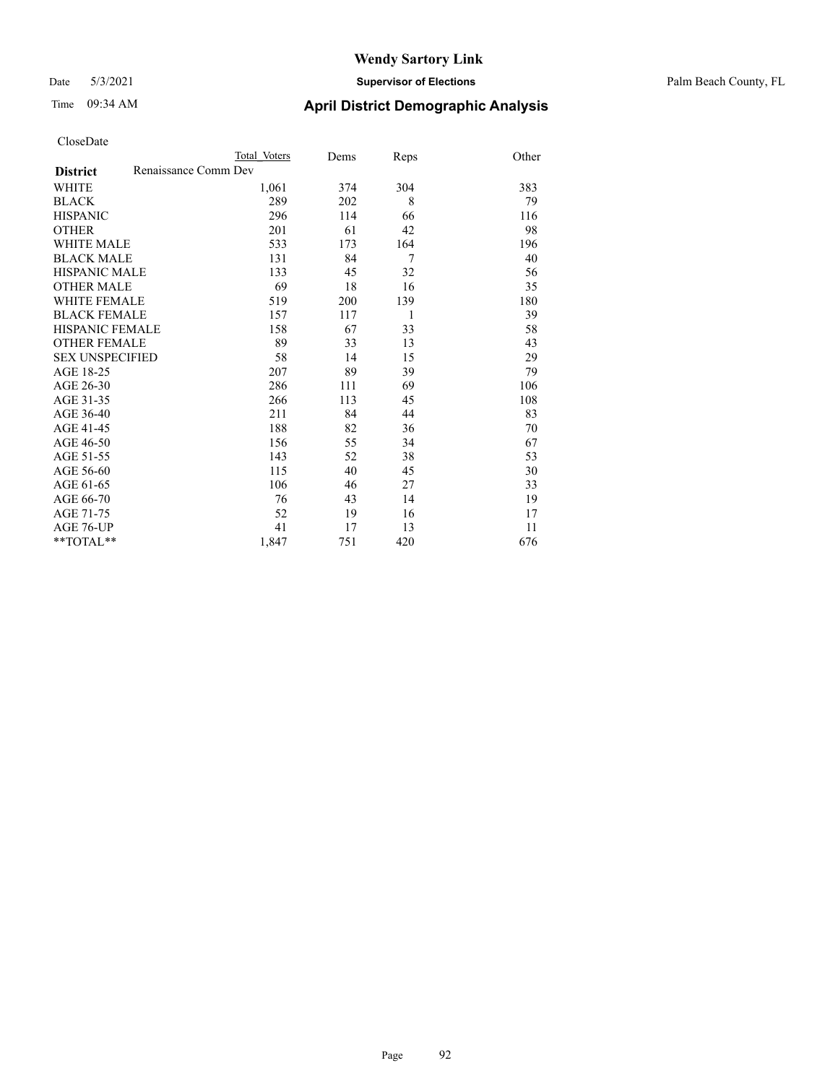#### Date 5/3/2021 **Supervisor of Elections** Palm Beach County, FL

# Time 09:34 AM **April District Demographic Analysis**

|                                         | Total Voters | Dems | Reps | Other |
|-----------------------------------------|--------------|------|------|-------|
| Renaissance Comm Dev<br><b>District</b> |              |      |      |       |
| <b>WHITE</b>                            | 1,061        | 374  | 304  | 383   |
| <b>BLACK</b>                            | 289          | 202  | 8    | 79    |
| <b>HISPANIC</b>                         | 296          | 114  | 66   | 116   |
| <b>OTHER</b>                            | 201          | 61   | 42   | 98    |
| <b>WHITE MALE</b>                       | 533          | 173  | 164  | 196   |
| <b>BLACK MALE</b>                       | 131          | 84   | 7    | 40    |
| <b>HISPANIC MALE</b>                    | 133          | 45   | 32   | 56    |
| <b>OTHER MALE</b>                       | 69           | 18   | 16   | 35    |
| <b>WHITE FEMALE</b>                     | 519          | 200  | 139  | 180   |
| <b>BLACK FEMALE</b>                     | 157          | 117  | 1    | 39    |
| HISPANIC FEMALE                         | 158          | 67   | 33   | 58    |
| <b>OTHER FEMALE</b>                     | 89           | 33   | 13   | 43    |
| <b>SEX UNSPECIFIED</b>                  | 58           | 14   | 15   | 29    |
| AGE 18-25                               | 207          | 89   | 39   | 79    |
| AGE 26-30                               | 286          | 111  | 69   | 106   |
| AGE 31-35                               | 266          | 113  | 45   | 108   |
| AGE 36-40                               | 211          | 84   | 44   | 83    |
| AGE 41-45                               | 188          | 82   | 36   | 70    |
| AGE 46-50                               | 156          | 55   | 34   | 67    |
| AGE 51-55                               | 143          | 52   | 38   | 53    |
| AGE 56-60                               | 115          | 40   | 45   | 30    |
| AGE 61-65                               | 106          | 46   | 27   | 33    |
| AGE 66-70                               | 76           | 43   | 14   | 19    |
| AGE 71-75                               | 52           | 19   | 16   | 17    |
| AGE 76-UP                               | 41           | 17   | 13   | 11    |
| $*$ $TOTAL**$                           | 1,847        | 751  | 420  | 676   |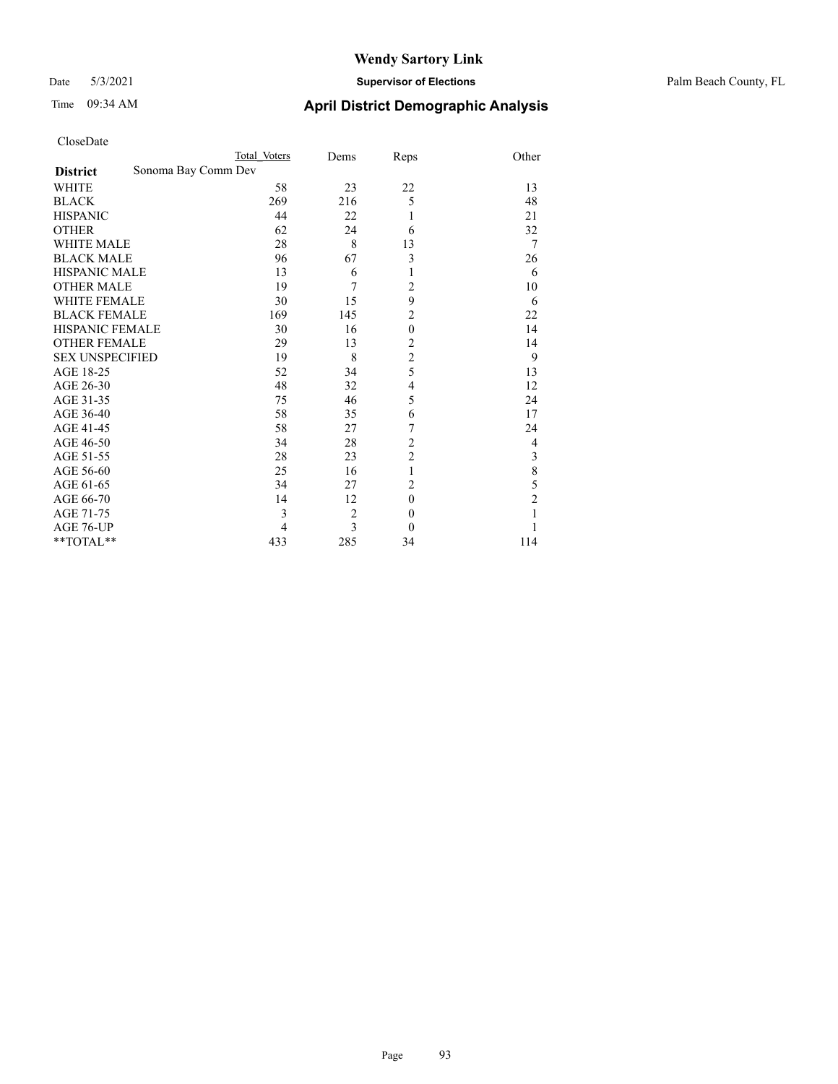### Date 5/3/2021 **Supervisor of Elections** Palm Beach County, FL

| CloseDate |
|-----------|
|-----------|

|                        | Total Voters        | Dems           | Reps                    | Other          |
|------------------------|---------------------|----------------|-------------------------|----------------|
| <b>District</b>        | Sonoma Bay Comm Dev |                |                         |                |
| WHITE                  | 58                  | 23             | 22                      | 13             |
| BLACK                  | 269                 | 216            | 5                       | 48             |
| <b>HISPANIC</b>        | 44                  | 22             | 1                       | 21             |
| OTHER                  | 62                  | 24             | 6                       | 32             |
| WHITE MALE             | 28                  | 8              | 13                      | 7              |
| <b>BLACK MALE</b>      | 96                  | 67             | 3                       | 26             |
| HISPANIC MALE          | 13                  | 6              | 1                       | 6              |
| OTHER MALE             | 19                  | 7              | $\overline{c}$          | 10             |
| WHITE FEMALE           | 30                  | 15             | 9                       | 6              |
| BLACK FEMALE           | 169                 | 145            | $\overline{c}$          | 22             |
| HISPANIC FEMALE        | 30                  | 16             | $\boldsymbol{0}$        | 14             |
| <b>OTHER FEMALE</b>    | 29                  | 13             | $\overline{2}$          | 14             |
| <b>SEX UNSPECIFIED</b> | 19                  | 8              | $\overline{c}$          | 9              |
| AGE 18-25              | 52                  | 34             | 5                       | 13             |
| AGE 26-30              | 48                  | 32             | $\overline{\mathbf{4}}$ | 12             |
| AGE 31-35              | 75                  | 46             | 5                       | 24             |
| AGE 36-40              | 58                  | 35             | 6                       | 17             |
| AGE 41-45              | 58                  | 27             | 7                       | 24             |
| AGE 46-50              | 34                  | 28             | $\overline{c}$          | 4              |
| AGE 51-55              | 28                  | 23             | $\overline{c}$          | 3              |
| AGE 56-60              | 25                  | 16             | $\mathbf{1}$            | 8              |
| AGE 61-65              | 34                  | 27             | $\overline{2}$          | 5              |
| AGE 66-70              | 14                  | 12             | $\mathbf{0}$            | $\overline{c}$ |
| AGE 71-75              | 3                   | $\overline{c}$ | $\mathbf{0}$            |                |
| AGE 76-UP              | 4                   | 3              | $\theta$                |                |
| $*$ $TOTAL**$          | 433                 | 285            | 34                      | 114            |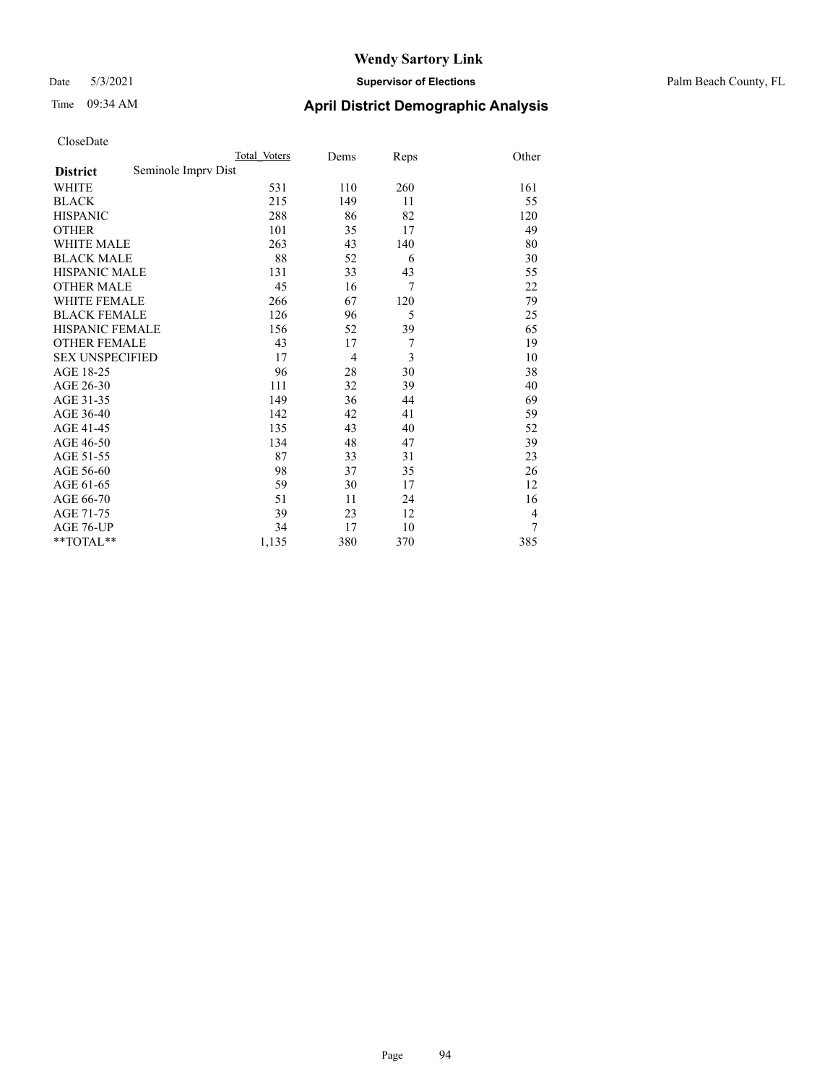### Date 5/3/2021 **Supervisor of Elections** Palm Beach County, FL

| CloseDate |
|-----------|
|-----------|

|                        |                     | Total Voters | Dems | Reps | Other          |
|------------------------|---------------------|--------------|------|------|----------------|
| <b>District</b>        | Seminole Imprv Dist |              |      |      |                |
| WHITE                  |                     | 531          | 110  | 260  | 161            |
| BLACK                  |                     | 215          | 149  | 11   | 55             |
| HISPANIC               |                     | 288          | 86   | 82   | 120            |
| OTHER                  |                     | 101          | 35   | 17   | 49             |
| WHITE MALE             |                     | 263          | 43   | 140  | 80             |
| <b>BLACK MALE</b>      |                     | 88           | 52   | 6    | 30             |
| HISPANIC MALE          |                     | 131          | 33   | 43   | 55             |
| OTHER MALE             |                     | 45           | 16   | 7    | 22             |
| WHITE FEMALE           |                     | 266          | 67   | 120  | 79             |
| <b>BLACK FEMALE</b>    |                     | 126          | 96   | 5    | 25             |
| HISPANIC FEMALE        |                     | 156          | 52   | 39   | 65             |
| <b>OTHER FEMALE</b>    |                     | 43           | 17   | 7    | 19             |
| <b>SEX UNSPECIFIED</b> |                     | 17           | 4    | 3    | 10             |
| AGE 18-25              |                     | 96           | 28   | 30   | 38             |
| AGE 26-30              |                     | 111          | 32   | 39   | 40             |
| AGE 31-35              |                     | 149          | 36   | 44   | 69             |
| AGE 36-40              |                     | 142          | 42   | 41   | 59             |
| AGE 41-45              |                     | 135          | 43   | 40   | 52             |
| AGE 46-50              |                     | 134          | 48   | 47   | 39             |
| AGE 51-55              |                     | 87           | 33   | 31   | 23             |
| AGE 56-60              |                     | 98           | 37   | 35   | 26             |
| AGE 61-65              |                     | 59           | 30   | 17   | 12             |
| AGE 66-70              |                     | 51           | 11   | 24   | 16             |
| AGE 71-75              |                     | 39           | 23   | 12   | $\overline{4}$ |
| AGE 76-UP              |                     | 34           | 17   | 10   | 7              |
| $*$ $TOTAL**$          |                     | 1,135        | 380  | 370  | 385            |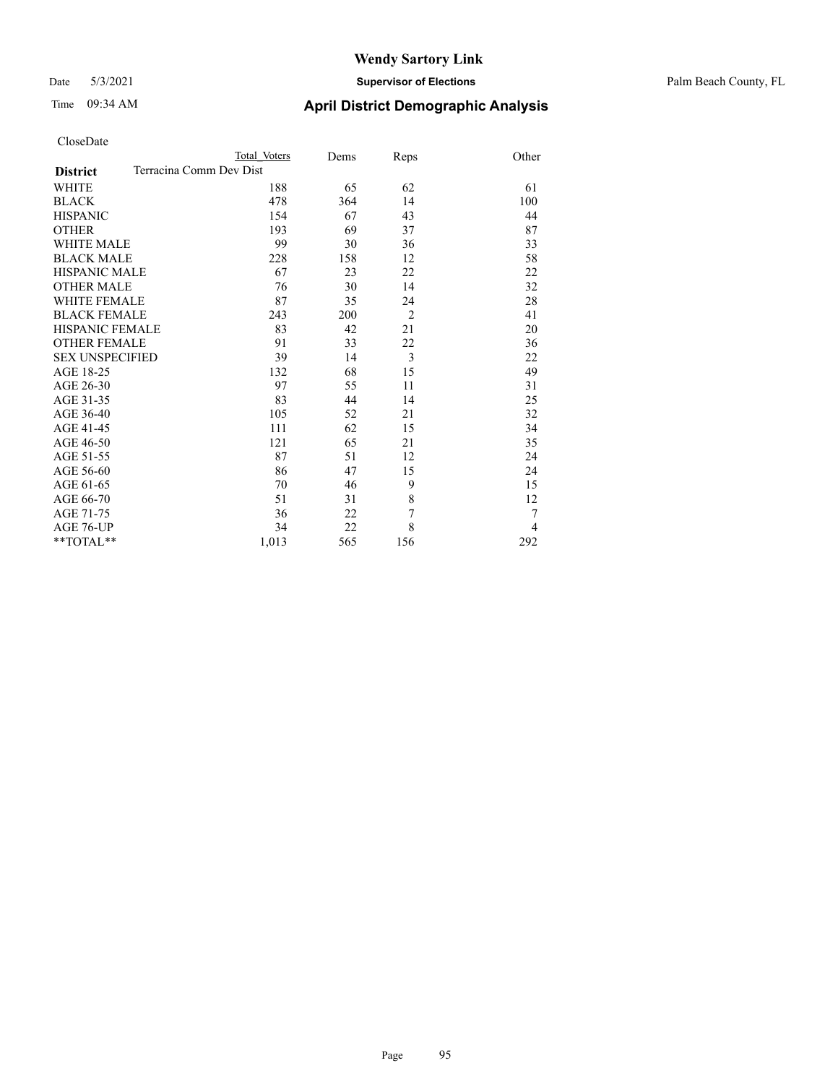### Date 5/3/2021 **Supervisor of Elections** Palm Beach County, FL

| CloseDate |
|-----------|
|-----------|

|                        | Total Voters            | Dems | Reps           | Other |
|------------------------|-------------------------|------|----------------|-------|
| <b>District</b>        | Terracina Comm Dev Dist |      |                |       |
| WHITE                  | 188                     | 65   | 62             | 61    |
| BLACK                  | 478                     | 364  | 14             | 100   |
| HISPANIC               | 154                     | 67   | 43             | 44    |
| OTHER                  | 193                     | 69   | 37             | 87    |
| WHITE MALE             | 99                      | 30   | 36             | 33    |
| <b>BLACK MALE</b>      | 228                     | 158  | 12             | 58    |
| HISPANIC MALE          | 67                      | 23   | 22             | 22    |
| OTHER MALE             | 76                      | 30   | 14             | 32    |
| WHITE FEMALE           | 87                      | 35   | 24             | 28    |
| BLACK FEMALE           | 243                     | 200  | $\overline{2}$ | 41    |
| HISPANIC FEMALE        | 83                      | 42   | 21             | 20    |
| OTHER FEMALE           | 91                      | 33   | 22             | 36    |
| <b>SEX UNSPECIFIED</b> | 39                      | 14   | 3              | 22    |
| AGE 18-25              | 132                     | 68   | 15             | 49    |
| AGE 26-30              | 97                      | 55   | 11             | 31    |
| AGE 31-35              | 83                      | 44   | 14             | 25    |
| AGE 36-40              | 105                     | 52   | 21             | 32    |
| AGE 41-45              | 111                     | 62   | 15             | 34    |
| AGE 46-50              | 121                     | 65   | 21             | 35    |
| AGE 51-55              | 87                      | 51   | 12             | 24    |
| AGE 56-60              | 86                      | 47   | 15             | 24    |
| AGE 61-65              | 70                      | 46   | 9              | 15    |
| AGE 66-70              | 51                      | 31   | 8              | 12    |
| AGE 71-75              | 36                      | 22   | 7              | 7     |
| AGE 76-UP              | 34                      | 22   | 8              | 4     |
| $*$ $TOTAL**$          | 1,013                   | 565  | 156            | 292   |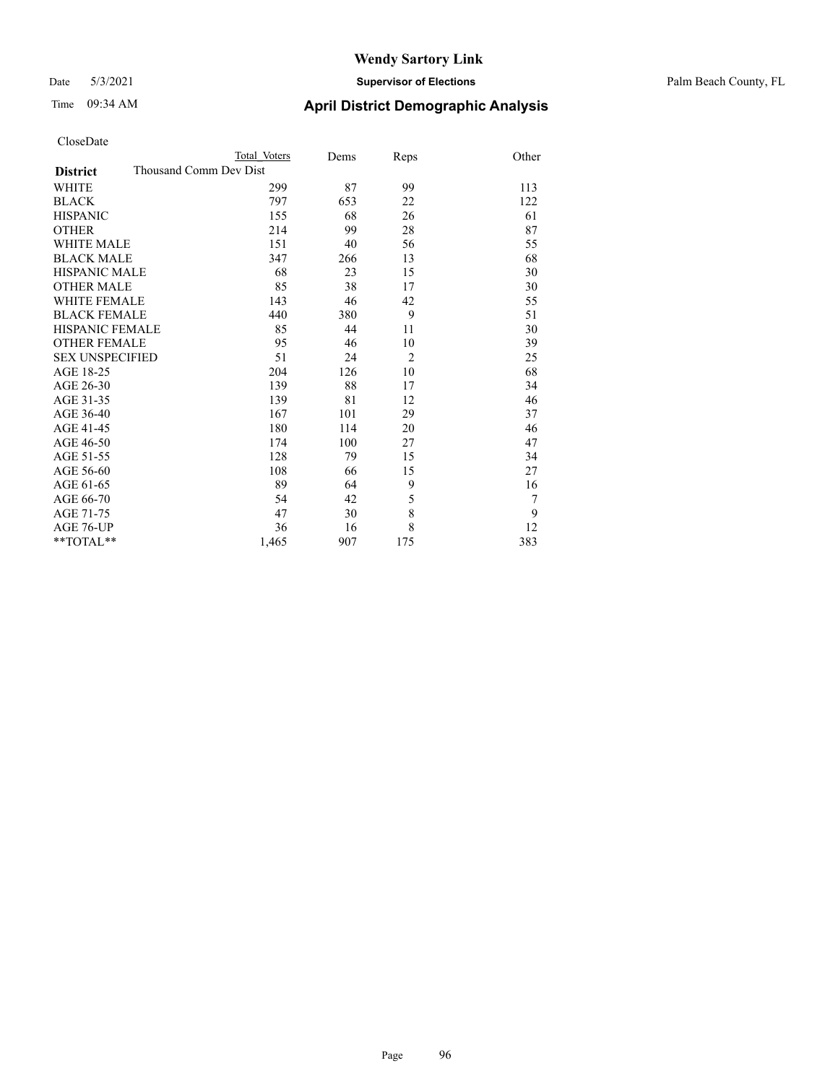### Date 5/3/2021 **Supervisor of Elections** Palm Beach County, FL

| CloseDate |
|-----------|
|-----------|

|                        |                        | Total Voters | Dems | Reps           | Other |
|------------------------|------------------------|--------------|------|----------------|-------|
| <b>District</b>        | Thousand Comm Dev Dist |              |      |                |       |
| WHITE                  |                        | 299          | 87   | 99             | 113   |
| BLACK                  |                        | 797          | 653  | 22             | 122   |
| HISPANIC               |                        | 155          | 68   | 26             | 61    |
| OTHER                  |                        | 214          | 99   | 28             | 87    |
| WHITE MALE             |                        | 151          | 40   | 56             | 55    |
| <b>BLACK MALE</b>      |                        | 347          | 266  | 13             | 68    |
| HISPANIC MALE          |                        | 68           | 23   | 15             | 30    |
| OTHER MALE             |                        | 85           | 38   | 17             | 30    |
| WHITE FEMALE           |                        | 143          | 46   | 42             | 55    |
| BLACK FEMALE           |                        | 440          | 380  | 9              | 51    |
| HISPANIC FEMALE        |                        | 85           | 44   | 11             | 30    |
| OTHER FEMALE           |                        | 95           | 46   | 10             | 39    |
| <b>SEX UNSPECIFIED</b> |                        | 51           | 24   | $\overline{2}$ | 25    |
| AGE 18-25              |                        | 204          | 126  | 10             | 68    |
| AGE 26-30              |                        | 139          | 88   | 17             | 34    |
| AGE 31-35              |                        | 139          | 81   | 12             | 46    |
| AGE 36-40              |                        | 167          | 101  | 29             | 37    |
| AGE 41-45              |                        | 180          | 114  | 20             | 46    |
| AGE 46-50              |                        | 174          | 100  | 27             | 47    |
| AGE 51-55              |                        | 128          | 79   | 15             | 34    |
| AGE 56-60              |                        | 108          | 66   | 15             | 27    |
| AGE 61-65              |                        | 89           | 64   | 9              | 16    |
| AGE 66-70              |                        | 54           | 42   | 5              | 7     |
| AGE 71-75              |                        | 47           | 30   | 8              | 9     |
| AGE 76-UP              |                        | 36           | 16   | 8              | 12    |
| $*$ $TOTAL**$          |                        | 1,465        | 907  | 175            | 383   |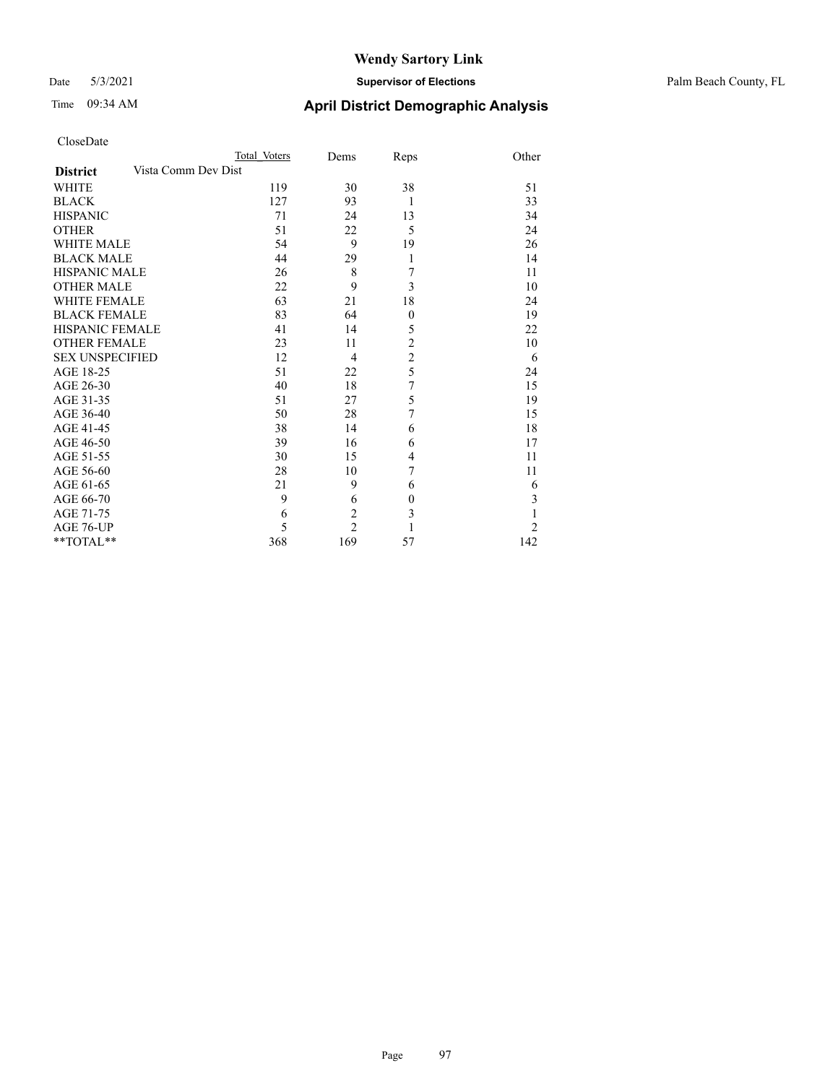### Date 5/3/2021 **Supervisor of Elections** Palm Beach County, FL

| CloseDate |
|-----------|
|-----------|

|                        |                     | Total Voters | Dems           | Reps             | Other |
|------------------------|---------------------|--------------|----------------|------------------|-------|
| <b>District</b>        | Vista Comm Dev Dist |              |                |                  |       |
| <b>WHITE</b>           |                     | 119          | 30             | 38               | 51    |
| <b>BLACK</b>           |                     | 127          | 93             | $\mathbf{1}$     | 33    |
| <b>HISPANIC</b>        |                     | 71           | 24             | 13               | 34    |
| <b>OTHER</b>           |                     | 51           | 22             | 5                | 24    |
| <b>WHITE MALE</b>      |                     | 54           | 9              | 19               | 26    |
| <b>BLACK MALE</b>      |                     | 44           | 29             | 1                | 14    |
| <b>HISPANIC MALE</b>   |                     | 26           | 8              | 7                | 11    |
| <b>OTHER MALE</b>      |                     | 22           | 9              | 3                | 10    |
| <b>WHITE FEMALE</b>    |                     | 63           | 21             | 18               | 24    |
| <b>BLACK FEMALE</b>    |                     | 83           | 64             | $\boldsymbol{0}$ | 19    |
| <b>HISPANIC FEMALE</b> |                     | 41           | 14             | 5                | 22    |
| <b>OTHER FEMALE</b>    |                     | 23           | 11             | $\overline{c}$   | 10    |
| <b>SEX UNSPECIFIED</b> |                     | 12           | 4              | $\overline{c}$   | 6     |
| AGE 18-25              |                     | 51           | 22             | 5                | 24    |
| AGE 26-30              |                     | 40           | 18             | 7                | 15    |
| AGE 31-35              |                     | 51           | 27             | 5                | 19    |
| AGE 36-40              |                     | 50           | 28             | 7                | 15    |
| AGE 41-45              |                     | 38           | 14             | 6                | 18    |
| AGE 46-50              |                     | 39           | 16             | 6                | 17    |
| AGE 51-55              |                     | 30           | 15             | 4                | 11    |
| AGE 56-60              |                     | 28           | 10             | 7                | 11    |
| AGE 61-65              |                     | 21           | 9              | 6                | 6     |
| AGE 66-70              |                     | 9            | 6              | $\boldsymbol{0}$ | 3     |
| AGE 71-75              |                     | 6            | $\overline{2}$ | 3                | 1     |
| AGE 76-UP              |                     | 5            | $\overline{2}$ | 1                | 2     |
| **TOTAL**              |                     | 368          | 169            | 57               | 142   |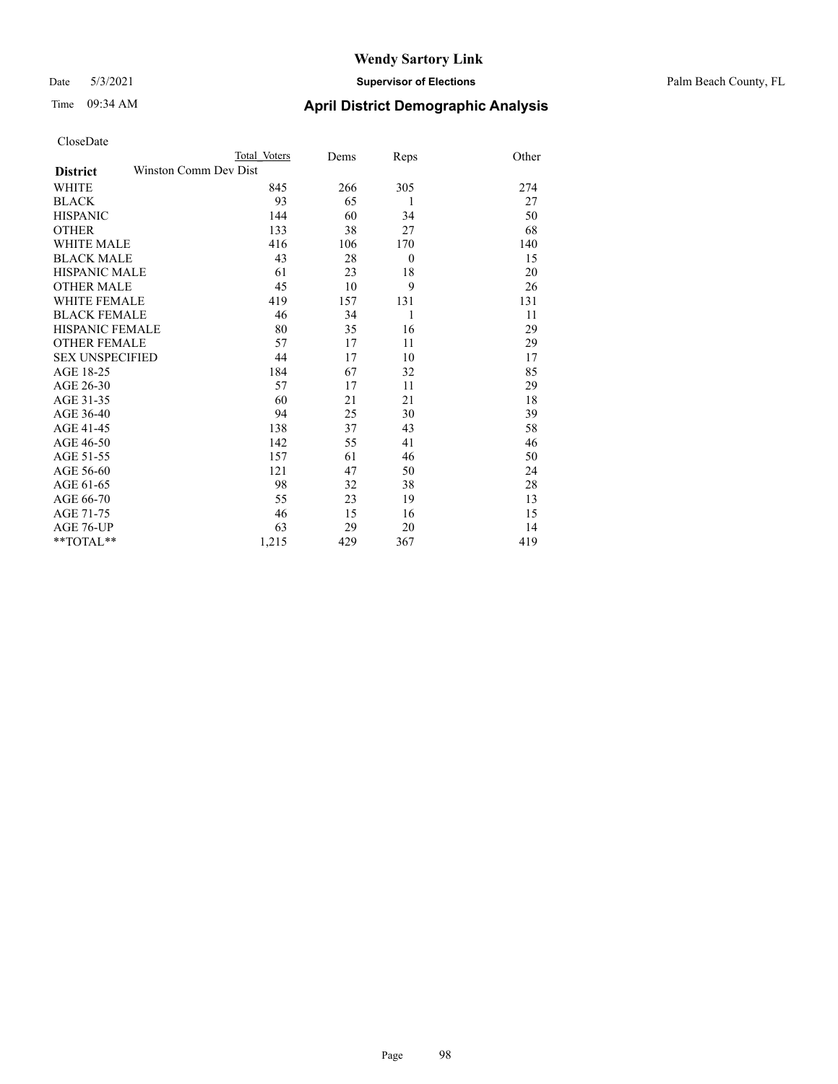### Date 5/3/2021 **Supervisor of Elections** Palm Beach County, FL

| CloseDate |
|-----------|
|-----------|

|                        |                       | Total Voters | Dems | Reps     | Other |
|------------------------|-----------------------|--------------|------|----------|-------|
| <b>District</b>        | Winston Comm Dev Dist |              |      |          |       |
| WHITE                  |                       | 845          | 266  | 305      | 274   |
| BLACK                  |                       | 93           | 65   | 1        | 27    |
| HISPANIC               |                       | 144          | 60   | 34       | 50    |
| OTHER                  |                       | 133          | 38   | 27       | 68    |
| WHITE MALE             |                       | 416          | 106  | 170      | 140   |
| <b>BLACK MALE</b>      |                       | 43           | 28   | $\theta$ | 15    |
| HISPANIC MALE          |                       | 61           | 23   | 18       | 20    |
| OTHER MALE             |                       | 45           | 10   | 9        | 26    |
| WHITE FEMALE           |                       | 419          | 157  | 131      | 131   |
| <b>BLACK FEMALE</b>    |                       | 46           | 34   | 1        | 11    |
| HISPANIC FEMALE        |                       | 80           | 35   | 16       | 29    |
| OTHER FEMALE           |                       | 57           | 17   | 11       | 29    |
| <b>SEX UNSPECIFIED</b> |                       | 44           | 17   | 10       | 17    |
| AGE 18-25              |                       | 184          | 67   | 32       | 85    |
| AGE 26-30              |                       | 57           | 17   | 11       | 29    |
| AGE 31-35              |                       | 60           | 21   | 21       | 18    |
| AGE 36-40              |                       | 94           | 25   | 30       | 39    |
| AGE 41-45              |                       | 138          | 37   | 43       | 58    |
| AGE 46-50              |                       | 142          | 55   | 41       | 46    |
| AGE 51-55              |                       | 157          | 61   | 46       | 50    |
| AGE 56-60              |                       | 121          | 47   | 50       | 24    |
| AGE 61-65              |                       | 98           | 32   | 38       | 28    |
| AGE 66-70              |                       | 55           | 23   | 19       | 13    |
| AGE 71-75              |                       | 46           | 15   | 16       | 15    |
| AGE 76-UP              |                       | 63           | 29   | 20       | 14    |
| $*$ TOTAL $**$         |                       | 1,215        | 429  | 367      | 419   |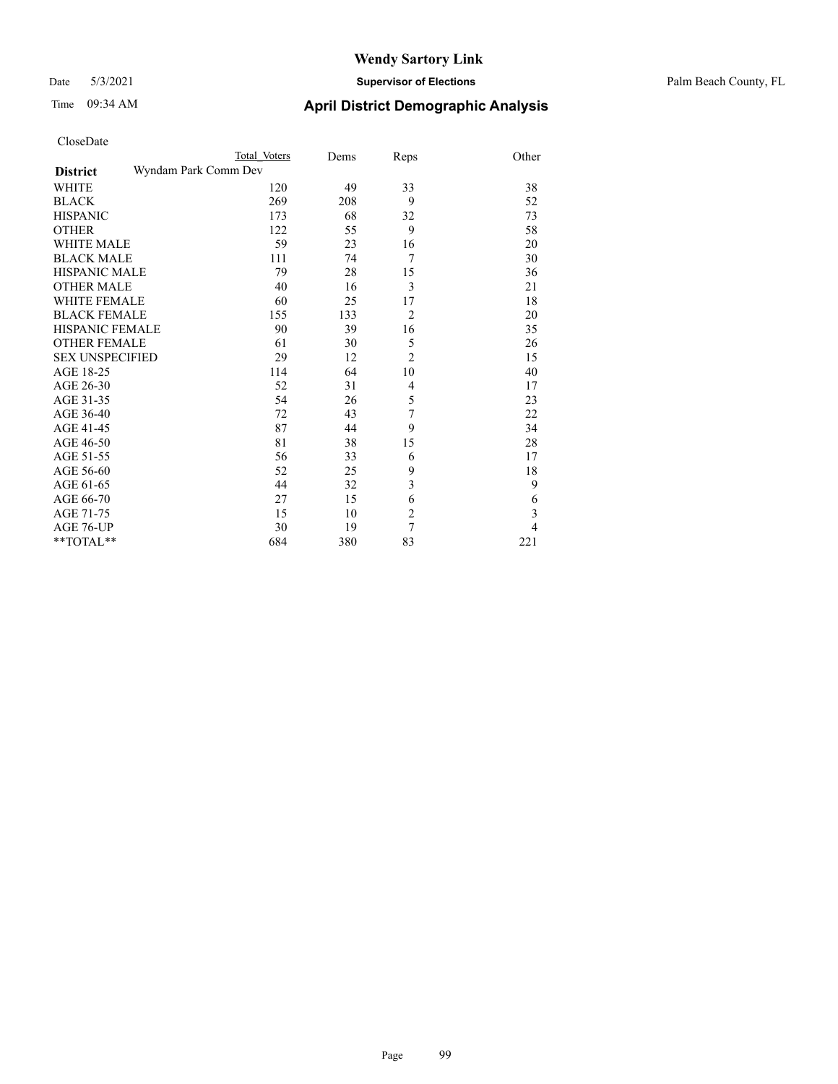### Date 5/3/2021 **Supervisor of Elections** Palm Beach County, FL

|                                         | Total Voters | Dems | Reps           | Other |
|-----------------------------------------|--------------|------|----------------|-------|
| Wyndam Park Comm Dev<br><b>District</b> |              |      |                |       |
| WHITE                                   | 120          | 49   | 33             | 38    |
| BLACK                                   | 269          | 208  | 9              | 52    |
| <b>HISPANIC</b>                         | 173          | 68   | 32             | 73    |
| <b>OTHER</b>                            | 122          | 55   | 9              | 58    |
| WHITE MALE                              | 59           | 23   | 16             | 20    |
| <b>BLACK MALE</b>                       | 111          | 74   | 7              | 30    |
| HISPANIC MALE                           | 79           | 28   | 15             | 36    |
| OTHER MALE                              | 40           | 16   | 3              | 21    |
| WHITE FEMALE                            | 60           | 25   | 17             | 18    |
| <b>BLACK FEMALE</b>                     | 155          | 133  | $\overline{2}$ | 20    |
| HISPANIC FEMALE                         | 90           | 39   | 16             | 35    |
| <b>OTHER FEMALE</b>                     | 61           | 30   | 5              | 26    |
| <b>SEX UNSPECIFIED</b>                  | 29           | 12   | $\overline{2}$ | 15    |
| AGE 18-25                               | 114          | 64   | 10             | 40    |
| AGE 26-30                               | 52           | 31   | $\overline{4}$ | 17    |
| AGE 31-35                               | 54           | 26   | 5              | 23    |
| AGE 36-40                               | 72           | 43   | 7              | 22    |
| AGE 41-45                               | 87           | 44   | 9              | 34    |
| AGE 46-50                               | 81           | 38   | 15             | 28    |
| AGE 51-55                               | 56           | 33   | 6              | 17    |
| AGE 56-60                               | 52           | 25   | 9              | 18    |
| AGE 61-65                               | 44           | 32   | 3              | 9     |
| AGE 66-70                               | 27           | 15   | 6              | 6     |
| AGE 71-75                               | 15           | 10   | $\overline{c}$ | 3     |
| AGE 76-UP                               | 30           | 19   | 7              | 4     |
| $*$ TOTAL $**$                          | 684          | 380  | 83             | 221   |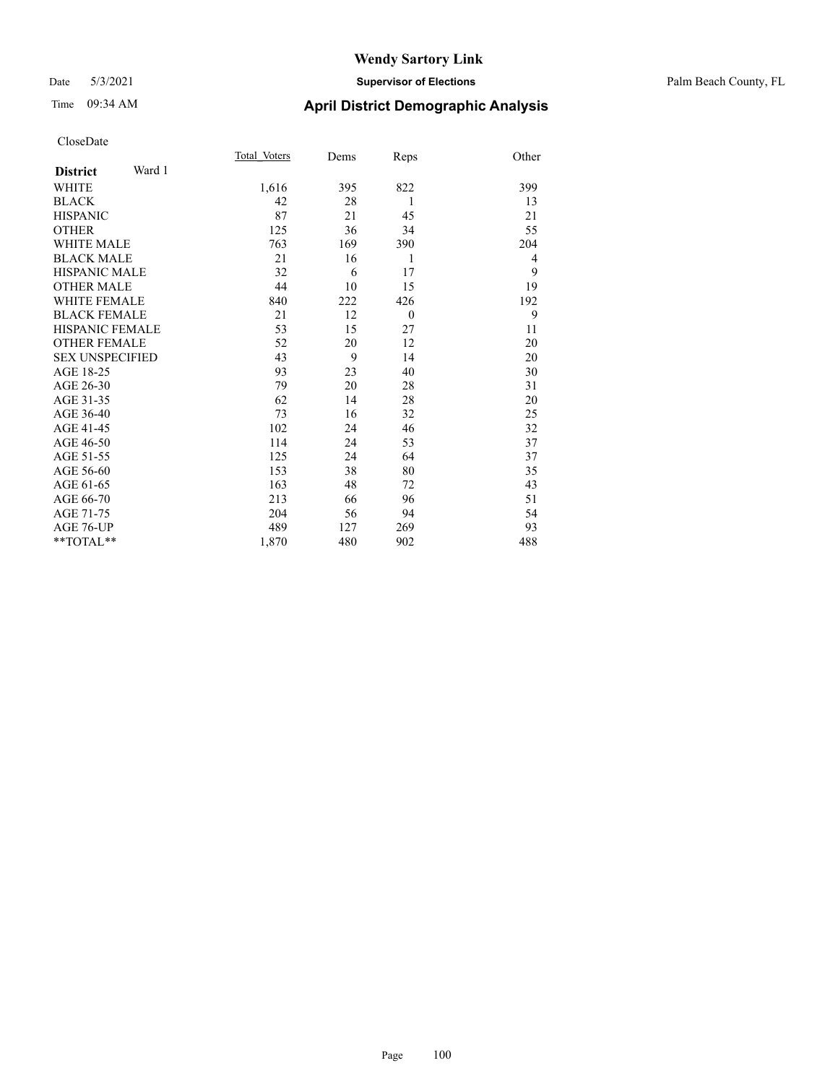### Date 5/3/2021 **Supervisor of Elections** Palm Beach County, FL

| CloseDate |
|-----------|
|-----------|

|                        |        | Total Voters | Dems | Reps     | Other |
|------------------------|--------|--------------|------|----------|-------|
| <b>District</b>        | Ward 1 |              |      |          |       |
| WHITE                  |        | 1,616        | 395  | 822      | 399   |
| BLACK                  |        | 42           | 28   | 1        | 13    |
| HISPANIC               |        | 87           | 21   | 45       | 21    |
| <b>OTHER</b>           |        | 125          | 36   | 34       | 55    |
| WHITE MALE             |        | 763          | 169  | 390      | 204   |
| <b>BLACK MALE</b>      |        | 21           | 16   | 1        | 4     |
| HISPANIC MALE          |        | 32           | 6    | 17       | 9     |
| <b>OTHER MALE</b>      |        | 44           | 10   | 15       | 19    |
| WHITE FEMALE           |        | 840          | 222  | 426      | 192   |
| <b>BLACK FEMALE</b>    |        | 21           | 12   | $\theta$ | 9     |
| HISPANIC FEMALE        |        | 53           | 15   | 27       | 11    |
| OTHER FEMALE           |        | 52           | 20   | 12       | 20    |
| <b>SEX UNSPECIFIED</b> |        | 43           | 9    | 14       | 20    |
| AGE 18-25              |        | 93           | 23   | 40       | 30    |
| AGE 26-30              |        | 79           | 20   | 28       | 31    |
| AGE 31-35              |        | 62           | 14   | 28       | 20    |
| AGE 36-40              |        | 73           | 16   | 32       | 25    |
| AGE 41-45              |        | 102          | 24   | 46       | 32    |
| AGE 46-50              |        | 114          | 24   | 53       | 37    |
| AGE 51-55              |        | 125          | 24   | 64       | 37    |
| AGE 56-60              |        | 153          | 38   | 80       | 35    |
| AGE 61-65              |        | 163          | 48   | 72       | 43    |
| AGE 66-70              |        | 213          | 66   | 96       | 51    |
| AGE 71-75              |        | 204          | 56   | 94       | 54    |
| AGE 76-UP              |        | 489          | 127  | 269      | 93    |
| $*$ $TOTAL**$          |        | 1,870        | 480  | 902      | 488   |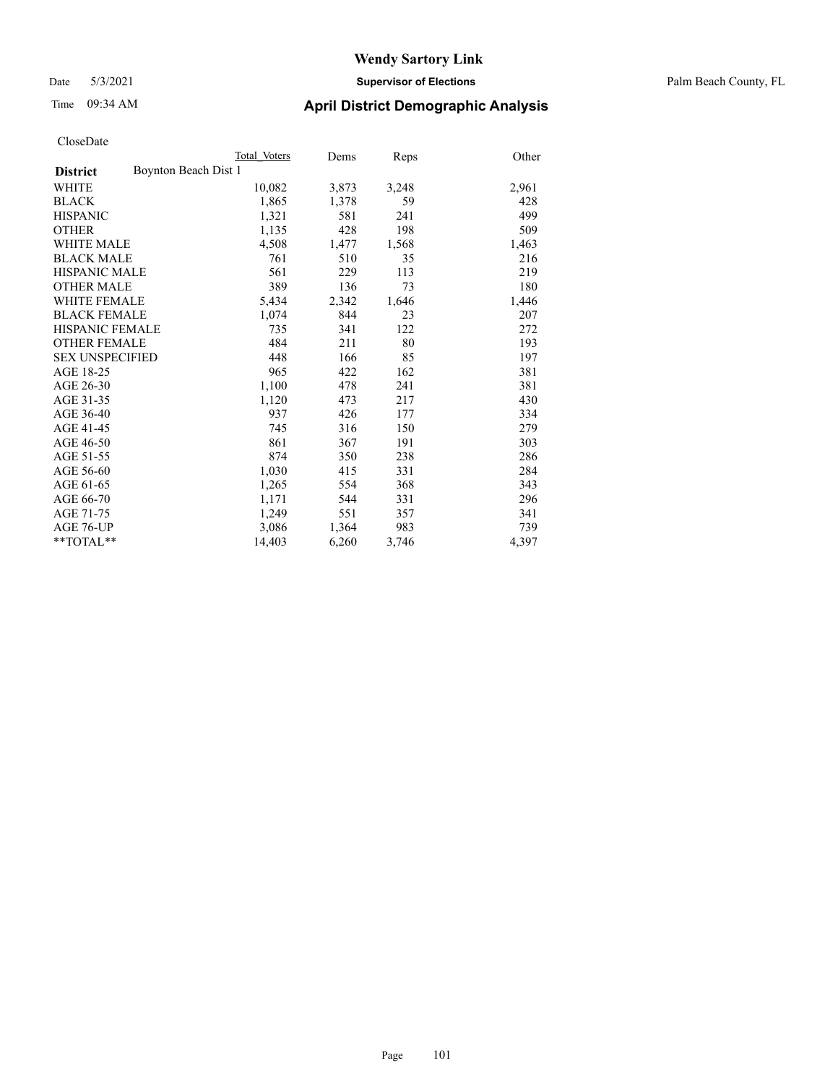### Date 5/3/2021 **Supervisor of Elections** Palm Beach County, FL

# Time 09:34 AM **April District Demographic Analysis**

|                                         | Total Voters | Dems  | Reps  | Other |
|-----------------------------------------|--------------|-------|-------|-------|
| Boynton Beach Dist 1<br><b>District</b> |              |       |       |       |
| WHITE                                   | 10,082       | 3,873 | 3,248 | 2,961 |
| <b>BLACK</b>                            | 1,865        | 1,378 | 59    | 428   |
| <b>HISPANIC</b>                         | 1,321        | 581   | 241   | 499   |
| <b>OTHER</b>                            | 1,135        | 428   | 198   | 509   |
| <b>WHITE MALE</b>                       | 4,508        | 1,477 | 1,568 | 1,463 |
| <b>BLACK MALE</b>                       | 761          | 510   | 35    | 216   |
| <b>HISPANIC MALE</b>                    | 561          | 229   | 113   | 219   |
| <b>OTHER MALE</b>                       | 389          | 136   | 73    | 180   |
| <b>WHITE FEMALE</b>                     | 5,434        | 2,342 | 1,646 | 1,446 |
| <b>BLACK FEMALE</b>                     | 1,074        | 844   | 23    | 207   |
| <b>HISPANIC FEMALE</b>                  | 735          | 341   | 122   | 272   |
| <b>OTHER FEMALE</b>                     | 484          | 211   | 80    | 193   |
| <b>SEX UNSPECIFIED</b>                  | 448          | 166   | 85    | 197   |
| AGE 18-25                               | 965          | 422   | 162   | 381   |
| AGE 26-30                               | 1,100        | 478   | 241   | 381   |
| AGE 31-35                               | 1,120        | 473   | 217   | 430   |
| AGE 36-40                               | 937          | 426   | 177   | 334   |
| AGE 41-45                               | 745          | 316   | 150   | 279   |
| AGE 46-50                               | 861          | 367   | 191   | 303   |
| AGE 51-55                               | 874          | 350   | 238   | 286   |
| AGE 56-60                               | 1,030        | 415   | 331   | 284   |
| AGE 61-65                               | 1,265        | 554   | 368   | 343   |
| AGE 66-70                               | 1,171        | 544   | 331   | 296   |
| AGE 71-75                               | 1,249        | 551   | 357   | 341   |
| AGE 76-UP                               | 3,086        | 1,364 | 983   | 739   |
| **TOTAL**                               | 14,403       | 6,260 | 3,746 | 4,397 |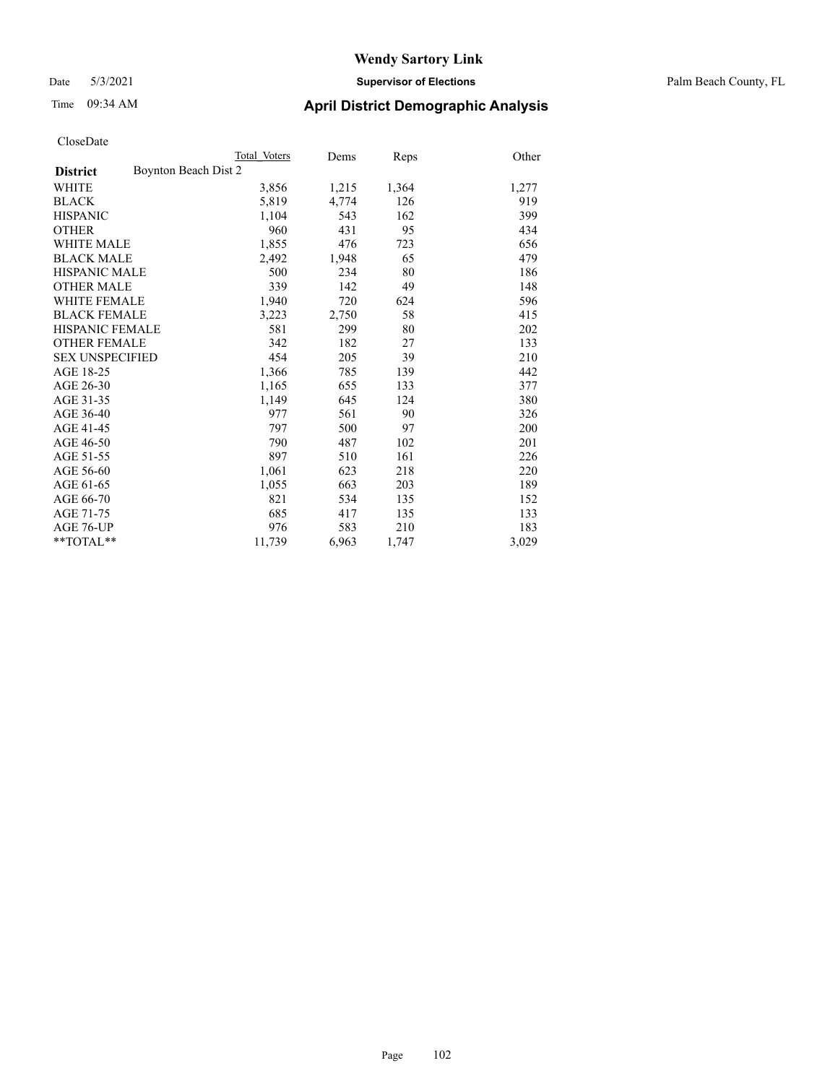### Date 5/3/2021 **Supervisor of Elections** Palm Beach County, FL

### Time 09:34 AM **April District Demographic Analysis**

|                                         | Total Voters | Dems  | Reps  | Other |
|-----------------------------------------|--------------|-------|-------|-------|
| Boynton Beach Dist 2<br><b>District</b> |              |       |       |       |
| WHITE                                   | 3,856        | 1,215 | 1,364 | 1,277 |
| <b>BLACK</b>                            | 5,819        | 4,774 | 126   | 919   |
| <b>HISPANIC</b>                         | 1,104        | 543   | 162   | 399   |
| <b>OTHER</b>                            | 960          | 431   | 95    | 434   |
| <b>WHITE MALE</b>                       | 1,855        | 476   | 723   | 656   |
| <b>BLACK MALE</b>                       | 2,492        | 1,948 | 65    | 479   |
| <b>HISPANIC MALE</b>                    | 500          | 234   | 80    | 186   |
| <b>OTHER MALE</b>                       | 339          | 142   | 49    | 148   |
| WHITE FEMALE                            | 1,940        | 720   | 624   | 596   |
| <b>BLACK FEMALE</b>                     | 3,223        | 2,750 | 58    | 415   |
| <b>HISPANIC FEMALE</b>                  | 581          | 299   | 80    | 202   |
| <b>OTHER FEMALE</b>                     | 342          | 182   | 27    | 133   |
| <b>SEX UNSPECIFIED</b>                  | 454          | 205   | 39    | 210   |
| AGE 18-25                               | 1,366        | 785   | 139   | 442   |
| AGE 26-30                               | 1,165        | 655   | 133   | 377   |
| AGE 31-35                               | 1,149        | 645   | 124   | 380   |
| AGE 36-40                               | 977          | 561   | 90    | 326   |
| AGE 41-45                               | 797          | 500   | 97    | 200   |
| AGE 46-50                               | 790          | 487   | 102   | 201   |
| AGE 51-55                               | 897          | 510   | 161   | 226   |
| AGE 56-60                               | 1,061        | 623   | 218   | 220   |
| AGE 61-65                               | 1,055        | 663   | 203   | 189   |
| AGE 66-70                               | 821          | 534   | 135   | 152   |
| AGE 71-75                               | 685          | 417   | 135   | 133   |
| AGE 76-UP                               | 976          | 583   | 210   | 183   |
| **TOTAL**                               | 11,739       | 6,963 | 1,747 | 3,029 |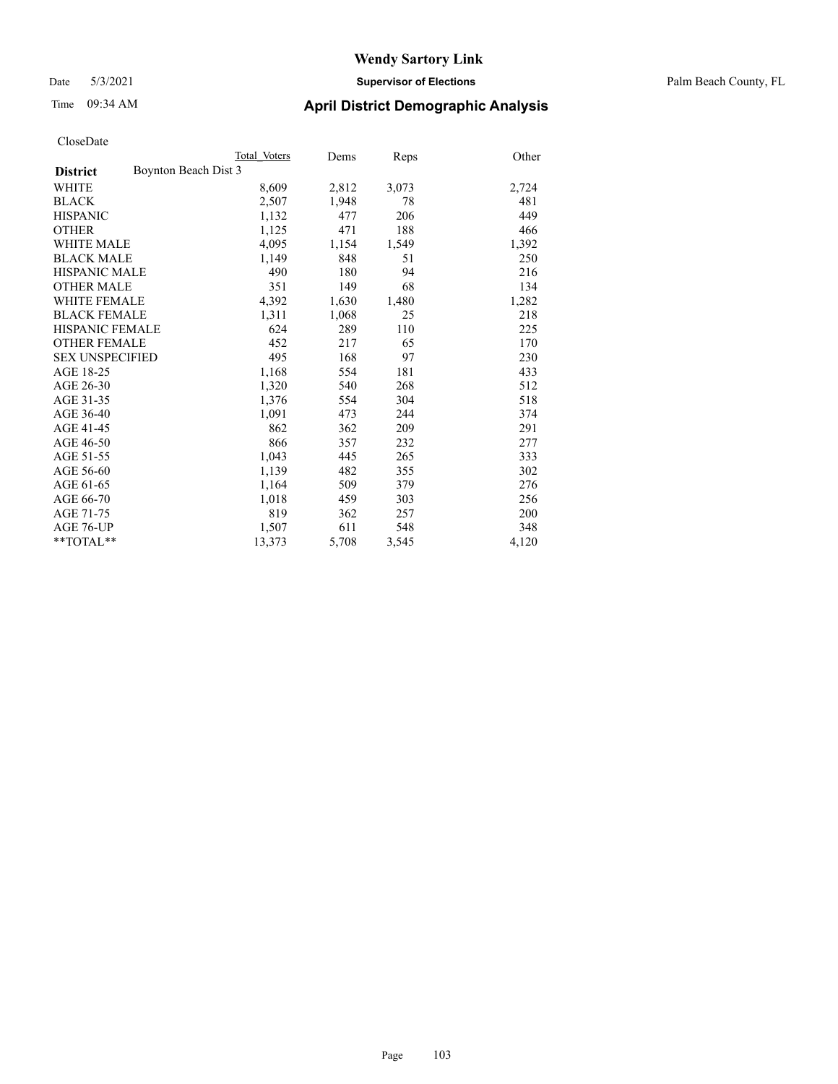### Date 5/3/2021 **Supervisor of Elections** Palm Beach County, FL

# Time 09:34 AM **April District Demographic Analysis**

|                                         | Total Voters | Dems  | <b>Reps</b> | Other |
|-----------------------------------------|--------------|-------|-------------|-------|
| Boynton Beach Dist 3<br><b>District</b> |              |       |             |       |
| WHITE                                   | 8,609        | 2,812 | 3,073       | 2,724 |
| <b>BLACK</b>                            | 2,507        | 1,948 | 78          | 481   |
| <b>HISPANIC</b>                         | 1,132        | 477   | 206         | 449   |
| <b>OTHER</b>                            | 1,125        | 471   | 188         | 466   |
| <b>WHITE MALE</b>                       | 4,095        | 1,154 | 1,549       | 1,392 |
| <b>BLACK MALE</b>                       | 1,149        | 848   | 51          | 250   |
| <b>HISPANIC MALE</b>                    | 490          | 180   | 94          | 216   |
| <b>OTHER MALE</b>                       | 351          | 149   | 68          | 134   |
| <b>WHITE FEMALE</b>                     | 4,392        | 1,630 | 1,480       | 1,282 |
| <b>BLACK FEMALE</b>                     | 1,311        | 1,068 | 25          | 218   |
| <b>HISPANIC FEMALE</b>                  | 624          | 289   | 110         | 225   |
| <b>OTHER FEMALE</b>                     | 452          | 217   | 65          | 170   |
| <b>SEX UNSPECIFIED</b>                  | 495          | 168   | 97          | 230   |
| AGE 18-25                               | 1,168        | 554   | 181         | 433   |
| AGE 26-30                               | 1,320        | 540   | 268         | 512   |
| AGE 31-35                               | 1,376        | 554   | 304         | 518   |
| AGE 36-40                               | 1,091        | 473   | 244         | 374   |
| AGE 41-45                               | 862          | 362   | 209         | 291   |
| AGE 46-50                               | 866          | 357   | 232         | 277   |
| AGE 51-55                               | 1,043        | 445   | 265         | 333   |
| AGE 56-60                               | 1,139        | 482   | 355         | 302   |
| AGE 61-65                               | 1,164        | 509   | 379         | 276   |
| AGE 66-70                               | 1,018        | 459   | 303         | 256   |
| AGE 71-75                               | 819          | 362   | 257         | 200   |
| AGE 76-UP                               | 1,507        | 611   | 548         | 348   |
| $*$ $TOTAL**$                           | 13,373       | 5,708 | 3,545       | 4,120 |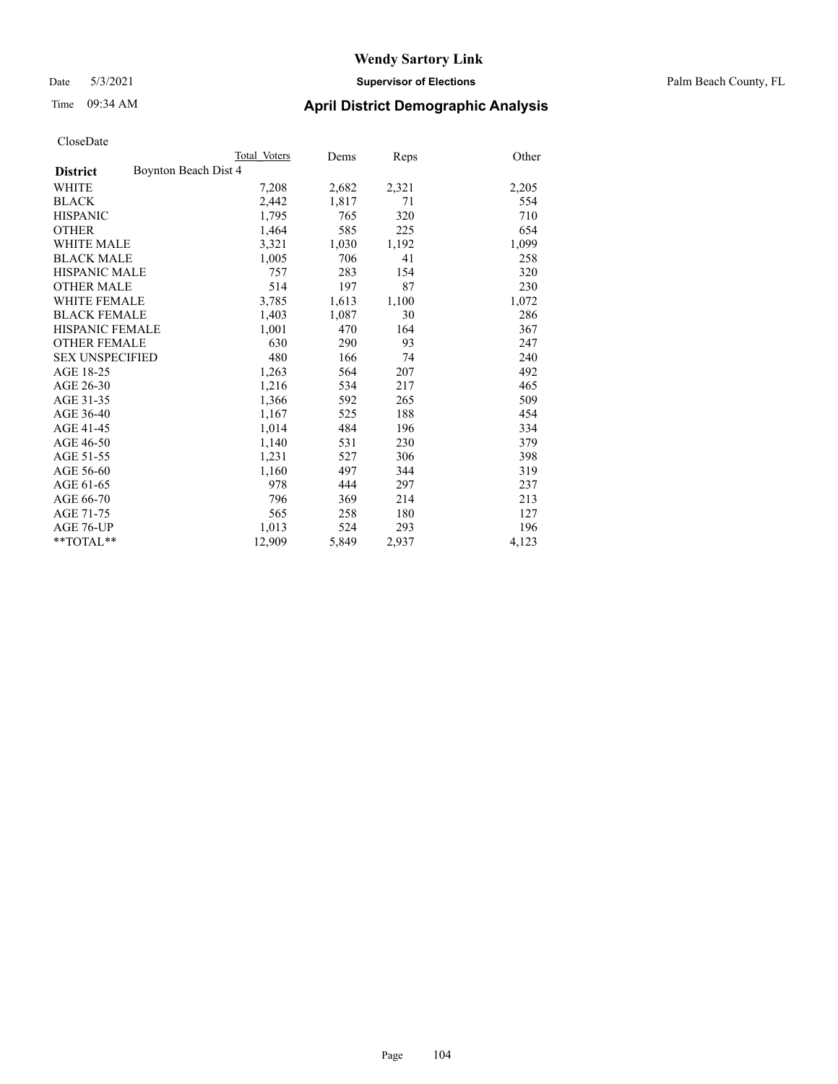### Date 5/3/2021 **Supervisor of Elections** Palm Beach County, FL

### Time 09:34 AM **April District Demographic Analysis**

|                                         | Total Voters | Dems  | <b>Reps</b> | Other |
|-----------------------------------------|--------------|-------|-------------|-------|
| Boynton Beach Dist 4<br><b>District</b> |              |       |             |       |
| <b>WHITE</b>                            | 7,208        | 2,682 | 2,321       | 2,205 |
| <b>BLACK</b>                            | 2,442        | 1,817 | 71          | 554   |
| <b>HISPANIC</b>                         | 1,795        | 765   | 320         | 710   |
| <b>OTHER</b>                            | 1,464        | 585   | 225         | 654   |
| WHITE MALE                              | 3,321        | 1,030 | 1,192       | 1,099 |
| <b>BLACK MALE</b>                       | 1,005        | 706   | 41          | 258   |
| <b>HISPANIC MALE</b>                    | 757          | 283   | 154         | 320   |
| OTHER MALE                              | 514          | 197   | 87          | 230   |
| <b>WHITE FEMALE</b>                     | 3,785        | 1,613 | 1,100       | 1,072 |
| <b>BLACK FEMALE</b>                     | 1,403        | 1,087 | 30          | 286   |
| <b>HISPANIC FEMALE</b>                  | 1,001        | 470   | 164         | 367   |
| <b>OTHER FEMALE</b>                     | 630          | 290   | 93          | 247   |
| <b>SEX UNSPECIFIED</b>                  | 480          | 166   | 74          | 240   |
| AGE 18-25                               | 1,263        | 564   | 207         | 492   |
| AGE 26-30                               | 1,216        | 534   | 217         | 465   |
| AGE 31-35                               | 1,366        | 592   | 265         | 509   |
| AGE 36-40                               | 1,167        | 525   | 188         | 454   |
| AGE 41-45                               | 1,014        | 484   | 196         | 334   |
| AGE 46-50                               | 1,140        | 531   | 230         | 379   |
| AGE 51-55                               | 1,231        | 527   | 306         | 398   |
| AGE 56-60                               | 1,160        | 497   | 344         | 319   |
| AGE 61-65                               | 978          | 444   | 297         | 237   |
| AGE 66-70                               | 796          | 369   | 214         | 213   |
| AGE 71-75                               | 565          | 258   | 180         | 127   |
| AGE 76-UP                               | 1,013        | 524   | 293         | 196   |
| $*$ $TOTAL**$                           | 12,909       | 5,849 | 2,937       | 4,123 |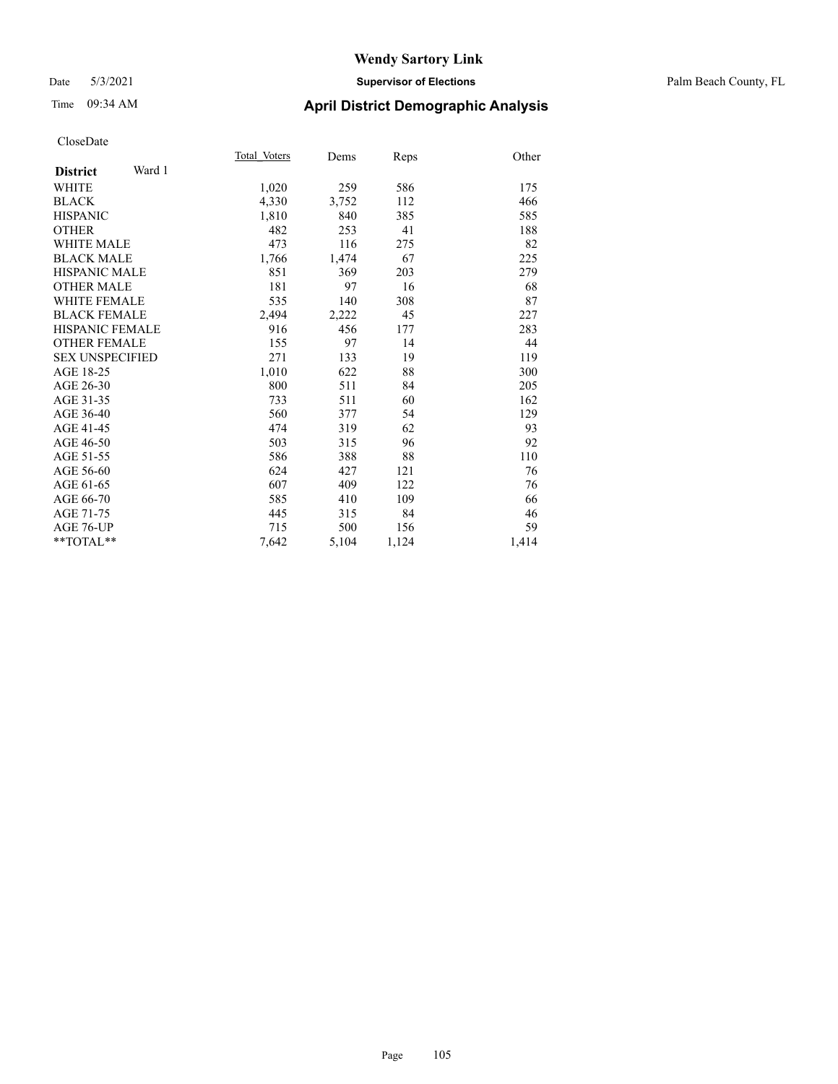### Date 5/3/2021 **Supervisor of Elections** Palm Beach County, FL

# Time 09:34 AM **April District Demographic Analysis**

|                        |        | Total Voters | Dems  | Reps  | Other |
|------------------------|--------|--------------|-------|-------|-------|
| <b>District</b>        | Ward 1 |              |       |       |       |
| <b>WHITE</b>           |        | 1,020        | 259   | 586   | 175   |
| <b>BLACK</b>           |        | 4,330        | 3,752 | 112   | 466   |
| <b>HISPANIC</b>        |        | 1,810        | 840   | 385   | 585   |
| <b>OTHER</b>           |        | 482          | 253   | 41    | 188   |
| <b>WHITE MALE</b>      |        | 473          | 116   | 275   | 82    |
| <b>BLACK MALE</b>      |        | 1,766        | 1,474 | 67    | 225   |
| <b>HISPANIC MALE</b>   |        | 851          | 369   | 203   | 279   |
| <b>OTHER MALE</b>      |        | 181          | 97    | 16    | 68    |
| <b>WHITE FEMALE</b>    |        | 535          | 140   | 308   | 87    |
| <b>BLACK FEMALE</b>    |        | 2,494        | 2,222 | 45    | 227   |
| <b>HISPANIC FEMALE</b> |        | 916          | 456   | 177   | 283   |
| <b>OTHER FEMALE</b>    |        | 155          | 97    | 14    | 44    |
| <b>SEX UNSPECIFIED</b> |        | 271          | 133   | 19    | 119   |
| AGE 18-25              |        | 1,010        | 622   | 88    | 300   |
| AGE 26-30              |        | 800          | 511   | 84    | 205   |
| AGE 31-35              |        | 733          | 511   | 60    | 162   |
| AGE 36-40              |        | 560          | 377   | 54    | 129   |
| AGE 41-45              |        | 474          | 319   | 62    | 93    |
| AGE 46-50              |        | 503          | 315   | 96    | 92    |
| AGE 51-55              |        | 586          | 388   | 88    | 110   |
| AGE 56-60              |        | 624          | 427   | 121   | 76    |
| AGE 61-65              |        | 607          | 409   | 122   | 76    |
| AGE 66-70              |        | 585          | 410   | 109   | 66    |
| AGE 71-75              |        | 445          | 315   | 84    | 46    |
| AGE 76-UP              |        | 715          | 500   | 156   | 59    |
| $*$ $TOTAL**$          |        | 7,642        | 5,104 | 1,124 | 1,414 |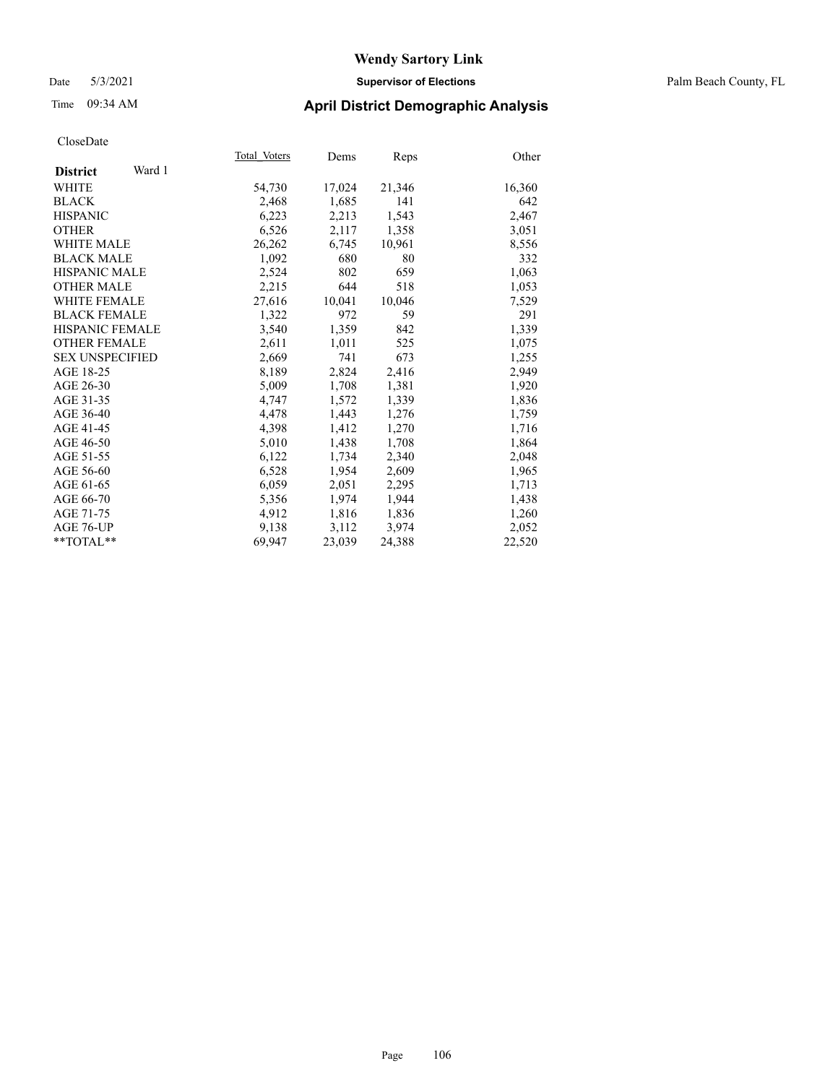### Date 5/3/2021 **Supervisor of Elections** Palm Beach County, FL

### Time 09:34 AM **April District Demographic Analysis**

|                           | Total Voters | Dems   | <b>Reps</b> | Other  |
|---------------------------|--------------|--------|-------------|--------|
| Ward 1<br><b>District</b> |              |        |             |        |
| WHITE                     | 54,730       | 17,024 | 21,346      | 16,360 |
| <b>BLACK</b>              | 2,468        | 1,685  | 141         | 642    |
| <b>HISPANIC</b>           | 6,223        | 2,213  | 1,543       | 2,467  |
| <b>OTHER</b>              | 6,526        | 2,117  | 1,358       | 3,051  |
| <b>WHITE MALE</b>         | 26,262       | 6,745  | 10,961      | 8,556  |
| <b>BLACK MALE</b>         | 1,092        | 680    | 80          | 332    |
| <b>HISPANIC MALE</b>      | 2,524        | 802    | 659         | 1,063  |
| <b>OTHER MALE</b>         | 2,215        | 644    | 518         | 1,053  |
| <b>WHITE FEMALE</b>       | 27,616       | 10,041 | 10,046      | 7,529  |
| <b>BLACK FEMALE</b>       | 1,322        | 972    | 59          | 291    |
| <b>HISPANIC FEMALE</b>    | 3,540        | 1,359  | 842         | 1,339  |
| <b>OTHER FEMALE</b>       | 2,611        | 1,011  | 525         | 1,075  |
| <b>SEX UNSPECIFIED</b>    | 2,669        | 741    | 673         | 1,255  |
| AGE 18-25                 | 8,189        | 2,824  | 2,416       | 2,949  |
| AGE 26-30                 | 5,009        | 1,708  | 1,381       | 1,920  |
| AGE 31-35                 | 4,747        | 1,572  | 1,339       | 1,836  |
| AGE 36-40                 | 4,478        | 1,443  | 1,276       | 1,759  |
| AGE 41-45                 | 4,398        | 1,412  | 1,270       | 1,716  |
| AGE 46-50                 | 5,010        | 1,438  | 1,708       | 1,864  |
| AGE 51-55                 | 6,122        | 1,734  | 2,340       | 2,048  |
| AGE 56-60                 | 6,528        | 1,954  | 2,609       | 1,965  |
| AGE 61-65                 | 6,059        | 2,051  | 2,295       | 1,713  |
| AGE 66-70                 | 5,356        | 1,974  | 1,944       | 1,438  |
| AGE 71-75                 | 4,912        | 1,816  | 1,836       | 1,260  |
| AGE 76-UP                 | 9,138        | 3,112  | 3,974       | 2,052  |
| $*$ $TOTAL**$             | 69,947       | 23,039 | 24,388      | 22,520 |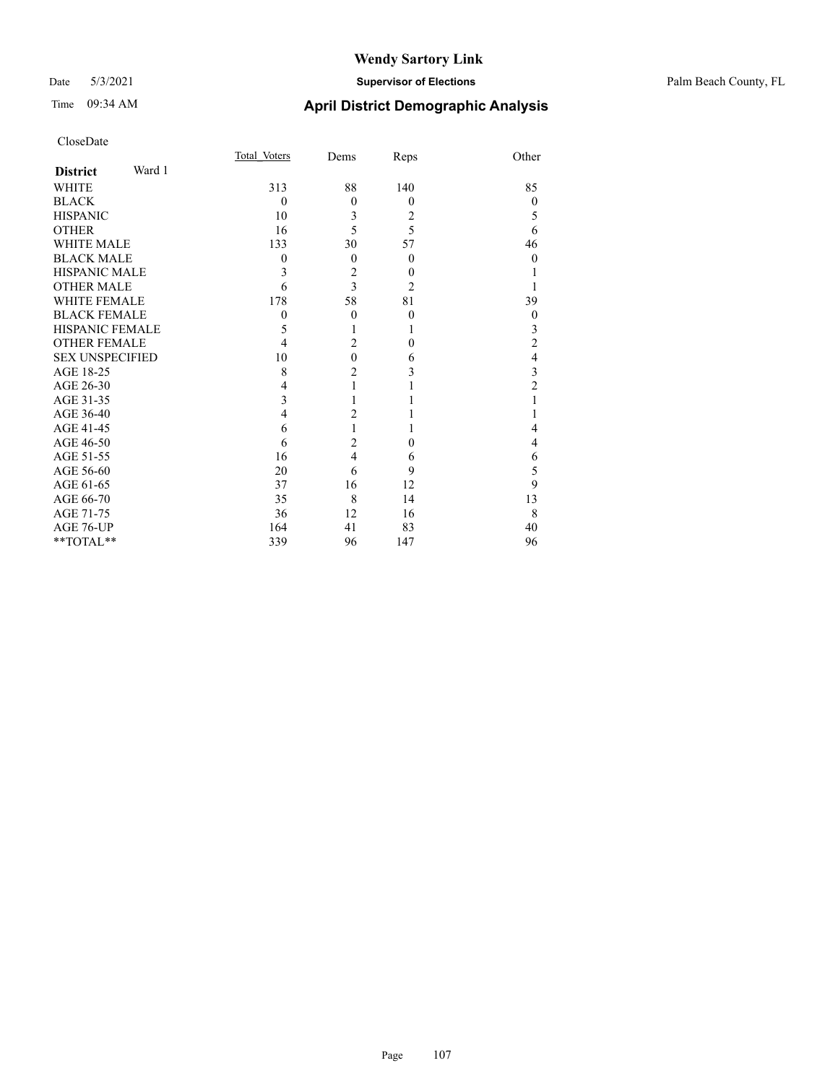### Date 5/3/2021 **Supervisor of Elections** Palm Beach County, FL

|                        |        | Total Voters | Dems                    | Reps             | Other            |
|------------------------|--------|--------------|-------------------------|------------------|------------------|
| <b>District</b>        | Ward 1 |              |                         |                  |                  |
| <b>WHITE</b>           |        | 313          | 88                      | 140              | 85               |
| <b>BLACK</b>           |        | $\theta$     | $\theta$                | $\theta$         | $\theta$         |
| <b>HISPANIC</b>        |        | 10           | 3                       | 2                | 5                |
| <b>OTHER</b>           |        | 16           | 5                       | 5                | 6                |
| <b>WHITE MALE</b>      |        | 133          | 30                      | 57               | 46               |
| <b>BLACK MALE</b>      |        | 0            | $\theta$                | $\theta$         | $\theta$         |
| <b>HISPANIC MALE</b>   |        | 3            | $\overline{2}$          | $\theta$         |                  |
| <b>OTHER MALE</b>      |        | 6            | 3                       | 2                |                  |
| <b>WHITE FEMALE</b>    |        | 178          | 58                      | 81               | 39               |
| <b>BLACK FEMALE</b>    |        | $\theta$     | $\theta$                | $\boldsymbol{0}$ | $\boldsymbol{0}$ |
| HISPANIC FEMALE        |        | 5            |                         | 1                | 3                |
| <b>OTHER FEMALE</b>    |        | 4            | $\overline{2}$          | $\theta$         | 2                |
| <b>SEX UNSPECIFIED</b> |        | 10           | $\mathbf{0}$            | 6                | 4                |
| AGE 18-25              |        | 8            | $\overline{c}$          | 3                | 3                |
| AGE 26-30              |        | 4            |                         |                  | $\overline{2}$   |
| AGE 31-35              |        | 3            |                         |                  |                  |
| AGE 36-40              |        | 4            | $\overline{2}$          |                  |                  |
| AGE 41-45              |        | 6            |                         | 1                | 4                |
| AGE 46-50              |        | 6            | $\overline{2}$          | $\theta$         | 4                |
| AGE 51-55              |        | 16           | $\overline{\mathbf{4}}$ | 6                | 6                |
| AGE 56-60              |        | 20           | 6                       | 9                | 5                |
| AGE 61-65              |        | 37           | 16                      | 12               | 9                |
| AGE 66-70              |        | 35           | 8                       | 14               | 13               |
| AGE 71-75              |        | 36           | 12                      | 16               | 8                |
| AGE 76-UP              |        | 164          | 41                      | 83               | 40               |
| **TOTAL**              |        | 339          | 96                      | 147              | 96               |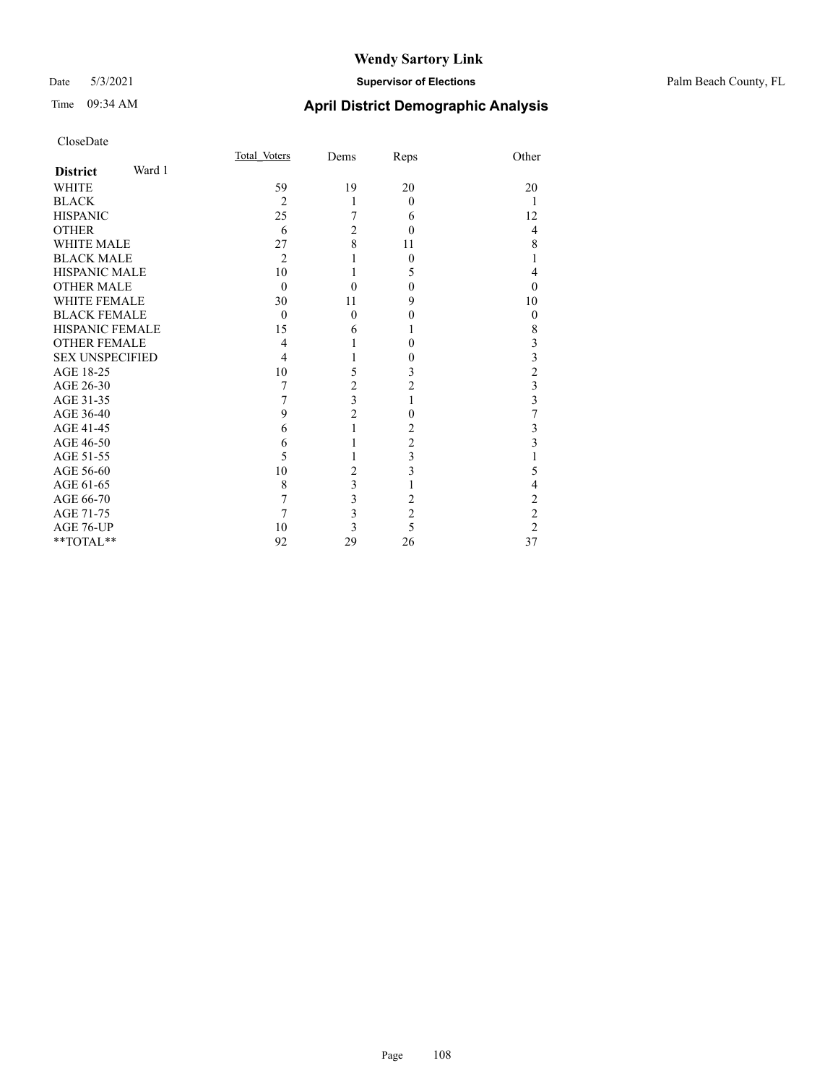### Date 5/3/2021 **Supervisor of Elections** Palm Beach County, FL

| CloseDate              |        |                |                         |                |                         |
|------------------------|--------|----------------|-------------------------|----------------|-------------------------|
|                        |        | Total Voters   | Dems                    | Reps           | Other                   |
| <b>District</b>        | Ward 1 |                |                         |                |                         |
| WHITE                  |        | 59             | 19                      | 20             | 20                      |
| <b>BLACK</b>           |        | $\overline{2}$ | 1                       | $\theta$       | 1                       |
| <b>HISPANIC</b>        |        | 25             | 7                       | 6              | 12                      |
| <b>OTHER</b>           |        | 6              | $\overline{2}$          | $\theta$       | $\overline{4}$          |
| <b>WHITE MALE</b>      |        | 27             | 8                       | 11             | 8                       |
| <b>BLACK MALE</b>      |        | $\overline{2}$ | 1                       | $\theta$       | $\mathbf{1}$            |
| <b>HISPANIC MALE</b>   |        | 10             | 1                       | 5              | $\overline{4}$          |
| <b>OTHER MALE</b>      |        | $\theta$       | $\theta$                | $\theta$       | $\Omega$                |
| <b>WHITE FEMALE</b>    |        | 30             | 11                      | 9              | 10                      |
| <b>BLACK FEMALE</b>    |        | $\theta$       | 0                       | 0              | $\theta$                |
| <b>HISPANIC FEMALE</b> |        | 15             | 6                       |                | 8                       |
| <b>OTHER FEMALE</b>    |        | $\overline{4}$ | 1                       | $\theta$       | 3                       |
| <b>SEX UNSPECIFIED</b> |        | 4              | 1                       | 0              | $\frac{3}{2}$           |
| AGE 18-25              |        | 10             | 5                       | 3              |                         |
| AGE 26-30              |        | 7              | $\overline{c}$          | $\overline{c}$ | $\frac{3}{3}$           |
| AGE 31-35              |        | 7              | $\overline{\mathbf{3}}$ | 1              |                         |
| AGE 36-40              |        | 9              | $\overline{c}$          | $\theta$       | $\overline{7}$          |
| AGE 41-45              |        | 6              | 1                       | 2              | 3                       |
| AGE 46-50              |        | 6              | 1                       | 2              | $\overline{\mathbf{3}}$ |
| AGE 51-55              |        | 5              | 1                       | 3              | $\mathbf{1}$            |
| AGE 56-60              |        | 10             | $\overline{c}$          | 3              | 5                       |
| AGE 61-65              |        | 8              | $\overline{\mathbf{3}}$ | 1              | $\overline{4}$          |
| AGE 66-70              |        | 7              | 3                       | 2              | $\overline{c}$          |
| AGE 71-75              |        | 7              | $\overline{\mathbf{3}}$ | $\overline{c}$ | $\overline{c}$          |
| AGE 76-UP              |        | 10             | $\overline{\mathbf{3}}$ | 5              | $\overline{2}$          |
| **TOTAL**              |        | 92             | 29                      | 26             | 37                      |
|                        |        |                |                         |                |                         |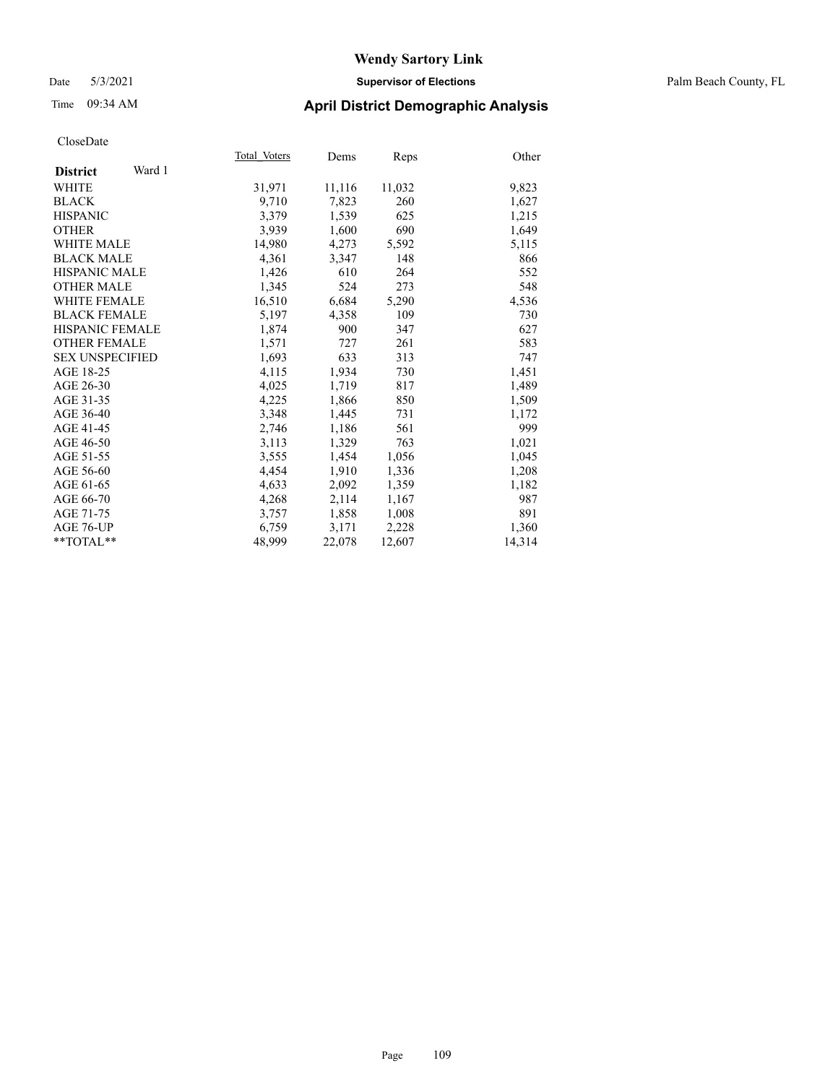Date 5/3/2021 **Supervisor of Elections** Palm Beach County, FL

# Time 09:34 AM **April District Demographic Analysis**

|                           | Total Voters | Dems   | Reps   | Other  |
|---------------------------|--------------|--------|--------|--------|
| Ward 1<br><b>District</b> |              |        |        |        |
| WHITE                     | 31,971       | 11,116 | 11,032 | 9,823  |
| <b>BLACK</b>              | 9,710        | 7,823  | 260    | 1,627  |
| <b>HISPANIC</b>           | 3.379        | 1,539  | 625    | 1,215  |
| <b>OTHER</b>              | 3,939        | 1,600  | 690    | 1,649  |
| <b>WHITE MALE</b>         | 14,980       | 4,273  | 5,592  | 5,115  |
| <b>BLACK MALE</b>         | 4,361        | 3,347  | 148    | 866    |
| <b>HISPANIC MALE</b>      | 1,426        | 610    | 264    | 552    |
| <b>OTHER MALE</b>         | 1,345        | 524    | 273    | 548    |
| <b>WHITE FEMALE</b>       | 16,510       | 6,684  | 5,290  | 4,536  |
| <b>BLACK FEMALE</b>       | 5,197        | 4,358  | 109    | 730    |
| <b>HISPANIC FEMALE</b>    | 1,874        | 900    | 347    | 627    |
| <b>OTHER FEMALE</b>       | 1,571        | 727    | 261    | 583    |
| <b>SEX UNSPECIFIED</b>    | 1,693        | 633    | 313    | 747    |
| AGE 18-25                 | 4,115        | 1,934  | 730    | 1,451  |
| AGE 26-30                 | 4,025        | 1,719  | 817    | 1,489  |
| AGE 31-35                 | 4,225        | 1,866  | 850    | 1,509  |
| AGE 36-40                 | 3,348        | 1,445  | 731    | 1,172  |
| AGE 41-45                 | 2,746        | 1,186  | 561    | 999    |
| AGE 46-50                 | 3,113        | 1,329  | 763    | 1,021  |
| AGE 51-55                 | 3,555        | 1,454  | 1,056  | 1,045  |
| AGE 56-60                 | 4,454        | 1,910  | 1,336  | 1,208  |
| AGE 61-65                 | 4,633        | 2,092  | 1,359  | 1,182  |
| AGE 66-70                 | 4,268        | 2,114  | 1,167  | 987    |
| AGE 71-75                 | 3,757        | 1,858  | 1,008  | 891    |
| AGE 76-UP                 | 6,759        | 3,171  | 2,228  | 1,360  |
| $*$ $TOTAL**$             | 48,999       | 22,078 | 12,607 | 14,314 |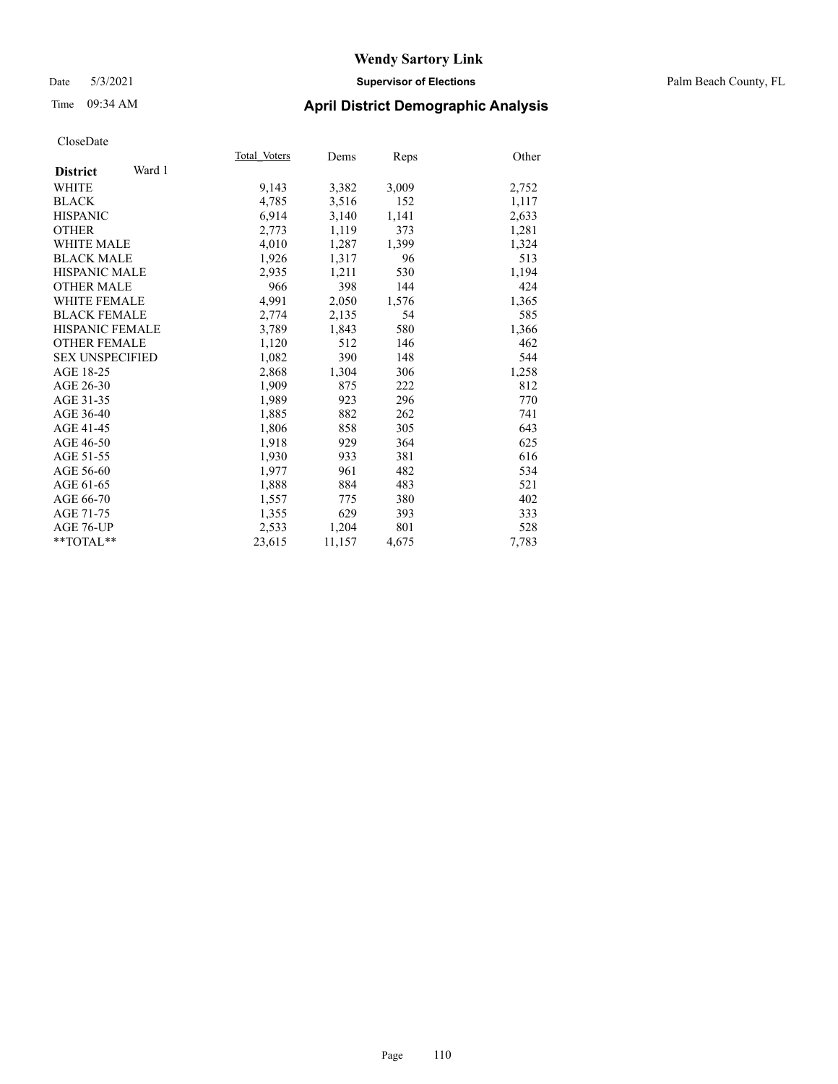## Date 5/3/2021 **Supervisor of Elections** Palm Beach County, FL

# Time 09:34 AM **April District Demographic Analysis**

| Total Voters | Dems   | Reps  | Other |
|--------------|--------|-------|-------|
|              |        |       |       |
| 9,143        | 3,382  | 3,009 | 2,752 |
| 4,785        | 3,516  | 152   | 1,117 |
| 6,914        | 3,140  | 1,141 | 2,633 |
| 2,773        | 1,119  | 373   | 1,281 |
| 4,010        | 1,287  | 1,399 | 1,324 |
| 1,926        | 1,317  | 96    | 513   |
| 2,935        | 1,211  | 530   | 1,194 |
| 966          | 398    | 144   | 424   |
| 4,991        | 2,050  | 1,576 | 1,365 |
| 2,774        | 2,135  | 54    | 585   |
| 3,789        | 1,843  | 580   | 1,366 |
| 1,120        | 512    | 146   | 462   |
| 1,082        | 390    | 148   | 544   |
| 2,868        | 1,304  | 306   | 1,258 |
| 1,909        | 875    | 222   | 812   |
| 1,989        | 923    | 296   | 770   |
| 1,885        | 882    | 262   | 741   |
| 1,806        | 858    | 305   | 643   |
| 1,918        | 929    | 364   | 625   |
| 1,930        | 933    | 381   | 616   |
| 1,977        | 961    | 482   | 534   |
| 1,888        | 884    | 483   | 521   |
| 1,557        | 775    | 380   | 402   |
| 1,355        | 629    | 393   | 333   |
| 2,533        | 1,204  | 801   | 528   |
| 23,615       | 11,157 | 4,675 | 7,783 |
|              |        |       |       |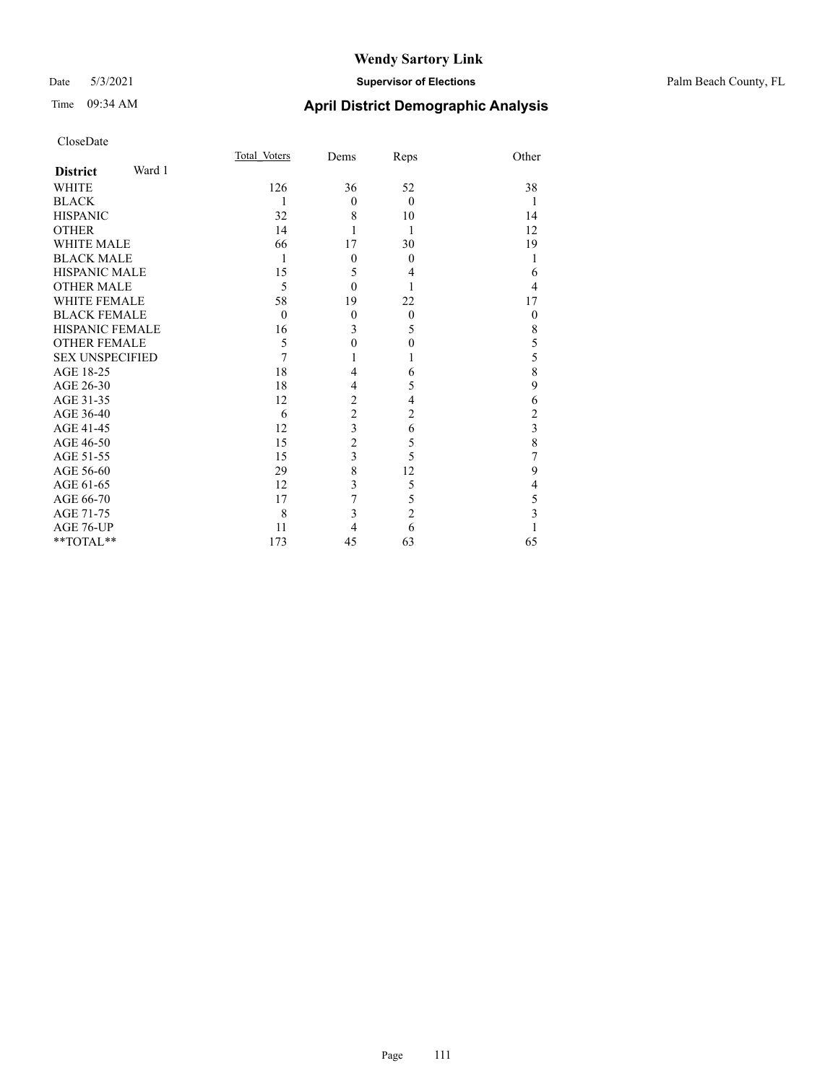## Date 5/3/2021 **Supervisor of Elections** Palm Beach County, FL

| CloseDate              |        |              |                  |                |                |
|------------------------|--------|--------------|------------------|----------------|----------------|
|                        |        | Total Voters | Dems             | Reps           | Other          |
| <b>District</b>        | Ward 1 |              |                  |                |                |
| <b>WHITE</b>           |        | 126          | 36               | 52             | 38             |
| <b>BLACK</b>           |        | 1            | $\mathbf{0}$     | $\theta$       | -1             |
| <b>HISPANIC</b>        |        | 32           | 8                | 10             | 14             |
| <b>OTHER</b>           |        | 14           | 1                | 1              | 12             |
| <b>WHITE MALE</b>      |        | 66           | 17               | 30             | 19             |
| <b>BLACK MALE</b>      |        | 1            | $\mathbf{0}$     | $\theta$       | 1              |
| <b>HISPANIC MALE</b>   |        | 15           | 5                | 4              | 6              |
| <b>OTHER MALE</b>      |        | 5            | $\mathbf{0}$     | 1              | $\overline{4}$ |
| <b>WHITE FEMALE</b>    |        | 58           | 19               | 22             | 17             |
| <b>BLACK FEMALE</b>    |        | $\theta$     | $\mathbf{0}$     | $\overline{0}$ | $\theta$       |
| <b>HISPANIC FEMALE</b> |        | 16           | 3                | 5              | $\,$ $\,$      |
| <b>OTHER FEMALE</b>    |        | 5            | $\boldsymbol{0}$ | $\theta$       | 5              |
| <b>SEX UNSPECIFIED</b> |        | 7            |                  |                | 5              |
| AGE 18-25              |        | 18           | 4                | 6              | 8              |
| AGE 26-30              |        | 18           | 4                | 5              | $\overline{9}$ |
| AGE 31-35              |        | 12           | $\overline{2}$   | 4              | 6              |
| AGE 36-40              |        | 6            | $\overline{c}$   | 2              | $\overline{c}$ |
| AGE 41-45              |        | 12           | 3                | 6              | $\frac{3}{8}$  |
| AGE 46-50              |        | 15           | $\overline{c}$   | 5              |                |
| AGE 51-55              |        | 15           | 3                | 5              | $\overline{7}$ |
| AGE 56-60              |        | 29           | 8                | 12             | 9              |
| AGE 61-65              |        | 12           | 3                | 5              | 4              |
| AGE 66-70              |        | 17           | 7                | 5              | $\frac{5}{3}$  |
| AGE 71-75              |        | 8            | 3                | $\overline{2}$ |                |
| AGE 76-UP              |        | 11           | 4                | 6              | 1              |
| **TOTAL**              |        | 173          | 45               | 63             | 65             |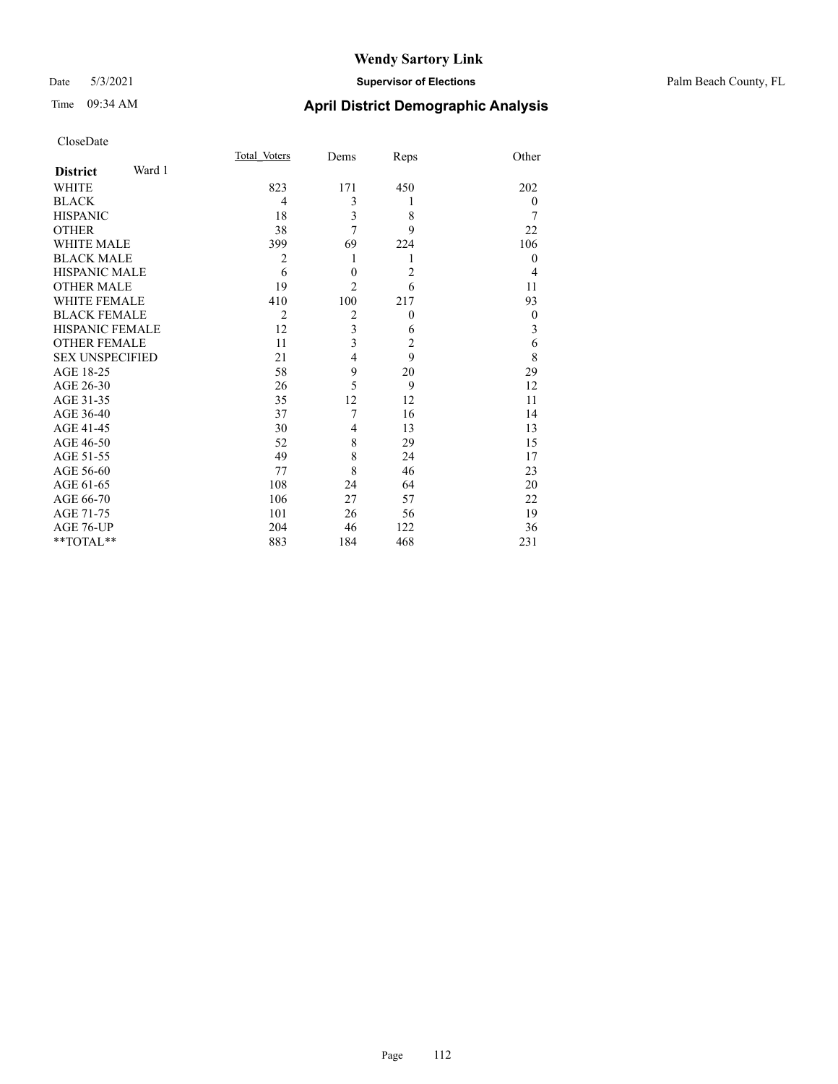## Date 5/3/2021 **Supervisor of Elections** Palm Beach County, FL

# Time 09:34 AM **April District Demographic Analysis**

|                           | Total Voters   | Dems             | Reps           | Other            |
|---------------------------|----------------|------------------|----------------|------------------|
| Ward 1<br><b>District</b> |                |                  |                |                  |
| <b>WHITE</b>              | 823            | 171              | 450            | 202              |
| <b>BLACK</b>              | 4              | 3                | 1              | $\theta$         |
| <b>HISPANIC</b>           | 18             | 3                | 8              | 7                |
| <b>OTHER</b>              | 38             | 7                | 9              | 22               |
| <b>WHITE MALE</b>         | 399            | 69               | 224            | 106              |
| <b>BLACK MALE</b>         | $\overline{2}$ | 1                | 1              | $\theta$         |
| <b>HISPANIC MALE</b>      | 6              | $\boldsymbol{0}$ | $\overline{2}$ | $\overline{4}$   |
| <b>OTHER MALE</b>         | 19             | $\overline{2}$   | 6              | 11               |
| <b>WHITE FEMALE</b>       | 410            | 100              | 217            | 93               |
| <b>BLACK FEMALE</b>       | $\overline{2}$ | $\overline{2}$   | $\overline{0}$ | $\boldsymbol{0}$ |
| <b>HISPANIC FEMALE</b>    | 12             | 3                | 6              | 3                |
| <b>OTHER FEMALE</b>       | 11             | $\overline{3}$   | $\overline{2}$ | 6                |
| <b>SEX UNSPECIFIED</b>    | 21             | $\overline{4}$   | 9              | 8                |
| AGE 18-25                 | 58             | 9                | 20             | 29               |
| AGE 26-30                 | 26             | 5                | 9              | 12               |
| AGE 31-35                 | 35             | 12               | 12             | 11               |
| AGE 36-40                 | 37             | 7                | 16             | 14               |
| AGE 41-45                 | 30             | $\overline{4}$   | 13             | 13               |
| AGE 46-50                 | 52             | 8                | 29             | 15               |
| AGE 51-55                 | 49             | 8                | 24             | 17               |
| AGE 56-60                 | 77             | 8                | 46             | 23               |
| AGE 61-65                 | 108            | 24               | 64             | 20               |
| AGE 66-70                 | 106            | 27               | 57             | 22               |
| AGE 71-75                 | 101            | 26               | 56             | 19               |
| AGE 76-UP                 | 204            | 46               | 122            | 36               |
| **TOTAL**                 | 883            | 184              | 468            | 231              |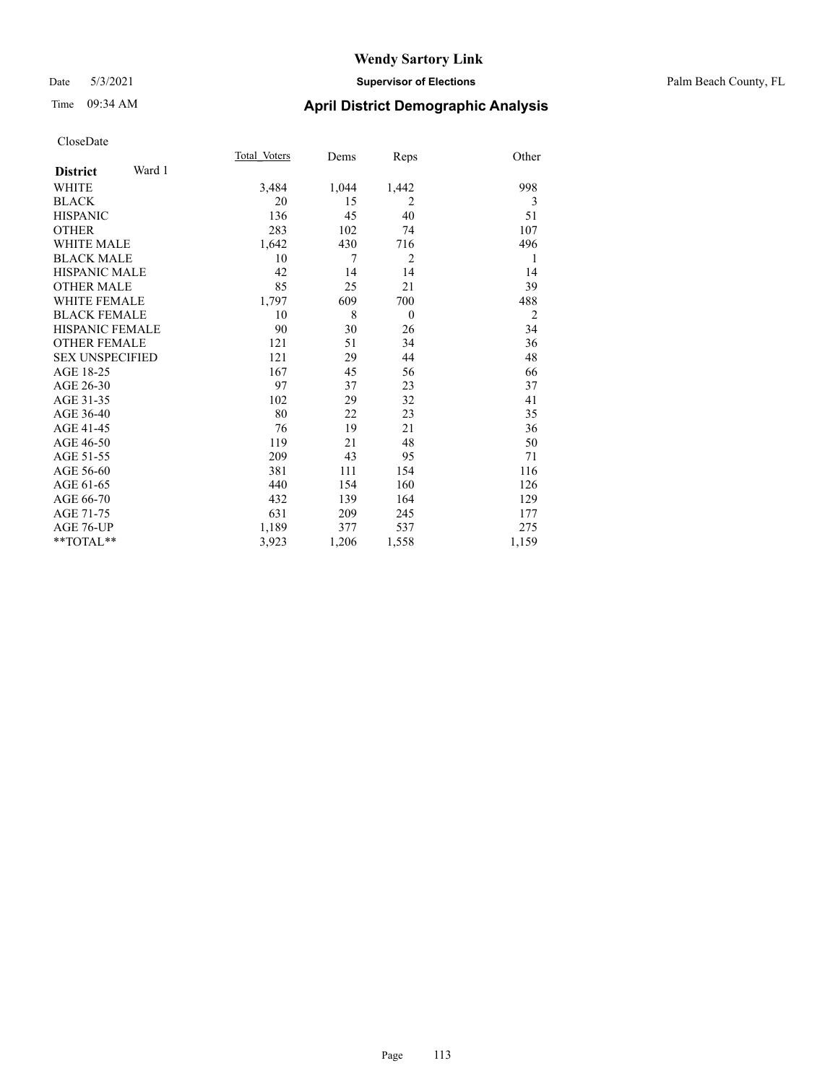## Date 5/3/2021 **Supervisor of Elections** Palm Beach County, FL

# Time 09:34 AM **April District Demographic Analysis**

|                           | Total Voters | Dems  | Reps           | Other          |
|---------------------------|--------------|-------|----------------|----------------|
| Ward 1<br><b>District</b> |              |       |                |                |
| <b>WHITE</b>              | 3,484        | 1,044 | 1,442          | 998            |
| <b>BLACK</b>              | 20           | 15    | 2              | 3              |
| <b>HISPANIC</b>           | 136          | 45    | 40             | 51             |
| <b>OTHER</b>              | 283          | 102   | 74             | 107            |
| <b>WHITE MALE</b>         | 1,642        | 430   | 716            | 496            |
| <b>BLACK MALE</b>         | 10           | 7     | $\overline{2}$ | 1              |
| <b>HISPANIC MALE</b>      | 42           | 14    | 14             | 14             |
| <b>OTHER MALE</b>         | 85           | 25    | 21             | 39             |
| <b>WHITE FEMALE</b>       | 1,797        | 609   | 700            | 488            |
| <b>BLACK FEMALE</b>       | 10           | 8     | $\theta$       | $\overline{2}$ |
| <b>HISPANIC FEMALE</b>    | 90           | 30    | 26             | 34             |
| <b>OTHER FEMALE</b>       | 121          | 51    | 34             | 36             |
| <b>SEX UNSPECIFIED</b>    | 121          | 29    | 44             | 48             |
| AGE 18-25                 | 167          | 45    | 56             | 66             |
| AGE 26-30                 | 97           | 37    | 23             | 37             |
| AGE 31-35                 | 102          | 29    | 32             | 41             |
| AGE 36-40                 | 80           | 22    | 23             | 35             |
| AGE 41-45                 | 76           | 19    | 21             | 36             |
| AGE 46-50                 | 119          | 21    | 48             | 50             |
| AGE 51-55                 | 209          | 43    | 95             | 71             |
| AGE 56-60                 | 381          | 111   | 154            | 116            |
| AGE 61-65                 | 440          | 154   | 160            | 126            |
| AGE 66-70                 | 432          | 139   | 164            | 129            |
| AGE 71-75                 | 631          | 209   | 245            | 177            |
| AGE 76-UP                 | 1,189        | 377   | 537            | 275            |
| $*$ $TOTAL**$             | 3,923        | 1,206 | 1,558          | 1,159          |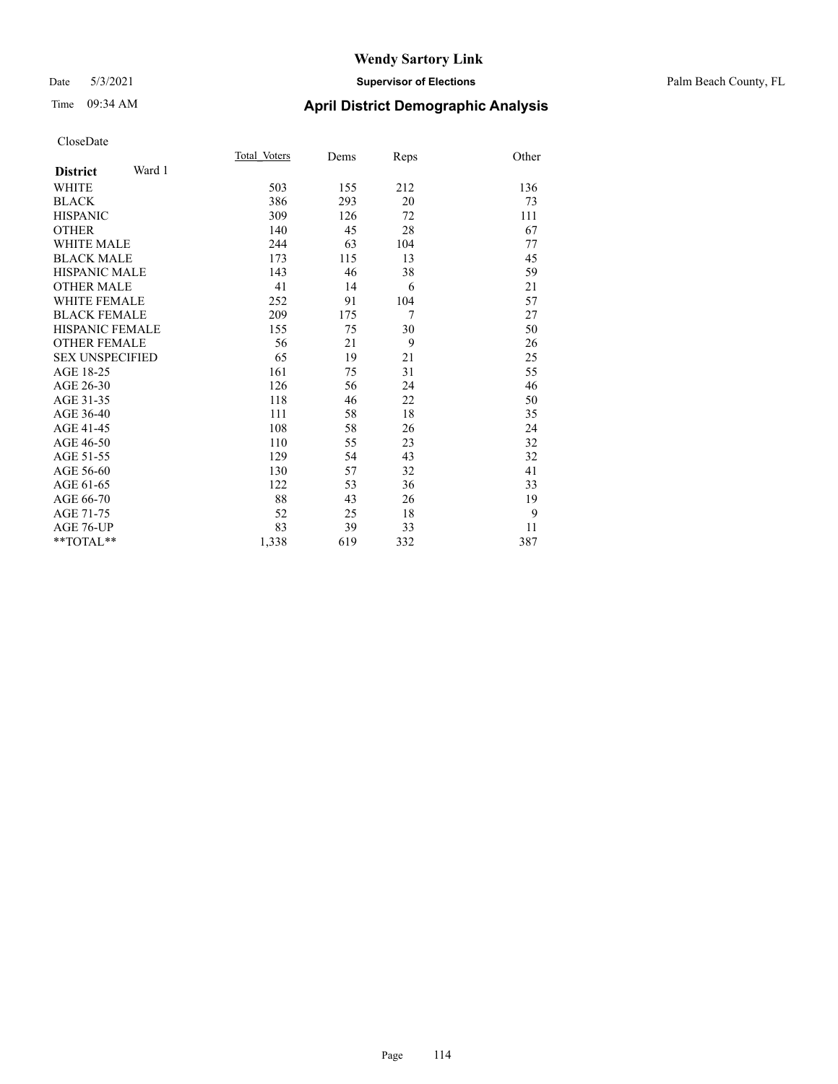## Date 5/3/2021 **Supervisor of Elections** Palm Beach County, FL

# Time 09:34 AM **April District Demographic Analysis**

|                           | Total Voters | Dems | Reps | Other |
|---------------------------|--------------|------|------|-------|
| Ward 1<br><b>District</b> |              |      |      |       |
| <b>WHITE</b>              | 503          | 155  | 212  | 136   |
| <b>BLACK</b>              | 386          | 293  | 20   | 73    |
| <b>HISPANIC</b>           | 309          | 126  | 72   | 111   |
| <b>OTHER</b>              | 140          | 45   | 28   | 67    |
| <b>WHITE MALE</b>         | 244          | 63   | 104  | 77    |
| <b>BLACK MALE</b>         | 173          | 115  | 13   | 45    |
| <b>HISPANIC MALE</b>      | 143          | 46   | 38   | 59    |
| <b>OTHER MALE</b>         | 41           | 14   | 6    | 21    |
| <b>WHITE FEMALE</b>       | 252          | 91   | 104  | 57    |
| <b>BLACK FEMALE</b>       | 209          | 175  | 7    | 27    |
| <b>HISPANIC FEMALE</b>    | 155          | 75   | 30   | 50    |
| <b>OTHER FEMALE</b>       | 56           | 21   | 9    | 26    |
| <b>SEX UNSPECIFIED</b>    | 65           | 19   | 21   | 25    |
| AGE 18-25                 | 161          | 75   | 31   | 55    |
| AGE 26-30                 | 126          | 56   | 24   | 46    |
| AGE 31-35                 | 118          | 46   | 22   | 50    |
| AGE 36-40                 | 111          | 58   | 18   | 35    |
| AGE 41-45                 | 108          | 58   | 26   | 24    |
| AGE 46-50                 | 110          | 55   | 23   | 32    |
| AGE 51-55                 | 129          | 54   | 43   | 32    |
| AGE 56-60                 | 130          | 57   | 32   | 41    |
| AGE 61-65                 | 122          | 53   | 36   | 33    |
| AGE 66-70                 | 88           | 43   | 26   | 19    |
| AGE 71-75                 | 52           | 25   | 18   | 9     |
| AGE 76-UP                 | 83           | 39   | 33   | 11    |
| $*$ $TOTAL**$             | 1,338        | 619  | 332  | 387   |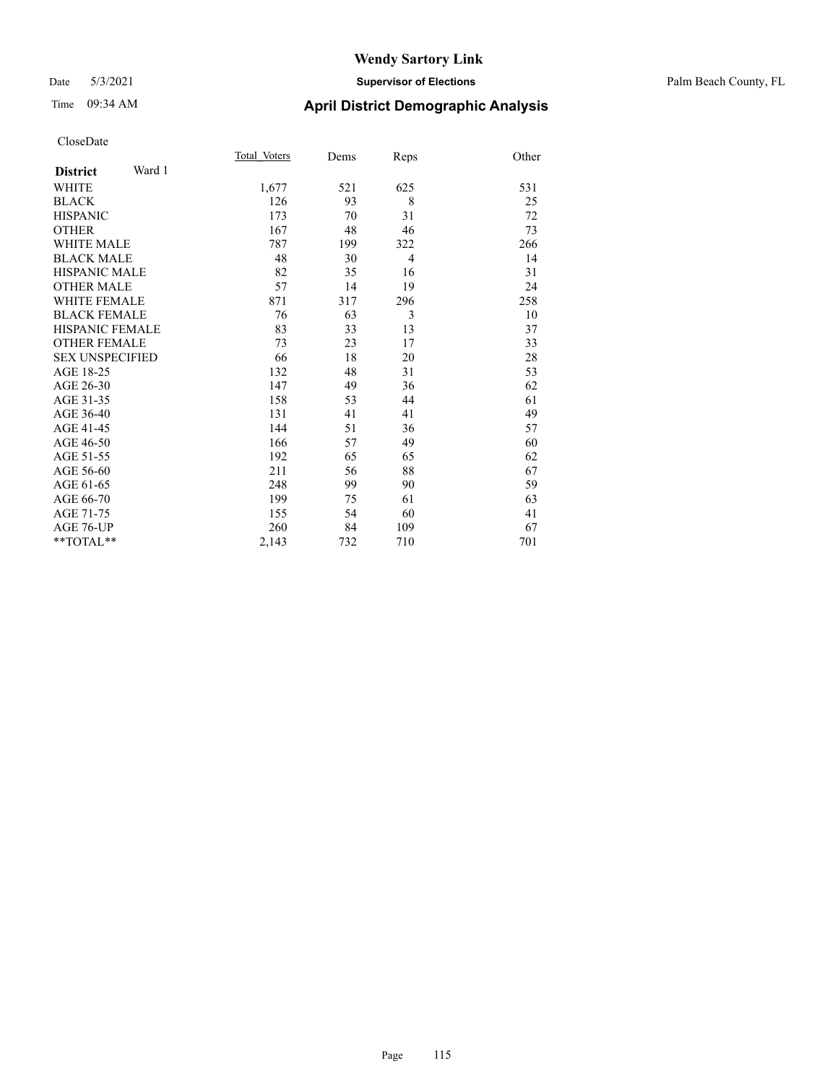## Date 5/3/2021 **Supervisor of Elections** Palm Beach County, FL

| CloseDate |
|-----------|
|-----------|

|                        |        | Total Voters | Dems | Reps           | Other |
|------------------------|--------|--------------|------|----------------|-------|
| <b>District</b>        | Ward 1 |              |      |                |       |
| WHITE                  |        | 1,677        | 521  | 625            | 531   |
| BLACK                  |        | 126          | 93   | 8              | 25    |
| <b>HISPANIC</b>        |        | 173          | 70   | 31             | 72    |
| OTHER                  |        | 167          | 48   | 46             | 73    |
| WHITE MALE             |        | 787          | 199  | 322            | 266   |
| <b>BLACK MALE</b>      |        | 48           | 30   | $\overline{4}$ | 14    |
| HISPANIC MALE          |        | 82           | 35   | 16             | 31    |
| OTHER MALE             |        | 57           | 14   | 19             | 24    |
| WHITE FEMALE           |        | 871          | 317  | 296            | 258   |
| <b>BLACK FEMALE</b>    |        | 76           | 63   | 3              | 10    |
| HISPANIC FEMALE        |        | 83           | 33   | 13             | 37    |
| <b>OTHER FEMALE</b>    |        | 73           | 23   | 17             | 33    |
| <b>SEX UNSPECIFIED</b> |        | 66           | 18   | 20             | 28    |
| AGE 18-25              |        | 132          | 48   | 31             | 53    |
| AGE 26-30              |        | 147          | 49   | 36             | 62    |
| AGE 31-35              |        | 158          | 53   | 44             | 61    |
| AGE 36-40              |        | 131          | 41   | 41             | 49    |
| AGE 41-45              |        | 144          | 51   | 36             | 57    |
| AGE 46-50              |        | 166          | 57   | 49             | 60    |
| AGE 51-55              |        | 192          | 65   | 65             | 62    |
| AGE 56-60              |        | 211          | 56   | 88             | 67    |
| AGE 61-65              |        | 248          | 99   | 90             | 59    |
| AGE 66-70              |        | 199          | 75   | 61             | 63    |
| AGE 71-75              |        | 155          | 54   | 60             | 41    |
| AGE 76-UP              |        | 260          | 84   | 109            | 67    |
| $*$ $TOTAL**$          |        | 2,143        | 732  | 710            | 701   |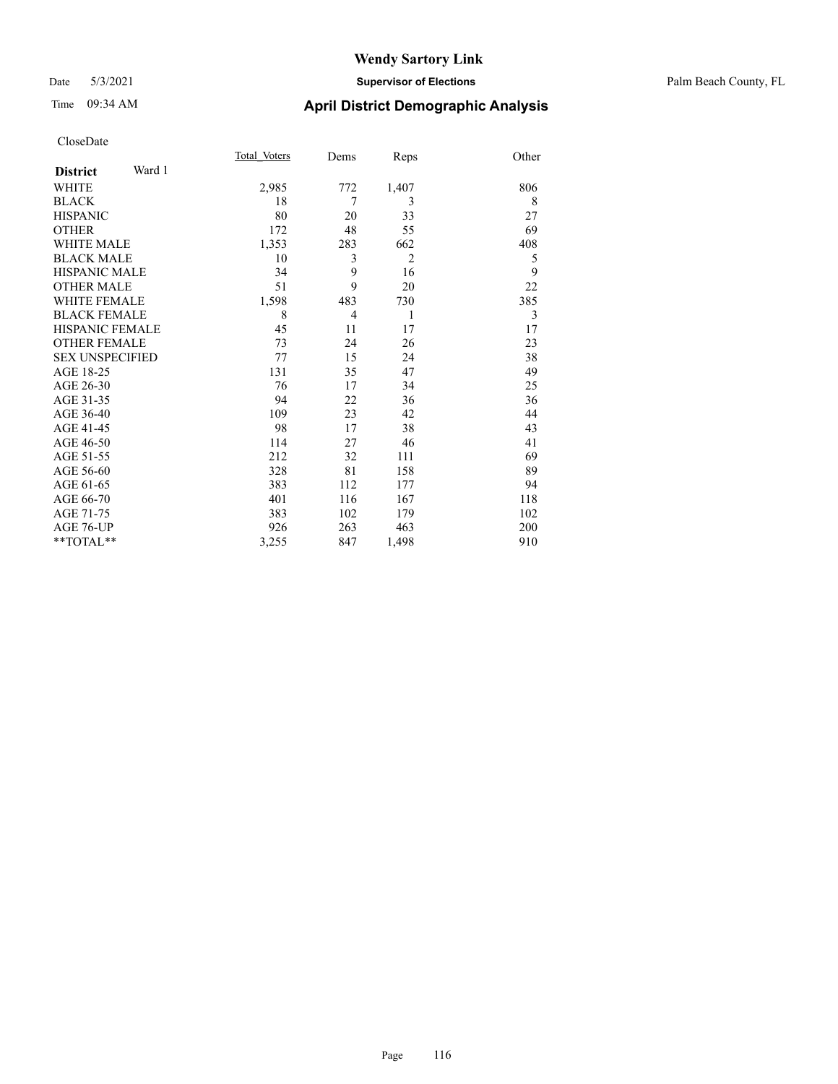## Date 5/3/2021 **Supervisor of Elections** Palm Beach County, FL

# Time 09:34 AM **April District Demographic Analysis**

|                           | Total Voters | Dems | Reps           | Other |
|---------------------------|--------------|------|----------------|-------|
| Ward 1<br><b>District</b> |              |      |                |       |
| WHITE                     | 2,985        | 772  | 1,407          | 806   |
| <b>BLACK</b>              | 18           | 7    | 3              | 8     |
| <b>HISPANIC</b>           | 80           | 20   | 33             | 27    |
| <b>OTHER</b>              | 172          | 48   | 55             | 69    |
| <b>WHITE MALE</b>         | 1,353        | 283  | 662            | 408   |
| <b>BLACK MALE</b>         | 10           | 3    | $\overline{2}$ | 5     |
| <b>HISPANIC MALE</b>      | 34           | 9    | 16             | 9     |
| <b>OTHER MALE</b>         | 51           | 9    | 20             | 22    |
| <b>WHITE FEMALE</b>       | 1,598        | 483  | 730            | 385   |
| <b>BLACK FEMALE</b>       | 8            | 4    | 1              | 3     |
| <b>HISPANIC FEMALE</b>    | 45           | 11   | 17             | 17    |
| <b>OTHER FEMALE</b>       | 73           | 24   | 26             | 23    |
| <b>SEX UNSPECIFIED</b>    | 77           | 15   | 24             | 38    |
| AGE 18-25                 | 131          | 35   | 47             | 49    |
| AGE 26-30                 | 76           | 17   | 34             | 25    |
| AGE 31-35                 | 94           | 22   | 36             | 36    |
| AGE 36-40                 | 109          | 23   | 42             | 44    |
| AGE 41-45                 | 98           | 17   | 38             | 43    |
| AGE 46-50                 | 114          | 27   | 46             | 41    |
| AGE 51-55                 | 212          | 32   | 111            | 69    |
| AGE 56-60                 | 328          | 81   | 158            | 89    |
| AGE 61-65                 | 383          | 112  | 177            | 94    |
| AGE 66-70                 | 401          | 116  | 167            | 118   |
| AGE 71-75                 | 383          | 102  | 179            | 102   |
| AGE 76-UP                 | 926          | 263  | 463            | 200   |
| **TOTAL**                 | 3,255        | 847  | 1,498          | 910   |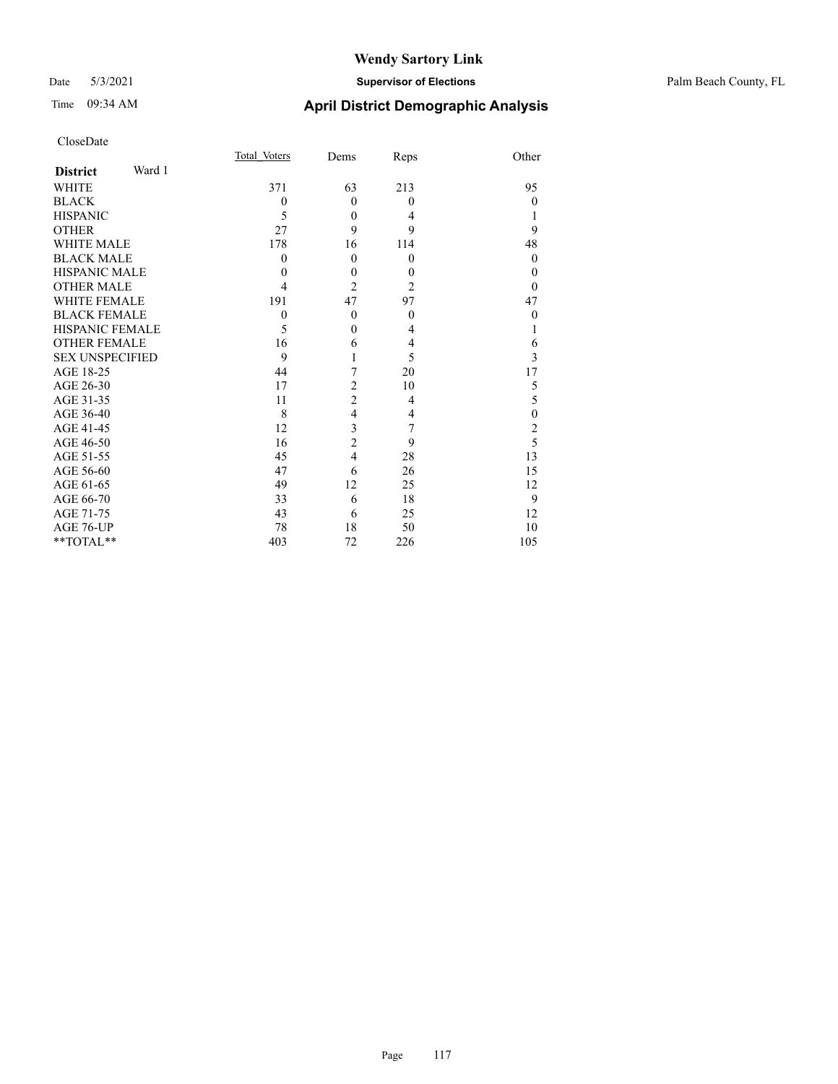## Date 5/3/2021 **Supervisor of Elections** Palm Beach County, FL

| CloseDate              |        |              |                |                |                  |
|------------------------|--------|--------------|----------------|----------------|------------------|
|                        |        | Total Voters | Dems           | Reps           | Other            |
| <b>District</b>        | Ward 1 |              |                |                |                  |
| <b>WHITE</b>           |        | 371          | 63             | 213            | 95               |
| <b>BLACK</b>           |        | $\theta$     | $\theta$       | $\Omega$       | $\theta$         |
| <b>HISPANIC</b>        |        | 5            | $\theta$       | 4              | 1                |
| <b>OTHER</b>           |        | 27           | 9              | 9              | 9                |
| <b>WHITE MALE</b>      |        | 178          | 16             | 114            | 48               |
| <b>BLACK MALE</b>      |        | $\theta$     | $\theta$       | $\theta$       | $\overline{0}$   |
| <b>HISPANIC MALE</b>   |        | $\theta$     | $\theta$       | $\theta$       | $\theta$         |
| <b>OTHER MALE</b>      |        | 4            | $\overline{c}$ | $\overline{2}$ | $\theta$         |
| <b>WHITE FEMALE</b>    |        | 191          | 47             | 97             | 47               |
| <b>BLACK FEMALE</b>    |        | $\theta$     | $\theta$       | $\overline{0}$ | $\theta$         |
| <b>HISPANIC FEMALE</b> |        | 5            | $\theta$       | 4              | 1                |
| <b>OTHER FEMALE</b>    |        | 16           | 6              | 4              | 6                |
| <b>SEX UNSPECIFIED</b> |        | 9            | 1              | 5              | $\overline{3}$   |
| AGE 18-25              |        | 44           | 7              | 20             | 17               |
| AGE 26-30              |        | 17           | $\overline{c}$ | 10             | 5                |
| AGE 31-35              |        | 11           | $\overline{c}$ | 4              | 5                |
| AGE 36-40              |        | 8            | $\overline{4}$ | 4              | $\boldsymbol{0}$ |
| AGE 41-45              |        | 12           | 3              | 7              | $\overline{c}$   |
| AGE 46-50              |        | 16           | $\overline{c}$ | 9              | $\overline{5}$   |
| AGE 51-55              |        | 45           | $\overline{4}$ | 28             | 13               |
| AGE 56-60              |        | 47           | 6              | 26             | 15               |
| AGE 61-65              |        | 49           | 12             | 25             | 12               |
| AGE 66-70              |        | 33           | 6              | 18             | 9                |
| AGE 71-75              |        | 43           | 6              | 25             | 12               |
| AGE 76-UP              |        | 78           | 18             | 50             | 10               |
| **TOTAL**              |        | 403          | 72             | 226            | 105              |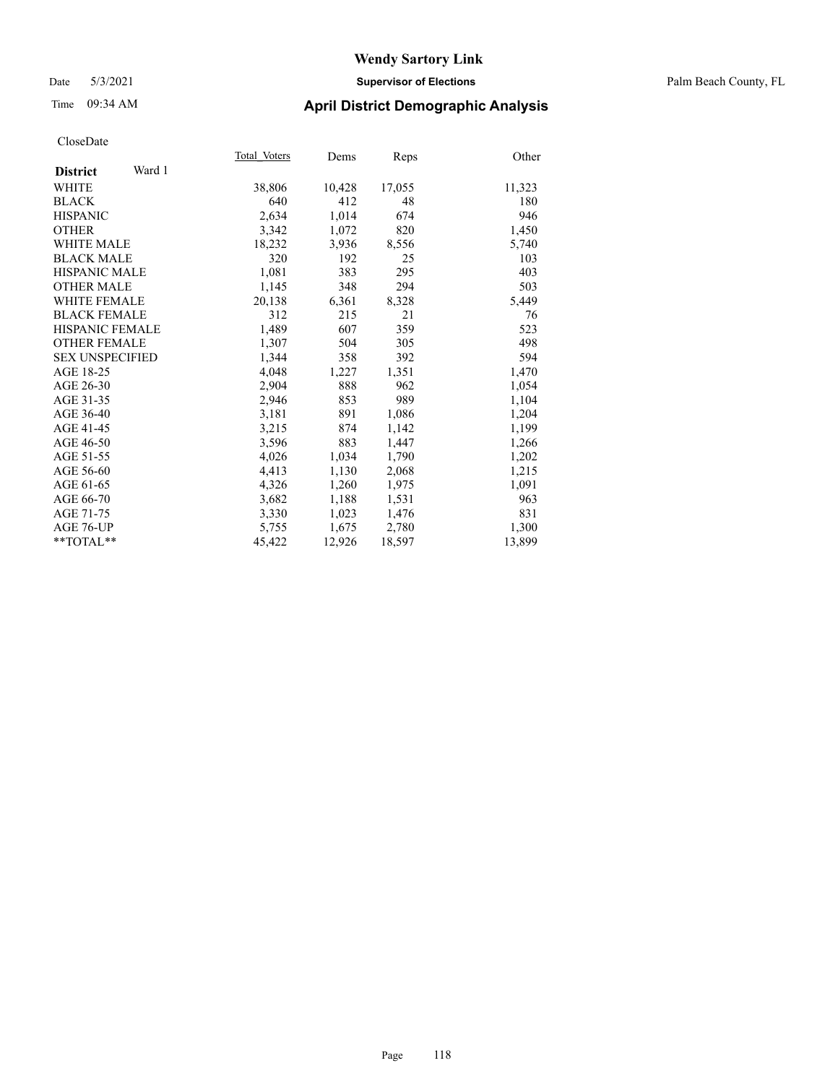## Date 5/3/2021 **Supervisor of Elections** Palm Beach County, FL

# Time 09:34 AM **April District Demographic Analysis**

|                           | Total Voters | Dems   | Reps   | Other  |
|---------------------------|--------------|--------|--------|--------|
| Ward 1<br><b>District</b> |              |        |        |        |
| WHITE                     | 38,806       | 10,428 | 17,055 | 11,323 |
| <b>BLACK</b>              | 640          | 412    | 48     | 180    |
| <b>HISPANIC</b>           | 2,634        | 1,014  | 674    | 946    |
| <b>OTHER</b>              | 3,342        | 1,072  | 820    | 1,450  |
| <b>WHITE MALE</b>         | 18,232       | 3,936  | 8,556  | 5,740  |
| <b>BLACK MALE</b>         | 320          | 192    | 25     | 103    |
| <b>HISPANIC MALE</b>      | 1,081        | 383    | 295    | 403    |
| <b>OTHER MALE</b>         | 1,145        | 348    | 294    | 503    |
| <b>WHITE FEMALE</b>       | 20,138       | 6,361  | 8,328  | 5,449  |
| <b>BLACK FEMALE</b>       | 312          | 215    | 21     | 76     |
| HISPANIC FEMALE           | 1,489        | 607    | 359    | 523    |
| <b>OTHER FEMALE</b>       | 1,307        | 504    | 305    | 498    |
| <b>SEX UNSPECIFIED</b>    | 1.344        | 358    | 392    | 594    |
| AGE 18-25                 | 4.048        | 1,227  | 1,351  | 1,470  |
| AGE 26-30                 | 2,904        | 888    | 962    | 1,054  |
| AGE 31-35                 | 2,946        | 853    | 989    | 1,104  |
| AGE 36-40                 | 3,181        | 891    | 1,086  | 1,204  |
| AGE 41-45                 | 3,215        | 874    | 1,142  | 1,199  |
| AGE 46-50                 | 3,596        | 883    | 1,447  | 1,266  |
| AGE 51-55                 | 4,026        | 1,034  | 1,790  | 1,202  |
| AGE 56-60                 | 4,413        | 1,130  | 2,068  | 1,215  |
| AGE 61-65                 | 4,326        | 1,260  | 1,975  | 1,091  |
| AGE 66-70                 | 3,682        | 1,188  | 1,531  | 963    |
| AGE 71-75                 | 3,330        | 1,023  | 1,476  | 831    |
| AGE 76-UP                 | 5,755        | 1,675  | 2,780  | 1,300  |
| $*$ $TOTAL**$             | 45,422       | 12,926 | 18,597 | 13,899 |
|                           |              |        |        |        |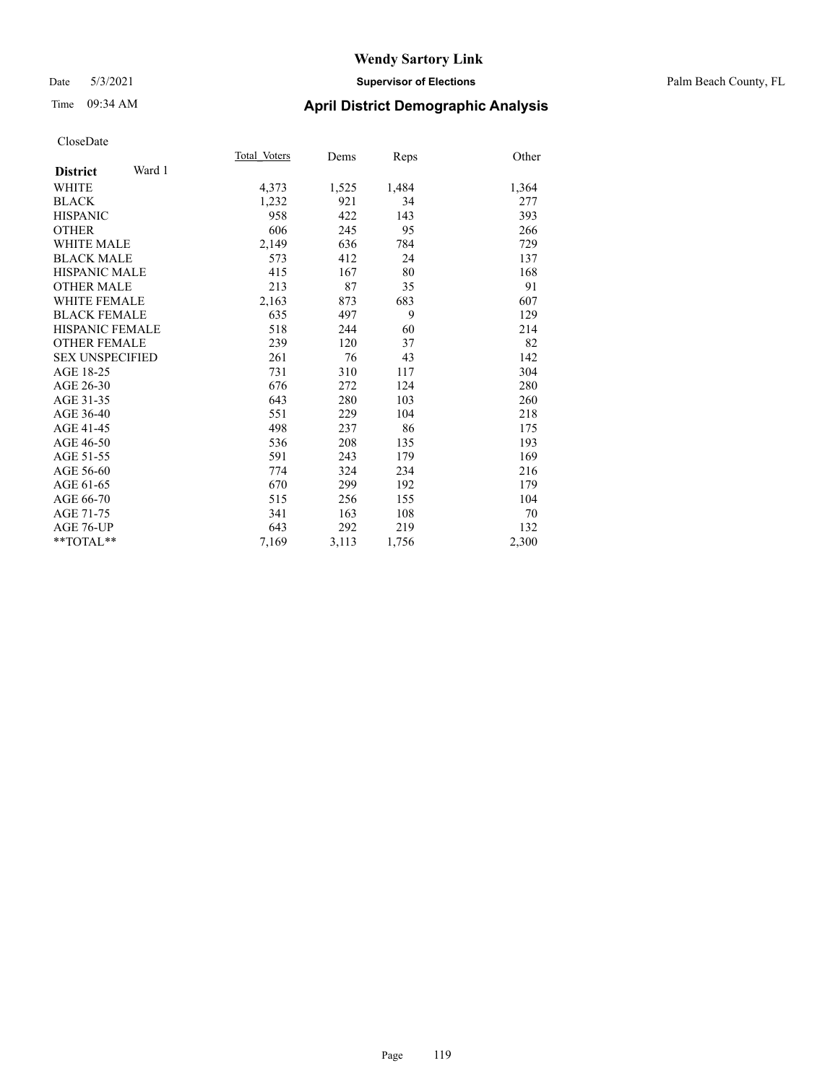## Date 5/3/2021 **Supervisor of Elections** Palm Beach County, FL

# Time 09:34 AM **April District Demographic Analysis**

|                           | Total Voters | Dems  | Reps  | Other |
|---------------------------|--------------|-------|-------|-------|
| Ward 1<br><b>District</b> |              |       |       |       |
| <b>WHITE</b>              | 4,373        | 1,525 | 1,484 | 1,364 |
| <b>BLACK</b>              | 1,232        | 921   | 34    | 277   |
| <b>HISPANIC</b>           | 958          | 422   | 143   | 393   |
| <b>OTHER</b>              | 606          | 245   | 95    | 266   |
| <b>WHITE MALE</b>         | 2,149        | 636   | 784   | 729   |
| <b>BLACK MALE</b>         | 573          | 412   | 24    | 137   |
| <b>HISPANIC MALE</b>      | 415          | 167   | 80    | 168   |
| <b>OTHER MALE</b>         | 213          | 87    | 35    | 91    |
| <b>WHITE FEMALE</b>       | 2,163        | 873   | 683   | 607   |
| <b>BLACK FEMALE</b>       | 635          | 497   | 9     | 129   |
| <b>HISPANIC FEMALE</b>    | 518          | 244   | 60    | 214   |
| <b>OTHER FEMALE</b>       | 239          | 120   | 37    | 82    |
| <b>SEX UNSPECIFIED</b>    | 261          | 76    | 43    | 142   |
| AGE 18-25                 | 731          | 310   | 117   | 304   |
| AGE 26-30                 | 676          | 272   | 124   | 280   |
| AGE 31-35                 | 643          | 280   | 103   | 260   |
| AGE 36-40                 | 551          | 229   | 104   | 218   |
| AGE 41-45                 | 498          | 237   | 86    | 175   |
| AGE 46-50                 | 536          | 208   | 135   | 193   |
| AGE 51-55                 | 591          | 243   | 179   | 169   |
| AGE 56-60                 | 774          | 324   | 234   | 216   |
| AGE 61-65                 | 670          | 299   | 192   | 179   |
| AGE 66-70                 | 515          | 256   | 155   | 104   |
| AGE 71-75                 | 341          | 163   | 108   | 70    |
| AGE 76-UP                 | 643          | 292   | 219   | 132   |
| $*$ $TOTAL**$             | 7,169        | 3,113 | 1,756 | 2,300 |
|                           |              |       |       |       |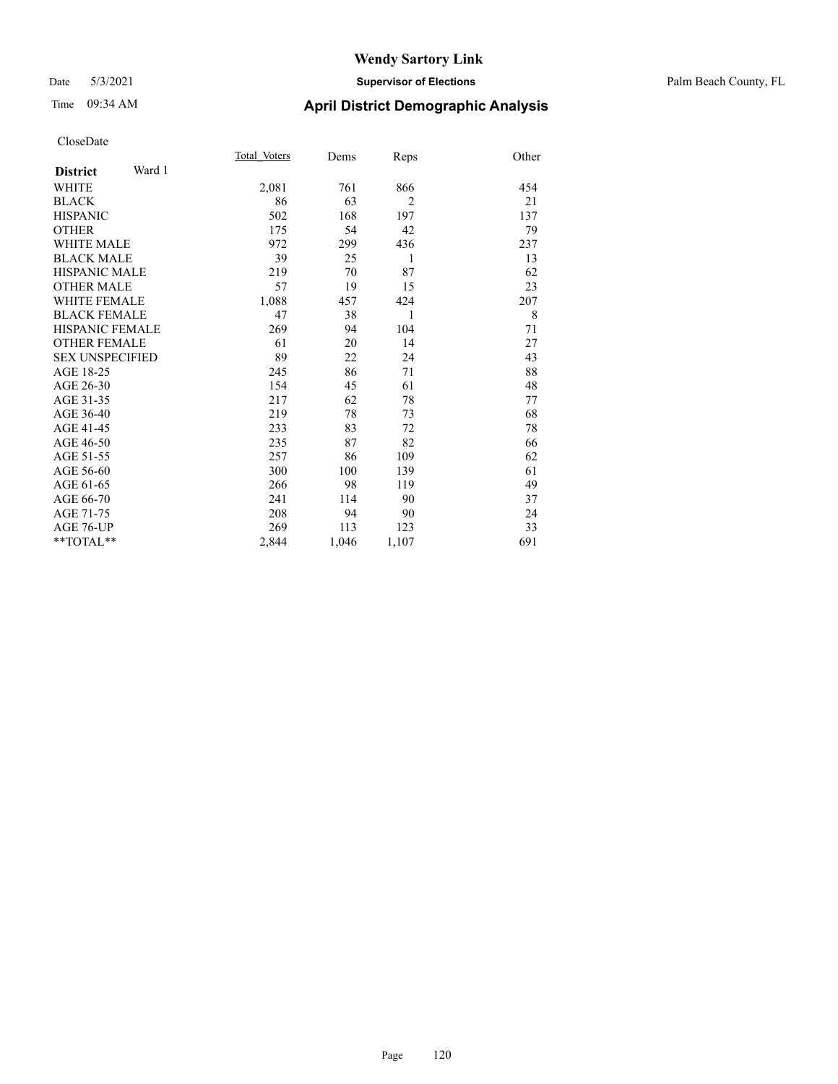## Date 5/3/2021 **Supervisor of Elections** Palm Beach County, FL

# Time 09:34 AM **April District Demographic Analysis**

|                           | Total Voters | Dems  | Reps           | Other |
|---------------------------|--------------|-------|----------------|-------|
| Ward 1<br><b>District</b> |              |       |                |       |
| <b>WHITE</b>              | 2,081        | 761   | 866            | 454   |
| <b>BLACK</b>              | 86           | 63    | $\overline{2}$ | 21    |
| <b>HISPANIC</b>           | 502          | 168   | 197            | 137   |
| <b>OTHER</b>              | 175          | 54    | 42             | 79    |
| <b>WHITE MALE</b>         | 972          | 299   | 436            | 237   |
| <b>BLACK MALE</b>         | 39           | 25    | 1              | 13    |
| <b>HISPANIC MALE</b>      | 219          | 70    | 87             | 62    |
| <b>OTHER MALE</b>         | 57           | 19    | 15             | 23    |
| <b>WHITE FEMALE</b>       | 1,088        | 457   | 424            | 207   |
| <b>BLACK FEMALE</b>       | 47           | 38    | 1              | 8     |
| <b>HISPANIC FEMALE</b>    | 269          | 94    | 104            | 71    |
| <b>OTHER FEMALE</b>       | 61           | 20    | 14             | 27    |
| <b>SEX UNSPECIFIED</b>    | 89           | 22    | 24             | 43    |
| AGE 18-25                 | 245          | 86    | 71             | 88    |
| AGE 26-30                 | 154          | 45    | 61             | 48    |
| AGE 31-35                 | 217          | 62    | 78             | 77    |
| AGE 36-40                 | 219          | 78    | 73             | 68    |
| AGE 41-45                 | 233          | 83    | 72             | 78    |
| AGE 46-50                 | 235          | 87    | 82             | 66    |
| AGE 51-55                 | 257          | 86    | 109            | 62    |
| AGE 56-60                 | 300          | 100   | 139            | 61    |
| AGE 61-65                 | 266          | 98    | 119            | 49    |
| AGE 66-70                 | 241          | 114   | 90             | 37    |
| AGE 71-75                 | 208          | 94    | 90             | 24    |
| AGE 76-UP                 | 269          | 113   | 123            | 33    |
| $*$ $TOTAL**$             | 2,844        | 1,046 | 1,107          | 691   |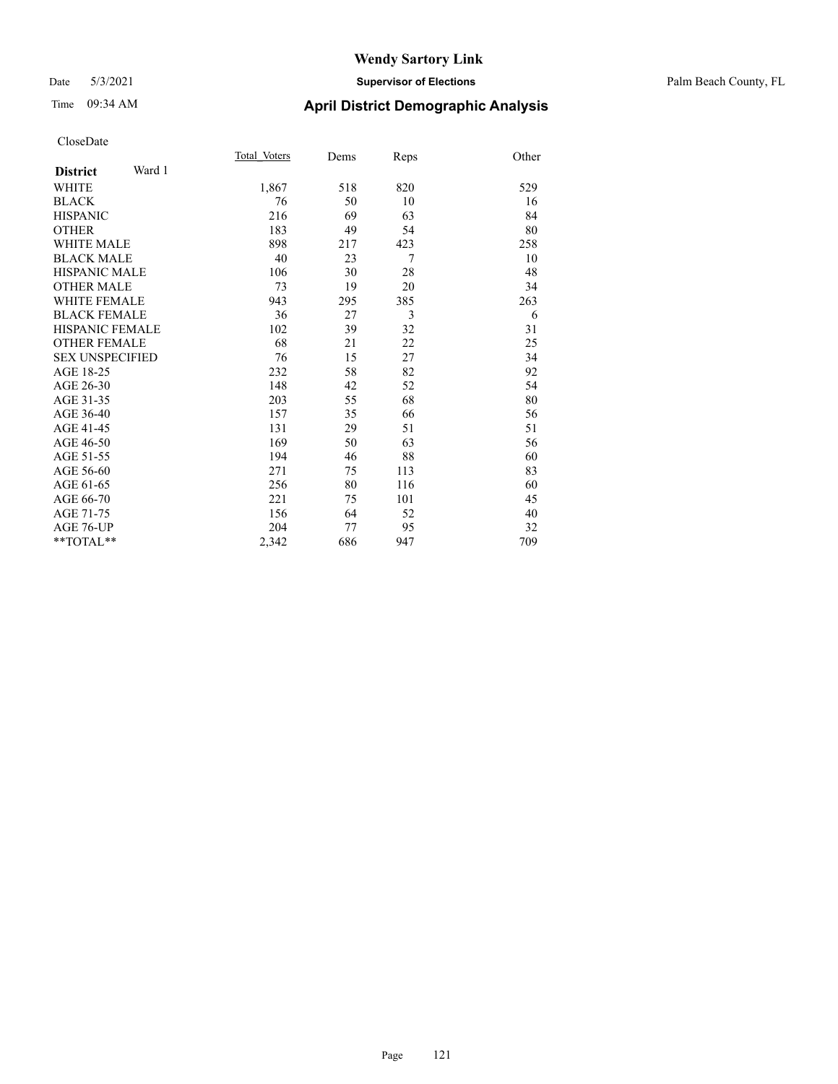## Date 5/3/2021 **Supervisor of Elections** Palm Beach County, FL

# Time 09:34 AM **April District Demographic Analysis**

|                           | Total Voters | Dems | Reps | Other |
|---------------------------|--------------|------|------|-------|
| Ward 1<br><b>District</b> |              |      |      |       |
| WHITE                     | 1,867        | 518  | 820  | 529   |
| <b>BLACK</b>              | 76           | 50   | 10   | 16    |
| <b>HISPANIC</b>           | 216          | 69   | 63   | 84    |
| <b>OTHER</b>              | 183          | 49   | 54   | 80    |
| <b>WHITE MALE</b>         | 898          | 217  | 423  | 258   |
| <b>BLACK MALE</b>         | 40           | 23   | 7    | 10    |
| <b>HISPANIC MALE</b>      | 106          | 30   | 28   | 48    |
| <b>OTHER MALE</b>         | 73           | 19   | 20   | 34    |
| <b>WHITE FEMALE</b>       | 943          | 295  | 385  | 263   |
| <b>BLACK FEMALE</b>       | 36           | 27   | 3    | 6     |
| <b>HISPANIC FEMALE</b>    | 102          | 39   | 32   | 31    |
| <b>OTHER FEMALE</b>       | 68           | 21   | 22   | 25    |
| <b>SEX UNSPECIFIED</b>    | 76           | 15   | 27   | 34    |
| AGE 18-25                 | 232          | 58   | 82   | 92    |
| AGE 26-30                 | 148          | 42   | 52   | 54    |
| AGE 31-35                 | 203          | 55   | 68   | 80    |
| AGE 36-40                 | 157          | 35   | 66   | 56    |
| AGE 41-45                 | 131          | 29   | 51   | 51    |
| AGE 46-50                 | 169          | 50   | 63   | 56    |
| AGE 51-55                 | 194          | 46   | 88   | 60    |
| AGE 56-60                 | 271          | 75   | 113  | 83    |
| AGE 61-65                 | 256          | 80   | 116  | 60    |
| AGE 66-70                 | 221          | 75   | 101  | 45    |
| AGE 71-75                 | 156          | 64   | 52   | 40    |
| AGE 76-UP                 | 204          | 77   | 95   | 32    |
| $*$ $TOTAL**$             | 2,342        | 686  | 947  | 709   |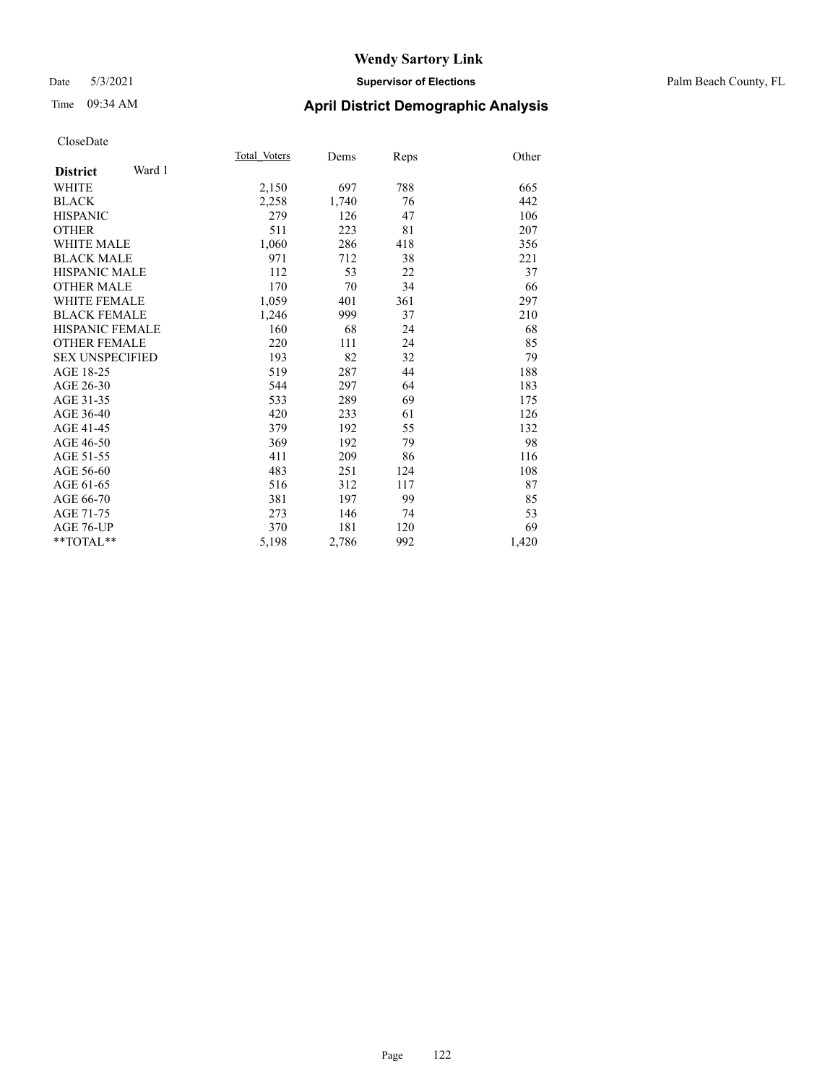## Date 5/3/2021 **Supervisor of Elections** Palm Beach County, FL

# Time 09:34 AM **April District Demographic Analysis**

|                           | Total Voters | Dems  | Reps | Other |
|---------------------------|--------------|-------|------|-------|
| Ward 1<br><b>District</b> |              |       |      |       |
| WHITE                     | 2,150        | 697   | 788  | 665   |
| <b>BLACK</b>              | 2,258        | 1,740 | 76   | 442   |
| <b>HISPANIC</b>           | 279          | 126   | 47   | 106   |
| <b>OTHER</b>              | 511          | 223   | 81   | 207   |
| <b>WHITE MALE</b>         | 1,060        | 286   | 418  | 356   |
| <b>BLACK MALE</b>         | 971          | 712   | 38   | 221   |
| <b>HISPANIC MALE</b>      | 112          | 53    | 22   | 37    |
| <b>OTHER MALE</b>         | 170          | 70    | 34   | 66    |
| <b>WHITE FEMALE</b>       | 1,059        | 401   | 361  | 297   |
| <b>BLACK FEMALE</b>       | 1,246        | 999   | 37   | 210   |
| <b>HISPANIC FEMALE</b>    | 160          | 68    | 24   | 68    |
| <b>OTHER FEMALE</b>       | 220          | 111   | 24   | 85    |
| <b>SEX UNSPECIFIED</b>    | 193          | 82    | 32   | 79    |
| AGE 18-25                 | 519          | 287   | 44   | 188   |
| AGE 26-30                 | 544          | 297   | 64   | 183   |
| AGE 31-35                 | 533          | 289   | 69   | 175   |
| AGE 36-40                 | 420          | 233   | 61   | 126   |
| AGE 41-45                 | 379          | 192   | 55   | 132   |
| AGE 46-50                 | 369          | 192   | 79   | 98    |
| AGE 51-55                 | 411          | 209   | 86   | 116   |
| AGE 56-60                 | 483          | 251   | 124  | 108   |
| AGE 61-65                 | 516          | 312   | 117  | 87    |
| AGE 66-70                 | 381          | 197   | 99   | 85    |
| AGE 71-75                 | 273          | 146   | 74   | 53    |
| AGE 76-UP                 | 370          | 181   | 120  | 69    |
| **TOTAL**                 | 5,198        | 2,786 | 992  | 1,420 |
|                           |              |       |      |       |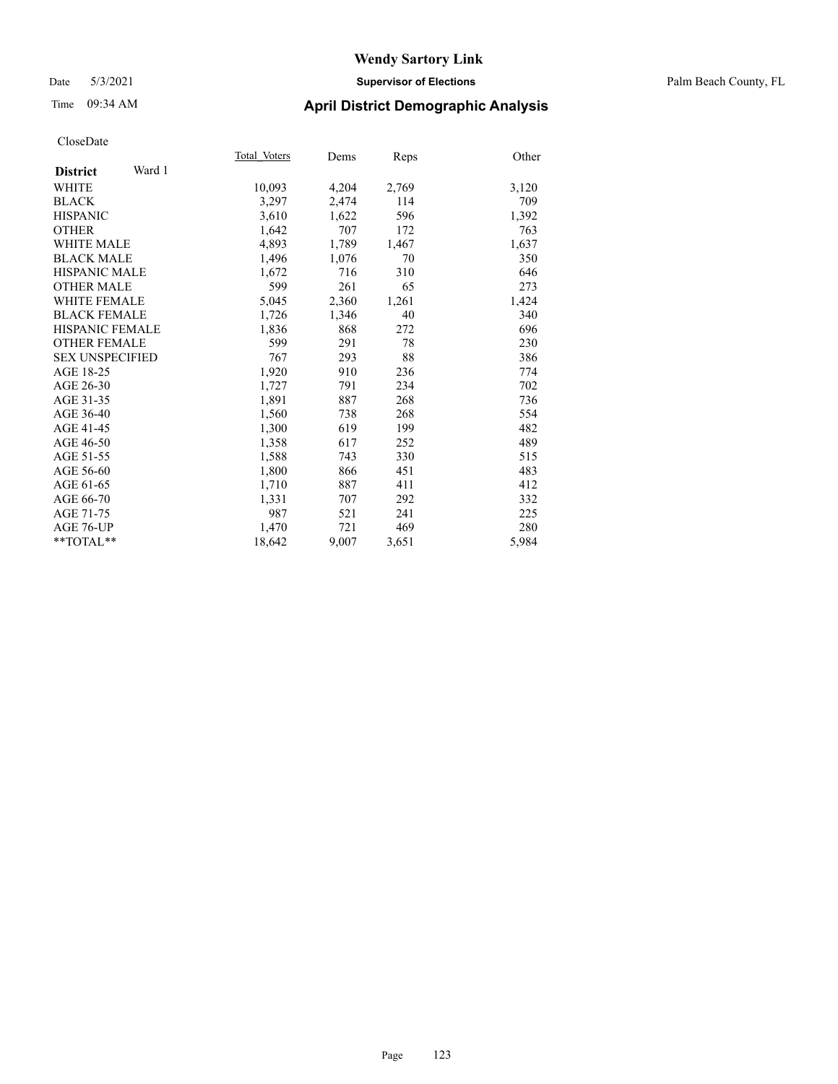## Date 5/3/2021 **Supervisor of Elections** Palm Beach County, FL

# Time 09:34 AM **April District Demographic Analysis**

|                           | Total Voters | Dems  | <b>Reps</b> | Other |
|---------------------------|--------------|-------|-------------|-------|
| Ward 1<br><b>District</b> |              |       |             |       |
| <b>WHITE</b>              | 10,093       | 4,204 | 2,769       | 3,120 |
| <b>BLACK</b>              | 3,297        | 2,474 | 114         | 709   |
| <b>HISPANIC</b>           | 3,610        | 1,622 | 596         | 1,392 |
| <b>OTHER</b>              | 1,642        | 707   | 172         | 763   |
| WHITE MALE                | 4,893        | 1,789 | 1,467       | 1,637 |
| <b>BLACK MALE</b>         | 1,496        | 1,076 | 70          | 350   |
| <b>HISPANIC MALE</b>      | 1,672        | 716   | 310         | 646   |
| OTHER MALE                | 599          | 261   | 65          | 273   |
| <b>WHITE FEMALE</b>       | 5,045        | 2,360 | 1,261       | 1,424 |
| <b>BLACK FEMALE</b>       | 1,726        | 1,346 | 40          | 340   |
| <b>HISPANIC FEMALE</b>    | 1,836        | 868   | 272         | 696   |
| <b>OTHER FEMALE</b>       | 599          | 291   | 78          | 230   |
| <b>SEX UNSPECIFIED</b>    | 767          | 293   | 88          | 386   |
| AGE 18-25                 | 1,920        | 910   | 236         | 774   |
| AGE 26-30                 | 1,727        | 791   | 234         | 702   |
| AGE 31-35                 | 1,891        | 887   | 268         | 736   |
| AGE 36-40                 | 1,560        | 738   | 268         | 554   |
| AGE 41-45                 | 1,300        | 619   | 199         | 482   |
| AGE 46-50                 | 1,358        | 617   | 252         | 489   |
| AGE 51-55                 | 1,588        | 743   | 330         | 515   |
| AGE 56-60                 | 1,800        | 866   | 451         | 483   |
| AGE 61-65                 | 1,710        | 887   | 411         | 412   |
| AGE 66-70                 | 1,331        | 707   | 292         | 332   |
| AGE 71-75                 | 987          | 521   | 241         | 225   |
| AGE 76-UP                 | 1.470        | 721   | 469         | 280   |
| $*$ $TOTAL**$             | 18,642       | 9,007 | 3,651       | 5,984 |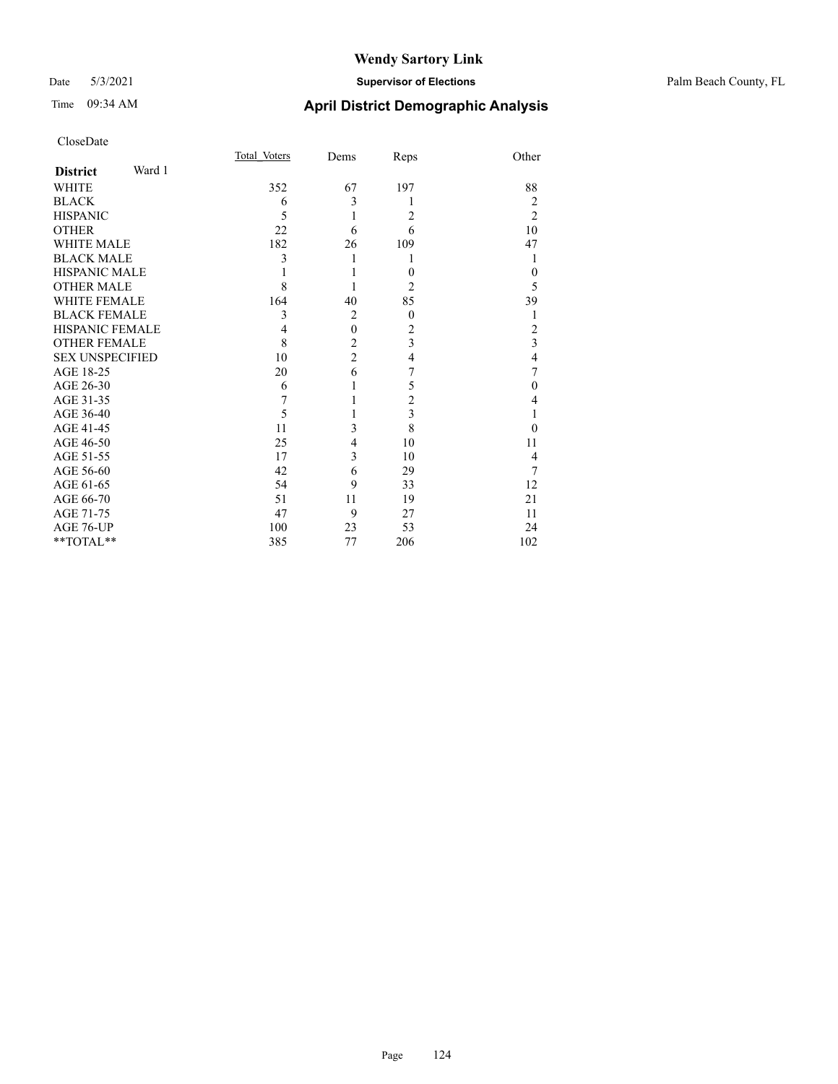## Date 5/3/2021 **Supervisor of Elections** Palm Beach County, FL

|                        |        | Total Voters | Dems           | Reps           | Other                   |
|------------------------|--------|--------------|----------------|----------------|-------------------------|
| <b>District</b>        | Ward 1 |              |                |                |                         |
| <b>WHITE</b>           |        | 352          | 67             | 197            | 88                      |
| <b>BLACK</b>           |        | 6            | 3              | 1              | 2                       |
| <b>HISPANIC</b>        |        | 5            | 1              | 2              | $\overline{2}$          |
| <b>OTHER</b>           |        | 22           | 6              | 6              | 10                      |
| <b>WHITE MALE</b>      |        | 182          | 26             | 109            | 47                      |
| <b>BLACK MALE</b>      |        | 3            | 1              | 1              | 1                       |
| <b>HISPANIC MALE</b>   |        |              |                | $\theta$       | $\theta$                |
| <b>OTHER MALE</b>      |        | 8            |                | 2              | 5                       |
| <b>WHITE FEMALE</b>    |        | 164          | 40             | 85             | 39                      |
| <b>BLACK FEMALE</b>    |        | 3            | $\overline{2}$ | $\theta$       | 1                       |
| <b>HISPANIC FEMALE</b> |        | 4            | $\mathbf{0}$   | $\overline{c}$ | 2                       |
| <b>OTHER FEMALE</b>    |        | 8            | $\overline{c}$ | 3              | $\overline{\mathbf{3}}$ |
| <b>SEX UNSPECIFIED</b> |        | 10           | $\overline{2}$ | 4              | $\overline{4}$          |
| AGE 18-25              |        | 20           | 6              | 7              | 7                       |
| AGE 26-30              |        | 6            | 1              | 5              | $\theta$                |
| AGE 31-35              |        | 7            | 1              | $\overline{c}$ | $\overline{4}$          |
| AGE 36-40              |        | 5            |                | 3              | 1                       |
| AGE 41-45              |        | 11           | 3              | 8              | $\theta$                |
| AGE 46-50              |        | 25           | 4              | 10             | 11                      |
| AGE 51-55              |        | 17           | 3              | 10             | 4                       |
| AGE 56-60              |        | 42           | 6              | 29             | 7                       |
| AGE 61-65              |        | 54           | 9              | 33             | 12                      |
| AGE 66-70              |        | 51           | 11             | 19             | 21                      |
| AGE 71-75              |        | 47           | 9              | 27             | 11                      |
| AGE 76-UP              |        | 100          | 23             | 53             | 24                      |
| **TOTAL**              |        | 385          | 77             | 206            | 102                     |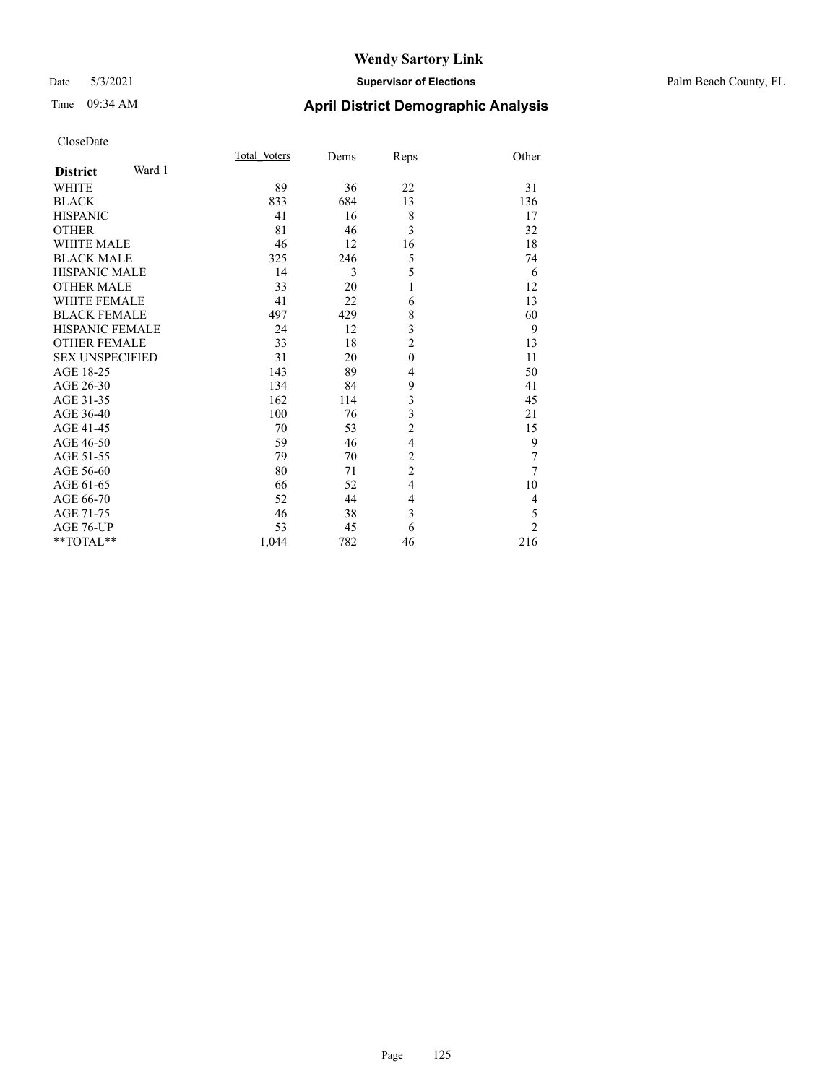## Date 5/3/2021 **Supervisor of Elections** Palm Beach County, FL

| CloseDate |
|-----------|
|-----------|

|                        |        | Total Voters | Dems | Reps             | Other          |
|------------------------|--------|--------------|------|------------------|----------------|
| <b>District</b>        | Ward 1 |              |      |                  |                |
| <b>WHITE</b>           |        | 89           | 36   | 22               | 31             |
| <b>BLACK</b>           |        | 833          | 684  | 13               | 136            |
| <b>HISPANIC</b>        |        | 41           | 16   | 8                | 17             |
| <b>OTHER</b>           |        | 81           | 46   | 3                | 32             |
| <b>WHITE MALE</b>      |        | 46           | 12   | 16               | 18             |
| <b>BLACK MALE</b>      |        | 325          | 246  | 5                | 74             |
| <b>HISPANIC MALE</b>   |        | 14           | 3    | 5                | 6              |
| <b>OTHER MALE</b>      |        | 33           | 20   | 1                | 12             |
| <b>WHITE FEMALE</b>    |        | 41           | 22   | 6                | 13             |
| <b>BLACK FEMALE</b>    |        | 497          | 429  | 8                | 60             |
| HISPANIC FEMALE        |        | 24           | 12   | 3                | 9              |
| <b>OTHER FEMALE</b>    |        | 33           | 18   | $\overline{c}$   | 13             |
| <b>SEX UNSPECIFIED</b> |        | 31           | 20   | $\boldsymbol{0}$ | 11             |
| AGE 18-25              |        | 143          | 89   | 4                | 50             |
| AGE 26-30              |        | 134          | 84   | 9                | 41             |
| AGE 31-35              |        | 162          | 114  | 3                | 45             |
| AGE 36-40              |        | 100          | 76   | 3                | 21             |
| AGE 41-45              |        | 70           | 53   | $\overline{c}$   | 15             |
| AGE 46-50              |        | 59           | 46   | $\overline{4}$   | 9              |
| AGE 51-55              |        | 79           | 70   | $\overline{c}$   | 7              |
| AGE 56-60              |        | 80           | 71   | $\overline{c}$   | 7              |
| AGE 61-65              |        | 66           | 52   | 4                | 10             |
| AGE 66-70              |        | 52           | 44   | $\overline{4}$   | 4              |
| AGE 71-75              |        | 46           | 38   | 3                | 5              |
| AGE 76-UP              |        | 53           | 45   | 6                | $\overline{2}$ |
| $*$ $TOTAL**$          |        | 1,044        | 782  | 46               | 216            |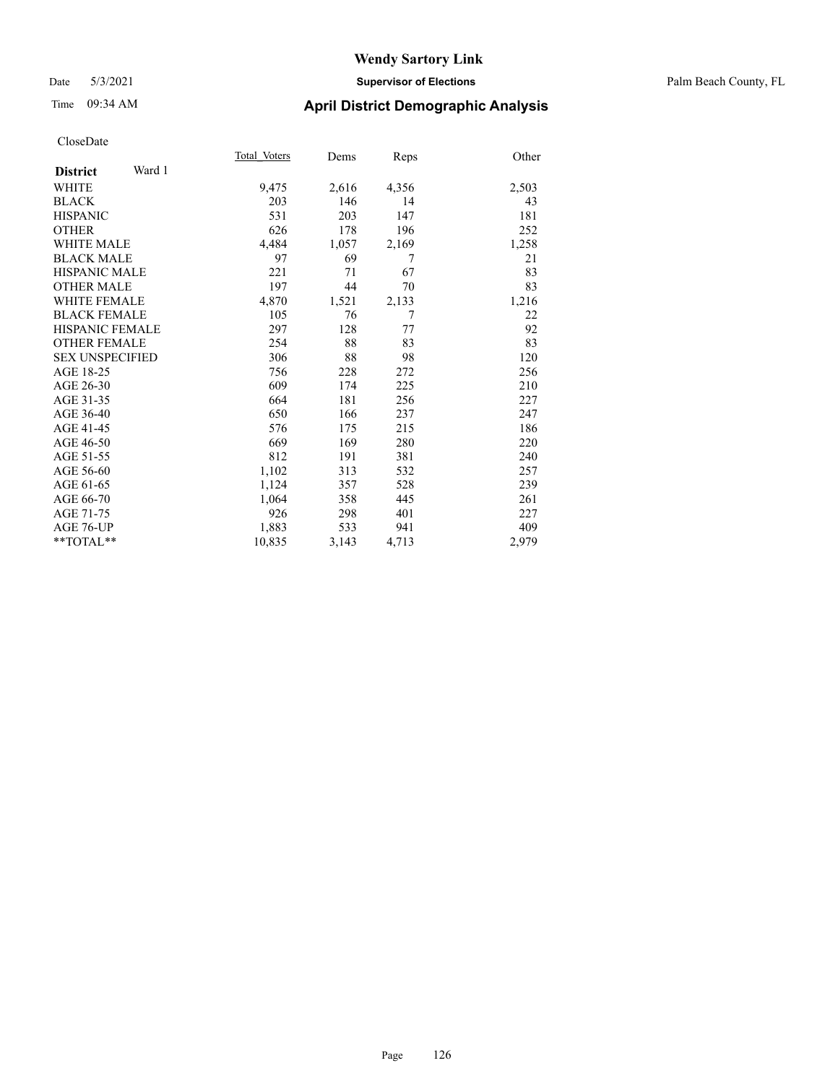# Time 09:34 AM **April District Demographic Analysis**

|                        |        | Total Voters | Dems  | <b>Reps</b> | Other |
|------------------------|--------|--------------|-------|-------------|-------|
| <b>District</b>        | Ward 1 |              |       |             |       |
| <b>WHITE</b>           |        | 9,475        | 2,616 | 4,356       | 2,503 |
| <b>BLACK</b>           |        | 203          | 146   | 14          | 43    |
| <b>HISPANIC</b>        |        | 531          | 203   | 147         | 181   |
| <b>OTHER</b>           |        | 626          | 178   | 196         | 252   |
| <b>WHITE MALE</b>      |        | 4,484        | 1,057 | 2,169       | 1,258 |
| <b>BLACK MALE</b>      |        | 97           | 69    | 7           | 21    |
| <b>HISPANIC MALE</b>   |        | 221          | 71    | 67          | 83    |
| <b>OTHER MALE</b>      |        | 197          | 44    | 70          | 83    |
| <b>WHITE FEMALE</b>    |        | 4,870        | 1,521 | 2,133       | 1,216 |
| <b>BLACK FEMALE</b>    |        | 105          | 76    | 7           | 22    |
| <b>HISPANIC FEMALE</b> |        | 297          | 128   | 77          | 92    |
| <b>OTHER FEMALE</b>    |        | 254          | 88    | 83          | 83    |
| <b>SEX UNSPECIFIED</b> |        | 306          | 88    | 98          | 120   |
| AGE 18-25              |        | 756          | 228   | 272         | 256   |
| AGE 26-30              |        | 609          | 174   | 225         | 210   |
| AGE 31-35              |        | 664          | 181   | 256         | 227   |
| AGE 36-40              |        | 650          | 166   | 237         | 247   |
| AGE 41-45              |        | 576          | 175   | 215         | 186   |
| AGE 46-50              |        | 669          | 169   | 280         | 220   |
| AGE 51-55              |        | 812          | 191   | 381         | 240   |
| AGE 56-60              |        | 1,102        | 313   | 532         | 257   |
| AGE 61-65              |        | 1,124        | 357   | 528         | 239   |
| AGE 66-70              |        | 1,064        | 358   | 445         | 261   |
| AGE 71-75              |        | 926          | 298   | 401         | 227   |
| AGE 76-UP              |        | 1,883        | 533   | 941         | 409   |
| $*$ $TOTAL**$          |        | 10,835       | 3,143 | 4,713       | 2,979 |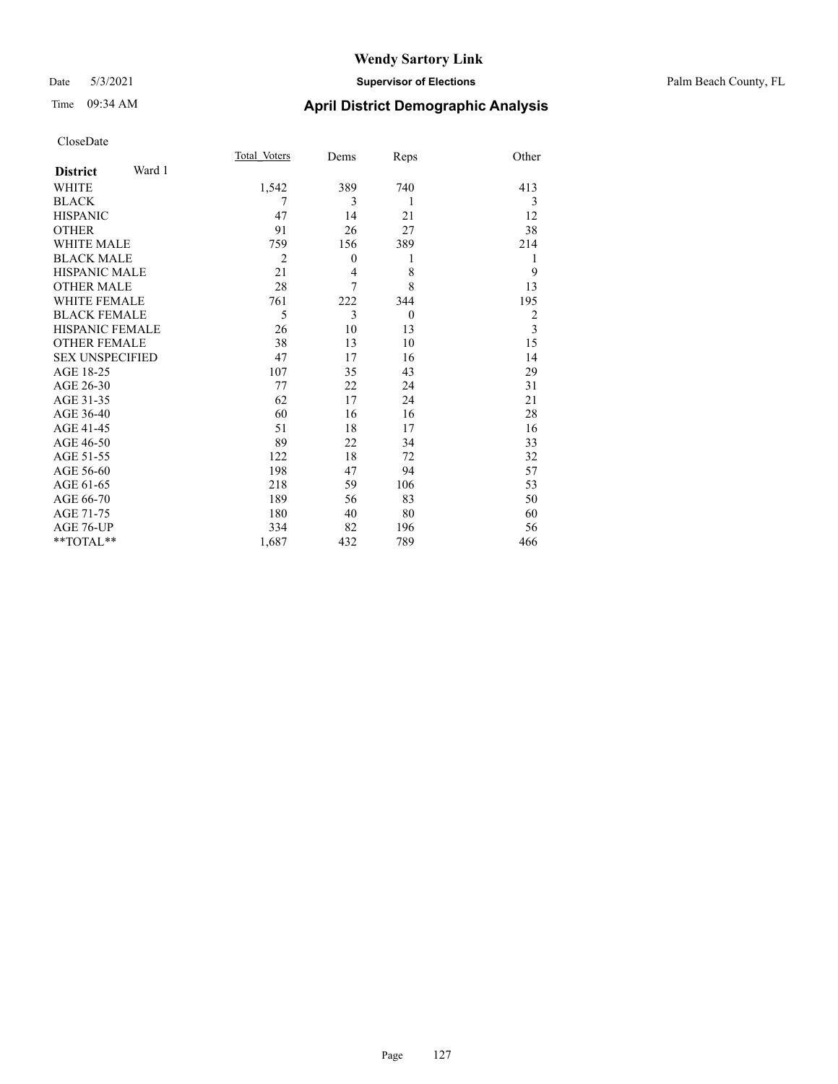## Date 5/3/2021 **Supervisor of Elections** Palm Beach County, FL

| CloseDate |
|-----------|
|-----------|

|                        |        | Total Voters   | Dems         | Reps           | Other          |
|------------------------|--------|----------------|--------------|----------------|----------------|
| <b>District</b>        | Ward 1 |                |              |                |                |
| WHITE                  |        | 1,542          | 389          | 740            | 413            |
| BLACK                  |        | 7              | 3            | 1              | 3              |
| HISPANIC               |        | 47             | 14           | 21             | 12             |
| <b>OTHER</b>           |        | 91             | 26           | 27             | 38             |
| WHITE MALE             |        | 759            | 156          | 389            | 214            |
| <b>BLACK MALE</b>      |        | $\overline{2}$ | $\mathbf{0}$ | 1              | 1              |
| HISPANIC MALE          |        | 21             | 4            | 8              | 9              |
| <b>OTHER MALE</b>      |        | 28             | 7            | 8              | 13             |
| WHITE FEMALE           |        | 761            | 222          | 344            | 195            |
| <b>BLACK FEMALE</b>    |        | 5              | 3            | $\overline{0}$ | $\overline{2}$ |
| HISPANIC FEMALE        |        | 26             | 10           | 13             | $\mathfrak{Z}$ |
| OTHER FEMALE           |        | 38             | 13           | 10             | 15             |
| <b>SEX UNSPECIFIED</b> |        | 47             | 17           | 16             | 14             |
| AGE 18-25              |        | 107            | 35           | 43             | 29             |
| AGE 26-30              |        | 77             | 22           | 24             | 31             |
| AGE 31-35              |        | 62             | 17           | 24             | 21             |
| AGE 36-40              |        | 60             | 16           | 16             | 28             |
| AGE 41-45              |        | 51             | 18           | 17             | 16             |
| AGE 46-50              |        | 89             | 22           | 34             | 33             |
| AGE 51-55              |        | 122            | 18           | 72             | 32             |
| AGE 56-60              |        | 198            | 47           | 94             | 57             |
| AGE 61-65              |        | 218            | 59           | 106            | 53             |
| AGE 66-70              |        | 189            | 56           | 83             | 50             |
| AGE 71-75              |        | 180            | 40           | 80             | 60             |
| AGE 76-UP              |        | 334            | 82           | 196            | 56             |
| $*$ $TOTAL**$          |        | 1,687          | 432          | 789            | 466            |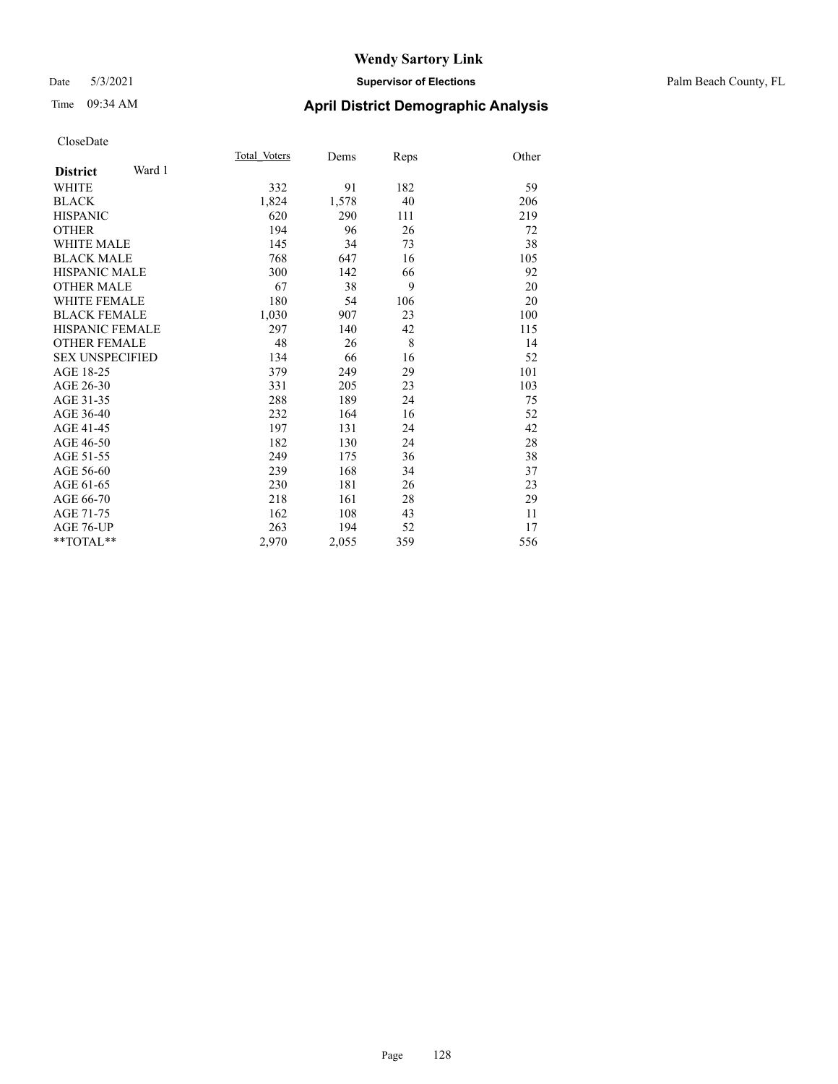## Date 5/3/2021 **Supervisor of Elections** Palm Beach County, FL

# Time 09:34 AM **April District Demographic Analysis**

|       |                                                                          |                                                            | Other                                            |
|-------|--------------------------------------------------------------------------|------------------------------------------------------------|--------------------------------------------------|
|       |                                                                          |                                                            |                                                  |
|       |                                                                          |                                                            | 59                                               |
|       |                                                                          |                                                            | 206                                              |
|       |                                                                          |                                                            | 219                                              |
|       |                                                                          |                                                            | 72                                               |
|       |                                                                          |                                                            | 38                                               |
|       |                                                                          |                                                            | 105                                              |
|       |                                                                          |                                                            | 92                                               |
| 67    |                                                                          | 9                                                          | 20                                               |
| 180   | 54                                                                       | 106                                                        | 20                                               |
|       | 907                                                                      | 23                                                         | 100                                              |
| 297   | 140                                                                      | 42                                                         | 115                                              |
| 48    | 26                                                                       | 8                                                          | 14                                               |
| 134   | 66                                                                       | 16                                                         | 52                                               |
| 379   | 249                                                                      | 29                                                         | 101                                              |
| 331   | 205                                                                      | 23                                                         | 103                                              |
| 288   | 189                                                                      | 24                                                         | 75                                               |
| 232   | 164                                                                      | 16                                                         | 52                                               |
| 197   | 131                                                                      | 24                                                         | 42                                               |
| 182   | 130                                                                      | 24                                                         | 28                                               |
| 249   | 175                                                                      | 36                                                         | 38                                               |
| 239   | 168                                                                      | 34                                                         | 37                                               |
| 230   | 181                                                                      | 26                                                         | 23                                               |
| 218   | 161                                                                      | 28                                                         | 29                                               |
| 162   | 108                                                                      | 43                                                         | 11                                               |
| 263   | 194                                                                      | 52                                                         | 17                                               |
| 2,970 | 2,055                                                                    | 359                                                        | 556                                              |
|       | Total Voters<br>332<br>1,824<br>620<br>194<br>145<br>768<br>300<br>1,030 | Dems<br>91<br>1,578<br>290<br>96<br>34<br>647<br>142<br>38 | Reps<br>182<br>40<br>111<br>26<br>73<br>16<br>66 |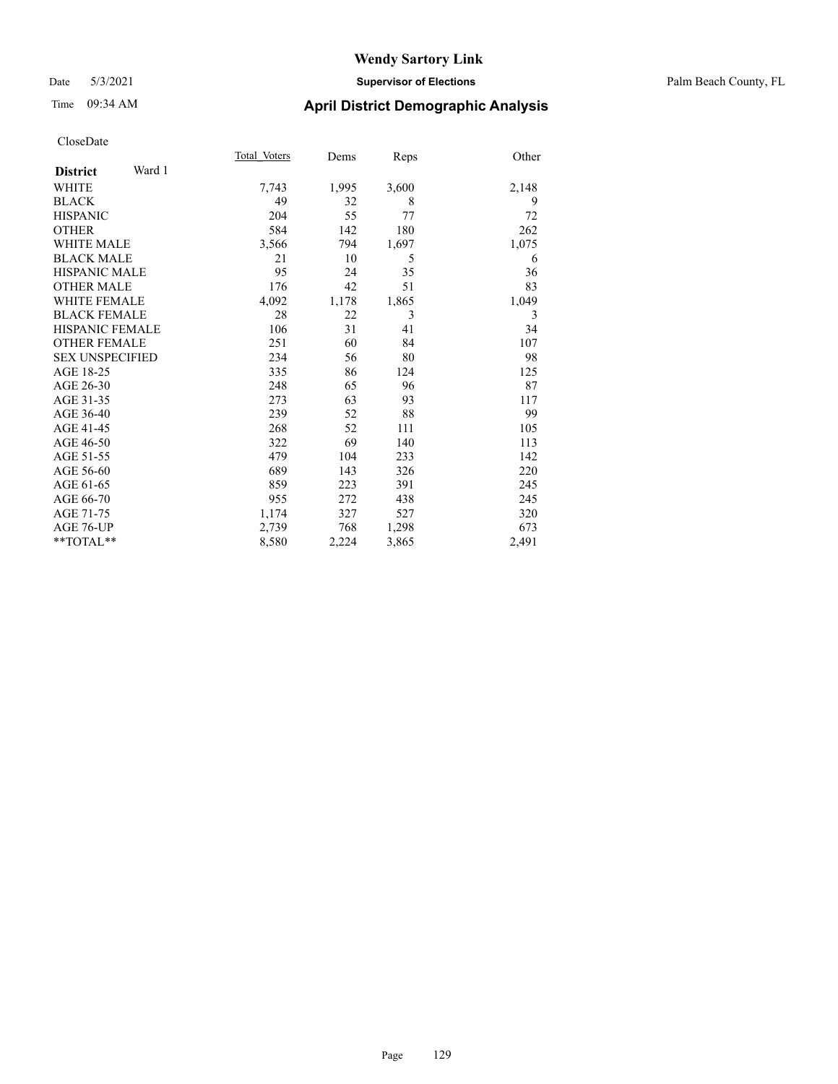## Date 5/3/2021 **Supervisor of Elections** Palm Beach County, FL

# Time 09:34 AM **April District Demographic Analysis**

|                           | Total Voters | Dems  | Reps  | Other |
|---------------------------|--------------|-------|-------|-------|
| Ward 1<br><b>District</b> |              |       |       |       |
| WHITE                     | 7,743        | 1,995 | 3,600 | 2,148 |
| <b>BLACK</b>              | 49           | 32    | 8     | 9     |
| <b>HISPANIC</b>           | 204          | 55    | 77    | 72    |
| <b>OTHER</b>              | 584          | 142   | 180   | 262   |
| <b>WHITE MALE</b>         | 3,566        | 794   | 1,697 | 1,075 |
| <b>BLACK MALE</b>         | 21           | 10    | 5     | 6     |
| <b>HISPANIC MALE</b>      | 95           | 24    | 35    | 36    |
| <b>OTHER MALE</b>         | 176          | 42    | 51    | 83    |
| WHITE FEMALE              | 4,092        | 1,178 | 1,865 | 1,049 |
| <b>BLACK FEMALE</b>       | 28           | 22    | 3     | 3     |
| <b>HISPANIC FEMALE</b>    | 106          | 31    | 41    | 34    |
| <b>OTHER FEMALE</b>       | 251          | 60    | 84    | 107   |
| <b>SEX UNSPECIFIED</b>    | 234          | 56    | 80    | 98    |
| AGE 18-25                 | 335          | 86    | 124   | 125   |
| AGE 26-30                 | 248          | 65    | 96    | 87    |
| AGE 31-35                 | 273          | 63    | 93    | 117   |
| AGE 36-40                 | 239          | 52    | 88    | 99    |
| AGE 41-45                 | 268          | 52    | 111   | 105   |
| AGE 46-50                 | 322          | 69    | 140   | 113   |
| AGE 51-55                 | 479          | 104   | 233   | 142   |
| AGE 56-60                 | 689          | 143   | 326   | 220   |
| AGE 61-65                 | 859          | 223   | 391   | 245   |
| AGE 66-70                 | 955          | 272   | 438   | 245   |
| AGE 71-75                 | 1,174        | 327   | 527   | 320   |
| AGE 76-UP                 | 2,739        | 768   | 1,298 | 673   |
| **TOTAL**                 | 8,580        | 2,224 | 3,865 | 2,491 |
|                           |              |       |       |       |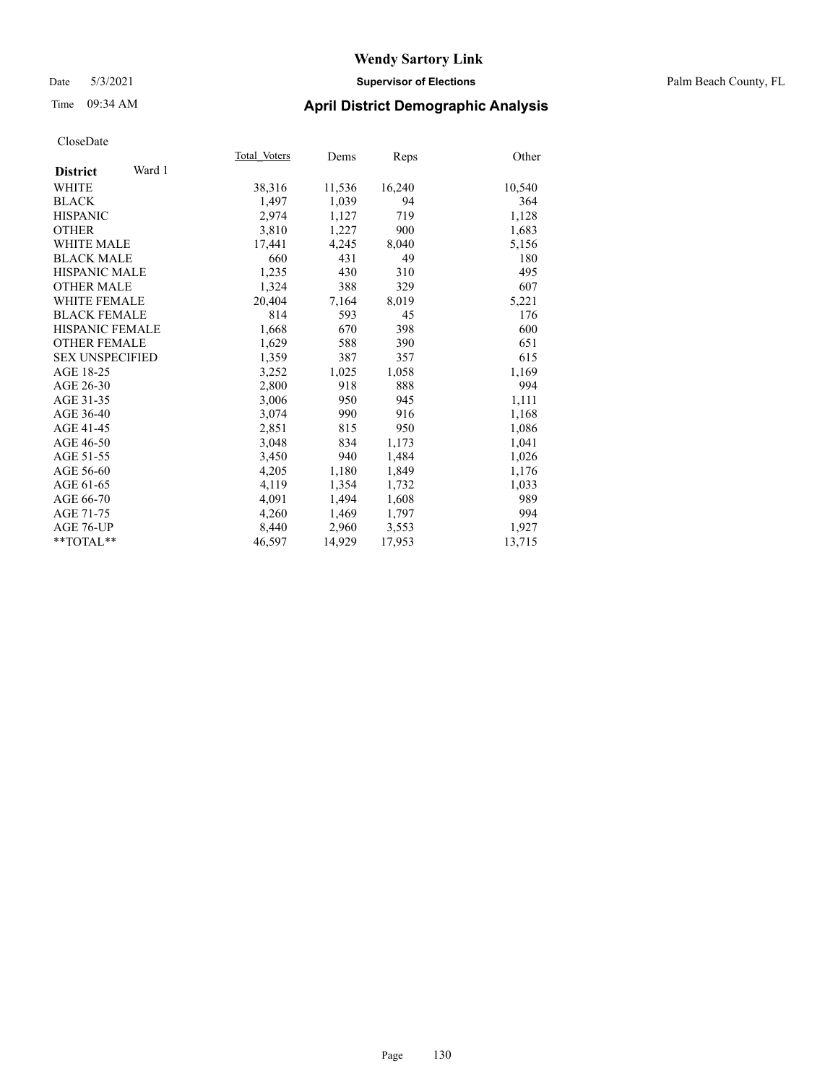## Date 5/3/2021 **Supervisor of Elections** Palm Beach County, FL

# Time 09:34 AM **April District Demographic Analysis**

|                           | Total Voters | Dems   | <b>Reps</b> | Other  |
|---------------------------|--------------|--------|-------------|--------|
| Ward 1<br><b>District</b> |              |        |             |        |
| WHITE                     | 38,316       | 11,536 | 16,240      | 10,540 |
| <b>BLACK</b>              | 1,497        | 1,039  | 94          | 364    |
| <b>HISPANIC</b>           | 2,974        | 1,127  | 719         | 1,128  |
| <b>OTHER</b>              | 3,810        | 1,227  | 900         | 1,683  |
| <b>WHITE MALE</b>         | 17,441       | 4,245  | 8,040       | 5,156  |
| <b>BLACK MALE</b>         | 660          | 431    | 49          | 180    |
| <b>HISPANIC MALE</b>      | 1,235        | 430    | 310         | 495    |
| <b>OTHER MALE</b>         | 1,324        | 388    | 329         | 607    |
| <b>WHITE FEMALE</b>       | 20,404       | 7,164  | 8,019       | 5,221  |
| <b>BLACK FEMALE</b>       | 814          | 593    | 45          | 176    |
| <b>HISPANIC FEMALE</b>    | 1,668        | 670    | 398         | 600    |
| <b>OTHER FEMALE</b>       | 1,629        | 588    | 390         | 651    |
| <b>SEX UNSPECIFIED</b>    | 1,359        | 387    | 357         | 615    |
| AGE 18-25                 | 3,252        | 1,025  | 1,058       | 1,169  |
| AGE 26-30                 | 2,800        | 918    | 888         | 994    |
| AGE 31-35                 | 3,006        | 950    | 945         | 1,111  |
| AGE 36-40                 | 3,074        | 990    | 916         | 1,168  |
| AGE 41-45                 | 2,851        | 815    | 950         | 1,086  |
| AGE 46-50                 | 3,048        | 834    | 1,173       | 1,041  |
| AGE 51-55                 | 3,450        | 940    | 1,484       | 1,026  |
| AGE 56-60                 | 4,205        | 1,180  | 1,849       | 1,176  |
| AGE 61-65                 | 4,119        | 1,354  | 1,732       | 1,033  |
| AGE 66-70                 | 4,091        | 1,494  | 1,608       | 989    |
| AGE 71-75                 | 4,260        | 1,469  | 1,797       | 994    |
| AGE 76-UP                 | 8,440        | 2,960  | 3,553       | 1,927  |
| $*$ $TOTAL**$             | 46,597       | 14,929 | 17,953      | 13,715 |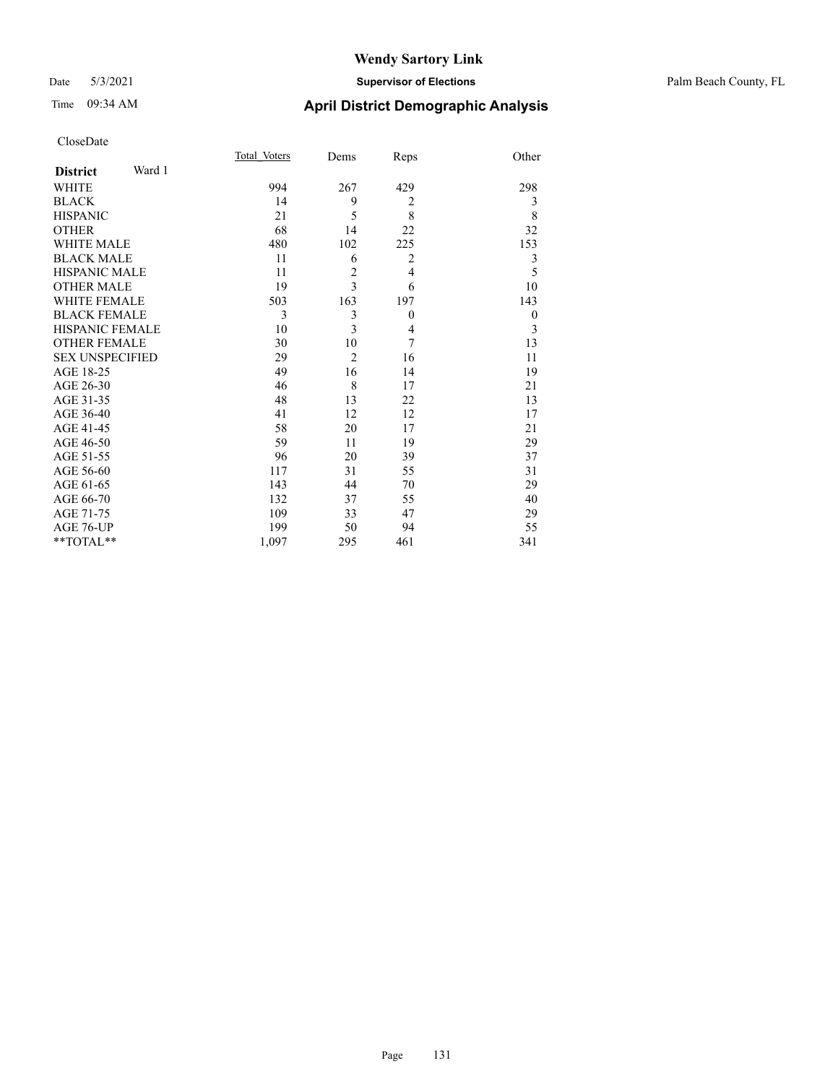## Date 5/3/2021 **Supervisor of Elections** Palm Beach County, FL

# Time 09:34 AM **April District Demographic Analysis**

|                        |        | Total Voters | Dems                    | Reps           | Other            |
|------------------------|--------|--------------|-------------------------|----------------|------------------|
| <b>District</b>        | Ward 1 |              |                         |                |                  |
| <b>WHITE</b>           |        | 994          | 267                     | 429            | 298              |
| <b>BLACK</b>           |        | 14           | 9                       | $\overline{2}$ | 3                |
| <b>HISPANIC</b>        |        | 21           | 5                       | 8              | 8                |
| <b>OTHER</b>           |        | 68           | 14                      | 22             | 32               |
| <b>WHITE MALE</b>      |        | 480          | 102                     | 225            | 153              |
| <b>BLACK MALE</b>      |        | 11           | 6                       | $\overline{2}$ | 3                |
| <b>HISPANIC MALE</b>   |        | 11           | $\overline{2}$          | $\overline{4}$ | 5                |
| <b>OTHER MALE</b>      |        | 19           | $\overline{\mathbf{3}}$ | 6              | 10               |
| <b>WHITE FEMALE</b>    |        | 503          | 163                     | 197            | 143              |
| <b>BLACK FEMALE</b>    |        | 3            | 3                       | $\theta$       | $\boldsymbol{0}$ |
| <b>HISPANIC FEMALE</b> |        | 10           | 3                       | 4              | 3                |
| <b>OTHER FEMALE</b>    |        | 30           | 10                      | 7              | 13               |
| <b>SEX UNSPECIFIED</b> |        | 29           | $\overline{2}$          | 16             | 11               |
| AGE 18-25              |        | 49           | 16                      | 14             | 19               |
| AGE 26-30              |        | 46           | 8                       | 17             | 21               |
| AGE 31-35              |        | 48           | 13                      | 22             | 13               |
| AGE 36-40              |        | 41           | 12                      | 12             | 17               |
| AGE 41-45              |        | 58           | 20                      | 17             | 21               |
| AGE 46-50              |        | 59           | 11                      | 19             | 29               |
| AGE 51-55              |        | 96           | 20                      | 39             | 37               |
| AGE 56-60              |        | 117          | 31                      | 55             | 31               |
| AGE 61-65              |        | 143          | 44                      | 70             | 29               |
| AGE 66-70              |        | 132          | 37                      | 55             | 40               |
| AGE 71-75              |        | 109          | 33                      | 47             | 29               |
| AGE 76-UP              |        | 199          | 50                      | 94             | 55               |
| **TOTAL**              |        | 1,097        | 295                     | 461            | 341              |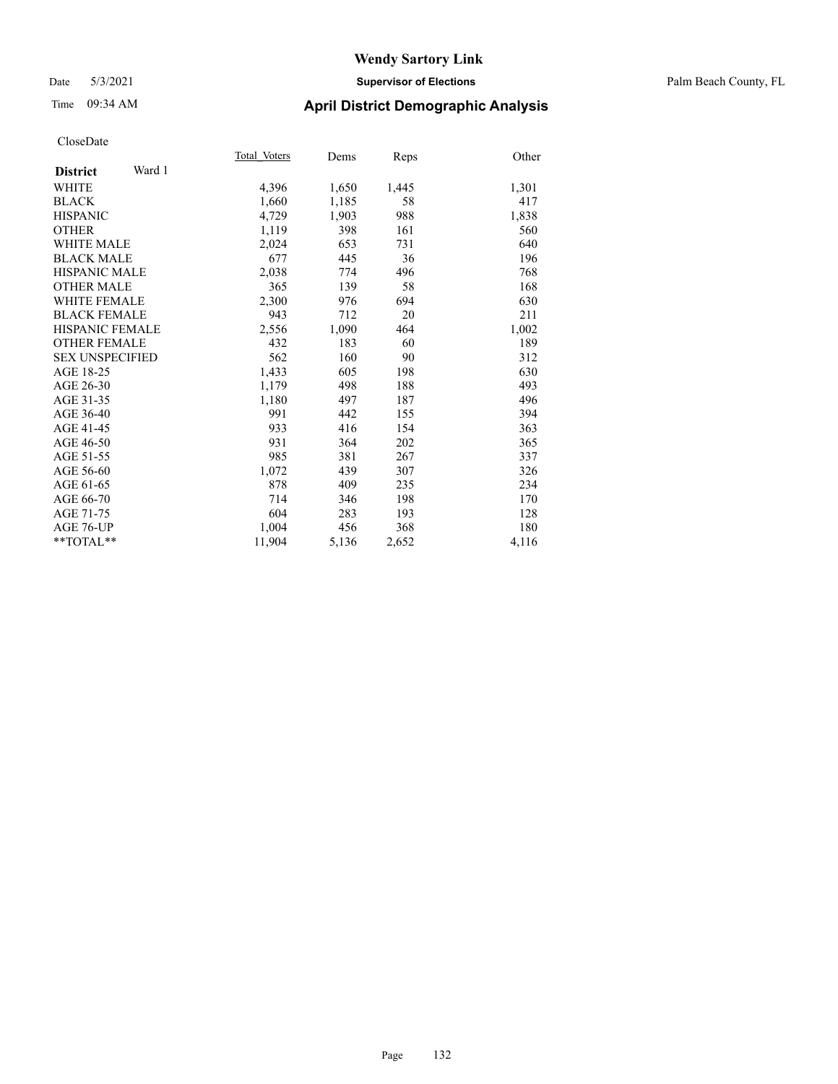## Date 5/3/2021 **Supervisor of Elections** Palm Beach County, FL

# Time 09:34 AM **April District Demographic Analysis**

|                           | Total Voters | Dems  | Reps  | Other |
|---------------------------|--------------|-------|-------|-------|
| Ward 1<br><b>District</b> |              |       |       |       |
| WHITE                     | 4,396        | 1,650 | 1,445 | 1,301 |
| <b>BLACK</b>              | 1,660        | 1,185 | 58    | 417   |
| <b>HISPANIC</b>           | 4,729        | 1,903 | 988   | 1,838 |
| <b>OTHER</b>              | 1,119        | 398   | 161   | 560   |
| WHITE MALE                | 2,024        | 653   | 731   | 640   |
| <b>BLACK MALE</b>         | 677          | 445   | 36    | 196   |
| <b>HISPANIC MALE</b>      | 2,038        | 774   | 496   | 768   |
| <b>OTHER MALE</b>         | 365          | 139   | 58    | 168   |
| <b>WHITE FEMALE</b>       | 2,300        | 976   | 694   | 630   |
| <b>BLACK FEMALE</b>       | 943          | 712   | 20    | 211   |
| <b>HISPANIC FEMALE</b>    | 2,556        | 1,090 | 464   | 1,002 |
| <b>OTHER FEMALE</b>       | 432          | 183   | 60    | 189   |
| <b>SEX UNSPECIFIED</b>    | 562          | 160   | 90    | 312   |
| AGE 18-25                 | 1,433        | 605   | 198   | 630   |
| AGE 26-30                 | 1,179        | 498   | 188   | 493   |
| AGE 31-35                 | 1,180        | 497   | 187   | 496   |
| AGE 36-40                 | 991          | 442   | 155   | 394   |
| AGE 41-45                 | 933          | 416   | 154   | 363   |
| AGE 46-50                 | 931          | 364   | 202   | 365   |
| AGE 51-55                 | 985          | 381   | 267   | 337   |
| AGE 56-60                 | 1,072        | 439   | 307   | 326   |
| AGE 61-65                 | 878          | 409   | 235   | 234   |
| AGE 66-70                 | 714          | 346   | 198   | 170   |
| AGE 71-75                 | 604          | 283   | 193   | 128   |
| AGE 76-UP                 | 1.004        | 456   | 368   | 180   |
| $*$ $TOTAL**$             | 11,904       | 5,136 | 2,652 | 4,116 |
|                           |              |       |       |       |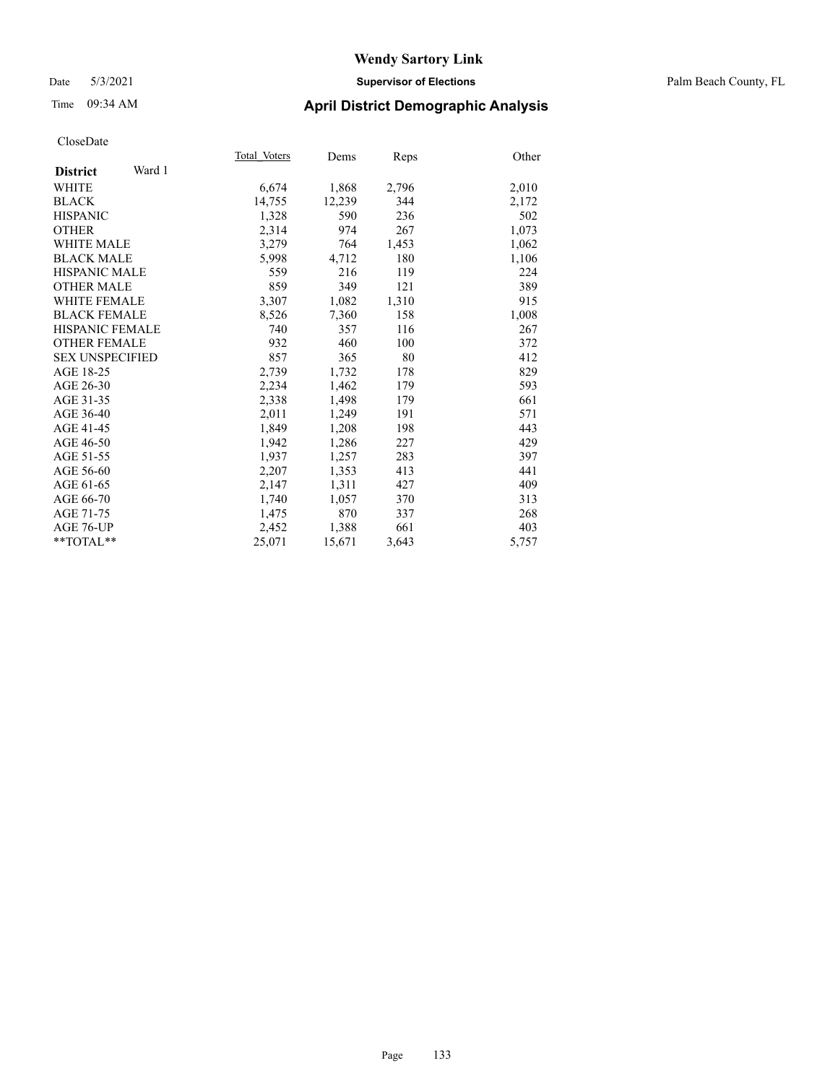## Date 5/3/2021 **Supervisor of Elections** Palm Beach County, FL

# Time 09:34 AM **April District Demographic Analysis**

|                           | Total Voters | Dems   | Reps  | Other |
|---------------------------|--------------|--------|-------|-------|
| Ward 1<br><b>District</b> |              |        |       |       |
| WHITE                     | 6,674        | 1,868  | 2,796 | 2,010 |
| <b>BLACK</b>              | 14,755       | 12,239 | 344   | 2,172 |
| <b>HISPANIC</b>           | 1,328        | 590    | 236   | 502   |
| <b>OTHER</b>              | 2,314        | 974    | 267   | 1,073 |
| <b>WHITE MALE</b>         | 3,279        | 764    | 1,453 | 1,062 |
| <b>BLACK MALE</b>         | 5,998        | 4,712  | 180   | 1,106 |
| <b>HISPANIC MALE</b>      | 559          | 216    | 119   | 224   |
| <b>OTHER MALE</b>         | 859          | 349    | 121   | 389   |
| <b>WHITE FEMALE</b>       | 3,307        | 1,082  | 1,310 | 915   |
| <b>BLACK FEMALE</b>       | 8,526        | 7,360  | 158   | 1,008 |
| <b>HISPANIC FEMALE</b>    | 740          | 357    | 116   | 267   |
| <b>OTHER FEMALE</b>       | 932          | 460    | 100   | 372   |
| <b>SEX UNSPECIFIED</b>    | 857          | 365    | 80    | 412   |
| AGE 18-25                 | 2,739        | 1,732  | 178   | 829   |
| AGE 26-30                 | 2,234        | 1,462  | 179   | 593   |
| AGE 31-35                 | 2,338        | 1,498  | 179   | 661   |
| AGE 36-40                 | 2,011        | 1,249  | 191   | 571   |
| AGE 41-45                 | 1,849        | 1,208  | 198   | 443   |
| AGE 46-50                 | 1,942        | 1,286  | 227   | 429   |
| AGE 51-55                 | 1.937        | 1,257  | 283   | 397   |
| AGE 56-60                 | 2,207        | 1,353  | 413   | 441   |
| AGE 61-65                 | 2,147        | 1,311  | 427   | 409   |
| AGE 66-70                 | 1,740        | 1,057  | 370   | 313   |
| AGE 71-75                 | 1,475        | 870    | 337   | 268   |
| AGE 76-UP                 | 2,452        | 1,388  | 661   | 403   |
| $*$ $TOTAL**$             | 25,071       | 15,671 | 3,643 | 5,757 |
|                           |              |        |       |       |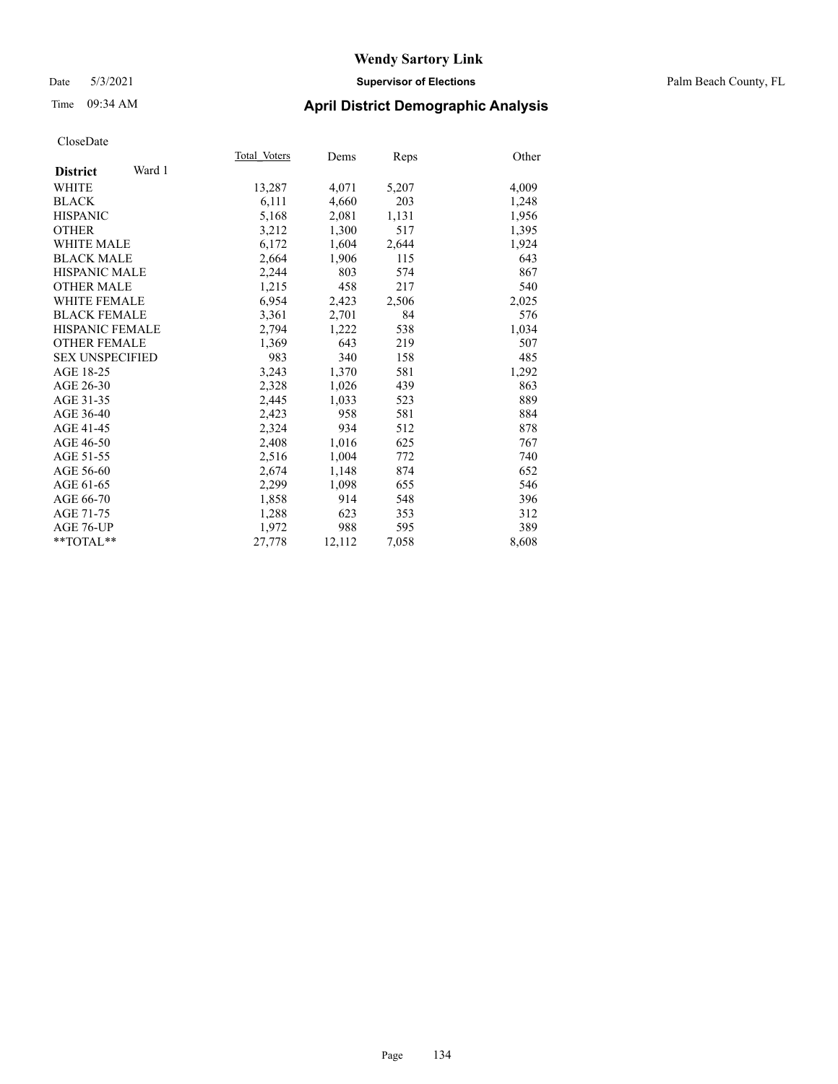## Date 5/3/2021 **Supervisor of Elections** Palm Beach County, FL

# Time 09:34 AM **April District Demographic Analysis**

|                           | Total Voters | Dems   | Reps  | Other |
|---------------------------|--------------|--------|-------|-------|
| Ward 1<br><b>District</b> |              |        |       |       |
| WHITE                     | 13,287       | 4,071  | 5,207 | 4,009 |
| <b>BLACK</b>              | 6,111        | 4,660  | 203   | 1,248 |
| <b>HISPANIC</b>           | 5,168        | 2,081  | 1,131 | 1,956 |
| <b>OTHER</b>              | 3,212        | 1,300  | 517   | 1,395 |
| <b>WHITE MALE</b>         | 6,172        | 1,604  | 2,644 | 1,924 |
| <b>BLACK MALE</b>         | 2,664        | 1,906  | 115   | 643   |
| <b>HISPANIC MALE</b>      | 2,244        | 803    | 574   | 867   |
| <b>OTHER MALE</b>         | 1,215        | 458    | 217   | 540   |
| <b>WHITE FEMALE</b>       | 6,954        | 2,423  | 2,506 | 2,025 |
| <b>BLACK FEMALE</b>       | 3,361        | 2,701  | 84    | 576   |
| <b>HISPANIC FEMALE</b>    | 2,794        | 1,222  | 538   | 1,034 |
| <b>OTHER FEMALE</b>       | 1,369        | 643    | 219   | 507   |
| <b>SEX UNSPECIFIED</b>    | 983          | 340    | 158   | 485   |
| AGE 18-25                 | 3,243        | 1,370  | 581   | 1,292 |
| AGE 26-30                 | 2,328        | 1,026  | 439   | 863   |
| AGE 31-35                 | 2,445        | 1,033  | 523   | 889   |
| AGE 36-40                 | 2,423        | 958    | 581   | 884   |
| AGE 41-45                 | 2,324        | 934    | 512   | 878   |
| AGE 46-50                 | 2,408        | 1,016  | 625   | 767   |
| AGE 51-55                 | 2,516        | 1,004  | 772   | 740   |
| AGE 56-60                 | 2,674        | 1,148  | 874   | 652   |
| AGE 61-65                 | 2,299        | 1,098  | 655   | 546   |
| AGE 66-70                 | 1,858        | 914    | 548   | 396   |
| AGE 71-75                 | 1,288        | 623    | 353   | 312   |
| AGE 76-UP                 | 1,972        | 988    | 595   | 389   |
| $*$ $TOTAL**$             | 27,778       | 12,112 | 7,058 | 8,608 |
|                           |              |        |       |       |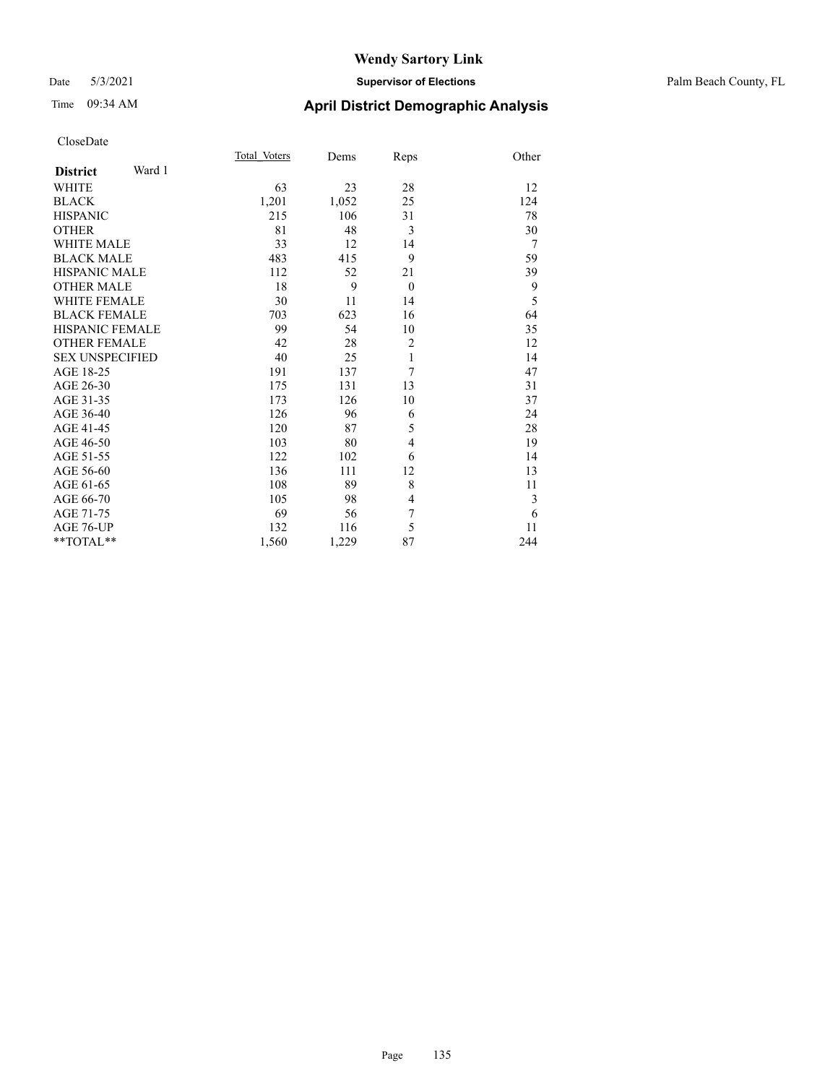## Date 5/3/2021 **Supervisor of Elections** Palm Beach County, FL

| CloseDate |
|-----------|
|-----------|

|                        |        | Total Voters | Dems  | Reps           | Other |
|------------------------|--------|--------------|-------|----------------|-------|
| <b>District</b>        | Ward 1 |              |       |                |       |
| WHITE                  |        | 63           | 23    | 28             | 12    |
| BLACK                  |        | 1,201        | 1,052 | 25             | 124   |
| HISPANIC               |        | 215          | 106   | 31             | 78    |
| OTHER                  |        | 81           | 48    | 3              | 30    |
| <b>WHITE MALE</b>      |        | 33           | 12    | 14             | 7     |
| <b>BLACK MALE</b>      |        | 483          | 415   | 9              | 59    |
| HISPANIC MALE          |        | 112          | 52    | 21             | 39    |
| <b>OTHER MALE</b>      |        | 18           | 9     | $\theta$       | 9     |
| WHITE FEMALE           |        | 30           | 11    | 14             | 5     |
| BLACK FEMALE           |        | 703          | 623   | 16             | 64    |
| HISPANIC FEMALE        |        | 99           | 54    | 10             | 35    |
| OTHER FEMALE           |        | 42           | 28    | $\overline{c}$ | 12    |
| <b>SEX UNSPECIFIED</b> |        | 40           | 25    | 1              | 14    |
| AGE 18-25              |        | 191          | 137   | 7              | 47    |
| AGE 26-30              |        | 175          | 131   | 13             | 31    |
| AGE 31-35              |        | 173          | 126   | 10             | 37    |
| AGE 36-40              |        | 126          | 96    | 6              | 24    |
| AGE 41-45              |        | 120          | 87    | 5              | 28    |
| AGE 46-50              |        | 103          | 80    | $\overline{4}$ | 19    |
| AGE 51-55              |        | 122          | 102   | 6              | 14    |
| AGE 56-60              |        | 136          | 111   | 12             | 13    |
| AGE 61-65              |        | 108          | 89    | 8              | 11    |
| AGE 66-70              |        | 105          | 98    | 4              | 3     |
| AGE 71-75              |        | 69           | 56    | 7              | 6     |
| AGE 76-UP              |        | 132          | 116   | 5              | 11    |
| $*$ $TOTAL**$          |        | 1,560        | 1,229 | 87             | 244   |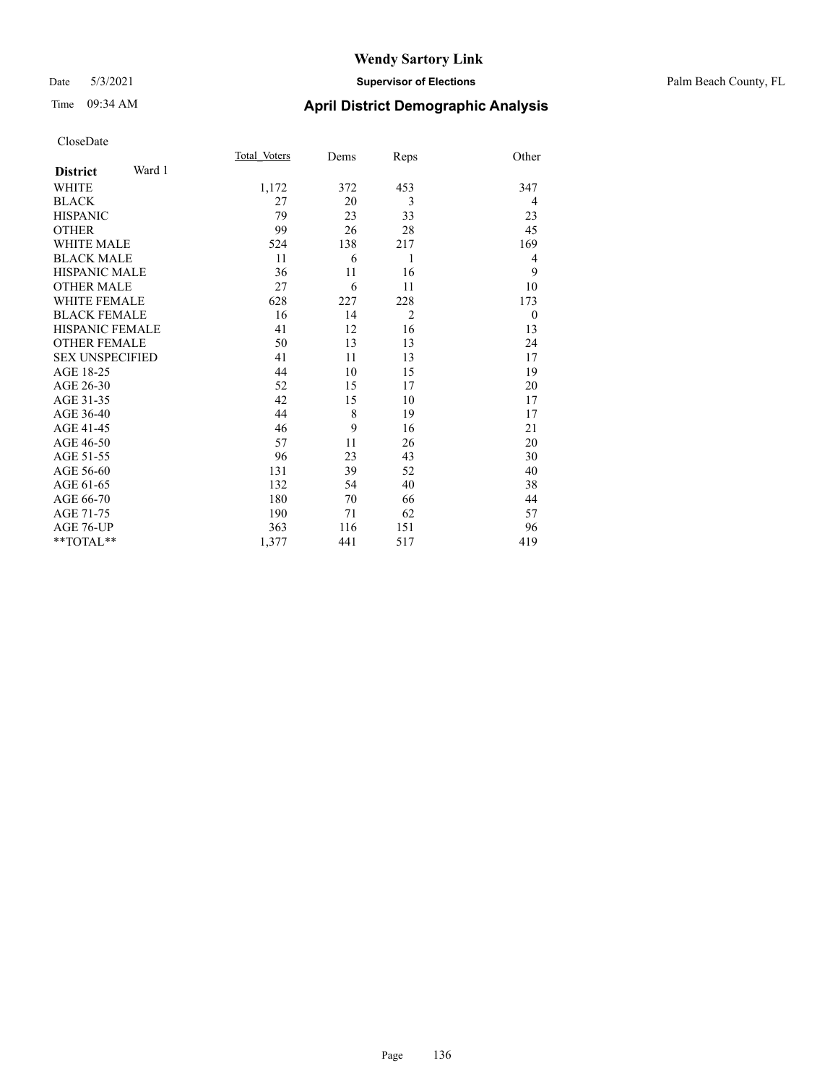## Date 5/3/2021 **Supervisor of Elections** Palm Beach County, FL

| CloseDate |
|-----------|
|-----------|

|                     |        | Total Voters | Dems | Reps           | Other    |
|---------------------|--------|--------------|------|----------------|----------|
| <b>District</b>     | Ward 1 |              |      |                |          |
| WHITE               |        | 1,172        | 372  | 453            | 347      |
| BLACK               |        | 27           | 20   | 3              | 4        |
| <b>HISPANIC</b>     |        | 79           | 23   | 33             | 23       |
| OTHER               |        | 99           | 26   | 28             | 45       |
| WHITE MALE          |        | 524          | 138  | 217            | 169      |
| <b>BLACK MALE</b>   |        | 11           | 6    | 1              | 4        |
| HISPANIC MALE       |        | 36           | 11   | 16             | 9        |
| <b>OTHER MALE</b>   |        | 27           | 6    | 11             | 10       |
| WHITE FEMALE        |        | 628          | 227  | 228            | 173      |
| <b>BLACK FEMALE</b> |        | 16           | 14   | $\overline{2}$ | $\theta$ |
| HISPANIC FEMALE     |        | 41           | 12   | 16             | 13       |
| OTHER FEMALE        |        | 50           | 13   | 13             | 24       |
| SEX UNSPECIFIED     |        | 41           | 11   | 13             | 17       |
| AGE 18-25           |        | 44           | 10   | 15             | 19       |
| AGE 26-30           |        | 52           | 15   | 17             | 20       |
| AGE 31-35           |        | 42           | 15   | 10             | 17       |
| AGE 36-40           |        | 44           | 8    | 19             | 17       |
| AGE 41-45           |        | 46           | 9    | 16             | 21       |
| AGE 46-50           |        | 57           | 11   | 26             | 20       |
| AGE 51-55           |        | 96           | 23   | 43             | 30       |
| AGE 56-60           |        | 131          | 39   | 52             | 40       |
| AGE 61-65           |        | 132          | 54   | 40             | 38       |
| AGE 66-70           |        | 180          | 70   | 66             | 44       |
| AGE 71-75           |        | 190          | 71   | 62             | 57       |
| AGE 76-UP           |        | 363          | 116  | 151            | 96       |
| $*$ TOTAL $*$       |        | 1,377        | 441  | 517            | 419      |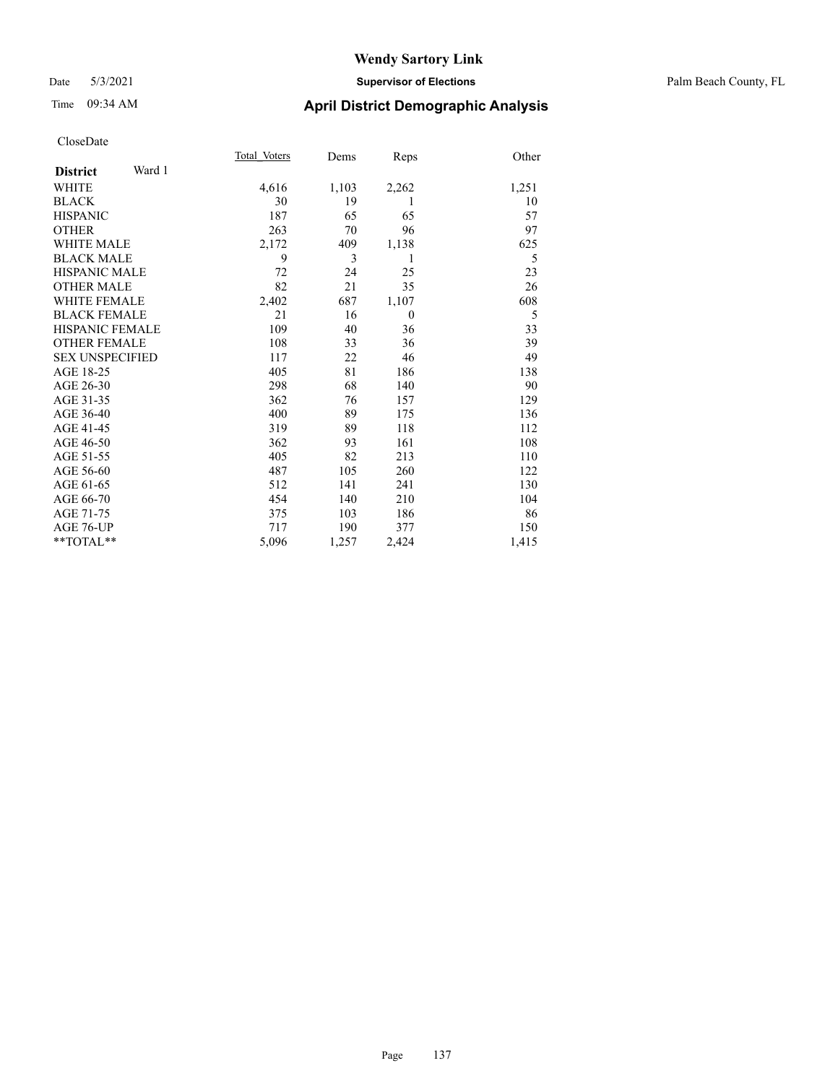## Date 5/3/2021 **Supervisor of Elections** Palm Beach County, FL

# Time 09:34 AM **April District Demographic Analysis**

|                        |        | Total Voters | Dems  | Reps     | Other |
|------------------------|--------|--------------|-------|----------|-------|
| <b>District</b>        | Ward 1 |              |       |          |       |
| <b>WHITE</b>           |        | 4,616        | 1,103 | 2,262    | 1,251 |
| <b>BLACK</b>           |        | 30           | 19    | 1        | 10    |
| <b>HISPANIC</b>        |        | 187          | 65    | 65       | 57    |
| <b>OTHER</b>           |        | 263          | 70    | 96       | 97    |
| <b>WHITE MALE</b>      |        | 2,172        | 409   | 1,138    | 625   |
| <b>BLACK MALE</b>      |        | 9            | 3     | 1        | 5     |
| <b>HISPANIC MALE</b>   |        | 72           | 24    | 25       | 23    |
| <b>OTHER MALE</b>      |        | 82           | 21    | 35       | 26    |
| <b>WHITE FEMALE</b>    |        | 2,402        | 687   | 1,107    | 608   |
| <b>BLACK FEMALE</b>    |        | 21           | 16    | $\theta$ | 5     |
| HISPANIC FEMALE        |        | 109          | 40    | 36       | 33    |
| <b>OTHER FEMALE</b>    |        | 108          | 33    | 36       | 39    |
| <b>SEX UNSPECIFIED</b> |        | 117          | 22    | 46       | 49    |
| AGE 18-25              |        | 405          | 81    | 186      | 138   |
| AGE 26-30              |        | 298          | 68    | 140      | 90    |
| AGE 31-35              |        | 362          | 76    | 157      | 129   |
| AGE 36-40              |        | 400          | 89    | 175      | 136   |
| AGE 41-45              |        | 319          | 89    | 118      | 112   |
| AGE 46-50              |        | 362          | 93    | 161      | 108   |
| AGE 51-55              |        | 405          | 82    | 213      | 110   |
| AGE 56-60              |        | 487          | 105   | 260      | 122   |
| AGE 61-65              |        | 512          | 141   | 241      | 130   |
| AGE 66-70              |        | 454          | 140   | 210      | 104   |
| AGE 71-75              |        | 375          | 103   | 186      | 86    |
| AGE 76-UP              |        | 717          | 190   | 377      | 150   |
| $*$ $TOTAL**$          |        | 5,096        | 1,257 | 2,424    | 1,415 |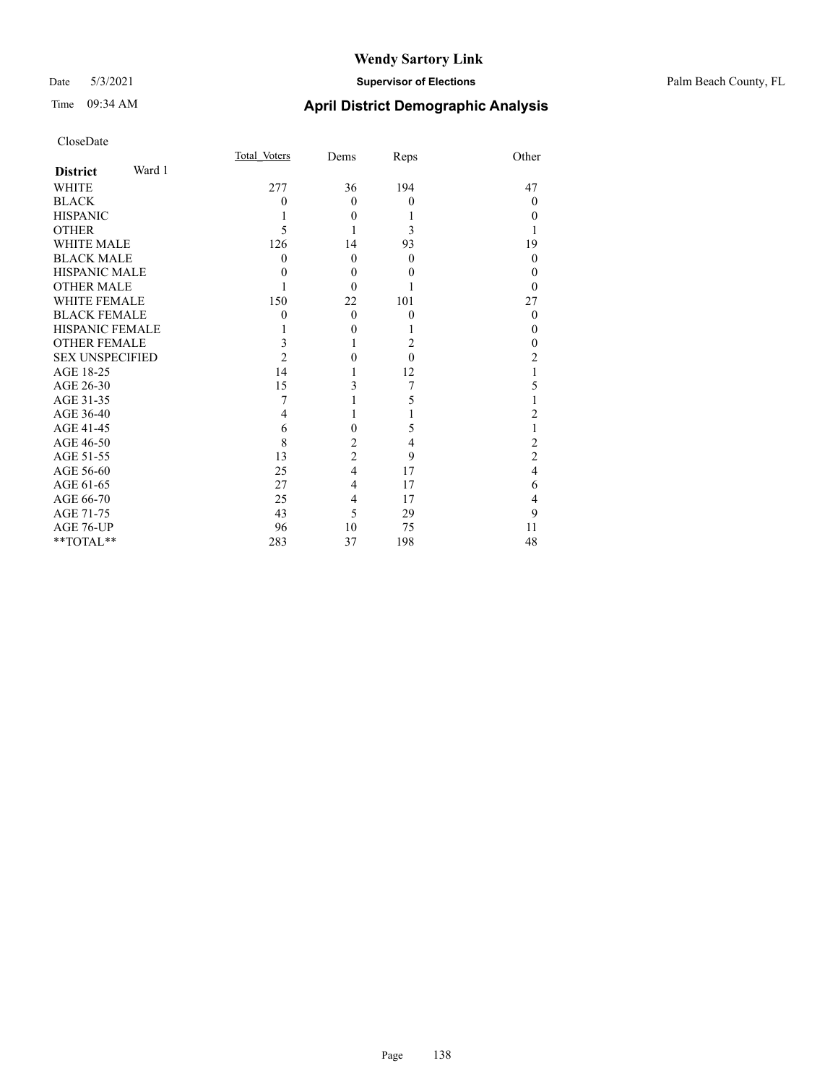| CloseDate              |        |                |                |          |                |
|------------------------|--------|----------------|----------------|----------|----------------|
|                        |        | Total Voters   | Dems           | Reps     | Other          |
| <b>District</b>        | Ward 1 |                |                |          |                |
| <b>WHITE</b>           |        | 277            | 36             | 194      | 47             |
| <b>BLACK</b>           |        | $\theta$       | $\theta$       | $\theta$ | $\theta$       |
| <b>HISPANIC</b>        |        | 1              | 0              |          | $\Omega$       |
| <b>OTHER</b>           |        | 5              |                | 3        | 1              |
| <b>WHITE MALE</b>      |        | 126            | 14             | 93       | 19             |
| <b>BLACK MALE</b>      |        | $\theta$       | 0              | $\theta$ | $\theta$       |
| <b>HISPANIC MALE</b>   |        | 0              | $\theta$       | $_{0}$   | $\Omega$       |
| <b>OTHER MALE</b>      |        |                | 0              |          | $\theta$       |
| <b>WHITE FEMALE</b>    |        | 150            | 22             | 101      | 27             |
| <b>BLACK FEMALE</b>    |        | $\theta$       | $\theta$       | $\theta$ | $\theta$       |
| <b>HISPANIC FEMALE</b> |        |                | 0              |          | $\theta$       |
| <b>OTHER FEMALE</b>    |        | 3              | 1              | 2        | $\theta$       |
| <b>SEX UNSPECIFIED</b> |        | $\overline{2}$ | 0              | $\theta$ | $\overline{c}$ |
| AGE 18-25              |        | 14             |                | 12       | $\mathbf{1}$   |
| AGE 26-30              |        | 15             | 3              | 7        | 5              |
| AGE 31-35              |        | 7              |                | 5        | 1              |
| AGE 36-40              |        | 4              | 1              |          | $\overline{c}$ |
| AGE 41-45              |        | 6              | $\theta$       | 5        | 1              |
| AGE 46-50              |        | 8              | 2              | 4        | $\overline{c}$ |
| AGE 51-55              |        | 13             | $\overline{c}$ | 9        | $\overline{c}$ |
| AGE 56-60              |        | 25             | 4              | 17       | $\overline{4}$ |
| AGE 61-65              |        | 27             | 4              | 17       | 6              |
| AGE 66-70              |        | 25             | 4              | 17       | $\overline{4}$ |
| AGE 71-75              |        | 43             | 5              | 29       | 9              |
| AGE 76-UP              |        | 96             | 10             | 75       | 11             |
| **TOTAL**              |        | 283            | 37             | 198      | 48             |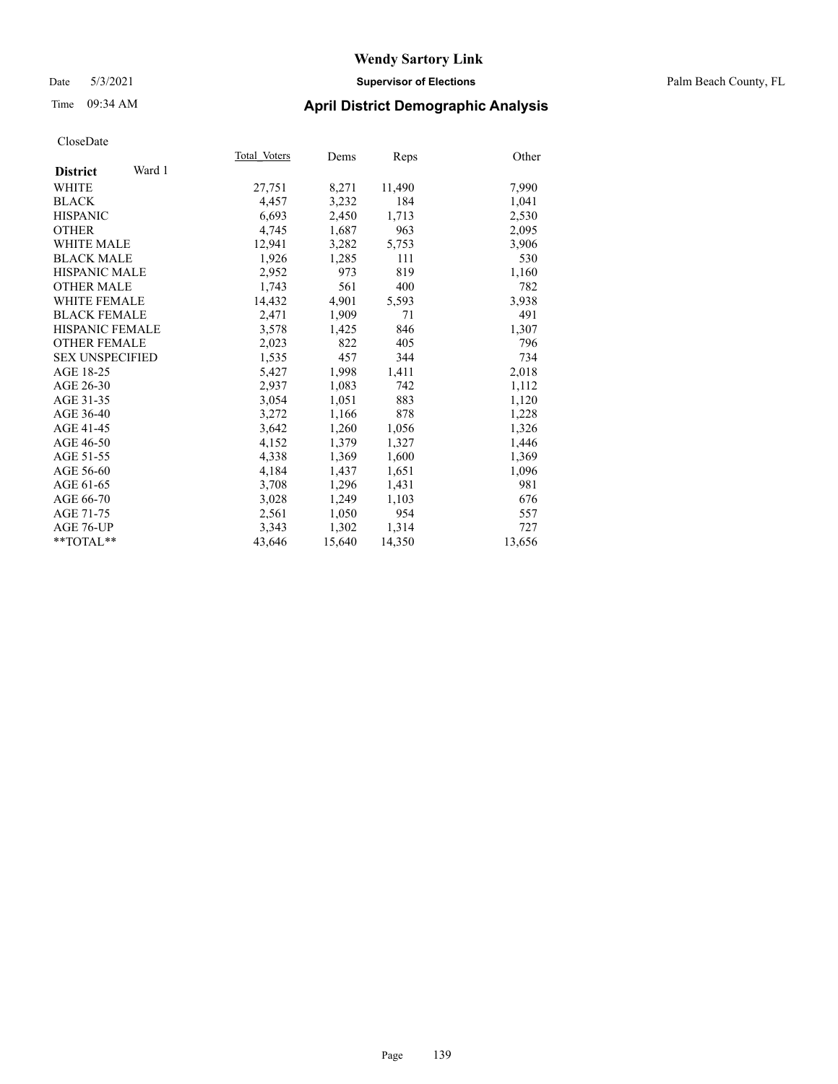## Date 5/3/2021 **Supervisor of Elections** Palm Beach County, FL

# Time 09:34 AM **April District Demographic Analysis**

|                           | Total Voters | Dems   | Reps   | Other  |
|---------------------------|--------------|--------|--------|--------|
| Ward 1<br><b>District</b> |              |        |        |        |
| WHITE                     | 27,751       | 8,271  | 11,490 | 7,990  |
| <b>BLACK</b>              | 4,457        | 3,232  | 184    | 1,041  |
| <b>HISPANIC</b>           | 6,693        | 2,450  | 1,713  | 2,530  |
| <b>OTHER</b>              | 4,745        | 1,687  | 963    | 2,095  |
| <b>WHITE MALE</b>         | 12,941       | 3,282  | 5,753  | 3,906  |
| <b>BLACK MALE</b>         | 1,926        | 1,285  | 111    | 530    |
| <b>HISPANIC MALE</b>      | 2,952        | 973    | 819    | 1,160  |
| <b>OTHER MALE</b>         | 1,743        | 561    | 400    | 782    |
| <b>WHITE FEMALE</b>       | 14,432       | 4,901  | 5,593  | 3,938  |
| <b>BLACK FEMALE</b>       | 2,471        | 1,909  | 71     | 491    |
| <b>HISPANIC FEMALE</b>    | 3,578        | 1,425  | 846    | 1,307  |
| <b>OTHER FEMALE</b>       | 2,023        | 822    | 405    | 796    |
| <b>SEX UNSPECIFIED</b>    | 1,535        | 457    | 344    | 734    |
| AGE 18-25                 | 5,427        | 1,998  | 1,411  | 2,018  |
| AGE 26-30                 | 2,937        | 1,083  | 742    | 1,112  |
| AGE 31-35                 | 3,054        | 1,051  | 883    | 1,120  |
| AGE 36-40                 | 3,272        | 1,166  | 878    | 1,228  |
| AGE 41-45                 | 3,642        | 1,260  | 1,056  | 1,326  |
| AGE 46-50                 | 4,152        | 1,379  | 1,327  | 1,446  |
| AGE 51-55                 | 4,338        | 1,369  | 1,600  | 1,369  |
| AGE 56-60                 | 4,184        | 1,437  | 1,651  | 1,096  |
| AGE 61-65                 | 3,708        | 1,296  | 1,431  | 981    |
| AGE 66-70                 | 3,028        | 1,249  | 1,103  | 676    |
| AGE 71-75                 | 2,561        | 1,050  | 954    | 557    |
| AGE 76-UP                 | 3,343        | 1,302  | 1,314  | 727    |
| $*$ $TOTAL**$             | 43,646       | 15,640 | 14,350 | 13,656 |
|                           |              |        |        |        |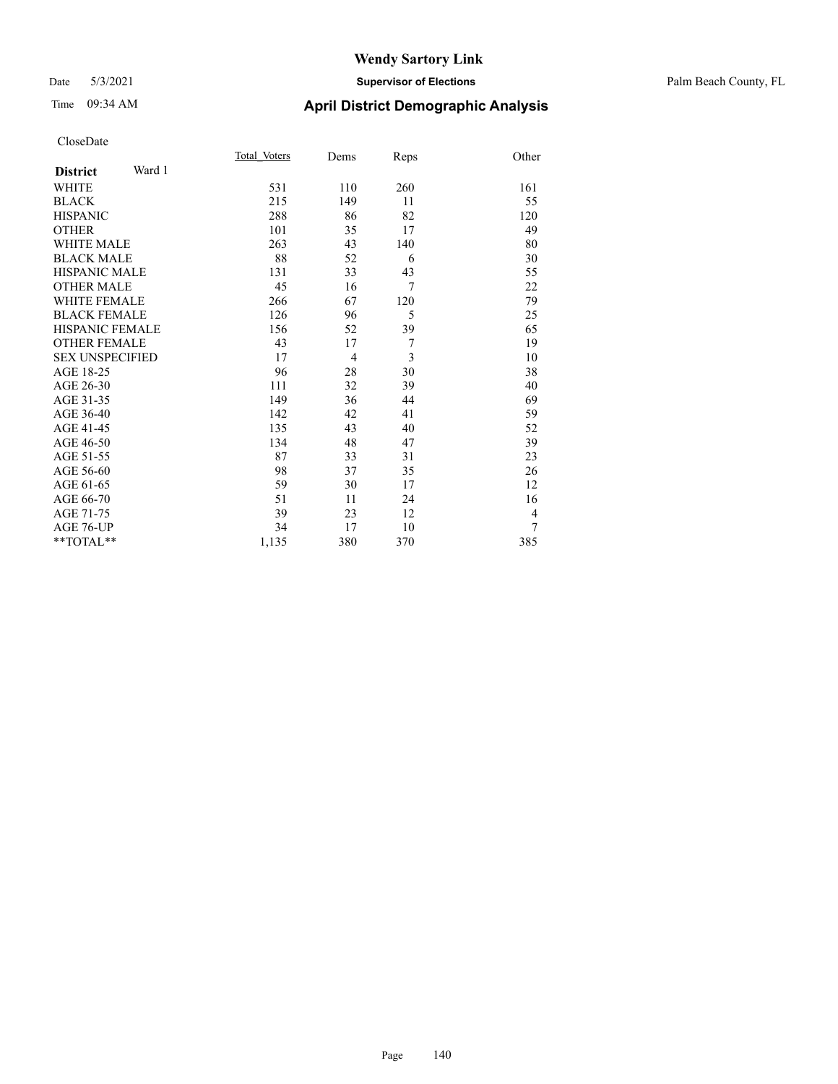## Date 5/3/2021 **Supervisor of Elections** Palm Beach County, FL

# Time 09:34 AM **April District Demographic Analysis**

|                           | Total Voters | Dems           | Reps           | Other          |
|---------------------------|--------------|----------------|----------------|----------------|
| Ward 1<br><b>District</b> |              |                |                |                |
| <b>WHITE</b>              | 531          | 110            | 260            | 161            |
| <b>BLACK</b>              | 215          | 149            | 11             | 55             |
| <b>HISPANIC</b>           | 288          | 86             | 82             | 120            |
| <b>OTHER</b>              | 101          | 35             | 17             | 49             |
| <b>WHITE MALE</b>         | 263          | 43             | 140            | 80             |
| <b>BLACK MALE</b>         | 88           | 52             | 6              | 30             |
| <b>HISPANIC MALE</b>      | 131          | 33             | 43             | 55             |
| <b>OTHER MALE</b>         | 45           | 16             | $\overline{7}$ | 22             |
| <b>WHITE FEMALE</b>       | 266          | 67             | 120            | 79             |
| <b>BLACK FEMALE</b>       | 126          | 96             | 5              | 25             |
| <b>HISPANIC FEMALE</b>    | 156          | 52             | 39             | 65             |
| <b>OTHER FEMALE</b>       | 43           | 17             | $\tau$         | 19             |
| <b>SEX UNSPECIFIED</b>    | 17           | $\overline{4}$ | 3              | 10             |
| AGE 18-25                 | 96           | 28             | 30             | 38             |
| AGE 26-30                 | 111          | 32             | 39             | 40             |
| AGE 31-35                 | 149          | 36             | 44             | 69             |
| AGE 36-40                 | 142          | 42             | 41             | 59             |
| AGE 41-45                 | 135          | 43             | 40             | 52             |
| AGE 46-50                 | 134          | 48             | 47             | 39             |
| AGE 51-55                 | 87           | 33             | 31             | 23             |
| AGE 56-60                 | 98           | 37             | 35             | 26             |
| AGE 61-65                 | 59           | 30             | 17             | 12             |
| AGE 66-70                 | 51           | 11             | 24             | 16             |
| AGE 71-75                 | 39           | 23             | 12             | $\overline{4}$ |
| AGE 76-UP                 | 34           | 17             | 10             | 7              |
| **TOTAL**                 | 1,135        | 380            | 370            | 385            |